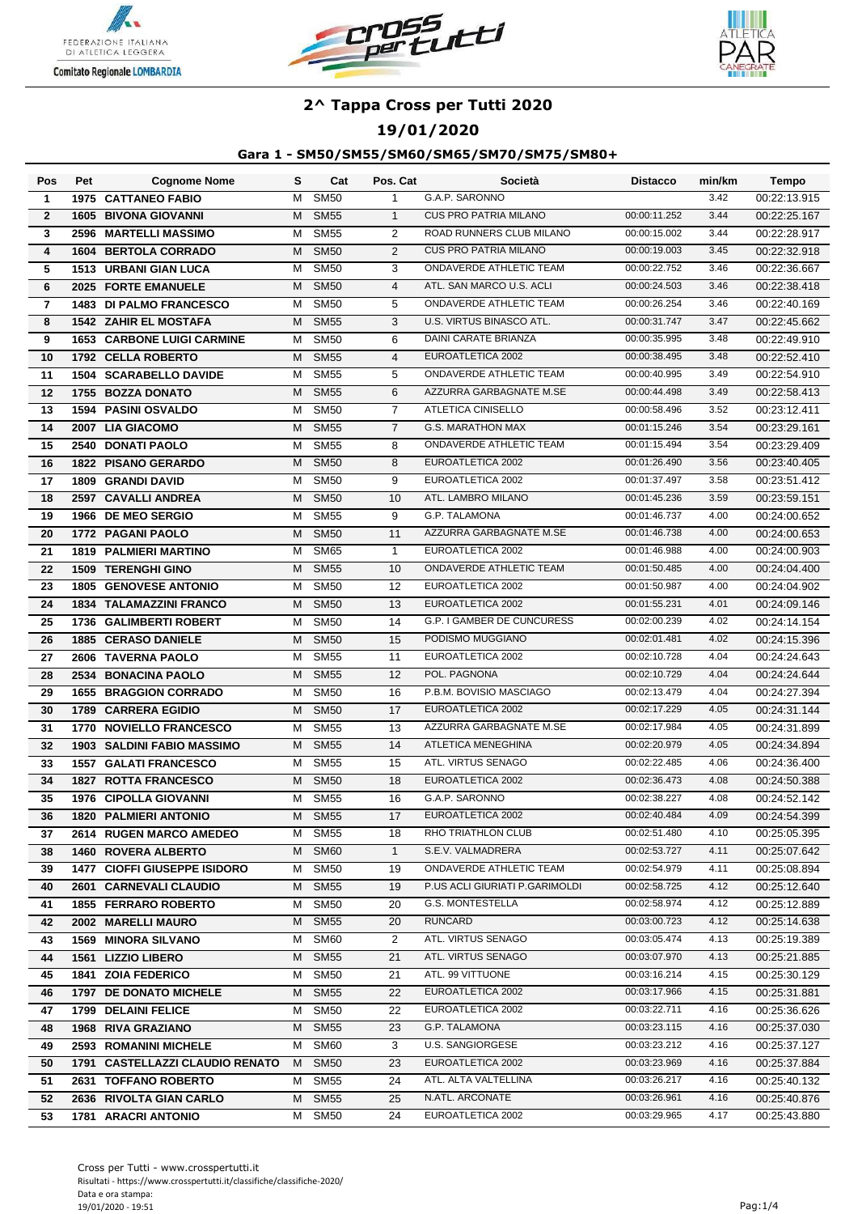





### **19/01/2020**

| Pos            | Pet | <b>Cognome Nome</b>               | s | Cat              | Pos. Cat       | Società                           | <b>Distacco</b> | min/km | Tempo        |
|----------------|-----|-----------------------------------|---|------------------|----------------|-----------------------------------|-----------------|--------|--------------|
| $\mathbf{1}$   |     | <b>1975 CATTANEO FABIO</b>        | м | <b>SM50</b>      | 1              | G.A.P. SARONNO                    |                 | 3.42   | 00:22:13.915 |
| $\mathbf{2}$   |     | <b>1605 BIVONA GIOVANNI</b>       | M | <b>SM55</b>      | $\mathbf{1}$   | <b>CUS PRO PATRIA MILANO</b>      | 00:00:11.252    | 3.44   | 00:22:25.167 |
| 3              |     | 2596 MARTELLI MASSIMO             | м | <b>SM55</b>      | 2              | ROAD RUNNERS CLUB MILANO          | 00:00:15.002    | 3.44   | 00:22:28.917 |
| 4              |     | <b>1604 BERTOLA CORRADO</b>       | м | <b>SM50</b>      | 2              | <b>CUS PRO PATRIA MILANO</b>      | 00:00:19.003    | 3.45   | 00:22:32.918 |
| 5              |     | <b>1513 URBANI GIAN LUCA</b>      | м | <b>SM50</b>      | 3              | <b>ONDAVERDE ATHLETIC TEAM</b>    | 00:00:22.752    | 3.46   | 00:22:36.667 |
| 6              |     | 2025 FORTE EMANUELE               | м | <b>SM50</b>      | $\overline{4}$ | ATL. SAN MARCO U.S. ACLI          | 00:00:24.503    | 3.46   | 00:22:38.418 |
| $\overline{7}$ |     | <b>1483 DI PALMO FRANCESCO</b>    | м | <b>SM50</b>      | 5              | ONDAVERDE ATHLETIC TEAM           | 00:00:26.254    | 3.46   | 00:22:40.169 |
| 8              |     | <b>1542 ZAHIR EL MOSTAFA</b>      | М | <b>SM55</b>      | 3              | U.S. VIRTUS BINASCO ATL.          | 00:00:31.747    | 3.47   | 00:22:45.662 |
| 9              |     | <b>1653 CARBONE LUIGI CARMINE</b> | м | <b>SM50</b>      | 6              | <b>DAINI CARATE BRIANZA</b>       | 00:00:35.995    | 3.48   | 00:22:49.910 |
| 10             |     | 1792 CELLA ROBERTO                | м | <b>SM55</b>      | $\overline{4}$ | EUROATLETICA 2002                 | 00:00:38.495    | 3.48   | 00:22:52.410 |
| 11             |     | <b>1504 SCARABELLO DAVIDE</b>     | м | <b>SM55</b>      | 5              | <b>ONDAVERDE ATHLETIC TEAM</b>    | 00:00:40.995    | 3.49   | 00:22:54.910 |
| 12             |     | 1755 BOZZA DONATO                 | м | <b>SM55</b>      | 6              | AZZURRA GARBAGNATE M.SE           | 00:00:44.498    | 3.49   | 00:22:58.413 |
| 13             |     | <b>1594 PASINI OSVALDO</b>        | м | <b>SM50</b>      | $\overline{7}$ | <b>ATLETICA CINISELLO</b>         | 00:00:58.496    | 3.52   | 00:23:12.411 |
| 14             |     | 2007 LIA GIACOMO                  | м | <b>SM55</b>      | $\overline{7}$ | <b>G.S. MARATHON MAX</b>          | 00:01:15.246    | 3.54   | 00:23:29.161 |
| 15             |     | 2540 DONATI PAOLO                 | м | <b>SM55</b>      | 8              | ONDAVERDE ATHLETIC TEAM           | 00:01:15.494    | 3.54   | 00:23:29.409 |
| 16             |     | <b>1822 PISANO GERARDO</b>        | м | <b>SM50</b>      | 8              | EUROATLETICA 2002                 | 00:01:26.490    | 3.56   | 00:23:40.405 |
| 17             |     | <b>1809 GRANDI DAVID</b>          | М | <b>SM50</b>      | 9              | EUROATLETICA 2002                 | 00:01:37.497    | 3.58   | 00:23:51.412 |
| 18             |     | 2597 CAVALLI ANDREA               | м | <b>SM50</b>      | 10             | ATL. LAMBRO MILANO                | 00:01:45.236    | 3.59   | 00:23:59.151 |
| 19             |     | 1966 DE MEO SERGIO                | м | <b>SM55</b>      | 9              | G.P. TALAMONA                     | 00:01:46.737    | 4.00   | 00:24:00.652 |
| 20             |     | 1772 PAGANI PAOLO                 | M | <b>SM50</b>      | 11             | AZZURRA GARBAGNATE M.SE           | 00:01:46.738    | 4.00   | 00:24:00.653 |
| 21             |     | <b>1819 PALMIERI MARTINO</b>      | м | <b>SM65</b>      | $\mathbf{1}$   | EUROATLETICA 2002                 | 00:01:46.988    | 4.00   | 00:24:00.903 |
| 22             |     | <b>1509 TERENGHI GINO</b>         | м | <b>SM55</b>      | 10             | <b>ONDAVERDE ATHLETIC TEAM</b>    | 00:01:50.485    | 4.00   | 00:24:04.400 |
| 23             |     | <b>1805 GENOVESE ANTONIO</b>      | м | <b>SM50</b>      | 12             | EUROATLETICA 2002                 | 00:01:50.987    | 4.00   | 00:24:04.902 |
| 24             |     | <b>1834 TALAMAZZINI FRANCO</b>    | м | <b>SM50</b>      | 13             | EUROATLETICA 2002                 | 00:01:55.231    | 4.01   | 00:24:09.146 |
| 25             |     | 1736 GALIMBERTI ROBERT            | м | <b>SM50</b>      | 14             | <b>G.P. I GAMBER DE CUNCURESS</b> | 00:02:00.239    | 4.02   | 00:24:14.154 |
| 26             |     | <b>1885 CERASO DANIELE</b>        | М | <b>SM50</b>      | 15             | PODISMO MUGGIANO                  | 00:02:01.481    | 4.02   | 00:24:15.396 |
| 27             |     | 2606 TAVERNA PAOLO                | М | <b>SM55</b>      | 11             | EUROATLETICA 2002                 | 00:02:10.728    | 4.04   | 00:24:24.643 |
| 28             |     | 2534 BONACINA PAOLO               | M | <b>SM55</b>      | 12             | POL. PAGNONA                      | 00:02:10.729    | 4.04   | 00:24:24.644 |
| 29             |     | <b>1655 BRAGGION CORRADO</b>      | м | <b>SM50</b>      | 16             | P.B.M. BOVISIO MASCIAGO           | 00:02:13.479    | 4.04   | 00:24:27.394 |
| 30             |     | 1789 CARRERA EGIDIO               | м | <b>SM50</b>      | 17             | EUROATLETICA 2002                 | 00:02:17.229    | 4.05   | 00:24:31.144 |
| 31             |     | 1770 NOVIELLO FRANCESCO           | м | <b>SM55</b>      | 13             | AZZURRA GARBAGNATE M.SE           | 00:02:17.984    | 4.05   | 00:24:31.899 |
| 32             |     | 1903 SALDINI FABIO MASSIMO        | М | <b>SM55</b>      | 14             | ATLETICA MENEGHINA                | 00:02:20.979    | 4.05   | 00:24:34.894 |
| 33             |     | <b>1557 GALATI FRANCESCO</b>      | М | <b>SM55</b>      | 15             | ATL. VIRTUS SENAGO                | 00:02:22.485    | 4.06   | 00:24:36.400 |
| 34             |     | <b>1827 ROTTA FRANCESCO</b>       | м | <b>SM50</b>      | 18             | EUROATLETICA 2002                 | 00:02:36.473    | 4.08   | 00:24:50.388 |
| 35             |     | 1976 CIPOLLA GIOVANNI             | м | <b>SM55</b>      | 16             | G.A.P. SARONNO                    | 00:02:38.227    | 4.08   | 00:24:52.142 |
| 36             |     | <b>1820 PALMIERI ANTONIO</b>      |   | M SM55           | 17             | EUROATLETICA 2002                 | 00:02:40.484    | 4.09   | 00:24:54.399 |
| 37             |     | 2614 RUGEN MARCO AMEDEO           | M | <b>SM55</b>      | 18             | RHO TRIATHLON CLUB                | 00:02:51.480    | 4.10   | 00:25:05.395 |
| 38             |     | <b>1460 ROVERA ALBERTO</b>        | M | SM <sub>60</sub> | $\mathbf{1}$   | S.E.V. VALMADRERA                 | 00:02:53.727    | 4.11   | 00:25:07.642 |
| 39             |     | 1477 CIOFFI GIUSEPPE ISIDORO      | м | <b>SM50</b>      | 19             | ONDAVERDE ATHLETIC TEAM           | 00:02:54.979    | 4.11   | 00:25:08.894 |
| 40             |     | 2601 CARNEVALI CLAUDIO            | M | <b>SM55</b>      | 19             | P.US ACLI GIURIATI P.GARIMOLDI    | 00:02:58.725    | 4.12   | 00:25:12.640 |
| 41             |     | <b>1855 FERRARO ROBERTO</b>       | М | <b>SM50</b>      | 20             | G.S. MONTESTELLA                  | 00:02:58.974    | 4.12   | 00:25:12.889 |
| 42             |     | 2002 MARELLI MAURO                | M | <b>SM55</b>      | 20             | <b>RUNCARD</b>                    | 00:03:00.723    | 4.12   | 00:25:14.638 |
| 43             |     | <b>1569 MINORA SILVANO</b>        |   | M SM60           | 2              | ATL. VIRTUS SENAGO                | 00:03:05.474    | 4.13   | 00:25:19.389 |
| 44             |     | 1561 LIZZIO LIBERO                |   | M SM55           | 21             | ATL. VIRTUS SENAGO                | 00:03:07.970    | 4.13   | 00:25:21.885 |
| 45             |     | <b>1841 ZOIA FEDERICO</b>         |   | M SM50           | 21             | ATL. 99 VITTUONE                  | 00:03:16.214    | 4.15   | 00:25:30.129 |
| 46             |     | 1797 DE DONATO MICHELE            |   | M SM55           | 22             | EUROATLETICA 2002                 | 00:03:17.966    | 4.15   | 00:25:31.881 |
| 47             |     | 1799 DELAINI FELICE               | м | <b>SM50</b>      | 22             | EUROATLETICA 2002                 | 00:03:22.711    | 4.16   | 00:25:36.626 |
| 48             |     | 1968 RIVA GRAZIANO                | M | <b>SM55</b>      | 23             | G.P. TALAMONA                     | 00:03:23.115    | 4.16   | 00:25:37.030 |
| 49             |     | 2593 ROMANINI MICHELE             | M | <b>SM60</b>      | 3              | <b>U.S. SANGIORGESE</b>           | 00:03:23.212    | 4.16   | 00:25:37.127 |
| 50             |     | 1791 CASTELLAZZI CLAUDIO RENATO   | M | <b>SM50</b>      | 23             | EUROATLETICA 2002                 | 00:03:23.969    | 4.16   | 00:25:37.884 |
| 51             |     | 2631 TOFFANO ROBERTO              | M | <b>SM55</b>      | 24             | ATL. ALTA VALTELLINA              | 00:03:26.217    | 4.16   | 00:25:40.132 |
| 52             |     | 2636 RIVOLTA GIAN CARLO           | М | <b>SM55</b>      | 25             | N.ATL. ARCONATE                   | 00:03:26.961    | 4.16   | 00:25:40.876 |
| 53             |     | 1781 ARACRI ANTONIO               |   | M SM50           | 24             | EUROATLETICA 2002                 | 00:03:29.965    | 4.17   | 00:25:43.880 |
|                |     |                                   |   |                  |                |                                   |                 |        |              |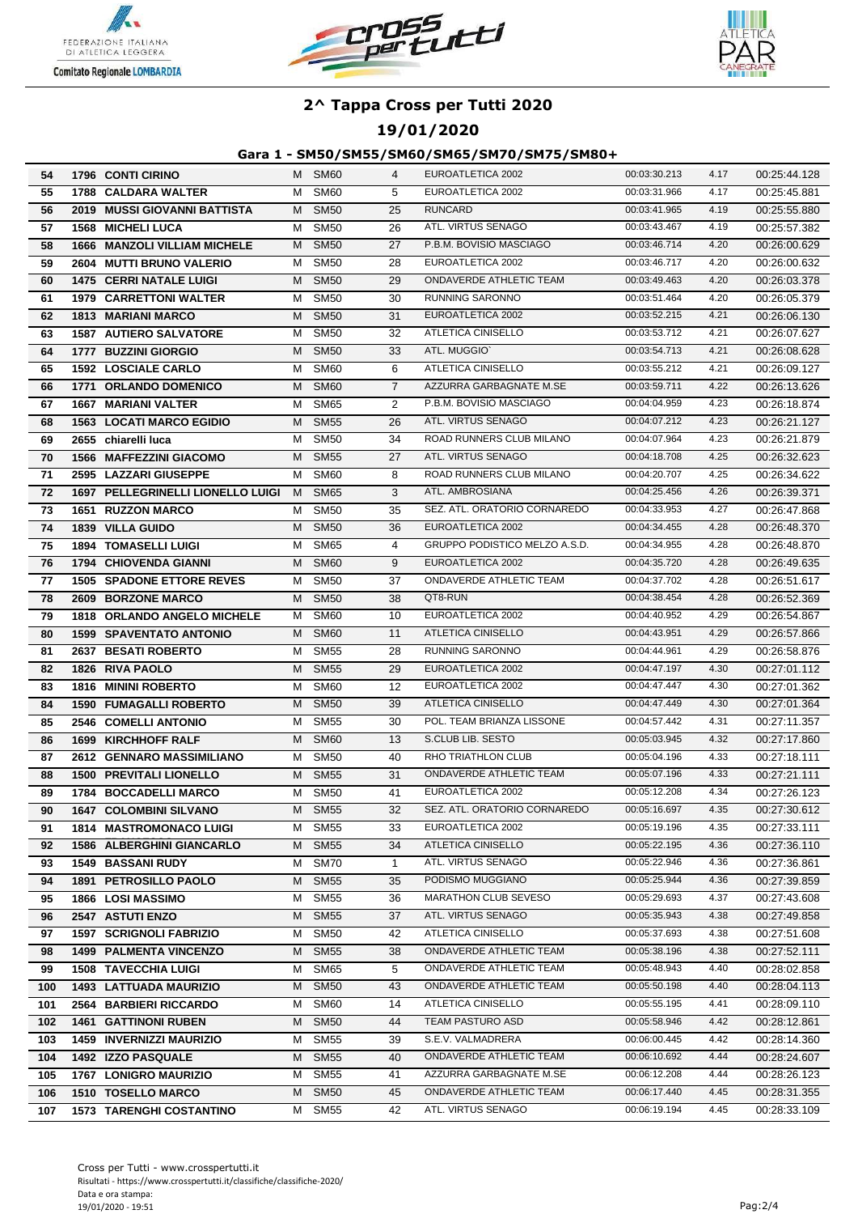





### **19/01/2020**

| 54  | <b>1796 CONTI CIRINO</b>            |   | M SM60           | 4              | EUROATLETICA 2002             | 00:03:30.213 | 4.17 | 00:25:44.128 |
|-----|-------------------------------------|---|------------------|----------------|-------------------------------|--------------|------|--------------|
| 55  | <b>1788 CALDARA WALTER</b>          | м | SM60             | 5              | EUROATLETICA 2002             | 00:03:31.966 | 4.17 | 00:25:45.881 |
| 56  | 2019 MUSSI GIOVANNI BATTISTA        | M | <b>SM50</b>      | 25             | <b>RUNCARD</b>                | 00:03:41.965 | 4.19 | 00:25:55.880 |
| 57  | <b>1568 MICHELI LUCA</b>            | M | <b>SM50</b>      | 26             | ATL. VIRTUS SENAGO            | 00:03:43.467 | 4.19 | 00:25:57.382 |
| 58  | <b>1666 MANZOLI VILLIAM MICHELE</b> | M | <b>SM50</b>      | 27             | P.B.M. BOVISIO MASCIAGO       | 00:03:46.714 | 4.20 | 00:26:00.629 |
| 59  | 2604 MUTTI BRUNO VALERIO            | м | <b>SM50</b>      | 28             | EUROATLETICA 2002             | 00:03:46.717 | 4.20 | 00:26:00.632 |
| 60  | <b>1475 CERRI NATALE LUIGI</b>      | м | <b>SM50</b>      | 29             | ONDAVERDE ATHLETIC TEAM       | 00:03:49.463 | 4.20 | 00:26:03.378 |
| 61  | <b>1979 CARRETTONI WALTER</b>       | м | <b>SM50</b>      | 30             | RUNNING SARONNO               | 00:03:51.464 | 4.20 | 00:26:05.379 |
| 62  | <b>1813 MARIANI MARCO</b>           | м | <b>SM50</b>      | 31             | EUROATLETICA 2002             | 00:03:52.215 | 4.21 | 00:26:06.130 |
| 63  | <b>1587 AUTIERO SALVATORE</b>       | м | <b>SM50</b>      | 32             | ATLETICA CINISELLO            | 00:03:53.712 | 4.21 | 00:26:07.627 |
| 64  | 1777 BUZZINI GIORGIO                | м | <b>SM50</b>      | 33             | ATL. MUGGIO'                  | 00:03:54.713 | 4.21 | 00:26:08.628 |
| 65  | <b>1592 LOSCIALE CARLO</b>          | м | SM60             | 6              | ATLETICA CINISELLO            | 00:03:55.212 | 4.21 | 00:26:09.127 |
| 66  | 1771 ORLANDO DOMENICO               | м | <b>SM60</b>      | $\overline{7}$ | AZZURRA GARBAGNATE M.SE       | 00:03:59.711 | 4.22 | 00:26:13.626 |
| 67  | <b>1667 MARIANI VALTER</b>          | м | <b>SM65</b>      | $\overline{2}$ | P.B.M. BOVISIO MASCIAGO       | 00:04:04.959 | 4.23 | 00:26:18.874 |
| 68  | <b>1563 LOCATI MARCO EGIDIO</b>     | м | <b>SM55</b>      | 26             | ATL. VIRTUS SENAGO            | 00:04:07.212 | 4.23 | 00:26:21.127 |
| 69  | 2655 chiarelli luca                 | м | <b>SM50</b>      | 34             | ROAD RUNNERS CLUB MILANO      | 00:04:07.964 | 4.23 | 00:26:21.879 |
| 70  | 1566 MAFFEZZINI GIACOMO             | м | <b>SM55</b>      | 27             | ATL. VIRTUS SENAGO            | 00:04:18.708 | 4.25 | 00:26:32.623 |
| 71  | 2595 LAZZARI GIUSEPPE               | м | SM60             | 8              | ROAD RUNNERS CLUB MILANO      | 00:04:20.707 | 4.25 | 00:26:34.622 |
| 72  | 1697 PELLEGRINELLI LIONELLO LUIGI   | M | <b>SM65</b>      | 3              | ATL. AMBROSIANA               | 00:04:25.456 | 4.26 | 00:26:39.371 |
| 73  | <b>1651 RUZZON MARCO</b>            | м | <b>SM50</b>      | 35             | SEZ. ATL. ORATORIO CORNAREDO  | 00:04:33.953 | 4.27 | 00:26:47.868 |
| 74  | 1839 VILLA GUIDO                    | м | <b>SM50</b>      | 36             | EUROATLETICA 2002             | 00:04:34.455 | 4.28 | 00:26:48.370 |
| 75  | <b>1894 TOMASELLI LUIGI</b>         | M | SM65             | 4              | GRUPPO PODISTICO MELZO A.S.D. | 00:04:34.955 | 4.28 | 00:26:48.870 |
| 76  | 1794 CHIOVENDA GIANNI               | м | SM60             | 9              | EUROATLETICA 2002             | 00:04:35.720 | 4.28 | 00:26:49.635 |
| 77  | <b>1505 SPADONE ETTORE REVES</b>    | м | <b>SM50</b>      | 37             | ONDAVERDE ATHLETIC TEAM       | 00:04:37.702 | 4.28 | 00:26:51.617 |
| 78  | 2609 BORZONE MARCO                  | M | <b>SM50</b>      | 38             | QT8-RUN                       | 00:04:38.454 | 4.28 | 00:26:52.369 |
| 79  | 1818 ORLANDO ANGELO MICHELE         | м | SM60             | 10             | EUROATLETICA 2002             | 00:04:40.952 | 4.29 | 00:26:54.867 |
| 80  | <b>1599 SPAVENTATO ANTONIO</b>      | М | <b>SM60</b>      | 11             | <b>ATLETICA CINISELLO</b>     | 00:04:43.951 | 4.29 | 00:26:57.866 |
| 81  | 2637 BESATI ROBERTO                 | м | <b>SM55</b>      | 28             | RUNNING SARONNO               | 00:04:44.961 | 4.29 | 00:26:58.876 |
| 82  | 1826 RIVA PAOLO                     | М | <b>SM55</b>      | 29             | EUROATLETICA 2002             | 00:04:47.197 | 4.30 | 00:27:01.112 |
| 83  | 1816 MININI ROBERTO                 | м | <b>SM60</b>      | 12             | EUROATLETICA 2002             | 00:04:47.447 | 4.30 | 00:27:01.362 |
| 84  | <b>1590 FUMAGALLI ROBERTO</b>       | м | <b>SM50</b>      | 39             | <b>ATLETICA CINISELLO</b>     | 00:04:47.449 | 4.30 | 00:27:01.364 |
| 85  | <b>2546 COMELLI ANTONIO</b>         | м | <b>SM55</b>      | 30             | POL. TEAM BRIANZA LISSONE     | 00:04:57.442 | 4.31 | 00:27:11.357 |
| 86  | 1699 KIRCHHOFF RALF                 | м | <b>SM60</b>      | 13             | S.CLUB LIB. SESTO             | 00:05:03.945 | 4.32 | 00:27:17.860 |
| 87  | 2612 GENNARO MASSIMILIANO           | м | <b>SM50</b>      | 40             | RHO TRIATHLON CLUB            | 00:05:04.196 | 4.33 | 00:27:18.111 |
| 88  | <b>1500 PREVITALI LIONELLO</b>      | м | <b>SM55</b>      | 31             | ONDAVERDE ATHLETIC TEAM       | 00:05:07.196 | 4.33 | 00:27:21.111 |
| 89  | 1784 BOCCADELLI MARCO               | м | <b>SM50</b>      | 41             | EUROATLETICA 2002             | 00:05:12.208 | 4.34 | 00:27:26.123 |
| 90  | <b>1647 COLOMBINI SILVANO</b>       | М | <b>SM55</b>      | 32             | SEZ. ATL. ORATORIO CORNAREDO  | 00:05:16.697 | 4.35 | 00:27:30.612 |
| 91  | <b>1814 MASTROMONACO LUIGI</b>      | M | SM55             | 33             | EUROATLETICA 2002             | 00:05:19.196 | 4.35 | 00:27:33.111 |
| 92  | <b>1586 ALBERGHINI GIANCARLO</b>    | М | <b>SM55</b>      | 34             | ATLETICA CINISELLO            | 00:05:22.195 | 4.36 | 00:27:36.110 |
| 93  | <b>1549 BASSANI RUDY</b>            | м | SM70             | $\mathbf{1}$   | ATL. VIRTUS SENAGO            | 00:05:22.946 | 4.36 | 00:27:36.861 |
| 94  | <b>1891 PETROSILLO PAOLO</b>        | M | <b>SM55</b>      | 35             | PODISMO MUGGIANO              | 00:05:25.944 | 4.36 | 00:27:39.859 |
| 95  | <b>1866 LOSI MASSIMO</b>            | м | SM55             | 36             | <b>MARATHON CLUB SEVESO</b>   | 00:05:29.693 | 4.37 | 00:27:43.608 |
| 96  | 2547 ASTUTI ENZO                    | М | <b>SM55</b>      | 37             | ATL. VIRTUS SENAGO            | 00:05:35.943 | 4.38 | 00:27:49.858 |
| 97  | <b>1597 SCRIGNOLI FABRIZIO</b>      | м | <b>SM50</b>      | 42             | ATLETICA CINISELLO            | 00:05:37.693 | 4.38 | 00:27:51.608 |
| 98  | <b>1499 PALMENTA VINCENZO</b>       | М | <b>SM55</b>      | 38             | ONDAVERDE ATHLETIC TEAM       | 00:05:38.196 | 4.38 | 00:27:52.111 |
| 99  | <b>1508 TAVECCHIA LUIGI</b>         | M | SM65             | 5              | ONDAVERDE ATHLETIC TEAM       | 00:05:48.943 | 4.40 | 00:28:02.858 |
| 100 | <b>1493 LATTUADA MAURIZIO</b>       | M | SM <sub>50</sub> | 43             | ONDAVERDE ATHLETIC TEAM       | 00:05:50.198 | 4.40 | 00:28:04.113 |
| 101 | 2564 BARBIERI RICCARDO              | M | SM60             | 14             | ATLETICA CINISELLO            | 00:05:55.195 | 4.41 | 00:28:09.110 |
| 102 | <b>1461 GATTINONI RUBEN</b>         | M | <b>SM50</b>      | 44             | TEAM PASTURO ASD              | 00:05:58.946 | 4.42 | 00:28:12.861 |
| 103 | <b>1459 INVERNIZZI MAURIZIO</b>     | м | <b>SM55</b>      | 39             | S.E.V. VALMADRERA             | 00:06:00.445 | 4.42 | 00:28:14.360 |
| 104 | 1492 IZZO PASQUALE                  | M | <b>SM55</b>      | 40             | ONDAVERDE ATHLETIC TEAM       | 00:06:10.692 | 4.44 | 00:28:24.607 |
| 105 | 1767 LONIGRO MAURIZIO               | м | <b>SM55</b>      | 41             | AZZURRA GARBAGNATE M.SE       | 00:06:12.208 | 4.44 | 00:28:26.123 |
| 106 | 1510 TOSELLO MARCO                  | M | <b>SM50</b>      | 45             | ONDAVERDE ATHLETIC TEAM       | 00:06:17.440 | 4.45 | 00:28:31.355 |
| 107 | <b>1573 TARENGHI COSTANTINO</b>     | M | SM55             | 42             | ATL. VIRTUS SENAGO            | 00:06:19.194 | 4.45 | 00:28:33.109 |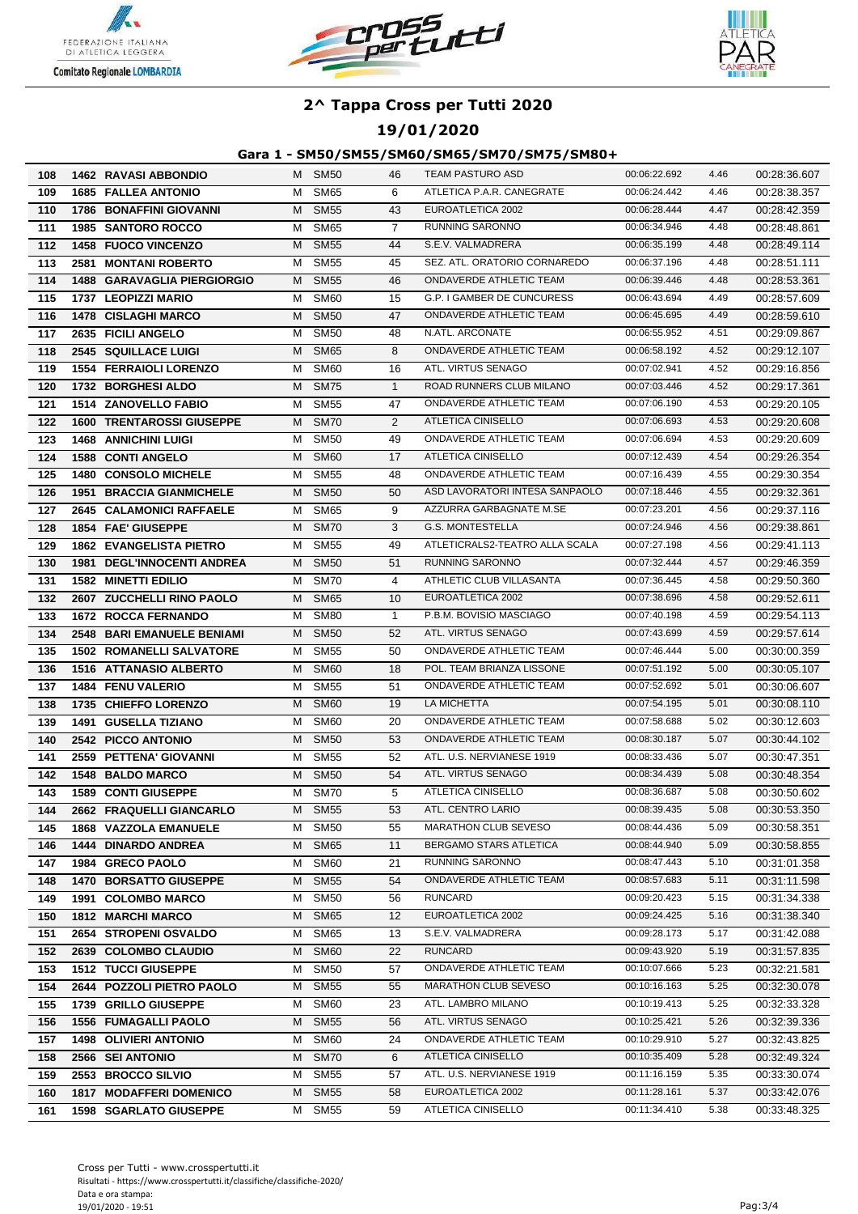





### **19/01/2020**

| 108        | 1462 RAVASI ABBONDIO                             |        | M SM50              | 46             | <b>TEAM PASTURO ASD</b>                       | 00:06:22.692                 | 4.46         | 00:28:36.607                 |
|------------|--------------------------------------------------|--------|---------------------|----------------|-----------------------------------------------|------------------------------|--------------|------------------------------|
| 109        | <b>1685 FALLEA ANTONIO</b>                       | м      | <b>SM65</b>         | 6              | ATLETICA P.A.R. CANEGRATE                     | 00:06:24.442                 | 4.46         | 00:28:38.357                 |
| 110        | <b>1786 BONAFFINI GIOVANNI</b>                   | м      | <b>SM55</b>         | 43             | EUROATLETICA 2002                             | 00:06:28.444                 | 4.47         | 00:28:42.359                 |
| 111        | 1985 SANTORO ROCCO                               | м      | <b>SM65</b>         | $\overline{7}$ | <b>RUNNING SARONNO</b>                        | 00:06:34.946                 | 4.48         | 00:28:48.861                 |
| 112        | 1458 FUOCO VINCENZO                              | м      | <b>SM55</b>         | 44             | S.E.V. VALMADRERA                             | 00:06:35.199                 | 4.48         | 00:28:49.114                 |
| 113        | 2581 MONTANI ROBERTO                             | M      | <b>SM55</b>         | 45             | SEZ. ATL. ORATORIO CORNAREDO                  | 00:06:37.196                 | 4.48         | 00:28:51.111                 |
| 114        | <b>1488 GARAVAGLIA PIERGIORGIO</b>               | М      | <b>SM55</b>         | 46             | ONDAVERDE ATHLETIC TEAM                       | 00:06:39.446                 | 4.48         | 00:28:53.361                 |
| 115        | 1737 LEOPIZZI MARIO                              | M      | SM60                | 15             | G.P. I GAMBER DE CUNCURESS                    | 00:06:43.694                 | 4.49         | 00:28:57.609                 |
| 116        | <b>1478 CISLAGHI MARCO</b>                       | M      | <b>SM50</b>         | 47             | ONDAVERDE ATHLETIC TEAM                       | 00:06:45.695                 | 4.49         | 00:28:59.610                 |
| 117        | 2635 FICILI ANGELO                               | м      | <b>SM50</b>         | 48             | N.ATL. ARCONATE                               | 00:06:55.952                 | 4.51         | 00:29:09.867                 |
| 118        | <b>2545 SQUILLACE LUIGI</b>                      | М      | <b>SM65</b>         | 8              | ONDAVERDE ATHLETIC TEAM                       | 00:06:58.192                 | 4.52         | 00:29:12.107                 |
| 119        | <b>1554 FERRAIOLI LORENZO</b>                    | м      | <b>SM60</b>         | 16             | ATL. VIRTUS SENAGO                            | 00:07:02.941                 | 4.52         | 00:29:16.856                 |
| 120        | 1732 BORGHESI ALDO                               | М      | <b>SM75</b>         | $\mathbf{1}$   | ROAD RUNNERS CLUB MILANO                      | 00:07:03.446                 | 4.52         | 00:29:17.361                 |
| 121        | 1514 ZANOVELLO FABIO                             | м      | <b>SM55</b>         | 47             | ONDAVERDE ATHLETIC TEAM                       | 00:07:06.190                 | 4.53         | 00:29:20.105                 |
| 122        | <b>1600 TRENTAROSSI GIUSEPPE</b>                 | м      | <b>SM70</b>         | $\overline{2}$ | ATLETICA CINISELLO                            | 00:07:06.693                 | 4.53         | 00:29:20.608                 |
| 123        | <b>1468 ANNICHINI LUIGI</b>                      | м      | <b>SM50</b>         | 49             | ONDAVERDE ATHLETIC TEAM                       | 00:07:06.694                 | 4.53         | 00:29:20.609                 |
| 124        | <b>1588 CONTI ANGELO</b>                         | м      | SM <sub>60</sub>    | 17             | ATLETICA CINISELLO                            | 00:07:12.439                 | 4.54         | 00:29:26.354                 |
| 125        | 1480 CONSOLO MICHELE                             | M      | <b>SM55</b>         | 48             | ONDAVERDE ATHLETIC TEAM                       | 00:07:16.439                 | 4.55         | 00:29:30.354                 |
| 126        | <b>1951 BRACCIA GIANMICHELE</b>                  | м      | <b>SM50</b>         | 50             | ASD LAVORATORI INTESA SANPAOLO                | 00:07:18.446                 | 4.55         | 00:29:32.361                 |
| 127        | 2645 CALAMONICI RAFFAELE                         | M      | <b>SM65</b>         | 9              | AZZURRA GARBAGNATE M.SE                       | 00:07:23.201                 | 4.56         | 00:29:37.116                 |
| 128        | 1854 FAE' GIUSEPPE                               |        | M SM70              | 3              | G.S. MONTESTELLA                              | 00:07:24.946                 | 4.56         | 00:29:38.861                 |
| 129        | <b>1862 EVANGELISTA PIETRO</b>                   | M      | SM55                | 49             | ATLETICRALS2-TEATRO ALLA SCALA                | 00:07:27.198                 | 4.56         | 00:29:41.113                 |
| 130        | 1981 DEGL'INNOCENTI ANDREA                       | M      | <b>SM50</b>         | 51             | RUNNING SARONNO                               | 00:07:32.444                 | 4.57         | 00:29:46.359                 |
| 131        | <b>1582 MINETTI EDILIO</b>                       | м      | <b>SM70</b>         | 4              | ATHLETIC CLUB VILLASANTA                      | 00:07:36.445                 | 4.58         | 00:29:50.360                 |
| 132        | 2607 ZUCCHELLI RINO PAOLO                        | М      | <b>SM65</b>         | 10             | EUROATLETICA 2002                             | 00:07:38.696                 | 4.58         | 00:29:52.611                 |
| 133        | <b>1672 ROCCA FERNANDO</b>                       | м      | <b>SM80</b>         | $\mathbf{1}$   | P.B.M. BOVISIO MASCIAGO                       | 00:07:40.198                 | 4.59         | 00:29:54.113                 |
| 134        | <b>2548 BARI EMANUELE BENIAMI</b>                | М      | <b>SM50</b>         | 52             | ATL. VIRTUS SENAGO                            | 00:07:43.699                 | 4.59         | 00:29:57.614                 |
| 135        | <b>1502 ROMANELLI SALVATORE</b>                  | м      | <b>SM55</b>         | 50             | ONDAVERDE ATHLETIC TEAM                       | 00:07:46.444                 | 5.00         | 00:30:00.359                 |
| 136        | <b>1516 ATTANASIO ALBERTO</b>                    | м      | SM <sub>60</sub>    | 18             | POL. TEAM BRIANZA LISSONE                     | 00:07:51.192                 | 5.00         | 00:30:05.107                 |
| 137        | 1484 FENU VALERIO                                | м      | <b>SM55</b>         | 51             | ONDAVERDE ATHLETIC TEAM                       | 00:07:52.692                 | 5.01         | 00:30:06.607                 |
| 138        | 1735 CHIEFFO LORENZO                             | м      | <b>SM60</b>         | 19             | LA MICHETTA                                   | 00:07:54.195                 | 5.01         | 00:30:08.110                 |
| 139        | <b>1491 GUSELLA TIZIANO</b>                      | м      | SM60                | 20             | ONDAVERDE ATHLETIC TEAM                       | 00:07:58.688                 | 5.02         | 00:30:12.603                 |
| 140        | 2542 PICCO ANTONIO                               | M      | <b>SM50</b>         | 53             | ONDAVERDE ATHLETIC TEAM                       | 00:08:30.187                 | 5.07         | 00:30:44.102                 |
| 141        | 2559 PETTENA' GIOVANNI                           | м      | SM55                | 52             | ATL. U.S. NERVIANESE 1919                     | 00:08:33.436                 | 5.07         | 00:30:47.351                 |
| 142        | 1548 BALDO MARCO                                 | м      | <b>SM50</b>         | 54             | ATL. VIRTUS SENAGO                            | 00:08:34.439                 | 5.08         | 00:30:48.354                 |
| 143        | <b>1589 CONTI GIUSEPPE</b>                       | м      | <b>SM70</b>         | 5              | <b>ATLETICA CINISELLO</b>                     | 00:08:36.687                 | 5.08         | 00:30:50.602                 |
| 144        | 2662 FRAQUELLI GIANCARLO                         | M      | <b>SM55</b>         | 53             | ATL. CENTRO LARIO                             | 00:08:39.435                 | 5.08         | 00:30:53.350                 |
| 145        | 1868 VAZZOLA EMANUELE                            | M      | <b>SM50</b>         | 55             | <b>MARATHON CLUB SEVESO</b>                   | 00:08:44.436                 | 5.09         | 00:30:58.351                 |
| 146        | <b>1444 DINARDO ANDREA</b>                       | М      | <b>SM65</b>         | 11             | BERGAMO STARS ATLETICA                        | 00:08:44.940                 | 5.09         | 00:30:58.855                 |
| 147        | 1984 GRECO PAOLO                                 | м      | SM <sub>60</sub>    | 21             | <b>RUNNING SARONNO</b>                        | 00:08:47.443                 | 5.10         | 00:31:01.358                 |
| 148        | <b>1470 BORSATTO GIUSEPPE</b>                    | М      | <b>SM55</b>         | 54             | ONDAVERDE ATHLETIC TEAM                       | 00:08:57.683                 | 5.11         | 00:31:11.598                 |
| 149        | 1991 COLOMBO MARCO                               | м      | <b>SM50</b>         | 56             | <b>RUNCARD</b>                                | 00:09:20.423                 | 5.15         | 00:31:34.338                 |
| 150        | <b>1812 MARCHI MARCO</b>                         | M      | <b>SM65</b>         | 12             | EUROATLETICA 2002                             | 00:09:24.425                 | 5.16         | 00:31:38.340                 |
| 151        | 2654 STROPENI OSVALDO                            | M      | SM65                | 13             | S.E.V. VALMADRERA                             | 00:09:28.173                 | 5.17         | 00:31:42.088                 |
| 152        | 2639 COLOMBO CLAUDIO                             |        | M SM60              | 22             | RUNCARD                                       | 00:09:43.920                 | 5.19         | 00:31:57.835                 |
| 153        | <b>1512 TUCCI GIUSEPPE</b>                       | M      | SM50                | 57             | ONDAVERDE ATHLETIC TEAM                       | 00:10:07.666                 | 5.23         | 00:32:21.581                 |
| 154        | 2644 POZZOLI PIETRO PAOLO                        | M      | <b>SM55</b>         | 55             | <b>MARATHON CLUB SEVESO</b>                   | 00:10:16.163                 | 5.25         | 00:32:30.078                 |
| 155        | 1739 GRILLO GIUSEPPE                             | M      | SM60                | 23             | ATL. LAMBRO MILANO                            | 00:10:19.413                 | 5.25         | 00:32:33.328                 |
| 156        | <b>1556 FUMAGALLI PAOLO</b>                      | M      | <b>SM55</b>         | 56             | ATL. VIRTUS SENAGO<br>ONDAVERDE ATHLETIC TEAM | 00:10:25.421<br>00:10:29.910 | 5.26<br>5.27 | 00:32:39.336                 |
| 157<br>158 | <b>1498 OLIVIERI ANTONIO</b><br>2566 SEI ANTONIO | M<br>M | SM60<br><b>SM70</b> | 24<br>6        | ATLETICA CINISELLO                            | 00:10:35.409                 | 5.28         | 00:32:43.825<br>00:32:49.324 |
| 159        | 2553 BROCCO SILVIO                               | м      | <b>SM55</b>         | 57             | ATL. U.S. NERVIANESE 1919                     | 00:11:16.159                 | 5.35         | 00:33:30.074                 |
| 160        | <b>1817 MODAFFERI DOMENICO</b>                   | М      | <b>SM55</b>         | 58             | EUROATLETICA 2002                             | 00:11:28.161                 | 5.37         | 00:33:42.076                 |
| 161        | <b>1598 SGARLATO GIUSEPPE</b>                    |        | M SM55              | 59             | ATLETICA CINISELLO                            | 00:11:34.410                 | 5.38         | 00:33:48.325                 |
|            |                                                  |        |                     |                |                                               |                              |              |                              |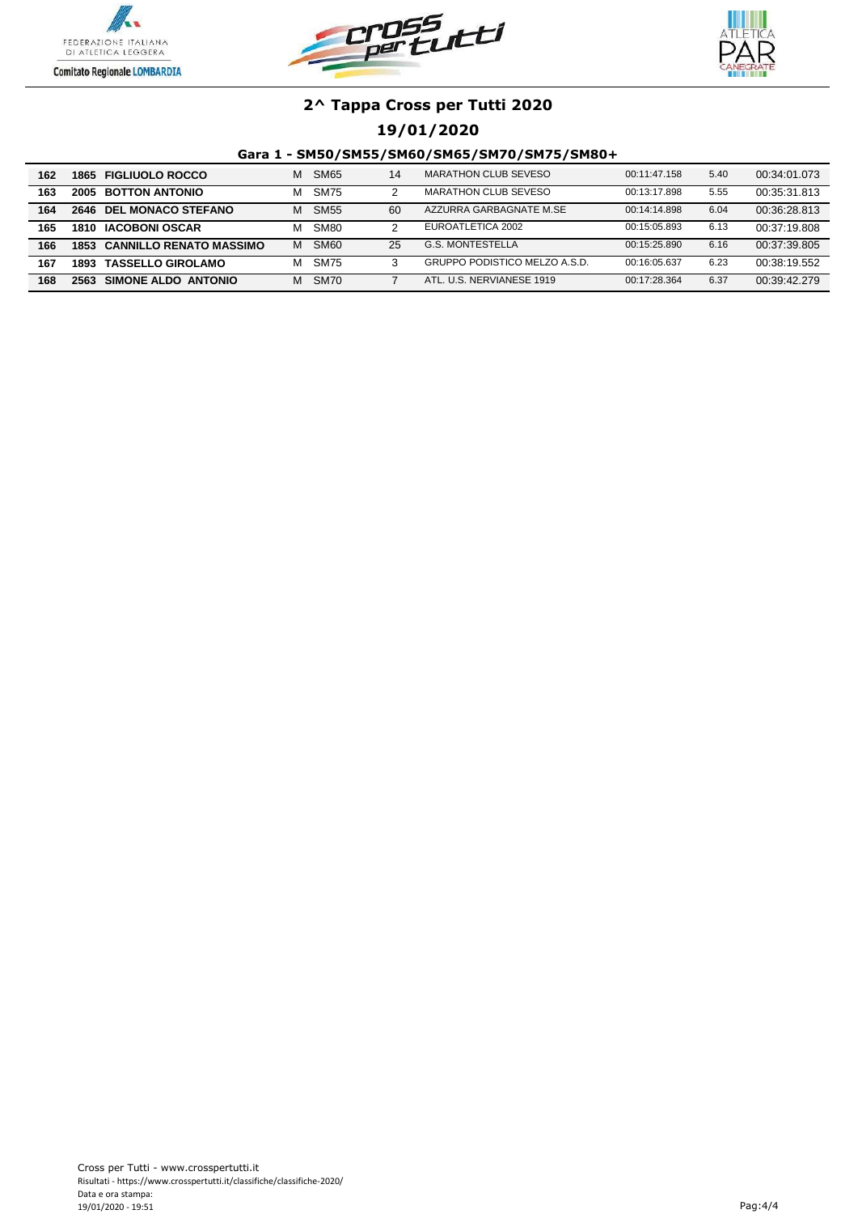





### **19/01/2020**

| 162 |      | 1865 FIGLIUOLO ROCCO                | м | SM <sub>65</sub> | 14 | MARATHON CLUB SEVESO          | 00:11:47.158 | 5.40 | 00:34:01.073 |
|-----|------|-------------------------------------|---|------------------|----|-------------------------------|--------------|------|--------------|
| 163 |      | <b>2005 BOTTON ANTONIO</b>          | м | <b>SM75</b>      |    | <b>MARATHON CLUB SEVESO</b>   | 00:13:17.898 | 5.55 | 00:35:31.813 |
| 164 |      | 2646 DEL MONACO STEFANO             | м | SM <sub>55</sub> | 60 | AZZURRA GARBAGNATE M.SE       | 00:14:14.898 | 6.04 | 00:36:28.813 |
| 165 |      | 1810 IACOBONI OSCAR                 | м | SM <sub>80</sub> |    | EUROATLETICA 2002             | 00:15:05.893 | 6.13 | 00:37:19.808 |
| 166 |      | <b>1853 CANNILLO RENATO MASSIMO</b> | м | SM <sub>60</sub> | 25 | G.S. MONTESTELLA              | 00:15:25.890 | 6.16 | 00:37:39.805 |
| 167 | 1893 | <b>TASSELLO GIROLAMO</b>            | м | <b>SM75</b>      |    | GRUPPO PODISTICO MELZO A.S.D. | 00:16:05.637 | 6.23 | 00:38:19.552 |
| 168 | 2563 | SIMONE ALDO ANTONIO                 | м | <b>SM70</b>      |    | ATL, U.S. NERVIANESE 1919     | 00:17:28.364 | 6.37 | 00:39:42.279 |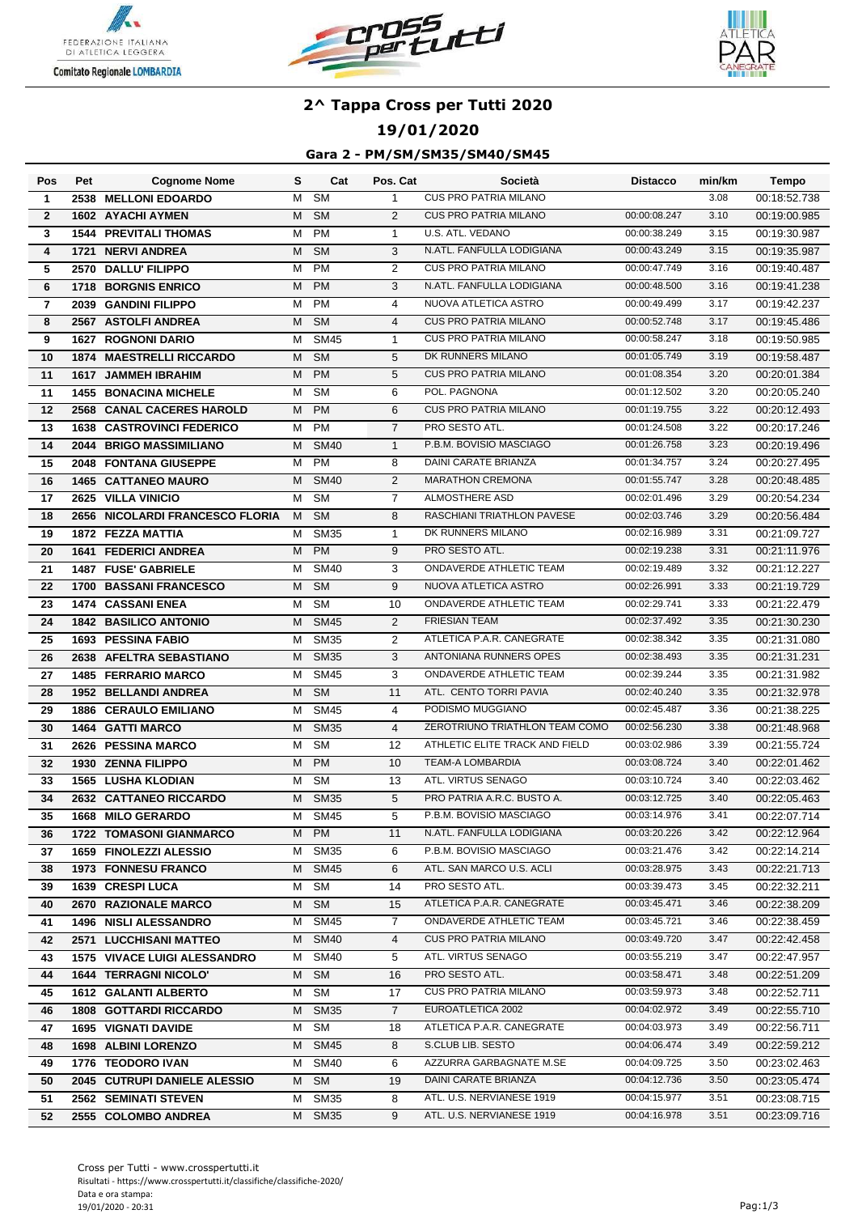





### **19/01/2020**

### **Gara 2 - PM/SM/SM35/SM40/SM45**

| Pos            | Pet | <b>Cognome Nome</b>                 | s | Cat                    | Pos. Cat       | Società                        | <b>Distacco</b> | min/km | Tempo        |
|----------------|-----|-------------------------------------|---|------------------------|----------------|--------------------------------|-----------------|--------|--------------|
| $\mathbf{1}$   |     | 2538 MELLONI EDOARDO                | м | $\overline{\text{SM}}$ | $\mathbf{1}$   | <b>CUS PRO PATRIA MILANO</b>   |                 | 3.08   | 00:18:52.738 |
| $\mathbf{2}$   |     | <b>1602 AYACHI AYMEN</b>            | м | <b>SM</b>              | 2              | <b>CUS PRO PATRIA MILANO</b>   | 00:00:08.247    | 3.10   | 00:19:00.985 |
| 3              |     | <b>1544 PREVITALI THOMAS</b>        | м | <b>PM</b>              | $\mathbf{1}$   | U.S. ATL. VEDANO               | 00:00:38.249    | 3.15   | 00:19:30.987 |
| 4              |     | 1721 NERVI ANDREA                   | м | <b>SM</b>              | 3              | N.ATL. FANFULLA LODIGIANA      | 00:00:43.249    | 3.15   | 00:19:35.987 |
| 5              |     | 2570 DALLU' FILIPPO                 | м | <b>PM</b>              | $\overline{2}$ | <b>CUS PRO PATRIA MILANO</b>   | 00:00:47.749    | 3.16   | 00:19:40.487 |
| 6              |     | <b>1718 BORGNIS ENRICO</b>          | М | <b>PM</b>              | 3              | N.ATL. FANFULLA LODIGIANA      | 00:00:48.500    | 3.16   | 00:19:41.238 |
| $\overline{7}$ |     | 2039 GANDINI FILIPPO                | М | PM                     | $\overline{4}$ | NUOVA ATLETICA ASTRO           | 00:00:49.499    | 3.17   | 00:19:42.237 |
| 8              |     | 2567 ASTOLFI ANDREA                 | м | <b>SM</b>              | $\overline{4}$ | <b>CUS PRO PATRIA MILANO</b>   | 00:00:52.748    | 3.17   | 00:19:45.486 |
| 9              |     | <b>1627 ROGNONI DARIO</b>           | м | <b>SM45</b>            | $\mathbf{1}$   | <b>CUS PRO PATRIA MILANO</b>   | 00:00:58.247    | 3.18   | 00:19:50.985 |
| 10             |     | <b>1874 MAESTRELLI RICCARDO</b>     | м | <b>SM</b>              | 5              | DK RUNNERS MILANO              | 00:01:05.749    | 3.19   | 00:19:58.487 |
| 11             |     | 1617 JAMMEH IBRAHIM                 | м | <b>PM</b>              | 5              | <b>CUS PRO PATRIA MILANO</b>   | 00:01:08.354    | 3.20   | 00:20:01.384 |
| 11             |     | <b>1455 BONACINA MICHELE</b>        | м | <b>SM</b>              | 6              | POL. PAGNONA                   | 00:01:12.502    | 3.20   | 00:20:05.240 |
| 12             |     | 2568 CANAL CACERES HAROLD           | м | <b>PM</b>              | 6              | <b>CUS PRO PATRIA MILANO</b>   | 00:01:19.755    | 3.22   | 00:20:12.493 |
| 13             |     | <b>1638 CASTROVINCI FEDERICO</b>    | м | <b>PM</b>              | $\overline{7}$ | PRO SESTO ATL.                 | 00:01:24.508    | 3.22   | 00:20:17.246 |
| 14             |     | 2044 BRIGO MASSIMILIANO             | м | <b>SM40</b>            | $\mathbf{1}$   | P.B.M. BOVISIO MASCIAGO        | 00:01:26.758    | 3.23   | 00:20:19.496 |
| 15             |     | 2048 FONTANA GIUSEPPE               | м | <b>PM</b>              | 8              | <b>DAINI CARATE BRIANZA</b>    | 00:01:34.757    | 3.24   | 00:20:27.495 |
| 16             |     | <b>1465 CATTANEO MAURO</b>          | м | <b>SM40</b>            | $\overline{2}$ | <b>MARATHON CREMONA</b>        | 00:01:55.747    | 3.28   | 00:20:48.485 |
| 17             |     | 2625 VILLA VINICIO                  | M | <b>SM</b>              | 7              | <b>ALMOSTHERE ASD</b>          | 00:02:01.496    | 3.29   | 00:20:54.234 |
| 18             |     | 2656 NICOLARDI FRANCESCO FLORIA     | M | <b>SM</b>              | 8              | RASCHIANI TRIATHLON PAVESE     | 00:02:03.746    | 3.29   | 00:20:56.484 |
| 19             |     | 1872 FEZZA MATTIA                   | м | <b>SM35</b>            | $\mathbf{1}$   | DK RUNNERS MILANO              | 00:02:16.989    | 3.31   | 00:21:09.727 |
| 20             |     | <b>1641 FEDERICI ANDREA</b>         | М | <b>PM</b>              | 9              | PRO SESTO ATL.                 | 00:02:19.238    | 3.31   | 00:21:11.976 |
| 21             |     | <b>1487 FUSE' GABRIELE</b>          | м | <b>SM40</b>            | 3              | <b>ONDAVERDE ATHLETIC TEAM</b> | 00:02:19.489    | 3.32   | 00:21:12.227 |
| 22             |     | <b>1700 BASSANI FRANCESCO</b>       | м | <b>SM</b>              | 9              | NUOVA ATLETICA ASTRO           | 00:02:26.991    | 3.33   | 00:21:19.729 |
| 23             |     | <b>1474 CASSANI ENEA</b>            | м | $\overline{\text{SM}}$ | 10             | ONDAVERDE ATHLETIC TEAM        | 00:02:29.741    | 3.33   | 00:21:22.479 |
| 24             |     | <b>1842 BASILICO ANTONIO</b>        | м | <b>SM45</b>            | 2              | <b>FRIESIAN TEAM</b>           | 00:02:37.492    | 3.35   | 00:21:30.230 |
| 25             |     | <b>1693 PESSINA FABIO</b>           | м | <b>SM35</b>            | 2              | ATLETICA P.A.R. CANEGRATE      | 00:02:38.342    | 3.35   | 00:21:31.080 |
| 26             |     | 2638 AFELTRA SEBASTIANO             | м | <b>SM35</b>            | 3              | ANTONIANA RUNNERS OPES         | 00:02:38.493    | 3.35   | 00:21:31.231 |
| 27             |     | <b>1485 FERRARIO MARCO</b>          | м | <b>SM45</b>            | 3              | ONDAVERDE ATHLETIC TEAM        | 00:02:39.244    | 3.35   | 00:21:31.982 |
| 28             |     | 1952 BELLANDI ANDREA                | м | <b>SM</b>              | 11             | ATL. CENTO TORRI PAVIA         | 00:02:40.240    | 3.35   | 00:21:32.978 |
| 29             |     | <b>1886 CERAULO EMILIANO</b>        | м | <b>SM45</b>            | 4              | PODISMO MUGGIANO               | 00:02:45.487    | 3.36   | 00:21:38.225 |
| 30             |     | 1464 GATTI MARCO                    | м | <b>SM35</b>            | $\overline{4}$ | ZEROTRIUNO TRIATHLON TEAM COMO | 00:02:56.230    | 3.38   | 00:21:48.968 |
| 31             |     | 2626 PESSINA MARCO                  | М | <b>SM</b>              | 12             | ATHLETIC ELITE TRACK AND FIELD | 00:03:02.986    | 3.39   | 00:21:55.724 |
| 32             |     | 1930 ZENNA FILIPPO                  | М | <b>PM</b>              | 10             | <b>TEAM-A LOMBARDIA</b>        | 00:03:08.724    | 3.40   | 00:22:01.462 |
| 33             |     | <b>1565 LUSHA KLODIAN</b>           | м | <b>SM</b>              | 13             | ATL. VIRTUS SENAGO             | 00:03:10.724    | 3.40   | 00:22:03.462 |
| 34             |     | 2632 CATTANEO RICCARDO              | м | <b>SM35</b>            | 5              | PRO PATRIA A.R.C. BUSTO A.     | 00:03:12.725    | 3.40   | 00:22:05.463 |
| 35             |     | 1668 MILO GERARDO                   | M | SM45                   | 5              | P.B.M. BOVISIO MASCIAGO        | 00:03:14.976    | 3.41   | 00:22:07.714 |
| 36             |     | <b>1722 TOMASONI GIANMARCO</b>      |   | M PM                   | 11             | N.ATL. FANFULLA LODIGIANA      | 00:03:20.226    | 3.42   | 00:22:12.964 |
| 37             |     | 1659 FINOLEZZI ALESSIO              | М | SM <sub>35</sub>       | 6              | P.B.M. BOVISIO MASCIAGO        | 00:03:21.476    | 3.42   | 00:22:14.214 |
| 38             |     | <b>1973 FONNESU FRANCO</b>          | M | SM45                   | 6              | ATL. SAN MARCO U.S. ACLI       | 00:03:28.975    | 3.43   | 00:22:21.713 |
| 39             |     | 1639 CRESPI LUCA                    |   | M SM                   | 14             | PRO SESTO ATL.                 | 00:03:39.473    | 3.45   | 00:22:32.211 |
| 40             |     | 2670 RAZIONALE MARCO                |   | M SM                   | 15             | ATLETICA P.A.R. CANEGRATE      | 00:03:45.471    | 3.46   | 00:22:38.209 |
| 41             |     | <b>1496 NISLI ALESSANDRO</b>        |   | M SM45                 | $\overline{7}$ | ONDAVERDE ATHLETIC TEAM        | 00:03:45.721    | 3.46   | 00:22:38.459 |
| 42             |     | 2571 LUCCHISANI MATTEO              |   | M SM40                 | 4              | <b>CUS PRO PATRIA MILANO</b>   | 00:03:49.720    | 3.47   | 00:22:42.458 |
| 43             |     | <b>1575 VIVACE LUIGI ALESSANDRO</b> | M | SM40                   | 5              | ATL. VIRTUS SENAGO             | 00:03:55.219    | 3.47   | 00:22:47.957 |
| 44             |     | <b>1644 TERRAGNI NICOLO'</b>        |   | M SM                   | 16             | PRO SESTO ATL.                 | 00:03:58.471    | 3.48   | 00:22:51.209 |
| 45             |     | <b>1612 GALANTI ALBERTO</b>         |   | M SM                   | 17             | <b>CUS PRO PATRIA MILANO</b>   | 00:03:59.973    | 3.48   | 00:22:52.711 |
| 46             |     | <b>1808 GOTTARDI RICCARDO</b>       | M | <b>SM35</b>            | $\overline{7}$ | EUROATLETICA 2002              | 00:04:02.972    | 3.49   | 00:22:55.710 |
| 47             |     | <b>1695 VIGNATI DAVIDE</b>          | M | SM                     | 18             | ATLETICA P.A.R. CANEGRATE      | 00:04:03.973    | 3.49   | 00:22:56.711 |
| 48             |     | 1698 ALBINI LORENZO                 |   | M SM45                 | 8              | S.CLUB LIB. SESTO              | 00:04:06.474    | 3.49   | 00:22:59.212 |
| 49             |     | 1776 TEODORO IVAN                   | M | SM40                   | 6              | AZZURRA GARBAGNATE M.SE        | 00:04:09.725    | 3.50   | 00:23:02.463 |
| 50             |     | 2045 CUTRUPI DANIELE ALESSIO        | M | <b>SM</b>              | 19             | DAINI CARATE BRIANZA           | 00:04:12.736    | 3.50   | 00:23:05.474 |
| 51             |     | 2562 SEMINATI STEVEN                | М | SM35                   | 8              | ATL. U.S. NERVIANESE 1919      | 00:04:15.977    | 3.51   | 00:23:08.715 |
| 52             |     | 2555 COLOMBO ANDREA                 |   | M SM35                 | 9              | ATL. U.S. NERVIANESE 1919      | 00:04:16.978    | 3.51   | 00:23:09.716 |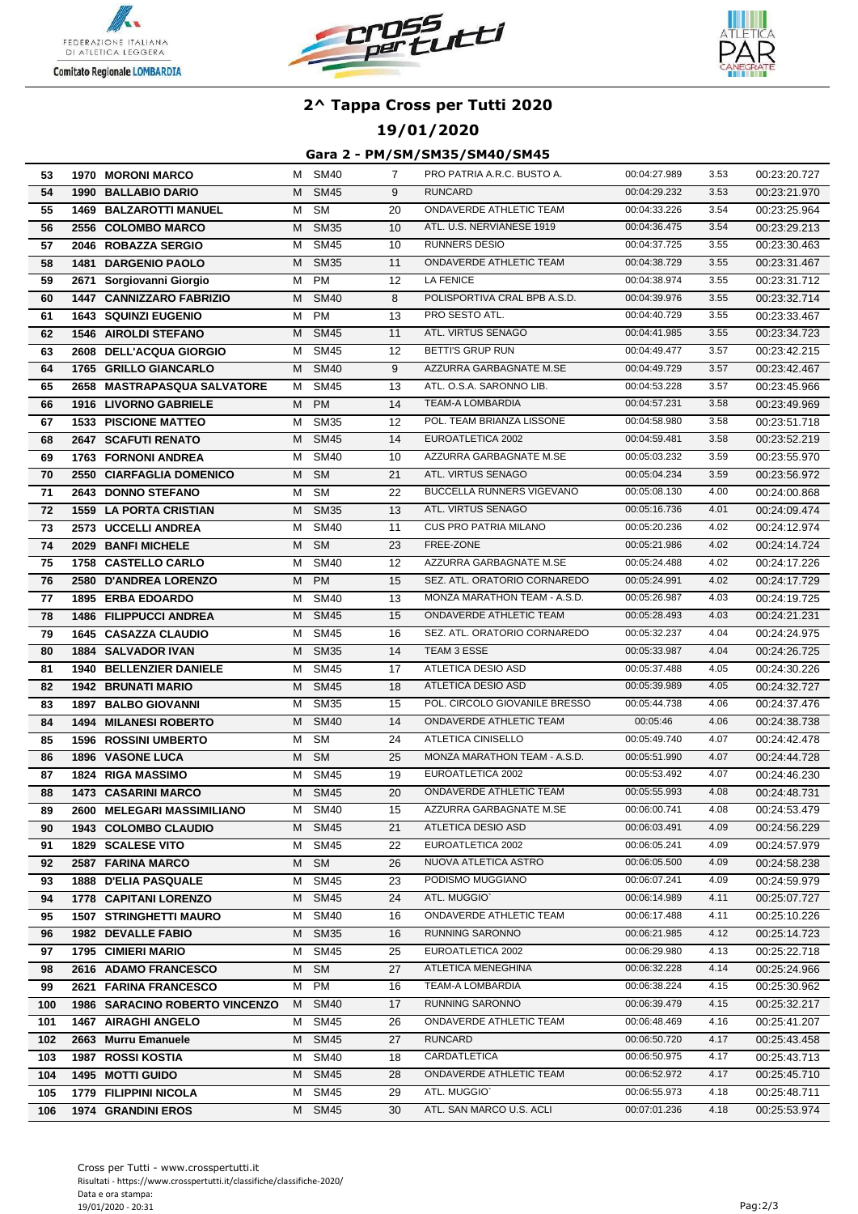





## **19/01/2020**

### **Gara 2 - PM/SM/SM35/SM40/SM45**

| 53  | <b>1970 MORONI MARCO</b>       |   | M SM40      | 7  | PRO PATRIA A.R.C. BUSTO A.       | 00:04:27.989 | 3.53 | 00:23:20.727 |
|-----|--------------------------------|---|-------------|----|----------------------------------|--------------|------|--------------|
| 54  | <b>1990 BALLABIO DARIO</b>     | м | <b>SM45</b> | 9  | <b>RUNCARD</b>                   | 00:04:29.232 | 3.53 | 00:23:21.970 |
| 55  | <b>1469 BALZAROTTI MANUEL</b>  | M | <b>SM</b>   | 20 | <b>ONDAVERDE ATHLETIC TEAM</b>   | 00:04:33.226 | 3.54 | 00:23:25.964 |
| 56  | 2556 COLOMBO MARCO             | м | <b>SM35</b> | 10 | ATL. U.S. NERVIANESE 1919        | 00:04:36.475 | 3.54 | 00:23:29.213 |
| 57  | 2046 ROBAZZA SERGIO            | м | <b>SM45</b> | 10 | <b>RUNNERS DESIO</b>             | 00:04:37.725 | 3.55 | 00:23:30.463 |
| 58  | <b>1481 DARGENIO PAOLO</b>     | м | <b>SM35</b> | 11 | ONDAVERDE ATHLETIC TEAM          | 00:04:38.729 | 3.55 | 00:23:31.467 |
| 59  | 2671 Sorgiovanni Giorgio       | м | PM          | 12 | LA FENICE                        | 00:04:38.974 | 3.55 | 00:23:31.712 |
| 60  | 1447 CANNIZZARO FABRIZIO       | М | <b>SM40</b> | 8  | POLISPORTIVA CRAL BPB A.S.D.     | 00:04:39.976 | 3.55 | 00:23:32.714 |
| 61  | <b>1643 SQUINZI EUGENIO</b>    | М | PM          | 13 | PRO SESTO ATL.                   | 00:04:40.729 | 3.55 | 00:23:33.467 |
| 62  | <b>1546 AIROLDI STEFANO</b>    | М | <b>SM45</b> | 11 | ATL. VIRTUS SENAGO               | 00:04:41.985 | 3.55 | 00:23:34.723 |
| 63  | 2608 DELL'ACQUA GIORGIO        | м | <b>SM45</b> | 12 | BETTI'S GRUP RUN                 | 00:04:49.477 | 3.57 | 00:23:42.215 |
| 64  | 1765 GRILLO GIANCARLO          | M | <b>SM40</b> | 9  | AZZURRA GARBAGNATE M.SE          | 00:04:49.729 | 3.57 | 00:23:42.467 |
| 65  | 2658 MASTRAPASQUA SALVATORE    | м | <b>SM45</b> | 13 | ATL. O.S.A. SARONNO LIB.         | 00:04:53.228 | 3.57 | 00:23:45.966 |
| 66  | 1916 LIVORNO GABRIELE          | М | <b>PM</b>   | 14 | TEAM-A LOMBARDIA                 | 00:04:57.231 | 3.58 | 00:23:49.969 |
| 67  | <b>1533 PISCIONE MATTEO</b>    | м | <b>SM35</b> | 12 | POL. TEAM BRIANZA LISSONE        | 00:04:58.980 | 3.58 | 00:23:51.718 |
| 68  | 2647 SCAFUTI RENATO            | м | <b>SM45</b> | 14 | EUROATLETICA 2002                | 00:04:59.481 | 3.58 | 00:23:52.219 |
| 69  | <b>1763 FORNONI ANDREA</b>     | м | <b>SM40</b> | 10 | AZZURRA GARBAGNATE M.SE          | 00:05:03.232 | 3.59 | 00:23:55.970 |
| 70  | 2550 CIARFAGLIA DOMENICO       | м | <b>SM</b>   | 21 | ATL. VIRTUS SENAGO               | 00:05:04.234 | 3.59 | 00:23:56.972 |
| 71  | 2643 DONNO STEFANO             | М | <b>SM</b>   | 22 | <b>BUCCELLA RUNNERS VIGEVANO</b> | 00:05:08.130 | 4.00 | 00:24:00.868 |
| 72  | <b>1559 LA PORTA CRISTIAN</b>  | м | <b>SM35</b> | 13 | ATL. VIRTUS SENAGO               | 00:05:16.736 | 4.01 | 00:24:09.474 |
| 73  | 2573 UCCELLI ANDREA            | м | <b>SM40</b> | 11 | <b>CUS PRO PATRIA MILANO</b>     | 00:05:20.236 | 4.02 | 00:24:12.974 |
| 74  | 2029 BANFI MICHELE             |   | M SM        | 23 | FREE-ZONE                        | 00:05:21.986 | 4.02 | 00:24:14.724 |
| 75  | 1758 CASTELLO CARLO            | м | <b>SM40</b> | 12 | AZZURRA GARBAGNATE M.SE          | 00:05:24.488 | 4.02 | 00:24:17.226 |
| 76  | 2580 D'ANDREA LORENZO          |   | M PM        | 15 | SEZ. ATL. ORATORIO CORNAREDO     | 00:05:24.991 | 4.02 | 00:24:17.729 |
| 77  | <b>1895 ERBA EDOARDO</b>       | м | <b>SM40</b> | 13 | MONZA MARATHON TEAM - A.S.D.     | 00:05:26.987 | 4.03 | 00:24:19.725 |
| 78  | <b>1486 FILIPPUCCI ANDREA</b>  | М | <b>SM45</b> | 15 | ONDAVERDE ATHLETIC TEAM          | 00:05:28.493 | 4.03 | 00:24:21.231 |
| 79  | <b>1645 CASAZZA CLAUDIO</b>    | м | <b>SM45</b> | 16 | SEZ. ATL. ORATORIO CORNAREDO     | 00:05:32.237 | 4.04 | 00:24:24.975 |
| 80  | <b>1884 SALVADOR IVAN</b>      | м | <b>SM35</b> | 14 | TEAM 3 ESSE                      | 00:05:33.987 | 4.04 | 00:24:26.725 |
| 81  | 1940 BELLENZIER DANIELE        | м | <b>SM45</b> | 17 | ATLETICA DESIO ASD               | 00:05:37.488 | 4.05 | 00:24:30.226 |
| 82  | <b>1942 BRUNATI MARIO</b>      | М | <b>SM45</b> | 18 | ATLETICA DESIO ASD               | 00:05:39.989 | 4.05 | 00:24:32.727 |
| 83  | <b>1897 BALBO GIOVANNI</b>     | М | <b>SM35</b> | 15 | POL. CIRCOLO GIOVANILE BRESSO    | 00:05:44.738 | 4.06 | 00:24:37.476 |
| 84  | <b>1494 MILANESI ROBERTO</b>   | М | <b>SM40</b> | 14 | ONDAVERDE ATHLETIC TEAM          | 00:05:46     | 4.06 | 00:24:38.738 |
| 85  | <b>1596 ROSSINI UMBERTO</b>    | м | <b>SM</b>   | 24 | <b>ATLETICA CINISELLO</b>        | 00:05:49.740 | 4.07 | 00:24:42.478 |
| 86  | <b>1896 VASONE LUCA</b>        | М | SM          | 25 | MONZA MARATHON TEAM - A.S.D.     | 00:05:51.990 | 4.07 | 00:24:44.728 |
| 87  | <b>1824 RIGA MASSIMO</b>       | м | <b>SM45</b> | 19 | EUROATLETICA 2002                | 00:05:53.492 | 4.07 | 00:24:46.230 |
| 88  | <b>1473 CASARINI MARCO</b>     | M | <b>SM45</b> | 20 | ONDAVERDE ATHLETIC TEAM          | 00:05:55.993 | 4.08 | 00:24:48.731 |
| 89  | 2600 MELEGARI MASSIMILIANO     | M | <b>SM40</b> | 15 | AZZURRA GARBAGNATE M.SE          | 00:06:00.741 | 4.08 | 00:24:53.479 |
| 90  | 1943 COLOMBO CLAUDIO           |   | M SM45      | 21 | ATLETICA DESIO ASD               | 00:06:03.491 | 4.09 | 00:24:56.229 |
| 91  | <b>1829 SCALESE VITO</b>       | М | SM45        | 22 | EUROATLETICA 2002                | 00:06:05.241 | 4.09 | 00:24:57.979 |
| 92  | 2587 FARINA MARCO              | М | <b>SM</b>   | 26 | NUOVA ATLETICA ASTRO             | 00:06:05.500 | 4.09 | 00:24:58.238 |
| 93  | <b>1888 D'ELIA PASQUALE</b>    | м | SM45        | 23 | PODISMO MUGGIANO                 | 00:06:07.241 | 4.09 | 00:24:59.979 |
| 94  | <b>1778 CAPITANI LORENZO</b>   | M | <b>SM45</b> | 24 | ATL. MUGGIO'                     | 00:06:14.989 | 4.11 | 00:25:07.727 |
| 95  | <b>1507 STRINGHETTI MAURO</b>  | м | <b>SM40</b> | 16 | ONDAVERDE ATHLETIC TEAM          | 00:06:17.488 | 4.11 | 00:25:10.226 |
| 96  | <b>1982 DEVALLE FABIO</b>      | M | <b>SM35</b> | 16 | RUNNING SARONNO                  | 00:06:21.985 | 4.12 | 00:25:14.723 |
| 97  | 1795 CIMIERI MARIO             | м | <b>SM45</b> | 25 | EUROATLETICA 2002                | 00:06:29.980 | 4.13 | 00:25:22.718 |
| 98  | 2616 ADAMO FRANCESCO           | M | SM          | 27 | ATLETICA MENEGHINA               | 00:06:32.228 | 4.14 | 00:25:24.966 |
| 99  | 2621 FARINA FRANCESCO          |   | M PM        | 16 | <b>TEAM-A LOMBARDIA</b>          | 00:06:38.224 | 4.15 | 00:25:30.962 |
| 100 | 1986 SARACINO ROBERTO VINCENZO |   | M SM40      | 17 | RUNNING SARONNO                  | 00:06:39.479 | 4.15 | 00:25:32.217 |
| 101 | 1467 AIRAGHI ANGELO            |   | M SM45      | 26 | ONDAVERDE ATHLETIC TEAM          | 00:06:48.469 | 4.16 | 00:25:41.207 |
| 102 | 2663 Murru Emanuele            |   | M SM45      | 27 | <b>RUNCARD</b>                   | 00:06:50.720 | 4.17 | 00:25:43.458 |
| 103 | <b>1987 ROSSI KOSTIA</b>       | M | SM40        | 18 | CARDATLETICA                     | 00:06:50.975 | 4.17 | 00:25:43.713 |
| 104 | 1495 MOTTI GUIDO               | M | <b>SM45</b> | 28 | ONDAVERDE ATHLETIC TEAM          | 00:06:52.972 | 4.17 | 00:25:45.710 |
| 105 | 1779 FILIPPINI NICOLA          | м | SM45        | 29 | ATL. MUGGIO`                     | 00:06:55.973 | 4.18 | 00:25:48.711 |
| 106 | <b>1974 GRANDINI EROS</b>      |   | M SM45      | 30 | ATL. SAN MARCO U.S. ACLI         | 00:07:01.236 | 4.18 | 00:25:53.974 |
|     |                                |   |             |    |                                  |              |      |              |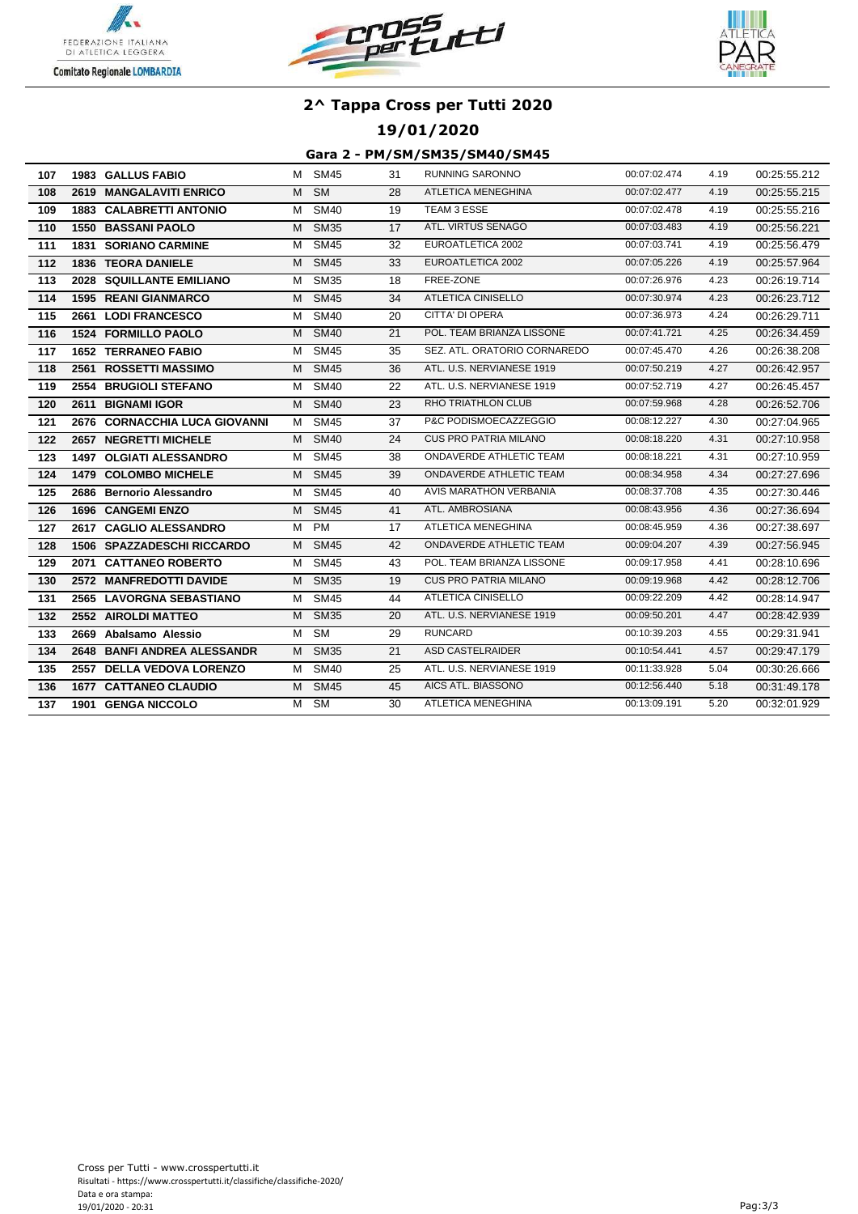





## **19/01/2020**

### **Gara 2 - PM/SM/SM35/SM40/SM45**

| 107 | <b>1983 GALLUS FABIO</b>       | M | <b>SM45</b>            | 31 | RUNNING SARONNO                | 00:07:02.474 | 4.19 | 00:25:55.212 |
|-----|--------------------------------|---|------------------------|----|--------------------------------|--------------|------|--------------|
| 108 | 2619 MANGALAVITI ENRICO        | M | $\overline{\text{SM}}$ | 28 | <b>ATLETICA MENEGHINA</b>      | 00:07:02.477 | 4.19 | 00:25:55.215 |
| 109 | <b>1883 CALABRETTI ANTONIO</b> | м | <b>SM40</b>            | 19 | TEAM 3 ESSE                    | 00:07:02.478 | 4.19 | 00:25:55.216 |
| 110 | <b>1550 BASSANI PAOLO</b>      | M | <b>SM35</b>            | 17 | ATL. VIRTUS SENAGO             | 00:07:03.483 | 4.19 | 00:25:56.221 |
| 111 | <b>1831 SORIANO CARMINE</b>    | м | <b>SM45</b>            | 32 | EUROATLETICA 2002              | 00:07:03.741 | 4.19 | 00:25:56.479 |
| 112 | <b>1836 TEORA DANIELE</b>      |   | M SM45                 | 33 | EUROATLETICA 2002              | 00:07:05.226 | 4.19 | 00:25:57.964 |
| 113 | 2028 SQUILLANTE EMILIANO       | м | <b>SM35</b>            | 18 | FREE-ZONE                      | 00:07:26.976 | 4.23 | 00:26:19.714 |
| 114 | <b>1595 REANI GIANMARCO</b>    | M | <b>SM45</b>            | 34 | ATLETICA CINISELLO             | 00:07:30.974 | 4.23 | 00:26:23.712 |
| 115 | 2661 LODI FRANCESCO            | м | <b>SM40</b>            | 20 | CITTA' DI OPERA                | 00:07:36.973 | 4.24 | 00:26:29.711 |
| 116 | <b>1524 FORMILLO PAOLO</b>     | M | <b>SM40</b>            | 21 | POL. TEAM BRIANZA LISSONE      | 00:07:41.721 | 4.25 | 00:26:34.459 |
| 117 | <b>1652 TERRANEO FABIO</b>     |   | M SM45                 | 35 | SEZ. ATL. ORATORIO CORNAREDO   | 00:07:45.470 | 4.26 | 00:26:38.208 |
| 118 | 2561 ROSSETTI MASSIMO          | M | <b>SM45</b>            | 36 | ATL. U.S. NERVIANESE 1919      | 00:07:50.219 | 4.27 | 00:26:42.957 |
| 119 | 2554 BRUGIOLI STEFANO          | м | <b>SM40</b>            | 22 | ATL. U.S. NERVIANESE 1919      | 00:07:52.719 | 4.27 | 00:26:45.457 |
| 120 | 2611 BIGNAMI IGOR              | M | <b>SM40</b>            | 23 | RHO TRIATHLON CLUB             | 00:07:59.968 | 4.28 | 00:26:52.706 |
| 121 | 2676 CORNACCHIA LUCA GIOVANNI  | м | <b>SM45</b>            | 37 | P&C PODISMOECAZZEGGIO          | 00:08:12.227 | 4.30 | 00:27:04.965 |
| 122 | 2657 NEGRETTI MICHELE          | M | <b>SM40</b>            | 24 | <b>CUS PRO PATRIA MILANO</b>   | 00:08:18.220 | 4.31 | 00:27:10.958 |
| 123 | <b>1497 OLGIATI ALESSANDRO</b> | м | <b>SM45</b>            | 38 | ONDAVERDE ATHLETIC TEAM        | 00:08:18.221 | 4.31 | 00:27:10.959 |
| 124 | 1479 COLOMBO MICHELE           | M | <b>SM45</b>            | 39 | ONDAVERDE ATHLETIC TEAM        | 00:08:34.958 | 4.34 | 00:27:27.696 |
| 125 | 2686 Bernorio Alessandro       | м | <b>SM45</b>            | 40 | AVIS MARATHON VERBANIA         | 00:08:37.708 | 4.35 | 00:27:30.446 |
| 126 | <b>1696 CANGEMI ENZO</b>       | М | <b>SM45</b>            | 41 | ATL. AMBROSIANA                | 00:08:43.956 | 4.36 | 00:27:36.694 |
| 127 | 2617 CAGLIO ALESSANDRO         | м | <b>PM</b>              | 17 | ATLETICA MENEGHINA             | 00:08:45.959 | 4.36 | 00:27:38.697 |
| 128 | 1506 SPAZZADESCHI RICCARDO     | M | <b>SM45</b>            | 42 | <b>ONDAVERDE ATHLETIC TEAM</b> | 00:09:04.207 | 4.39 | 00:27:56.945 |
| 129 | 2071 CATTANEO ROBERTO          | M | <b>SM45</b>            | 43 | POL. TEAM BRIANZA LISSONE      | 00:09:17.958 | 4.41 | 00:28:10.696 |
| 130 | 2572 MANFREDOTTI DAVIDE        | м | <b>SM35</b>            | 19 | <b>CUS PRO PATRIA MILANO</b>   | 00:09:19.968 | 4.42 | 00:28:12.706 |
| 131 | 2565 LAVORGNA SEBASTIANO       | м | <b>SM45</b>            | 44 | ATLETICA CINISELLO             | 00:09:22.209 | 4.42 | 00:28:14.947 |
| 132 | 2552 AIROLDI MATTEO            | M | <b>SM35</b>            | 20 | ATL. U.S. NERVIANESE 1919      | 00:09:50.201 | 4.47 | 00:28:42.939 |
| 133 | 2669 Abalsamo Alessio          | M | <b>SM</b>              | 29 | <b>RUNCARD</b>                 | 00:10:39.203 | 4.55 | 00:29:31.941 |
| 134 | 2648 BANFI ANDREA ALESSANDR    | M | <b>SM35</b>            | 21 | <b>ASD CASTELRAIDER</b>        | 00:10:54.441 | 4.57 | 00:29:47.179 |
| 135 | 2557 DELLA VEDOVA LORENZO      | M | <b>SM40</b>            | 25 | ATL. U.S. NERVIANESE 1919      | 00:11:33.928 | 5.04 | 00:30:26.666 |
| 136 | <b>1677 CATTANEO CLAUDIO</b>   | M | <b>SM45</b>            | 45 | AICS ATL. BIASSONO             | 00:12:56.440 | 5.18 | 00:31:49.178 |
| 137 | 1901 GENGA NICCOLO             | м | $\overline{\text{SM}}$ | 30 | <b>ATLETICA MENEGHINA</b>      | 00:13:09.191 | 5.20 | 00:32:01.929 |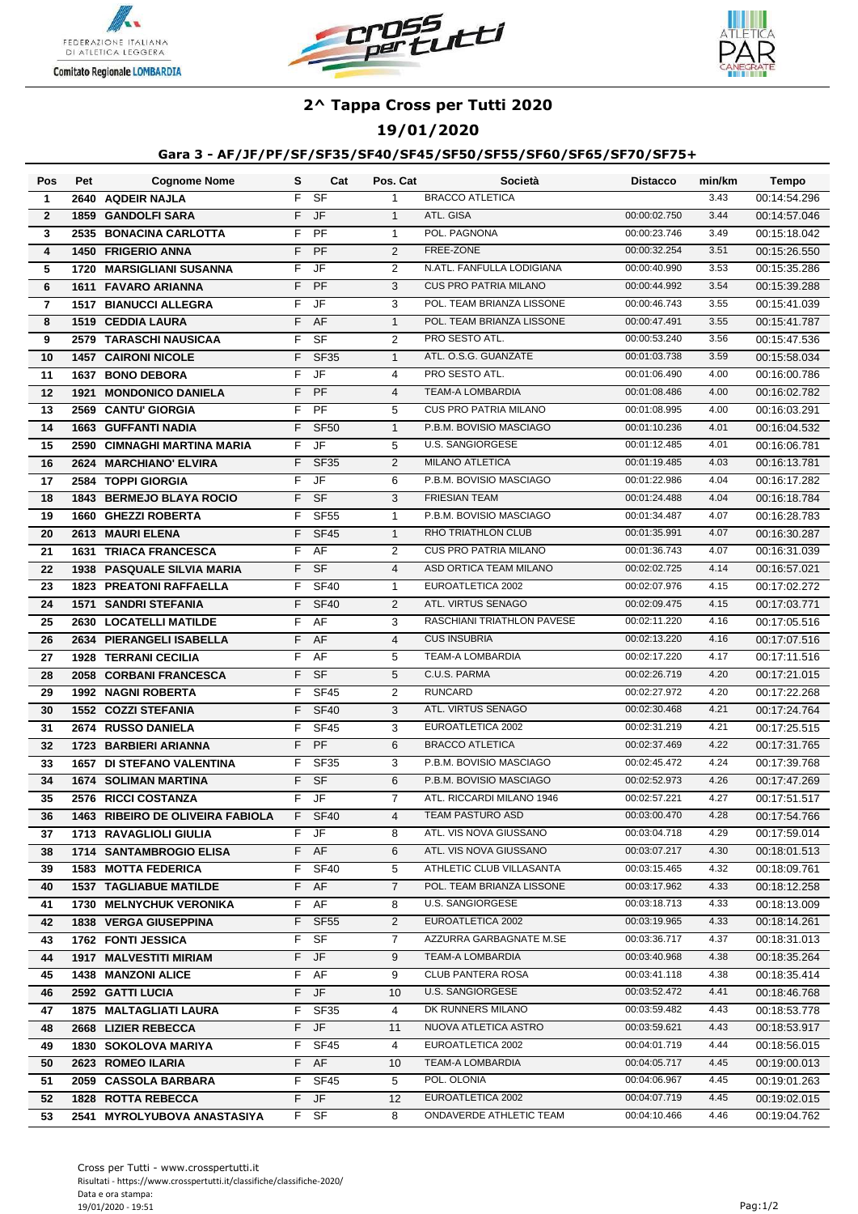





## **19/01/2020**

### **Gara 3 - AF/JF/PF/SF/SF35/SF40/SF45/SF50/SF55/SF60/SF65/SF70/SF75+**

| Pos            | Pet  | <b>Cognome Nome</b>               | s  | Cat                      | Pos. Cat       | Società                      | <b>Distacco</b> | min/km | Tempo        |
|----------------|------|-----------------------------------|----|--------------------------|----------------|------------------------------|-----------------|--------|--------------|
| $\mathbf{1}$   |      | 2640 AQDEIR NAJLA                 | F  | $S$ F                    | $\mathbf{1}$   | <b>BRACCO ATLETICA</b>       |                 | 3.43   | 00:14:54.296 |
| $\overline{2}$ |      | <b>1859 GANDOLFI SARA</b>         | F  | <b>JF</b>                | $\mathbf{1}$   | ATL. GISA                    | 00:00:02.750    | 3.44   | 00:14:57.046 |
| 3              |      | 2535 BONACINA CARLOTTA            | F  | PF                       | $\mathbf{1}$   | POL. PAGNONA                 | 00:00:23.746    | 3.49   | 00:15:18.042 |
| 4              |      | <b>1450 FRIGERIO ANNA</b>         | F  | PF                       | 2              | FREE-ZONE                    | 00:00:32.254    | 3.51   | 00:15:26.550 |
| 5              |      | 1720 MARSIGLIANI SUSANNA          | F  | <b>JF</b>                | 2              | N.ATL. FANFULLA LODIGIANA    | 00:00:40.990    | 3.53   | 00:15:35.286 |
| 6              |      | <b>1611 FAVARO ARIANNA</b>        | F  | PF                       | 3              | <b>CUS PRO PATRIA MILANO</b> | 00:00:44.992    | 3.54   | 00:15:39.288 |
| 7              |      | <b>1517 BIANUCCI ALLEGRA</b>      | F  | JF                       | 3              | POL. TEAM BRIANZA LISSONE    | 00:00:46.743    | 3.55   | 00:15:41.039 |
| 8              |      | 1519 CEDDIA LAURA                 | F  | AF                       | $\mathbf{1}$   | POL. TEAM BRIANZA LISSONE    | 00:00:47.491    | 3.55   | 00:15:41.787 |
| 9              |      | 2579 TARASCHI NAUSICAA            | F  | SF                       | $\overline{2}$ | PRO SESTO ATL.               | 00:00:53.240    | 3.56   | 00:15:47.536 |
| 10             |      | <b>1457 CAIRONI NICOLE</b>        | F  | <b>SF35</b>              | $\mathbf{1}$   | ATL. O.S.G. GUANZATE         | 00:01:03.738    | 3.59   | 00:15:58.034 |
| 11             |      | 1637 BONO DEBORA                  | F  | <b>JF</b>                | $\overline{4}$ | PRO SESTO ATL.               | 00:01:06.490    | 4.00   | 00:16:00.786 |
| 12             | 1921 | <b>MONDONICO DANIELA</b>          | F. | <b>PF</b>                | $\overline{4}$ | <b>TEAM-A LOMBARDIA</b>      | 00:01:08.486    | 4.00   | 00:16:02.782 |
| 13             |      | 2569 CANTU' GIORGIA               | F  | PF                       | 5              | <b>CUS PRO PATRIA MILANO</b> | 00:01:08.995    | 4.00   | 00:16:03.291 |
| 14             |      | <b>1663 GUFFANTI NADIA</b>        | F  | <b>SF50</b>              | $\mathbf{1}$   | P.B.M. BOVISIO MASCIAGO      | 00:01:10.236    | 4.01   | 00:16:04.532 |
| 15             |      | 2590 CIMNAGHI MARTINA MARIA       | F  | JF                       | 5              | <b>U.S. SANGIORGESE</b>      | 00:01:12.485    | 4.01   | 00:16:06.781 |
| 16             |      | 2624 MARCHIANO' ELVIRA            | F  | <b>SF35</b>              | 2              | <b>MILANO ATLETICA</b>       | 00:01:19.485    | 4.03   | 00:16:13.781 |
| 17             |      | 2584 TOPPI GIORGIA                | F  | JF                       | 6              | P.B.M. BOVISIO MASCIAGO      | 00:01:22.986    | 4.04   | 00:16:17.282 |
| 18             |      | 1843 BERMEJO BLAYA ROCIO          | F  | <b>SF</b>                | 3              | <b>FRIESIAN TEAM</b>         | 00:01:24.488    | 4.04   | 00:16:18.784 |
| 19             |      | 1660 GHEZZI ROBERTA               | F  | <b>SF55</b>              | $\mathbf{1}$   | P.B.M. BOVISIO MASCIAGO      | 00:01:34.487    | 4.07   | 00:16:28.783 |
| 20             |      | 2613 MAURI ELENA                  | F  | <b>SF45</b>              | $\mathbf{1}$   | RHO TRIATHLON CLUB           | 00:01:35.991    | 4.07   | 00:16:30.287 |
| 21             |      | <b>1631 TRIACA FRANCESCA</b>      | F  | AF                       | 2              | <b>CUS PRO PATRIA MILANO</b> | 00:01:36.743    | 4.07   | 00:16:31.039 |
| 22             |      | <b>1938 PASQUALE SILVIA MARIA</b> | F  | $S$ F                    | $\overline{4}$ | ASD ORTICA TEAM MILANO       | 00:02:02.725    | 4.14   | 00:16:57.021 |
| 23             |      | <b>1823 PREATONI RAFFAELLA</b>    | F  | <b>SF40</b>              | $\mathbf{1}$   | EUROATLETICA 2002            | 00:02:07.976    | 4.15   | 00:17:02.272 |
| 24             |      | <b>1571 SANDRI STEFANIA</b>       | F  | <b>SF40</b>              | 2              | ATL. VIRTUS SENAGO           | 00:02:09.475    | 4.15   | 00:17:03.771 |
| 25             |      | 2630 LOCATELLI MATILDE            | F  | AF                       | 3              | RASCHIANI TRIATHLON PAVESE   | 00:02:11.220    | 4.16   | 00:17:05.516 |
| 26             |      | 2634 PIERANGELI ISABELLA          | F  | <b>AF</b>                | $\overline{4}$ | <b>CUS INSUBRIA</b>          | 00:02:13.220    | 4.16   | 00:17:07.516 |
| 27             |      | <b>1928 TERRANI CECILIA</b>       | F  | AF                       | 5              | <b>TEAM-A LOMBARDIA</b>      | 00:02:17.220    | 4.17   | 00:17:11.516 |
| 28             |      | 2058 CORBANI FRANCESCA            | F  | $S$ F                    | 5              | C.U.S. PARMA                 | 00:02:26.719    | 4.20   | 00:17:21.015 |
| 29             |      | 1992 NAGNI ROBERTA                | F  | <b>SF45</b>              | $\overline{2}$ | <b>RUNCARD</b>               | 00:02:27.972    | 4.20   | 00:17:22.268 |
| 30             |      | 1552 COZZI STEFANIA               | F  | <b>SF40</b>              | 3              | ATL. VIRTUS SENAGO           | 00:02:30.468    | 4.21   | 00:17:24.764 |
| 31             |      | 2674 RUSSO DANIELA                | F  | <b>SF45</b>              | 3              | EUROATLETICA 2002            | 00:02:31.219    | 4.21   | 00:17:25.515 |
| 32             |      | 1723 BARBIERI ARIANNA             | F  | PF                       | 6              | <b>BRACCO ATLETICA</b>       | 00:02:37.469    | 4.22   | 00:17:31.765 |
| 33             |      | <b>1657 DI STEFANO VALENTINA</b>  | F  | <b>SF35</b>              | 3              | P.B.M. BOVISIO MASCIAGO      | 00:02:45.472    | 4.24   | 00:17:39.768 |
| 34             |      | <b>1674 SOLIMAN MARTINA</b>       | F  | <b>SF</b>                | 6              | P.B.M. BOVISIO MASCIAGO      | 00:02:52.973    | 4.26   | 00:17:47.269 |
| 35             |      | 2576 RICCI COSTANZA               | F  | $\overline{\mathsf{JF}}$ | $\overline{7}$ | ATL. RICCARDI MILANO 1946    | 00:02:57.221    | 4.27   | 00:17:51.517 |
| 36             |      | 1463 RIBEIRO DE OLIVEIRA FABIOLA  | F  | SF40                     | 4              | TEAM PASTURO ASD             | 00:03:00.470    | 4.28   | 00:17:54.766 |
| 37             |      | 1713 RAVAGLIOLI GIULIA            |    | F JF                     | 8              | ATL. VIS NOVA GIUSSANO       | 00:03:04.718    | 4.29   | 00:17:59.014 |
| 38             |      | 1714 SANTAMBROGIO ELISA           |    | F AF                     | 6              | ATL. VIS NOVA GIUSSANO       | 00:03:07.217    | 4.30   | 00:18:01.513 |
| 39             |      | <b>1583 MOTTA FEDERICA</b>        | F. | <b>SF40</b>              | 5              | ATHLETIC CLUB VILLASANTA     | 00:03:15.465    | 4.32   | 00:18:09.761 |
| 40             |      | <b>1537 TAGLIABUE MATILDE</b>     | F. | AF                       | 7              | POL. TEAM BRIANZA LISSONE    | 00:03:17.962    | 4.33   | 00:18:12.258 |
| 41             |      | 1730 MELNYCHUK VERONIKA           | F. | AF                       | 8              | U.S. SANGIORGESE             | 00:03:18.713    | 4.33   | 00:18:13.009 |
| 42             |      | <b>1838 VERGA GIUSEPPINA</b>      | F. | <b>SF55</b>              | 2              | EUROATLETICA 2002            | 00:03:19.965    | 4.33   | 00:18:14.261 |
| 43             |      | 1762 FONTI JESSICA                | F  | SF                       | $\overline{7}$ | AZZURRA GARBAGNATE M.SE      | 00:03:36.717    | 4.37   | 00:18:31.013 |
| 44             |      | <b>1917 MALVESTITI MIRIAM</b>     | F. | JF                       | 9              | TEAM-A LOMBARDIA             | 00:03:40.968    | 4.38   | 00:18:35.264 |
| 45             |      | <b>1438 MANZONI ALICE</b>         |    | F AF                     | 9              | CLUB PANTERA ROSA            | 00:03:41.118    | 4.38   | 00:18:35.414 |
| 46             |      | 2592 GATTI LUCIA                  |    | F JF                     | 10             | U.S. SANGIORGESE             | 00:03:52.472    | 4.41   | 00:18:46.768 |
| 47             |      | 1875 MALTAGLIATI LAURA            | F. | SF35                     | 4              | DK RUNNERS MILANO            | 00:03:59.482    | 4.43   | 00:18:53.778 |
| 48             |      | 2668 LIZIER REBECCA               |    | F JF                     | 11             | NUOVA ATLETICA ASTRO         | 00:03:59.621    | 4.43   | 00:18:53.917 |
| 49             |      | <b>1830 SOKOLOVA MARIYA</b>       | F. | SF45                     | 4              | EUROATLETICA 2002            | 00:04:01.719    | 4.44   | 00:18:56.015 |
| 50             |      | 2623 ROMEO ILARIA                 |    | F AF                     | 10             | TEAM-A LOMBARDIA             | 00:04:05.717    | 4.45   | 00:19:00.013 |
| 51             |      | 2059 CASSOLA BARBARA              | F. | SF45                     | 5              | POL. OLONIA                  | 00:04:06.967    | 4.45   | 00:19:01.263 |
| 52             |      | <b>1828 ROTTA REBECCA</b>         | F. | JF                       | 12             | EUROATLETICA 2002            | 00:04:07.719    | 4.45   | 00:19:02.015 |
| 53             |      | 2541 MYROLYUBOVA ANASTASIYA       |    | F SF                     | 8              | ONDAVERDE ATHLETIC TEAM      | 00:04:10.466    | 4.46   | 00:19:04.762 |
|                |      |                                   |    |                          |                |                              |                 |        |              |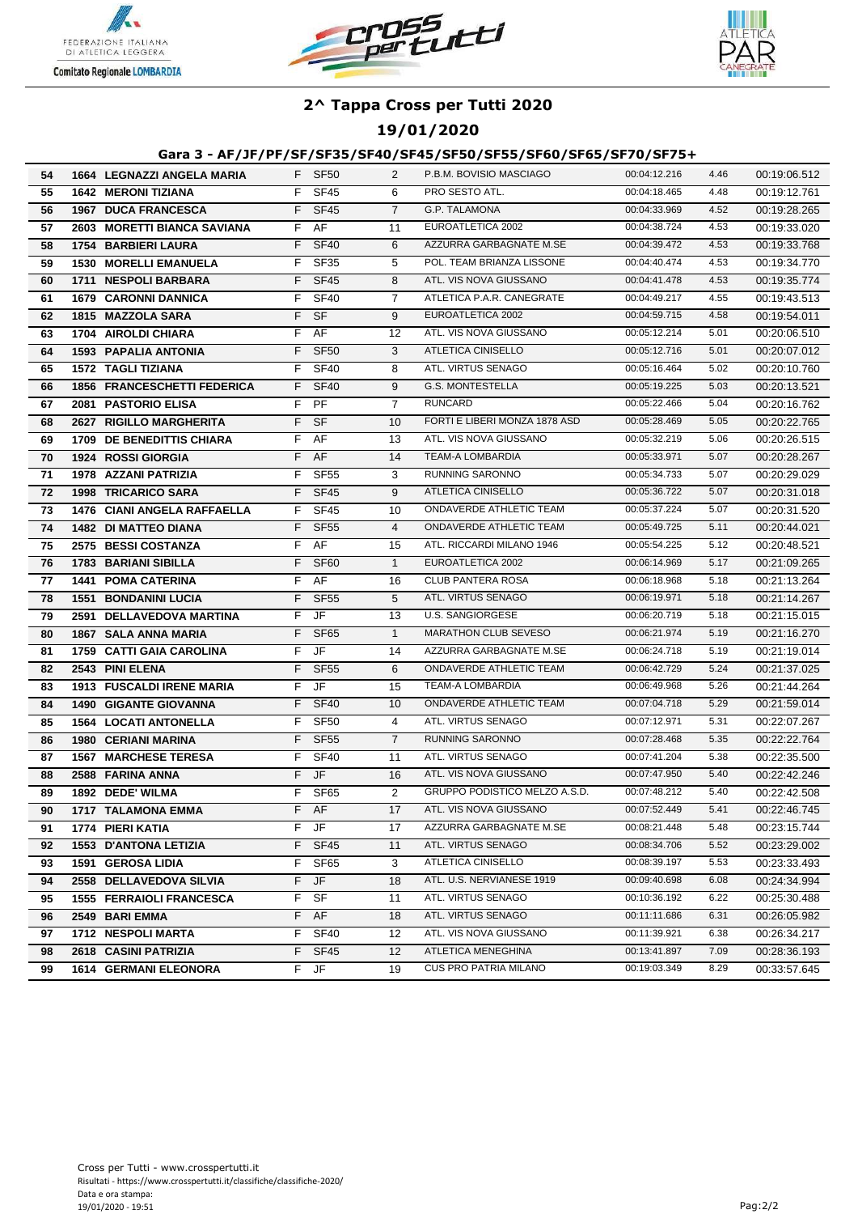





**19/01/2020**

### **Gara 3 - AF/JF/PF/SF/SF35/SF40/SF45/SF50/SF55/SF60/SF65/SF70/SF75+**

| 54 | 1664 LEGNAZZI ANGELA MARIA         |    | F SF50           | $\overline{2}$ | P.B.M. BOVISIO MASCIAGO       | 00:04:12.216 | 4.46 | 00:19:06.512 |
|----|------------------------------------|----|------------------|----------------|-------------------------------|--------------|------|--------------|
| 55 | <b>1642 MERONI TIZIANA</b>         |    | F SF45           | 6              | PRO SESTO ATL.                | 00:04:18.465 | 4.48 | 00:19:12.761 |
| 56 | 1967 DUCA FRANCESCA                | F. | SF45             | $\overline{7}$ | <b>G.P. TALAMONA</b>          | 00:04:33.969 | 4.52 | 00:19:28.265 |
| 57 | 2603 MORETTI BIANCA SAVIANA        |    | $F$ AF           | 11             | EUROATLETICA 2002             | 00:04:38.724 | 4.53 | 00:19:33.020 |
| 58 | <b>1754 BARBIERI LAURA</b>         | F. | <b>SF40</b>      | 6              | AZZURRA GARBAGNATE M.SE       | 00:04:39.472 | 4.53 | 00:19:33.768 |
| 59 | <b>1530 MORELLI EMANUELA</b>       | F. | <b>SF35</b>      | 5              | POL. TEAM BRIANZA LISSONE     | 00:04:40.474 | 4.53 | 00:19:34.770 |
| 60 | 1711 NESPOLI BARBARA               | F. | <b>SF45</b>      | 8              | ATL. VIS NOVA GIUSSANO        | 00:04:41.478 | 4.53 | 00:19:35.774 |
| 61 | <b>1679 CARONNI DANNICA</b>        | F. | <b>SF40</b>      | $\overline{7}$ | ATLETICA P.A.R. CANEGRATE     | 00:04:49.217 | 4.55 | 00:19:43.513 |
| 62 | 1815 MAZZOLA SARA                  | F. | - SF             | 9              | EUROATLETICA 2002             | 00:04:59.715 | 4.58 | 00:19:54.011 |
| 63 | 1704 AIROLDI CHIARA                | F. | AF               | 12             | ATL. VIS NOVA GIUSSANO        | 00:05:12.214 | 5.01 | 00:20:06.510 |
| 64 | <b>1593 PAPALIA ANTONIA</b>        | F. | <b>SF50</b>      | 3              | <b>ATLETICA CINISELLO</b>     | 00:05:12.716 | 5.01 | 00:20:07.012 |
| 65 | <b>1572 TAGLI TIZIANA</b>          | F. | <b>SF40</b>      | 8              | ATL. VIRTUS SENAGO            | 00:05:16.464 | 5.02 | 00:20:10.760 |
| 66 | 1856 FRANCESCHETTI FEDERICA        | F. | <b>SF40</b>      | 9              | <b>G.S. MONTESTELLA</b>       | 00:05:19.225 | 5.03 | 00:20:13.521 |
| 67 | 2081 PASTORIO ELISA                |    | F PF             | $\overline{7}$ | <b>RUNCARD</b>                | 00:05:22.466 | 5.04 | 00:20:16.762 |
| 68 | 2627 RIGILLO MARGHERITA            |    | F SF             | 10             | FORTI E LIBERI MONZA 1878 ASD | 00:05:28.469 | 5.05 | 00:20:22.765 |
| 69 | 1709 DE BENEDITTIS CHIARA          |    | F AF             | 13             | ATL. VIS NOVA GIUSSANO        | 00:05:32.219 | 5.06 | 00:20:26.515 |
| 70 | <b>1924 ROSSI GIORGIA</b>          |    | F AF             | 14             | <b>TEAM-A LOMBARDIA</b>       | 00:05:33.971 | 5.07 | 00:20:28.267 |
| 71 | 1978 AZZANI PATRIZIA               | F. | <b>SF55</b>      | 3              | RUNNING SARONNO               | 00:05:34.733 | 5.07 | 00:20:29.029 |
| 72 | <b>1998 TRICARICO SARA</b>         | F. | <b>SF45</b>      | 9              | <b>ATLETICA CINISELLO</b>     | 00:05:36.722 | 5.07 | 00:20:31.018 |
| 73 | <b>1476 CIANI ANGELA RAFFAELLA</b> | F. | <b>SF45</b>      | 10             | ONDAVERDE ATHLETIC TEAM       | 00:05:37.224 | 5.07 | 00:20:31.520 |
| 74 | 1482 DI MATTEO DIANA               | F. | <b>SF55</b>      | $\overline{4}$ | ONDAVERDE ATHLETIC TEAM       | 00:05:49.725 | 5.11 | 00:20:44.021 |
| 75 | 2575 BESSI COSTANZA                | F. | AF               | 15             | ATL. RICCARDI MILANO 1946     | 00:05:54.225 | 5.12 | 00:20:48.521 |
| 76 | 1783 BARIANI SIBILLA               | F  | SF <sub>60</sub> | $\mathbf{1}$   | EUROATLETICA 2002             | 00:06:14.969 | 5.17 | 00:21:09.265 |
| 77 | <b>1441 POMA CATERINA</b>          | F. | AF               | 16             | <b>CLUB PANTERA ROSA</b>      | 00:06:18.968 | 5.18 | 00:21:13.264 |
| 78 | <b>1551 BONDANINI LUCIA</b>        | F. | <b>SF55</b>      | 5              | ATL. VIRTUS SENAGO            | 00:06:19.971 | 5.18 | 00:21:14.267 |
| 79 | 2591 DELLAVEDOVA MARTINA           |    | F JF             | 13             | <b>U.S. SANGIORGESE</b>       | 00:06:20.719 | 5.18 | 00:21:15.015 |
| 80 | <b>1867 SALA ANNA MARIA</b>        |    | F SF65           | $\mathbf{1}$   | MARATHON CLUB SEVESO          | 00:06:21.974 | 5.19 | 00:21:16.270 |
| 81 | 1759 CATTI GAIA CAROLINA           |    | F JF             | 14             | AZZURRA GARBAGNATE M.SE       | 00:06:24.718 | 5.19 | 00:21:19.014 |
| 82 | 2543 PINI ELENA                    | F. | <b>SF55</b>      | 6              | ONDAVERDE ATHLETIC TEAM       | 00:06:42.729 | 5.24 | 00:21:37.025 |
| 83 | <b>1913 FUSCALDI IRENE MARIA</b>   | F. | JF               | 15             | <b>TEAM-A LOMBARDIA</b>       | 00:06:49.968 | 5.26 | 00:21:44.264 |
| 84 | <b>1490 GIGANTE GIOVANNA</b>       |    | F SF40           | 10             | ONDAVERDE ATHLETIC TEAM       | 00:07:04.718 | 5.29 | 00:21:59.014 |
| 85 | <b>1564 LOCATI ANTONELLA</b>       | F. | <b>SF50</b>      | 4              | ATL. VIRTUS SENAGO            | 00:07:12.971 | 5.31 | 00:22:07.267 |
| 86 | <b>1980 CERIANI MARINA</b>         | F. | <b>SF55</b>      | $\overline{7}$ | <b>RUNNING SARONNO</b>        | 00:07:28.468 | 5.35 | 00:22:22.764 |
| 87 | <b>1567 MARCHESE TERESA</b>        | F. | <b>SF40</b>      | 11             | ATL. VIRTUS SENAGO            | 00:07:41.204 | 5.38 | 00:22:35.500 |
| 88 | 2588 FARINA ANNA                   |    | F JF             | 16             | ATL. VIS NOVA GIUSSANO        | 00:07:47.950 | 5.40 | 00:22:42.246 |
| 89 | 1892 DEDE' WILMA                   | F. | SF65             | $\overline{2}$ | GRUPPO PODISTICO MELZO A.S.D. | 00:07:48.212 | 5.40 | 00:22:42.508 |
| 90 | 1717 TALAMONA EMMA                 | F. | AF               | 17             | ATL. VIS NOVA GIUSSANO        | 00:07:52.449 | 5.41 | 00:22:46.745 |
| 91 | 1774 PIERI KATIA                   |    | F JF             | 17             | AZZURRA GARBAGNATE M.SE       | 00:08:21.448 | 5.48 | 00:23:15.744 |
| 92 | 1553 D'ANTONA LETIZIA              |    | F SF45           | 11             | ATL. VIRTUS SENAGO            | 00:08:34.706 | 5.52 | 00:23:29.002 |
| 93 | 1591 GEROSA LIDIA                  |    | F SF65           | 3              | ATLETICA CINISELLO            | 00:08:39.197 | 5.53 | 00:23:33.493 |
| 94 | 2558 DELLAVEDOVA SILVIA            |    | F JF             | 18             | ATL. U.S. NERVIANESE 1919     | 00:09:40.698 | 6.08 | 00:24:34.994 |
| 95 | <b>1555 FERRAIOLI FRANCESCA</b>    |    | F SF             | 11             | ATL. VIRTUS SENAGO            | 00:10:36.192 | 6.22 | 00:25:30.488 |
| 96 | 2549 BARI EMMA                     |    | F AF             | 18             | ATL. VIRTUS SENAGO            | 00:11:11.686 | 6.31 | 00:26:05.982 |
| 97 | 1712 NESPOLI MARTA                 |    | F SF40           | 12             | ATL. VIS NOVA GIUSSANO        | 00:11:39.921 | 6.38 | 00:26:34.217 |
| 98 | 2618 CASINI PATRIZIA               |    | F SF45           | 12             | ATLETICA MENEGHINA            | 00:13:41.897 | 7.09 | 00:28:36.193 |
| 99 | <b>1614 GERMANI ELEONORA</b>       |    | F JF             | 19             | <b>CUS PRO PATRIA MILANO</b>  | 00:19:03.349 | 8.29 | 00:33:57.645 |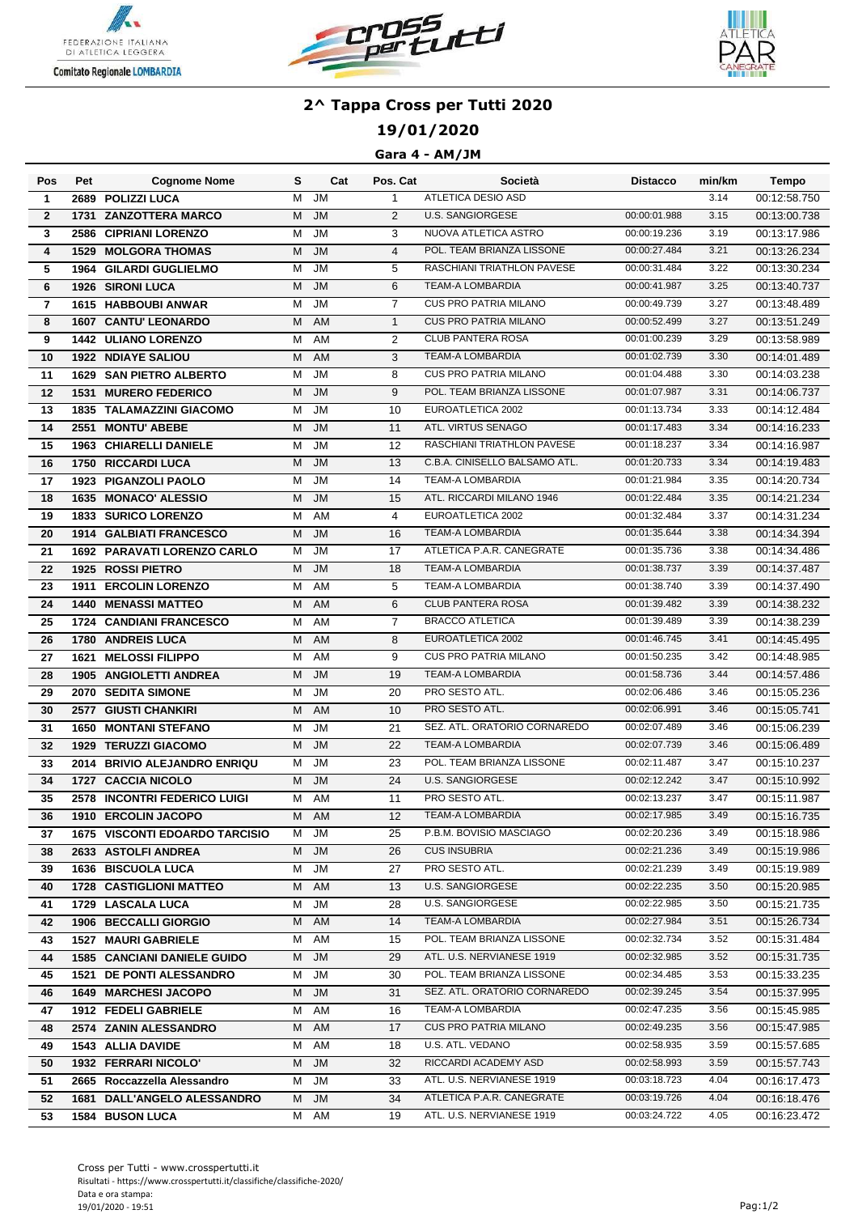





## **19/01/2020**

#### **Gara 4 - AM/JM**

| Pos            | Pet  | <b>Cognome Nome</b>                           | s      | Cat       | Pos. Cat       | Società                       | <b>Distacco</b>              | min/km | Tempo                        |
|----------------|------|-----------------------------------------------|--------|-----------|----------------|-------------------------------|------------------------------|--------|------------------------------|
| $\mathbf{1}$   |      | 2689 POLIZZI LUCA                             | M      | JM        | $\mathbf{1}$   | ATLETICA DESIO ASD            |                              | 3.14   | 00:12:58.750                 |
| $\mathbf{2}$   | 1731 | <b>ZANZOTTERA MARCO</b>                       | м      | <b>JM</b> | 2              | <b>U.S. SANGIORGESE</b>       | 00:00:01.988                 | 3.15   | 00:13:00.738                 |
| 3              | 2586 | <b>CIPRIANI LORENZO</b>                       | м      | <b>JM</b> | 3              | NUOVA ATLETICA ASTRO          | 00:00:19.236                 | 3.19   | 00:13:17.986                 |
| 4              | 1529 | <b>MOLGORA THOMAS</b>                         | M      | <b>JM</b> | $\overline{4}$ | POL. TEAM BRIANZA LISSONE     | 00:00:27.484                 | 3.21   | 00:13:26.234                 |
| 5              |      | <b>1964 GILARDI GUGLIELMO</b>                 | М      | <b>JM</b> | 5              | RASCHIANI TRIATHLON PAVESE    | 00:00:31.484                 | 3.22   | 00:13:30.234                 |
| 6              |      | <b>1926 SIRONI LUCA</b>                       | M      | <b>JM</b> | 6              | <b>TEAM-A LOMBARDIA</b>       | 00:00:41.987                 | 3.25   | 00:13:40.737                 |
| $\overline{7}$ |      | 1615 HABBOUBI ANWAR                           | м      | <b>JM</b> | $\overline{7}$ | <b>CUS PRO PATRIA MILANO</b>  | 00:00:49.739                 | 3.27   | 00:13:48.489                 |
| 8              |      | <b>1607 CANTU' LEONARDO</b>                   | м      | AM        | $\mathbf{1}$   | <b>CUS PRO PATRIA MILANO</b>  | 00:00:52.499                 | 3.27   | 00:13:51.249                 |
| 9              |      | <b>1442 ULIANO LORENZO</b>                    | м      | AM        | 2              | <b>CLUB PANTERA ROSA</b>      | 00:01:00.239                 | 3.29   | 00:13:58.989                 |
| 10             |      | <b>1922 NDIAYE SALIOU</b>                     | М      | AM        | 3              | <b>TEAM-A LOMBARDIA</b>       | 00:01:02.739                 | 3.30   | 00:14:01.489                 |
| 11             |      | <b>1629 SAN PIETRO ALBERTO</b>                | М      | <b>JM</b> | 8              | <b>CUS PRO PATRIA MILANO</b>  | 00:01:04.488                 | 3.30   | 00:14:03.238                 |
| 12             |      | <b>1531 MURERO FEDERICO</b>                   | м      | <b>JM</b> | 9              | POL. TEAM BRIANZA LISSONE     | 00:01:07.987                 | 3.31   | 00:14:06.737                 |
| 13             |      | <b>1835 TALAMAZZINI GIACOMO</b>               | М      | <b>JM</b> | 10             | EUROATLETICA 2002             | 00:01:13.734                 | 3.33   | 00:14:12.484                 |
| 14             |      | 2551 MONTU' ABEBE                             | м      | <b>JM</b> | 11             | ATL. VIRTUS SENAGO            | 00:01:17.483                 | 3.34   | 00:14:16.233                 |
| 15             | 1963 | <b>CHIARELLI DANIELE</b>                      | М      | <b>JM</b> | 12             | RASCHIANI TRIATHLON PAVESE    | 00:01:18.237                 | 3.34   | 00:14:16.987                 |
| 16             |      | <b>1750 RICCARDI LUCA</b>                     | М      | <b>JM</b> | 13             | C.B.A. CINISELLO BALSAMO ATL. | 00:01:20.733                 | 3.34   | 00:14:19.483                 |
| 17             | 1923 | <b>PIGANZOLI PAOLO</b>                        | М      | JM        | 14             | <b>TEAM-A LOMBARDIA</b>       | 00:01:21.984                 | 3.35   | 00:14:20.734                 |
| 18             |      | 1635 MONACO' ALESSIO                          | M      | <b>JM</b> | 15             | ATL. RICCARDI MILANO 1946     | 00:01:22.484                 | 3.35   | 00:14:21.234                 |
| 19             |      | 1833 SURICO LORENZO                           | М      | AM        | $\overline{4}$ | EUROATLETICA 2002             | 00:01:32.484                 | 3.37   | 00:14:31.234                 |
| 20             |      | <b>1914 GALBIATI FRANCESCO</b>                | M      | <b>JM</b> | 16             | <b>TEAM-A LOMBARDIA</b>       | 00:01:35.644                 | 3.38   | 00:14:34.394                 |
| 21             |      | <b>1692 PARAVATI LORENZO CARLO</b>            | м      | <b>JM</b> | 17             | ATLETICA P.A.R. CANEGRATE     | 00:01:35.736                 | 3.38   | 00:14:34.486                 |
| 22             |      | 1925 ROSSI PIETRO                             | М      | JM        | 18             | <b>TEAM-A LOMBARDIA</b>       | 00:01:38.737                 | 3.39   | 00:14:37.487                 |
| 23             |      | 1911 ERCOLIN LORENZO                          | М      | <b>AM</b> | 5              | <b>TEAM-A LOMBARDIA</b>       | 00:01:38.740                 | 3.39   | 00:14:37.490                 |
| 24             |      | <b>1440 MENASSI MATTEO</b>                    | M      | AM        | 6              | <b>CLUB PANTERA ROSA</b>      | 00:01:39.482                 | 3.39   | 00:14:38.232                 |
| 25             |      | 1724 CANDIANI FRANCESCO                       | М      | AM        | $\overline{7}$ | <b>BRACCO ATLETICA</b>        | 00:01:39.489                 | 3.39   | 00:14:38.239                 |
| 26             |      | 1780 ANDREIS LUCA                             | М      | AM        | 8              | EUROATLETICA 2002             | 00:01:46.745                 | 3.41   | 00:14:45.495                 |
| 27             |      | <b>1621 MELOSSI FILIPPO</b>                   | м      | AM        | 9              | <b>CUS PRO PATRIA MILANO</b>  | 00:01:50.235                 | 3.42   | 00:14:48.985                 |
| 28             |      | 1905 ANGIOLETTI ANDREA                        | М      | <b>JM</b> | 19             | <b>TEAM-A LOMBARDIA</b>       | 00:01:58.736                 | 3.44   | 00:14:57.486                 |
| 29             |      | 2070 SEDITA SIMONE                            | М      | <b>JM</b> | 20             | PRO SESTO ATL.                | 00:02:06.486                 | 3.46   | 00:15:05.236                 |
| 30             |      | 2577 GIUSTI CHANKIRI                          | M      | AM        | 10             | PRO SESTO ATL.                | 00:02:06.991                 | 3.46   | 00:15:05.741                 |
| 31             |      | <b>1650 MONTANI STEFANO</b>                   | М      | <b>JM</b> | 21             | SEZ. ATL. ORATORIO CORNAREDO  | 00:02:07.489                 | 3.46   | 00:15:06.239                 |
| 32             |      | 1929 TERUZZI GIACOMO                          | M      | <b>JM</b> | 22             | <b>TEAM-A LOMBARDIA</b>       | 00:02:07.739                 | 3.46   | 00:15:06.489                 |
| 33             |      | 2014 BRIVIO ALEJANDRO ENRIQU                  | м      | <b>JM</b> | 23             | POL. TEAM BRIANZA LISSONE     | 00:02:11.487                 | 3.47   | 00:15:10.237                 |
| 34             |      | 1727 CACCIA NICOLO                            | м      | <b>JM</b> | 24             | <b>U.S. SANGIORGESE</b>       | 00:02:12.242                 | 3.47   | 00:15:10.992                 |
| 35             |      | <b>2578 INCONTRI FEDERICO LUIGI</b>           | м      | AM        | 11             | PRO SESTO ATL.                | 00:02:13.237                 | 3.47   | 00:15:11.987                 |
| 36             |      | 1910 ERCOLIN JACOPO                           |        | M AM      | 12             | <b>TEAM-A LOMBARDIA</b>       | 00:02:17.985                 | 3.49   | 00:15:16.735                 |
| 37             |      | 1675 VISCONTI EDOARDO TARCISIO                | M      | JM        | 25             | P.B.M. BOVISIO MASCIAGO       | 00:02:20.236                 | 3.49   | 00:15:18.986                 |
| 38             |      | 2633 ASTOLFI ANDREA                           | M      | <b>JM</b> | 26             | <b>CUS INSUBRIA</b>           | 00:02:21.236                 | 3.49   | 00:15:19.986                 |
| 39             |      | 1636 BISCUOLA LUCA                            | M      | JM        | 27             | PRO SESTO ATL.                | 00:02:21.239                 | 3.49   | 00:15:19.989                 |
| 40             |      | <b>1728 CASTIGLIONI MATTEO</b>                | М      | AM        | 13             | U.S. SANGIORGESE              | 00:02:22.235                 | 3.50   | 00:15:20.985                 |
| 41             |      | 1729 LASCALA LUCA                             | м      | <b>JM</b> | 28             | U.S. SANGIORGESE              | 00:02:22.985                 | 3.50   | 00:15:21.735                 |
| 42             |      | 1906 BECCALLI GIORGIO                         | М      | AM        | 14             | <b>TEAM-A LOMBARDIA</b>       | 00:02:27.984                 | 3.51   | 00:15:26.734                 |
| 43             |      | <b>1527 MAURI GABRIELE</b>                    | м      | AM        | 15             | POL. TEAM BRIANZA LISSONE     | 00:02:32.734                 | 3.52   | 00:15:31.484                 |
| 44             |      | <b>1585 CANCIANI DANIELE GUIDO</b>            | М      | JM        | 29             | ATL. U.S. NERVIANESE 1919     | 00:02:32.985                 | 3.52   | 00:15:31.735                 |
| 45             |      | <b>1521 DE PONTI ALESSANDRO</b>               | м      | JM        | 30             | POL. TEAM BRIANZA LISSONE     | 00:02:34.485                 | 3.53   | 00:15:33.235                 |
|                |      | <b>1649 MARCHESI JACOPO</b>                   |        |           |                | SEZ. ATL. ORATORIO CORNAREDO  | 00:02:39.245                 | 3.54   |                              |
| 46             |      |                                               | M      | JM<br>AM  | 31<br>16       | TEAM-A LOMBARDIA              | 00:02:47.235                 | 3.56   | 00:15:37.995<br>00:15:45.985 |
| 47             |      | 1912 FEDELI GABRIELE<br>2574 ZANIN ALESSANDRO | м      |           | 17             | <b>CUS PRO PATRIA MILANO</b>  | 00:02:49.235                 | 3.56   |                              |
| 48<br>49       |      | <b>1543 ALLIA DAVIDE</b>                      | Μ      | AM<br>AM  | 18             | U.S. ATL. VEDANO              | 00:02:58.935                 | 3.59   | 00:15:47.985                 |
|                |      | 1932 FERRARI NICOLO'                          | м<br>М | <b>JM</b> | 32             | RICCARDI ACADEMY ASD          | 00:02:58.993                 | 3.59   | 00:15:57.685<br>00:15:57.743 |
| 50             |      | 2665 Roccazzella Alessandro                   |        |           |                | ATL. U.S. NERVIANESE 1919     | 00:03:18.723                 | 4.04   |                              |
| 51             |      |                                               | м<br>М | JM<br>JM  | 33<br>34       | ATLETICA P.A.R. CANEGRATE     |                              | 4.04   | 00:16:17.473                 |
| 52             |      | 1681 DALL'ANGELO ALESSANDRO                   |        |           | 19             | ATL. U.S. NERVIANESE 1919     | 00:03:19.726<br>00:03:24.722 | 4.05   | 00:16:18.476                 |
| 53             |      | 1584 BUSON LUCA                               | Μ      | AM        |                |                               |                              |        | 00:16:23.472                 |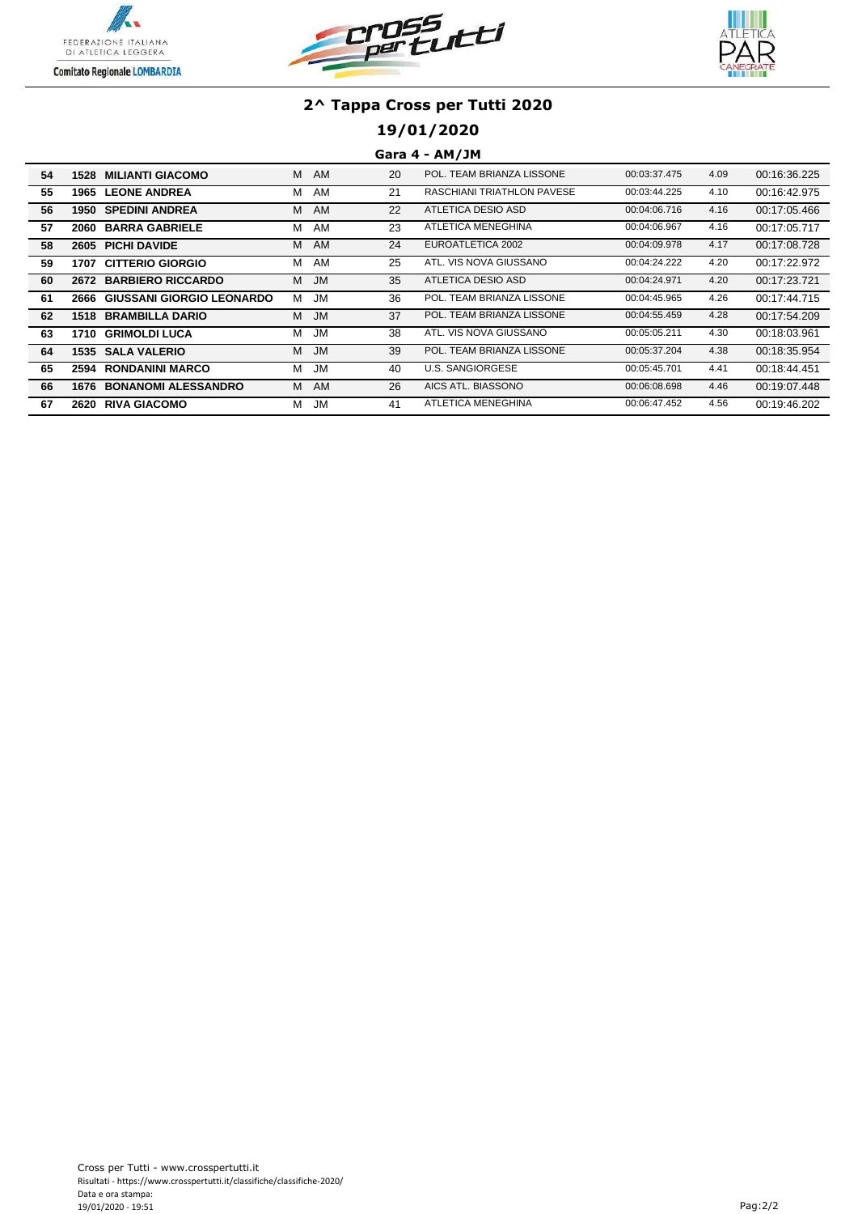





## **19/01/2020**

## **Gara 4 - AM/JM**

| 54 | 1528 | <b>MILIANTI GIACOMO</b>        | M | AM        | 20 | POL. TEAM BRIANZA LISSONE         | 00:03:37.475 | 4.09 | 00:16:36.225 |
|----|------|--------------------------------|---|-----------|----|-----------------------------------|--------------|------|--------------|
| 55 |      | <b>1965 LEONE ANDREA</b>       | М | AM        | 21 | <b>RASCHIANI TRIATHLON PAVESE</b> | 00:03:44.225 | 4.10 | 00:16:42.975 |
| 56 |      | <b>1950 SPEDINI ANDREA</b>     | M | AM        | 22 | ATLETICA DESIO ASD                | 00:04:06.716 | 4.16 | 00:17:05.466 |
| 57 | 2060 | <b>BARRA GABRIELE</b>          | М | AM        | 23 | ATLETICA MENEGHINA                | 00:04:06.967 | 4.16 | 00:17:05.717 |
| 58 |      | 2605 PICHI DAVIDE              | M | AM        | 24 | EUROATLETICA 2002                 | 00:04:09.978 | 4.17 | 00:17:08.728 |
| 59 | 1707 | <b>CITTERIO GIORGIO</b>        | м | AM        | 25 | ATL, VIS NOVA GIUSSANO            | 00:04:24.222 | 4.20 | 00:17:22.972 |
| 60 |      | 2672 BARBIERO RICCARDO         | M | <b>JM</b> | 35 | ATLETICA DESIO ASD                | 00:04:24.971 | 4.20 | 00:17:23.721 |
| 61 |      | 2666 GIUSSANI GIORGIO LEONARDO | м | <b>JM</b> | 36 | POL. TEAM BRIANZA LISSONE         | 00:04:45.965 | 4.26 | 00:17:44.715 |
| 62 |      | <b>1518 BRAMBILLA DARIO</b>    | M | <b>JM</b> | 37 | POL. TEAM BRIANZA LISSONE         | 00:04:55.459 | 4.28 | 00:17:54.209 |
| 63 | 1710 | <b>GRIMOLDI LUCA</b>           | м | <b>JM</b> | 38 | ATL. VIS NOVA GIUSSANO            | 00:05:05.211 | 4.30 | 00:18:03.961 |
| 64 |      | <b>1535 SALA VALERIO</b>       | M | <b>JM</b> | 39 | POL. TEAM BRIANZA LISSONE         | 00:05:37.204 | 4.38 | 00:18:35.954 |
| 65 |      | 2594 RONDANINI MARCO           | м | <b>JM</b> | 40 | <b>U.S. SANGIORGESE</b>           | 00:05:45.701 | 4.41 | 00:18:44.451 |
| 66 | 1676 | <b>BONANOMI ALESSANDRO</b>     | м | AM        | 26 | AICS ATL. BIASSONO                | 00:06:08.698 | 4.46 | 00:19:07.448 |
| 67 | 2620 | <b>RIVA GIACOMO</b>            | м | JM        | 41 | ATLETICA MENEGHINA                | 00:06:47.452 | 4.56 | 00:19:46.202 |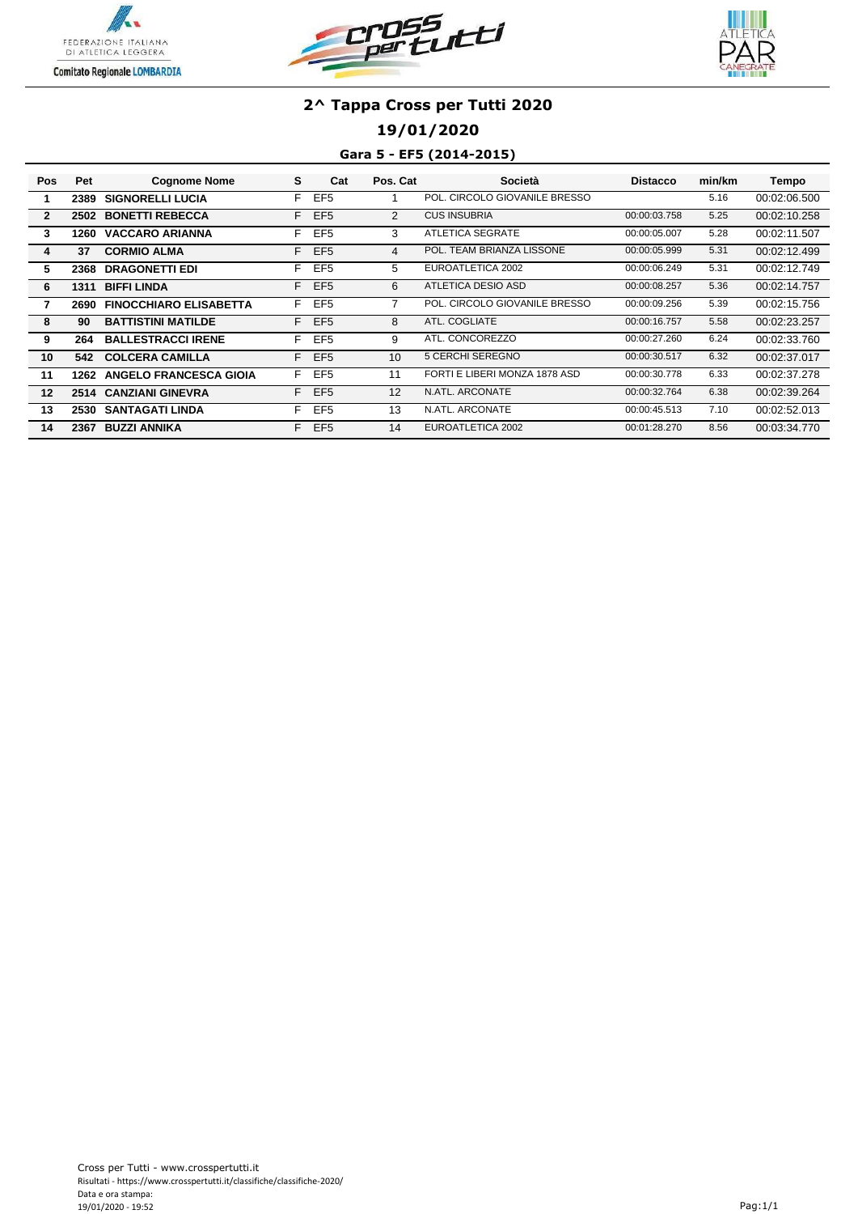





## **19/01/2020**

### **Gara 5 - EF5 (2014-2015)**

| Pos            | Pet  | <b>Cognome Nome</b>           | s  | Cat             | Pos. Cat | Società                       | <b>Distacco</b> | min/km | Tempo        |
|----------------|------|-------------------------------|----|-----------------|----------|-------------------------------|-----------------|--------|--------------|
|                | 2389 | <b>SIGNORELLI LUCIA</b>       | F  | EF <sub>5</sub> |          | POL. CIRCOLO GIOVANILE BRESSO |                 | 5.16   | 00:02:06.500 |
| $\overline{2}$ | 2502 | <b>BONETTI REBECCA</b>        | F  | EF <sub>5</sub> | 2        | <b>CUS INSUBRIA</b>           | 00:00:03.758    | 5.25   | 00:02:10.258 |
| 3              | 1260 | <b>VACCARO ARIANNA</b>        | F  | EF <sub>5</sub> | 3        | <b>ATLETICA SEGRATE</b>       | 00:00:05.007    | 5.28   | 00:02:11.507 |
| 4              | 37   | <b>CORMIO ALMA</b>            | F  | EF <sub>5</sub> | 4        | POL. TEAM BRIANZA LISSONE     | 00:00:05.999    | 5.31   | 00:02:12.499 |
| 5              | 2368 | <b>DRAGONETTI EDI</b>         | F  | EF <sub>5</sub> | 5.       | EUROATLETICA 2002             | 00:00:06.249    | 5.31   | 00:02:12.749 |
| 6              | 1311 | <b>BIFFI LINDA</b>            | F  | EF <sub>5</sub> | 6        | ATLETICA DESIO ASD            | 00:00:08.257    | 5.36   | 00:02:14.757 |
| 7              | 2690 | <b>FINOCCHIARO ELISABETTA</b> | F  | EF <sub>5</sub> |          | POL. CIRCOLO GIOVANILE BRESSO | 00:00:09.256    | 5.39   | 00:02:15.756 |
| -8             | 90   | <b>BATTISTINI MATILDE</b>     | F. | EF <sub>5</sub> | 8        | ATL. COGLIATE                 | 00:00:16.757    | 5.58   | 00:02:23.257 |
| 9              | 264  | <b>BALLESTRACCI IRENE</b>     | F  | EF <sub>5</sub> | 9        | ATL. CONCOREZZO               | 00:00:27.260    | 6.24   | 00:02:33.760 |
| 10             | 542  | <b>COLCERA CAMILLA</b>        | F. | EF <sub>5</sub> | 10       | 5 CERCHI SEREGNO              | 00:00:30.517    | 6.32   | 00:02:37.017 |
| 11             | 1262 | <b>ANGELO FRANCESCA GIOIA</b> | F. | EF <sub>5</sub> | 11       | FORTI E LIBERI MONZA 1878 ASD | 00:00:30.778    | 6.33   | 00:02:37.278 |
| 12             |      | 2514 CANZIANI GINEVRA         | E. | EF <sub>5</sub> | 12       | N.ATL. ARCONATE               | 00:00:32.764    | 6.38   | 00:02:39.264 |
| 13             | 2530 | <b>SANTAGATI LINDA</b>        | F  | EF <sub>5</sub> | 13       | N.ATL. ARCONATE               | 00:00:45.513    | 7.10   | 00:02:52.013 |
| 14             | 2367 | <b>BUZZI ANNIKA</b>           | E. | EF <sub>5</sub> | 14       | EUROATLETICA 2002             | 00:01:28.270    | 8.56   | 00:03:34.770 |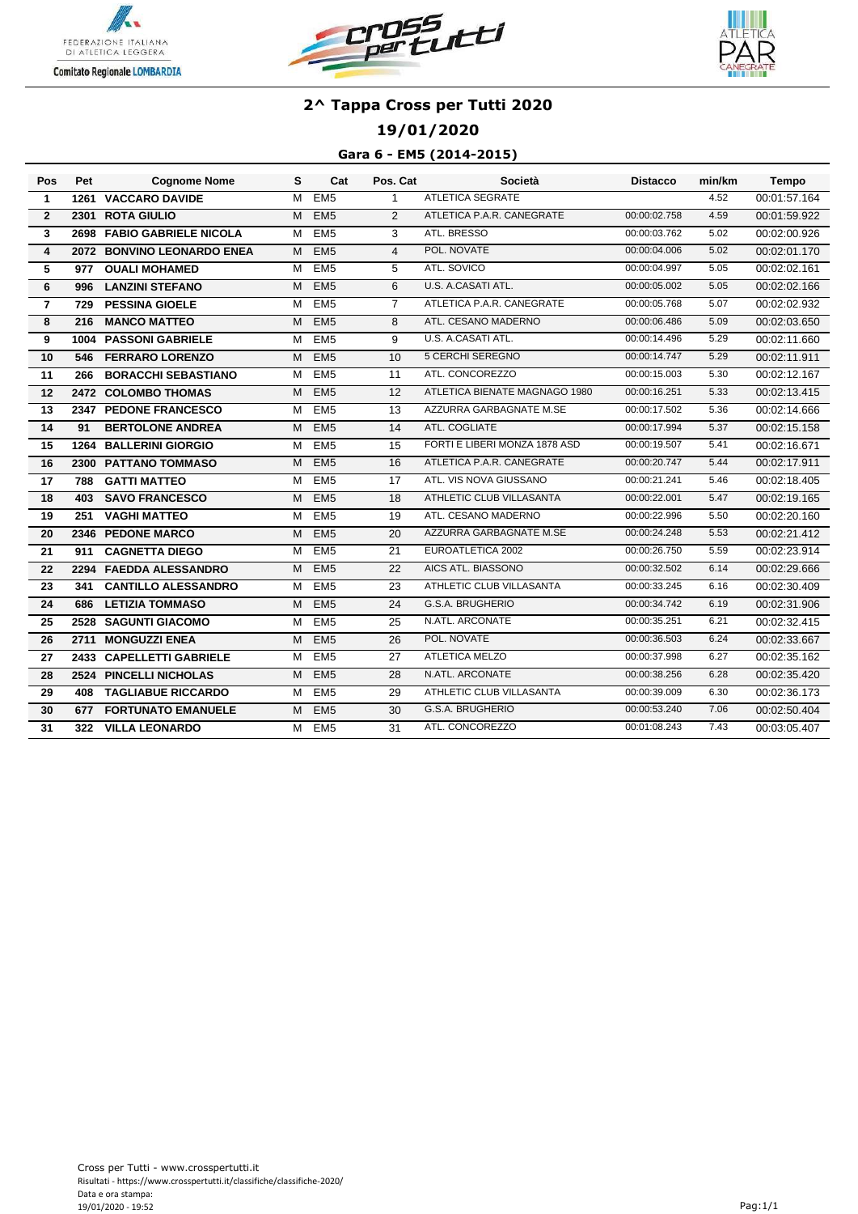





## **19/01/2020**

### **Gara 6 - EM5 (2014-2015)**

| Pos            | Pet | <b>Cognome Nome</b>        | s | Cat             | Pos. Cat        | Società                       | <b>Distacco</b> | min/km | <b>Tempo</b> |
|----------------|-----|----------------------------|---|-----------------|-----------------|-------------------------------|-----------------|--------|--------------|
| $\mathbf{1}$   |     | 1261 VACCARO DAVIDE        | M | EM5             | $\mathbf{1}$    | <b>ATLETICA SEGRATE</b>       |                 | 4.52   | 00:01:57.164 |
| $\mathbf{2}$   |     | 2301 ROTA GIULIO           | м | EM <sub>5</sub> | $\overline{2}$  | ATLETICA P.A.R. CANEGRATE     | 00:00:02.758    | 4.59   | 00:01:59.922 |
| 3              |     | 2698 FABIO GABRIELE NICOLA | м | EM5             | 3               | ATL. BRESSO                   | 00:00:03.762    | 5.02   | 00:02:00.926 |
| 4              |     | 2072 BONVINO LEONARDO ENEA | м | EM <sub>5</sub> | $\overline{4}$  | POL. NOVATE                   | 00:00:04.006    | 5.02   | 00:02:01.170 |
| 5              | 977 | <b>OUALI MOHAMED</b>       | м | EM <sub>5</sub> | 5               | ATL. SOVICO                   | 00:00:04.997    | 5.05   | 00:02:02.161 |
| 6              | 996 | <b>LANZINI STEFANO</b>     | м | EM <sub>5</sub> | 6               | U.S. A.CASATI ATL.            | 00:00:05.002    | 5.05   | 00:02:02.166 |
| $\overline{7}$ | 729 | <b>PESSINA GIOELE</b>      | м | EM <sub>5</sub> | $\overline{7}$  | ATLETICA P.A.R. CANEGRATE     | 00:00:05.768    | 5.07   | 00:02:02.932 |
| 8              | 216 | <b>MANCO MATTEO</b>        | м | EM <sub>5</sub> | 8               | ATL. CESANO MADERNO           | 00:00:06.486    | 5.09   | 00:02:03.650 |
| 9              |     | 1004 PASSONI GABRIELE      | М | EM <sub>5</sub> | 9               | U.S. A.CASATI ATL.            | 00:00:14.496    | 5.29   | 00:02:11.660 |
| 10             | 546 | <b>FERRARO LORENZO</b>     | м | EM <sub>5</sub> | 10              | <b>5 CERCHI SEREGNO</b>       | 00:00:14.747    | 5.29   | 00:02:11.911 |
| 11             | 266 | <b>BORACCHI SEBASTIANO</b> | м | EM <sub>5</sub> | 11              | ATL. CONCOREZZO               | 00:00:15.003    | 5.30   | 00:02:12.167 |
| 12             |     | 2472 COLOMBO THOMAS        | М | EM <sub>5</sub> | 12              | ATLETICA BIENATE MAGNAGO 1980 | 00:00:16.251    | 5.33   | 00:02:13.415 |
| 13             |     | 2347 PEDONE FRANCESCO      | м | EM <sub>5</sub> | 13              | AZZURRA GARBAGNATE M.SE       | 00:00:17.502    | 5.36   | 00:02:14.666 |
| 14             | 91  | <b>BERTOLONE ANDREA</b>    | M | EM <sub>5</sub> | 14              | ATL. COGLIATE                 | 00:00:17.994    | 5.37   | 00:02:15.158 |
| 15             |     | 1264 BALLERINI GIORGIO     | М | EM <sub>5</sub> | 15              | FORTI E LIBERI MONZA 1878 ASD | 00:00:19.507    | 5.41   | 00:02:16.671 |
| 16             |     | 2300 PATTANO TOMMASO       | м | EM <sub>5</sub> | 16              | ATLETICA P.A.R. CANEGRATE     | 00:00:20.747    | 5.44   | 00:02:17.911 |
| 17             | 788 | <b>GATTI MATTEO</b>        | м | EM <sub>5</sub> | 17              | ATL. VIS NOVA GIUSSANO        | 00:00:21.241    | 5.46   | 00:02:18.405 |
| 18             | 403 | <b>SAVO FRANCESCO</b>      | М | EM <sub>5</sub> | 18              | ATHLETIC CLUB VILLASANTA      | 00:00:22.001    | 5.47   | 00:02:19.165 |
| 19             | 251 | <b>VAGHI MATTEO</b>        | M | EM <sub>5</sub> | 19              | ATL. CESANO MADERNO           | 00:00:22.996    | 5.50   | 00:02:20.160 |
| 20             |     | 2346 PEDONE MARCO          | M | EM <sub>5</sub> | 20              | AZZURRA GARBAGNATE M.SE       | 00:00:24.248    | 5.53   | 00:02:21.412 |
| 21             | 911 | <b>CAGNETTA DIEGO</b>      | м | EM <sub>5</sub> | $\overline{21}$ | EUROATLETICA 2002             | 00:00:26.750    | 5.59   | 00:02:23.914 |
| 22             |     | 2294 FAEDDA ALESSANDRO     | м | EM <sub>5</sub> | 22              | AICS ATL. BIASSONO            | 00:00:32.502    | 6.14   | 00:02:29.666 |
| 23             | 341 | <b>CANTILLO ALESSANDRO</b> | м | EM <sub>5</sub> | 23              | ATHLETIC CLUB VILLASANTA      | 00:00:33.245    | 6.16   | 00:02:30.409 |
| 24             | 686 | <b>LETIZIA TOMMASO</b>     | м | EM <sub>5</sub> | 24              | G.S.A. BRUGHERIO              | 00:00:34.742    | 6.19   | 00:02:31.906 |
| 25             |     | 2528 SAGUNTI GIACOMO       | м | EM5             | 25              | N.ATL. ARCONATE               | 00:00:35.251    | 6.21   | 00:02:32.415 |
| 26             |     | 2711 MONGUZZI ENEA         | м | EM <sub>5</sub> | 26              | POL. NOVATE                   | 00:00:36.503    | 6.24   | 00:02:33.667 |
| 27             |     | 2433 CAPELLETTI GABRIELE   | м | EM <sub>5</sub> | 27              | <b>ATLETICA MELZO</b>         | 00:00:37.998    | 6.27   | 00:02:35.162 |
| 28             |     | 2524 PINCELLI NICHOLAS     | м | EM <sub>5</sub> | 28              | N.ATL. ARCONATE               | 00:00:38.256    | 6.28   | 00:02:35.420 |
| 29             | 408 | <b>TAGLIABUE RICCARDO</b>  | м | EM <sub>5</sub> | 29              | ATHLETIC CLUB VILLASANTA      | 00:00:39.009    | 6.30   | 00:02:36.173 |
| 30             | 677 | <b>FORTUNATO EMANUELE</b>  | м | EM <sub>5</sub> | 30              | G.S.A. BRUGHERIO              | 00:00:53.240    | 7.06   | 00:02:50.404 |
| 31             | 322 | <b>VILLA LEONARDO</b>      | м | EM <sub>5</sub> | 31              | ATL. CONCOREZZO               | 00:01:08.243    | 7.43   | 00:03:05.407 |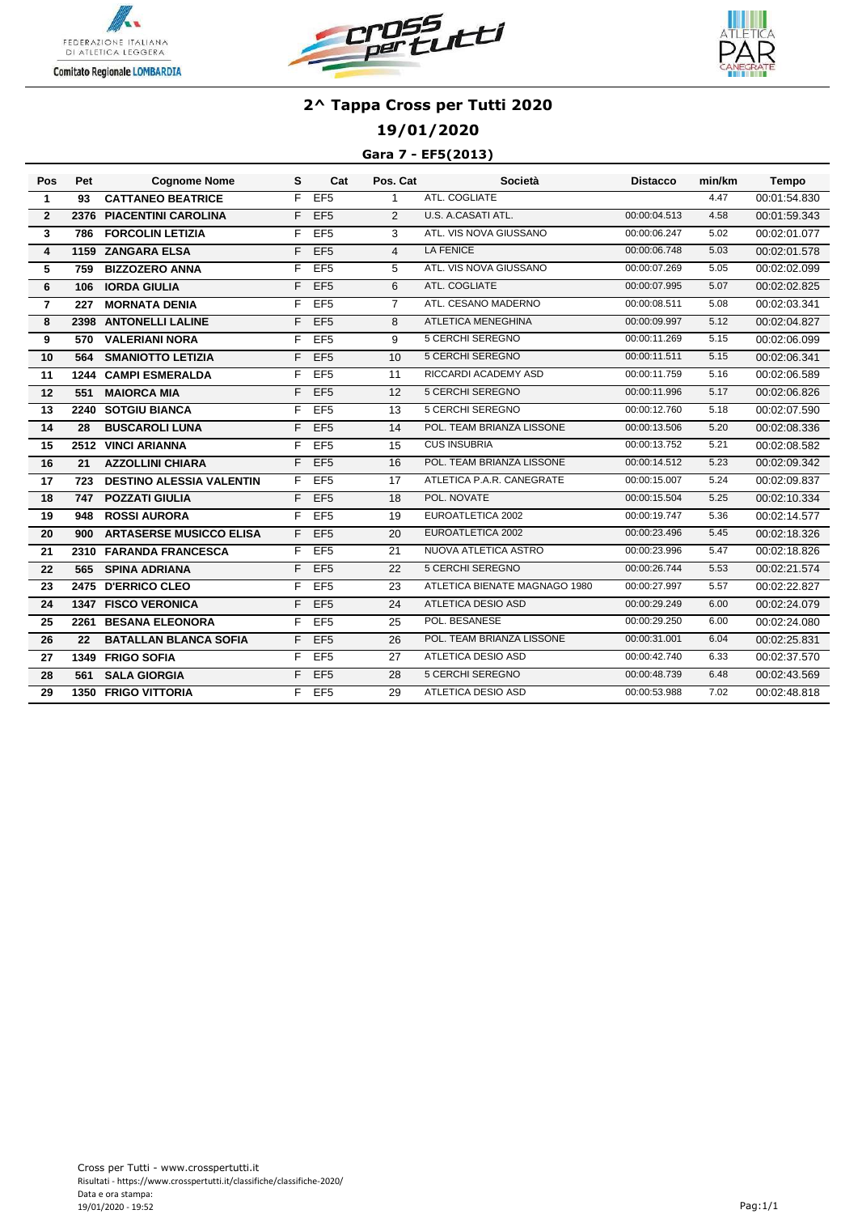





## **19/01/2020**

### **Gara 7 - EF5(2013)**

| Pos            | Pet  | <b>Cognome Nome</b>             | s  | Cat             | Pos. Cat       | Società                       | <b>Distacco</b> | min/km | <b>Tempo</b> |
|----------------|------|---------------------------------|----|-----------------|----------------|-------------------------------|-----------------|--------|--------------|
| $\mathbf{1}$   | 93   | <b>CATTANEO BEATRICE</b>        | F  | EF5             | $\mathbf{1}$   | ATL. COGLIATE                 |                 | 4.47   | 00:01:54.830 |
| $\overline{2}$ | 2376 | <b>PIACENTINI CAROLINA</b>      | F  | EF <sub>5</sub> | $\overline{2}$ | U.S. A.CASATI ATL.            | 00:00:04.513    | 4.58   | 00:01:59.343 |
| 3              | 786  | <b>FORCOLIN LETIZIA</b>         | F  | EF <sub>5</sub> | 3              | ATL. VIS NOVA GIUSSANO        | 00:00:06.247    | 5.02   | 00:02:01.077 |
| 4              | 1159 | <b>ZANGARA ELSA</b>             | F  | EF <sub>5</sub> | $\overline{4}$ | <b>LA FENICE</b>              | 00:00:06.748    | 5.03   | 00:02:01.578 |
| 5              | 759  | <b>BIZZOZERO ANNA</b>           | F  | EF <sub>5</sub> | 5              | ATL. VIS NOVA GIUSSANO        | 00:00:07.269    | 5.05   | 00:02:02.099 |
| 6              | 106  | <b>IORDA GIULIA</b>             | F  | EF <sub>5</sub> | 6              | ATL. COGLIATE                 | 00:00:07.995    | 5.07   | 00:02:02.825 |
| $\overline{7}$ | 227  | <b>MORNATA DENIA</b>            | F  | EF <sub>5</sub> | $\overline{7}$ | ATL. CESANO MADERNO           | 00:00:08.511    | 5.08   | 00:02:03.341 |
| 8              |      | 2398 ANTONELLI LALINE           | F  | EF <sub>5</sub> | 8              | ATLETICA MENEGHINA            | 00:00:09.997    | 5.12   | 00:02:04.827 |
| 9              | 570  | <b>VALERIANI NORA</b>           | F  | EF <sub>5</sub> | 9              | <b>5 CERCHI SEREGNO</b>       | 00:00:11.269    | 5.15   | 00:02:06.099 |
| 10             | 564  | <b>SMANIOTTO LETIZIA</b>        | F. | EF <sub>5</sub> | 10             | <b>5 CERCHI SEREGNO</b>       | 00:00:11.511    | 5.15   | 00:02:06.341 |
| 11             |      | 1244 CAMPI ESMERALDA            | F  | EF <sub>5</sub> | 11             | RICCARDI ACADEMY ASD          | 00:00:11.759    | 5.16   | 00:02:06.589 |
| 12             | 551  | <b>MAIORCA MIA</b>              | F. | EF <sub>5</sub> | 12             | <b>5 CERCHI SEREGNO</b>       | 00:00:11.996    | 5.17   | 00:02:06.826 |
| 13             |      | 2240 SOTGIU BIANCA              | F  | EF <sub>5</sub> | 13             | <b>5 CERCHI SEREGNO</b>       | 00:00:12.760    | 5.18   | 00:02:07.590 |
| 14             | 28   | <b>BUSCAROLI LUNA</b>           | F  | EF <sub>5</sub> | 14             | POL. TEAM BRIANZA LISSONE     | 00:00:13.506    | 5.20   | 00:02:08.336 |
| 15             |      | 2512 VINCI ARIANNA              | F  | EF <sub>5</sub> | 15             | <b>CUS INSUBRIA</b>           | 00:00:13.752    | 5.21   | 00:02:08.582 |
| 16             | 21   | <b>AZZOLLINI CHIARA</b>         | F  | EF <sub>5</sub> | 16             | POL. TEAM BRIANZA LISSONE     | 00:00:14.512    | 5.23   | 00:02:09.342 |
| 17             | 723  | <b>DESTINO ALESSIA VALENTIN</b> | F  | EF5             | 17             | ATLETICA P.A.R. CANEGRATE     | 00:00:15.007    | 5.24   | 00:02:09.837 |
| 18             | 747  | <b>POZZATI GIULIA</b>           | F  | EF <sub>5</sub> | 18             | POL. NOVATE                   | 00:00:15.504    | 5.25   | 00:02:10.334 |
| 19             | 948  | <b>ROSSI AURORA</b>             | F  | EF <sub>5</sub> | 19             | EUROATLETICA 2002             | 00:00:19.747    | 5.36   | 00:02:14.577 |
| 20             | 900  | <b>ARTASERSE MUSICCO ELISA</b>  | F  | EF <sub>5</sub> | 20             | EUROATLETICA 2002             | 00:00:23.496    | 5.45   | 00:02:18.326 |
| 21             |      | 2310 FARANDA FRANCESCA          | F. | EF <sub>5</sub> | 21             | NUOVA ATLETICA ASTRO          | 00:00:23.996    | 5.47   | 00:02:18.826 |
| 22             | 565  | <b>SPINA ADRIANA</b>            | F  | EF <sub>5</sub> | 22             | <b>5 CERCHI SEREGNO</b>       | 00:00:26.744    | 5.53   | 00:02:21.574 |
| 23             |      | 2475 D'ERRICO CLEO              | F  | EF <sub>5</sub> | 23             | ATLETICA BIENATE MAGNAGO 1980 | 00:00:27.997    | 5.57   | 00:02:22.827 |
| 24             |      | <b>1347 FISCO VERONICA</b>      | F  | EF <sub>5</sub> | 24             | <b>ATLETICA DESIO ASD</b>     | 00:00:29.249    | 6.00   | 00:02:24.079 |
| 25             |      | 2261 BESANA ELEONORA            | F. | EF <sub>5</sub> | 25             | POL. BESANESE                 | 00:00:29.250    | 6.00   | 00:02:24.080 |
| 26             | 22   | <b>BATALLAN BLANCA SOFIA</b>    | F  | EF <sub>5</sub> | 26             | POL. TEAM BRIANZA LISSONE     | 00:00:31.001    | 6.04   | 00:02:25.831 |
| 27             |      | 1349 FRIGO SOFIA                | F  | EF <sub>5</sub> | 27             | ATLETICA DESIO ASD            | 00:00:42.740    | 6.33   | 00:02:37.570 |
| 28             | 561  | <b>SALA GIORGIA</b>             | F  | EF <sub>5</sub> | 28             | <b>5 CERCHI SEREGNO</b>       | 00:00:48.739    | 6.48   | 00:02:43.569 |
| 29             |      | <b>1350 FRIGO VITTORIA</b>      | F. | EF5             | 29             | <b>ATLETICA DESIO ASD</b>     | 00:00:53.988    | 7.02   | 00:02:48.818 |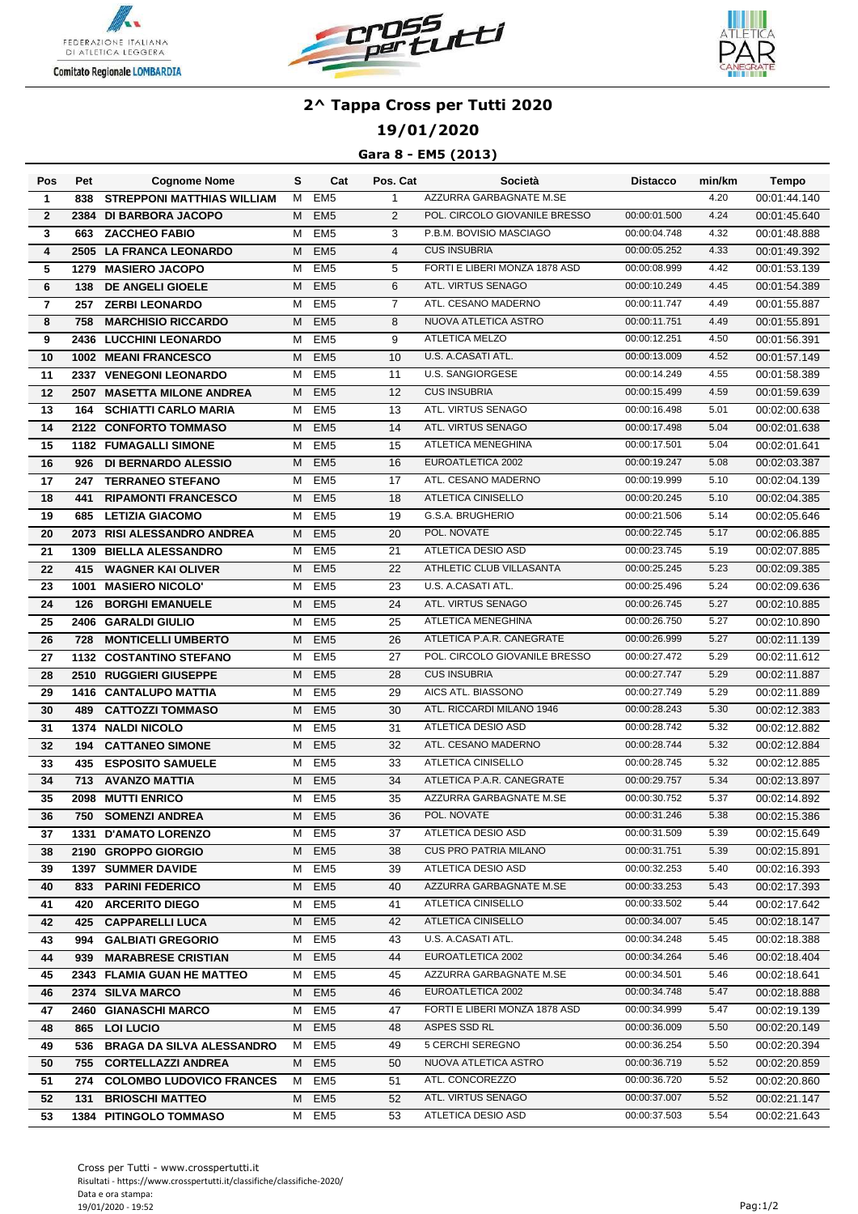





## **19/01/2020**

### **Gara 8 - EM5 (2013)**

| Pos            | Pet  | <b>Cognome Nome</b>               | s | Cat             | Pos. Cat        | Società                       | <b>Distacco</b> | min/km | Tempo        |
|----------------|------|-----------------------------------|---|-----------------|-----------------|-------------------------------|-----------------|--------|--------------|
| $\mathbf{1}$   | 838  | <b>STREPPONI MATTHIAS WILLIAM</b> | м | EM <sub>5</sub> | $\mathbf{1}$    | AZZURRA GARBAGNATE M.SE       |                 | 4.20   | 00:01:44.140 |
| $\mathbf{2}$   |      | 2384 DI BARBORA JACOPO            | M | EM <sub>5</sub> | $\overline{2}$  | POL. CIRCOLO GIOVANILE BRESSO | 00:00:01.500    | 4.24   | 00:01:45.640 |
| 3              | 663  | <b>ZACCHEO FABIO</b>              | м | EM <sub>5</sub> | 3               | P.B.M. BOVISIO MASCIAGO       | 00:00:04.748    | 4.32   | 00:01:48.888 |
| 4              |      | 2505 LA FRANCA LEONARDO           | м | EM <sub>5</sub> | $\overline{4}$  | <b>CUS INSUBRIA</b>           | 00:00:05.252    | 4.33   | 00:01:49.392 |
| 5              |      | 1279 MASIERO JACOPO               | м | EM <sub>5</sub> | 5               | FORTI E LIBERI MONZA 1878 ASD | 00:00:08.999    | 4.42   | 00:01:53.139 |
| 6              | 138  | <b>DE ANGELI GIOELE</b>           | M | EM <sub>5</sub> | 6               | ATL. VIRTUS SENAGO            | 00:00:10.249    | 4.45   | 00:01:54.389 |
| $\overline{7}$ | 257  | <b>ZERBI LEONARDO</b>             | м | EM <sub>5</sub> | $\overline{7}$  | ATL. CESANO MADERNO           | 00:00:11.747    | 4.49   | 00:01:55.887 |
| 8              | 758  | <b>MARCHISIO RICCARDO</b>         | м | EM <sub>5</sub> | 8               | NUOVA ATLETICA ASTRO          | 00:00:11.751    | 4.49   | 00:01:55.891 |
| 9              |      | 2436 LUCCHINI LEONARDO            | м | EM <sub>5</sub> | 9               | <b>ATLETICA MELZO</b>         | 00:00:12.251    | 4.50   | 00:01:56.391 |
| 10             |      | <b>1002 MEANI FRANCESCO</b>       | M | EM <sub>5</sub> | 10              | U.S. A.CASATI ATL.            | 00:00:13.009    | 4.52   | 00:01:57.149 |
| 11             |      | 2337 VENEGONI LEONARDO            | м | EM <sub>5</sub> | 11              | <b>U.S. SANGIORGESE</b>       | 00:00:14.249    | 4.55   | 00:01:58.389 |
| 12             |      | 2507 MASETTA MILONE ANDREA        | м | EM <sub>5</sub> | 12              | <b>CUS INSUBRIA</b>           | 00:00:15.499    | 4.59   | 00:01:59.639 |
| 13             |      | <b>164 SCHIATTI CARLO MARIA</b>   | м | EM <sub>5</sub> | 13              | ATL. VIRTUS SENAGO            | 00:00:16.498    | 5.01   | 00:02:00.638 |
| 14             |      | 2122 CONFORTO TOMMASO             | M | EM <sub>5</sub> | 14              | ATL. VIRTUS SENAGO            | 00:00:17.498    | 5.04   | 00:02:01.638 |
| 15             |      | <b>1182 FUMAGALLI SIMONE</b>      | м | EM <sub>5</sub> | 15              | ATLETICA MENEGHINA            | 00:00:17.501    | 5.04   | 00:02:01.641 |
| 16             | 926  | <b>DI BERNARDO ALESSIO</b>        | м | EM <sub>5</sub> | 16              | EUROATLETICA 2002             | 00:00:19.247    | 5.08   | 00:02:03.387 |
| 17             |      | 247 TERRANEO STEFANO              | м | EM <sub>5</sub> | 17              | ATL. CESANO MADERNO           | 00:00:19.999    | 5.10   | 00:02:04.139 |
| 18             | 441  | <b>RIPAMONTI FRANCESCO</b>        | м | EM <sub>5</sub> | 18              | ATLETICA CINISELLO            | 00:00:20.245    | 5.10   | 00:02:04.385 |
| 19             | 685  | <b>LETIZIA GIACOMO</b>            | м | EM <sub>5</sub> | 19              | G.S.A. BRUGHERIO              | 00:00:21.506    | 5.14   | 00:02:05.646 |
| 20             |      | 2073 RISI ALESSANDRO ANDREA       | M | EM5             | 20              | POL. NOVATE                   | 00:00:22.745    | 5.17   | 00:02:06.885 |
| 21             | 1309 | <b>BIELLA ALESSANDRO</b>          | м | EM <sub>5</sub> | 21              | ATLETICA DESIO ASD            | 00:00:23.745    | 5.19   | 00:02:07.885 |
| 22             | 415  | <b>WAGNER KAI OLIVER</b>          | м | EM <sub>5</sub> | 22              | ATHLETIC CLUB VILLASANTA      | 00:00:25.245    | 5.23   | 00:02:09.385 |
| 23             | 1001 | <b>MASIERO NICOLO'</b>            | м | EM <sub>5</sub> | 23              | U.S. A.CASATI ATL.            | 00:00:25.496    | 5.24   | 00:02:09.636 |
| 24             | 126  | <b>BORGHI EMANUELE</b>            | M | EM5             | 24              | ATL. VIRTUS SENAGO            | 00:00:26.745    | 5.27   | 00:02:10.885 |
| 25             |      | 2406 GARALDI GIULIO               | м | EM <sub>5</sub> | 25              | ATLETICA MENEGHINA            | 00:00:26.750    | 5.27   | 00:02:10.890 |
| 26             | 728  | <b>MONTICELLI UMBERTO</b>         | м | EM <sub>5</sub> | 26              | ATLETICA P.A.R. CANEGRATE     | 00:00:26.999    | 5.27   | 00:02:11.139 |
| 27             |      | 1132 COSTANTINO STEFANO           | м | EM <sub>5</sub> | $\overline{27}$ | POL. CIRCOLO GIOVANILE BRESSO | 00:00:27.472    | 5.29   | 00:02:11.612 |
| 28             |      | 2510 RUGGIERI GIUSEPPE            | м | EM <sub>5</sub> | 28              | <b>CUS INSUBRIA</b>           | 00:00:27.747    | 5.29   | 00:02:11.887 |
| 29             |      | <b>1416 CANTALUPO MATTIA</b>      | м | EM <sub>5</sub> | 29              | AICS ATL. BIASSONO            | 00:00:27.749    | 5.29   | 00:02:11.889 |
| 30             | 489  | <b>CATTOZZI TOMMASO</b>           | M | EM5             | 30              | ATL. RICCARDI MILANO 1946     | 00:00:28.243    | 5.30   | 00:02:12.383 |
| 31             |      | 1374 NALDI NICOLO                 | м | EM <sub>5</sub> | 31              | ATLETICA DESIO ASD            | 00:00:28.742    | 5.32   | 00:02:12.882 |
| 32             | 194  | <b>CATTANEO SIMONE</b>            | м | EM <sub>5</sub> | 32              | ATL. CESANO MADERNO           | 00:00:28.744    | 5.32   | 00:02:12.884 |
| 33             | 435  | <b>ESPOSITO SAMUELE</b>           | м | EM <sub>5</sub> | 33              | ATLETICA CINISELLO            | 00:00:28.745    | 5.32   | 00:02:12.885 |
| 34             | 713  | <b>AVANZO MATTIA</b>              | M | EM <sub>5</sub> | 34              | ATLETICA P.A.R. CANEGRATE     | 00:00:29.757    | 5.34   | 00:02:13.897 |
| 35             |      | 2098 MUTTI ENRICO                 | м | EM <sub>5</sub> | 35              | AZZURRA GARBAGNATE M.SE       | 00:00:30.752    | 5.37   | 00:02:14.892 |
| 36             |      | 750 SOMENZI ANDREA                |   | M EM5           | 36              | POL. NOVATE                   | 00:00:31.246    | 5.38   | 00:02:15.386 |
| 37             |      | 1331 D'AMATO LORENZO              |   | M EM5           | 37              | ATLETICA DESIO ASD            | 00:00:31.509    | 5.39   | 00:02:15.649 |
| 38             |      | 2190 GROPPO GIORGIO               |   | M EM5           | 38              | <b>CUS PRO PATRIA MILANO</b>  | 00:00:31.751    | 5.39   | 00:02:15.891 |
| 39             |      | 1397 SUMMER DAVIDE                |   | M EM5           | 39              | ATLETICA DESIO ASD            | 00:00:32.253    | 5.40   | 00:02:16.393 |
| 40             |      | 833 PARINI FEDERICO               |   | M EM5           | 40              | AZZURRA GARBAGNATE M.SE       | 00:00:33.253    | 5.43   | 00:02:17.393 |
| 41             |      | 420 ARCERITO DIEGO                |   | M EM5           | 41              | ATLETICA CINISELLO            | 00:00:33.502    | 5.44   | 00:02:17.642 |
| 42             | 425  | <b>CAPPARELLI LUCA</b>            |   | M EM5           | 42              | ATLETICA CINISELLO            | 00:00:34.007    | 5.45   | 00:02:18.147 |
| 43             | 994  | <b>GALBIATI GREGORIO</b>          | M | EM5             | 43              | U.S. A.CASATI ATL.            | 00:00:34.248    | 5.45   | 00:02:18.388 |
| 44             | 939  | <b>MARABRESE CRISTIAN</b>         | M | EM <sub>5</sub> | 44              | EUROATLETICA 2002             | 00:00:34.264    | 5.46   | 00:02:18.404 |
| 45             |      | 2343 FLAMIA GUAN HE MATTEO        | м | EM <sub>5</sub> | 45              | AZZURRA GARBAGNATE M.SE       | 00:00:34.501    | 5.46   | 00:02:18.641 |
| 46             |      | 2374 SILVA MARCO                  | M | EM <sub>5</sub> | 46              | EUROATLETICA 2002             | 00:00:34.748    | 5.47   | 00:02:18.888 |
| 47             |      | 2460 GIANASCHI MARCO              | M | EM <sub>5</sub> | 47              | FORTI E LIBERI MONZA 1878 ASD | 00:00:34.999    | 5.47   | 00:02:19.139 |
| 48             |      | 865 LOI LUCIO                     | M | EM <sub>5</sub> | 48              | ASPES SSD RL                  | 00:00:36.009    | 5.50   | 00:02:20.149 |
| 49             | 536  | BRAGA DA SILVA ALESSANDRO         | M | EM <sub>5</sub> | 49              | 5 CERCHI SEREGNO              | 00:00:36.254    | 5.50   | 00:02:20.394 |
| 50             |      | 755 CORTELLAZZI ANDREA            |   | M EM5           | 50              | NUOVA ATLETICA ASTRO          | 00:00:36.719    | 5.52   | 00:02:20.859 |
| 51             |      | 274 COLOMBO LUDOVICO FRANCES      | M | EM <sub>5</sub> | 51              | ATL. CONCOREZZO               | 00:00:36.720    | 5.52   | 00:02:20.860 |
| 52             | 131  | <b>BRIOSCHI MATTEO</b>            | M | EM <sub>5</sub> | 52              | ATL. VIRTUS SENAGO            | 00:00:37.007    | 5.52   | 00:02:21.147 |
| 53             |      | <b>1384 PITINGOLO TOMMASO</b>     | м | EM <sub>5</sub> | 53              | ATLETICA DESIO ASD            | 00:00:37.503    | 5.54   | 00:02:21.643 |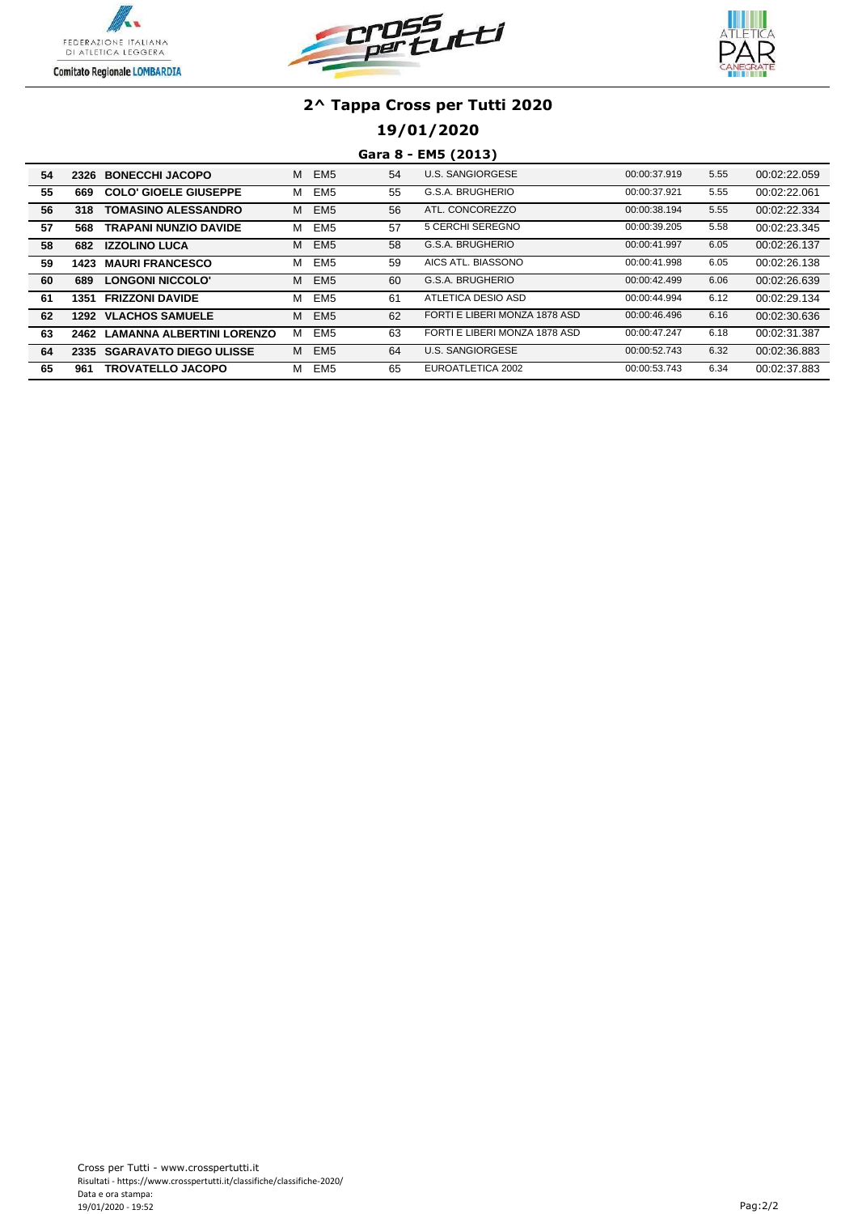





### **19/01/2020**

#### **Gara 8 - EM5 (2013)**

| 54 | 2326 | <b>BONECCHI JACOPO</b>       | м | EM <sub>5</sub> | 54 | U.S. SANGIORGESE              | 00:00:37.919 | 5.55 | 00:02:22.059 |
|----|------|------------------------------|---|-----------------|----|-------------------------------|--------------|------|--------------|
| 55 | 669  | <b>COLO' GIOELE GIUSEPPE</b> | м | EM <sub>5</sub> | 55 | G.S.A. BRUGHERIO              | 00:00:37.921 | 5.55 | 00:02:22.061 |
| 56 | 318  | <b>TOMASINO ALESSANDRO</b>   | м | EM <sub>5</sub> | 56 | ATL. CONCOREZZO               | 00:00:38.194 | 5.55 | 00:02:22.334 |
| 57 | 568  | <b>TRAPANI NUNZIO DAVIDE</b> | м | EM <sub>5</sub> | 57 | 5 CERCHI SEREGNO              | 00:00:39.205 | 5.58 | 00:02:23.345 |
| 58 | 682  | <b>IZZOLINO LUCA</b>         | M | EM <sub>5</sub> | 58 | G.S.A. BRUGHERIO              | 00:00:41.997 | 6.05 | 00:02:26.137 |
| 59 | 1423 | <b>MAURI FRANCESCO</b>       | м | EM <sub>5</sub> | 59 | AICS ATL. BIASSONO            | 00:00:41.998 | 6.05 | 00:02:26.138 |
| 60 | 689  | LONGONI NICCOLO'             | M | EM <sub>5</sub> | 60 | G.S.A. BRUGHERIO              | 00:00:42.499 | 6.06 | 00:02:26.639 |
| 61 | 1351 | <b>FRIZZONI DAVIDE</b>       | м | EM <sub>5</sub> | 61 | ATLETICA DESIO ASD            | 00:00:44.994 | 6.12 | 00:02:29.134 |
| 62 |      | <b>1292 VLACHOS SAMUELE</b>  | м | EM <sub>5</sub> | 62 | FORTI E LIBERI MONZA 1878 ASD | 00:00:46.496 | 6.16 | 00:02:30.636 |
| 63 | 2462 | LAMANNA ALBERTINI LORENZO    | м | EM <sub>5</sub> | 63 | FORTI E LIBERI MONZA 1878 ASD | 00:00:47.247 | 6.18 | 00:02:31.387 |
| 64 |      | 2335 SGARAVATO DIEGO ULISSE  | м | EM <sub>5</sub> | 64 | U.S. SANGIORGESE              | 00:00:52.743 | 6.32 | 00:02:36.883 |
| 65 | 961  | <b>TROVATELLO JACOPO</b>     | м | EM <sub>5</sub> | 65 | EUROATLETICA 2002             | 00:00:53.743 | 6.34 | 00:02:37.883 |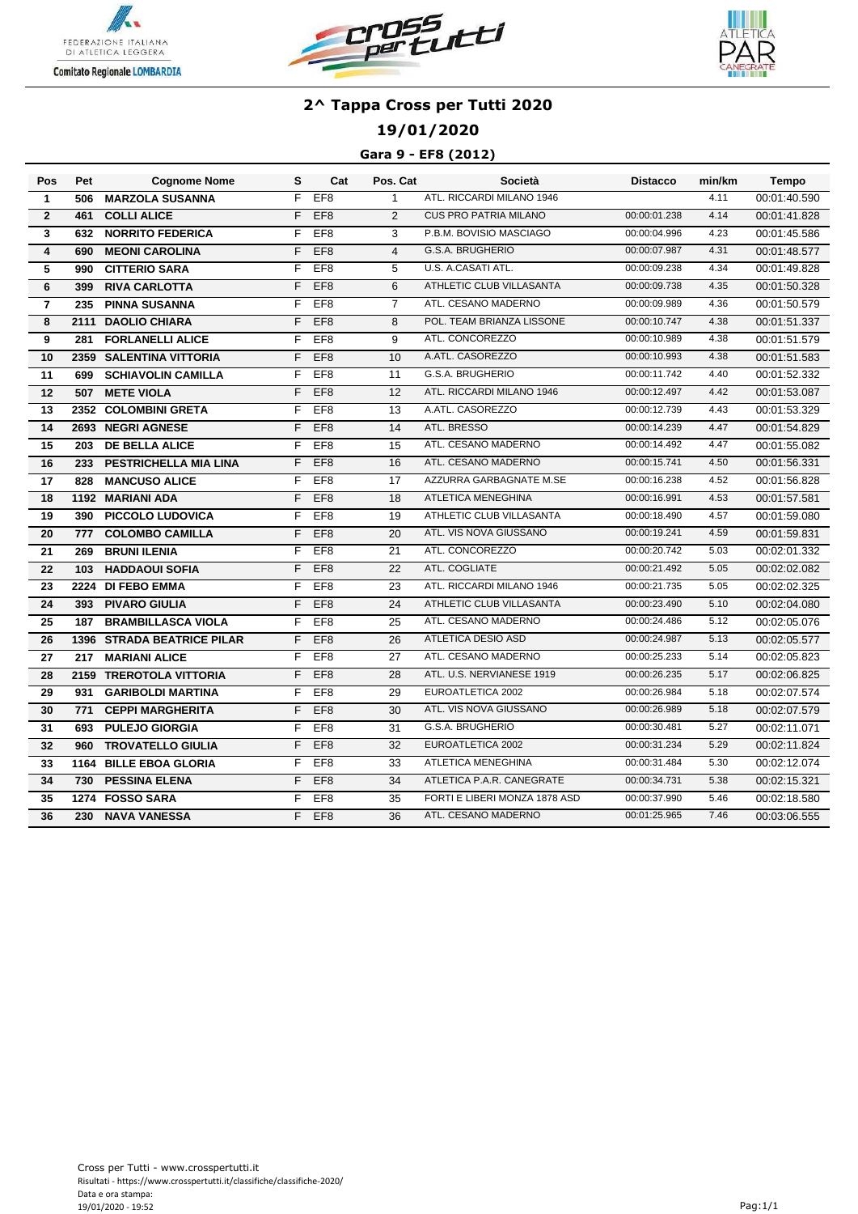





## **19/01/2020**

### **Gara 9 - EF8 (2012)**

| Pos                     | Pet  | <b>Cognome Nome</b>          | s  | Cat             | Pos. Cat       | Società                       | Distacco     | min/km | Tempo        |
|-------------------------|------|------------------------------|----|-----------------|----------------|-------------------------------|--------------|--------|--------------|
| $\mathbf{1}$            | 506  | <b>MARZOLA SUSANNA</b>       | F  | EF <sub>8</sub> | $\mathbf{1}$   | ATL. RICCARDI MILANO 1946     |              | 4.11   | 00:01:40.590 |
| $\mathbf{2}$            | 461  | <b>COLLI ALICE</b>           | F  | EF <sub>8</sub> | $\overline{2}$ | <b>CUS PRO PATRIA MILANO</b>  | 00:00:01.238 | 4.14   | 00:01:41.828 |
| 3                       | 632  | <b>NORRITO FEDERICA</b>      | F  | EF <sub>8</sub> | 3              | P.B.M. BOVISIO MASCIAGO       | 00:00:04.996 | 4.23   | 00:01:45.586 |
| $\overline{\mathbf{4}}$ | 690  | <b>MEONI CAROLINA</b>        | F  | EF <sub>8</sub> | $\overline{4}$ | G.S.A. BRUGHERIO              | 00:00:07.987 | 4.31   | 00:01:48.577 |
| 5                       | 990  | <b>CITTERIO SARA</b>         | F  | EF <sub>8</sub> | 5              | U.S. A.CASATI ATL.            | 00:00:09.238 | 4.34   | 00:01:49.828 |
| 6                       | 399  | <b>RIVA CARLOTTA</b>         | F  | EF <sub>8</sub> | 6              | ATHLETIC CLUB VILLASANTA      | 00:00:09.738 | 4.35   | 00:01:50.328 |
| $\overline{7}$          | 235  | <b>PINNA SUSANNA</b>         | F  | EF <sub>8</sub> | $\overline{7}$ | ATL. CESANO MADERNO           | 00:00:09.989 | 4.36   | 00:01:50.579 |
| 8                       |      | 2111 DAOLIO CHIARA           | F  | EF <sub>8</sub> | 8              | POL. TEAM BRIANZA LISSONE     | 00:00:10.747 | 4.38   | 00:01:51.337 |
| 9                       | 281  | <b>FORLANELLI ALICE</b>      | F  | EF <sub>8</sub> | 9              | ATL. CONCOREZZO               | 00:00:10.989 | 4.38   | 00:01:51.579 |
| 10                      |      | 2359 SALENTINA VITTORIA      | F  | EF <sub>8</sub> | 10             | A.ATL. CASOREZZO              | 00:00:10.993 | 4.38   | 00:01:51.583 |
| 11                      | 699  | <b>SCHIAVOLIN CAMILLA</b>    | F  | EF <sub>8</sub> | 11             | G.S.A. BRUGHERIO              | 00:00:11.742 | 4.40   | 00:01:52.332 |
| 12                      | 507  | <b>METE VIOLA</b>            | F  | EF <sub>8</sub> | 12             | ATL. RICCARDI MILANO 1946     | 00:00:12.497 | 4.42   | 00:01:53.087 |
| 13                      |      | 2352 COLOMBINI GRETA         | F  | EF <sub>8</sub> | 13             | A.ATL. CASOREZZO              | 00:00:12.739 | 4.43   | 00:01:53.329 |
| 14                      |      | 2693 NEGRI AGNESE            | F  | EF <sub>8</sub> | 14             | ATL. BRESSO                   | 00:00:14.239 | 4.47   | 00:01:54.829 |
| 15                      | 203  | <b>DE BELLA ALICE</b>        | F  | EF <sub>8</sub> | 15             | ATL. CESANO MADERNO           | 00:00:14.492 | 4.47   | 00:01:55.082 |
| 16                      | 233  | PESTRICHELLA MIA LINA        | F. | EF <sub>8</sub> | 16             | ATL. CESANO MADERNO           | 00:00:15.741 | 4.50   | 00:01:56.331 |
| 17                      | 828  | <b>MANCUSO ALICE</b>         | F  | EF <sub>8</sub> | 17             | AZZURRA GARBAGNATE M.SE       | 00:00:16.238 | 4.52   | 00:01:56.828 |
| 18                      |      | 1192 MARIANI ADA             | F  | EF <sub>8</sub> | 18             | <b>ATLETICA MENEGHINA</b>     | 00:00:16.991 | 4.53   | 00:01:57.581 |
| 19                      | 390  | <b>PICCOLO LUDOVICA</b>      | F  | EF <sub>8</sub> | 19             | ATHLETIC CLUB VILLASANTA      | 00:00:18.490 | 4.57   | 00:01:59.080 |
| 20                      | 777  | <b>COLOMBO CAMILLA</b>       | F  | EF <sub>8</sub> | 20             | ATL. VIS NOVA GIUSSANO        | 00:00:19.241 | 4.59   | 00:01:59.831 |
| 21                      | 269  | <b>BRUNI ILENIA</b>          | F  | EF <sub>8</sub> | 21             | ATL. CONCOREZZO               | 00:00:20.742 | 5.03   | 00:02:01.332 |
| 22                      | 103  | <b>HADDAOUI SOFIA</b>        | F  | EF <sub>8</sub> | 22             | ATL. COGLIATE                 | 00:00:21.492 | 5.05   | 00:02:02.082 |
| 23                      |      | 2224 DI FEBO EMMA            | F  | EF <sub>8</sub> | 23             | ATL. RICCARDI MILANO 1946     | 00:00:21.735 | 5.05   | 00:02:02.325 |
| 24                      | 393  | <b>PIVARO GIULIA</b>         | F  | EF <sub>8</sub> | 24             | ATHLETIC CLUB VILLASANTA      | 00:00:23.490 | 5.10   | 00:02:04.080 |
| 25                      | 187  | <b>BRAMBILLASCA VIOLA</b>    | F  | EF <sub>8</sub> | 25             | ATL. CESANO MADERNO           | 00:00:24.486 | 5.12   | 00:02:05.076 |
| 26                      | 1396 | <b>STRADA BEATRICE PILAR</b> | F  | EF <sub>8</sub> | 26             | <b>ATLETICA DESIO ASD</b>     | 00:00:24.987 | 5.13   | 00:02:05.577 |
| 27                      | 217  | <b>MARIANI ALICE</b>         | F  | EF <sub>8</sub> | 27             | ATL. CESANO MADERNO           | 00:00:25.233 | 5.14   | 00:02:05.823 |
| 28                      | 2159 | <b>TREROTOLA VITTORIA</b>    | F  | EF <sub>8</sub> | 28             | ATL. U.S. NERVIANESE 1919     | 00:00:26.235 | 5.17   | 00:02:06.825 |
| 29                      | 931  | <b>GARIBOLDI MARTINA</b>     | F  | EF8             | 29             | EUROATLETICA 2002             | 00:00:26.984 | 5.18   | 00:02:07.574 |
| 30                      | 771  | <b>CEPPI MARGHERITA</b>      | F  | EF <sub>8</sub> | 30             | ATL. VIS NOVA GIUSSANO        | 00:00:26.989 | 5.18   | 00:02:07.579 |
| 31                      | 693  | <b>PULEJO GIORGIA</b>        | F  | EF <sub>8</sub> | 31             | G.S.A. BRUGHERIO              | 00:00:30.481 | 5.27   | 00:02:11.071 |
| 32                      | 960  | <b>TROVATELLO GIULIA</b>     | F  | EF <sub>8</sub> | 32             | EUROATLETICA 2002             | 00:00:31.234 | 5.29   | 00:02:11.824 |
| 33                      |      | 1164 BILLE EBOA GLORIA       | F  | EF <sub>8</sub> | 33             | <b>ATLETICA MENEGHINA</b>     | 00:00:31.484 | 5.30   | 00:02:12.074 |
| 34                      | 730  | <b>PESSINA ELENA</b>         | F  | EF <sub>8</sub> | 34             | ATLETICA P.A.R. CANEGRATE     | 00:00:34.731 | 5.38   | 00:02:15.321 |
| 35                      |      | 1274 FOSSO SARA              | F  | EF <sub>8</sub> | 35             | FORTI E LIBERI MONZA 1878 ASD | 00:00:37.990 | 5.46   | 00:02:18.580 |
| 36                      | 230  | <b>NAVA VANESSA</b>          | F  | EF <sub>8</sub> | 36             | ATL. CESANO MADERNO           | 00:01:25.965 | 7.46   | 00:03:06.555 |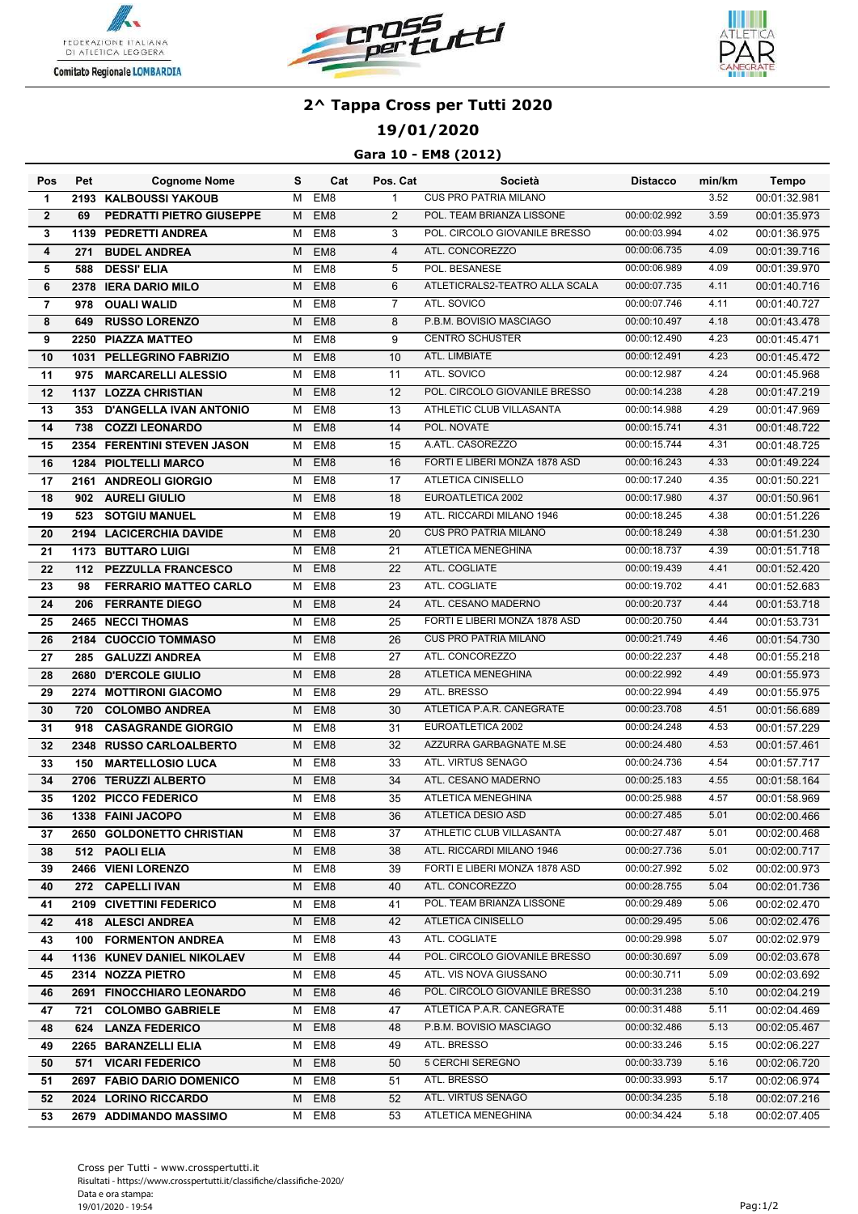





## **19/01/2020**

### **Gara 10 - EM8 (2012)**

| EM <sub>8</sub><br><b>CUS PRO PATRIA MILANO</b><br>3.52<br>00:01:32.981<br>2193 KALBOUSSI YAKOUB<br>м<br>$\mathbf{1}$<br>$\mathbf 1$<br>$\overline{2}$<br>$\overline{2}$<br>POL. TEAM BRIANZA LISSONE<br>00:00:02.992<br>3.59<br><b>PEDRATTI PIETRO GIUSEPPE</b><br>EM8<br>00:01:35.973<br>69<br>М<br>POL. CIRCOLO GIOVANILE BRESSO<br>3<br>EM <sub>8</sub><br>3<br>00:00:03.994<br>4.02<br>00:01:36.975<br><b>1139 PEDRETTI ANDREA</b><br>M<br>ATL. CONCOREZZO<br>00:00:06.735<br>4.09<br>00:01:39.716<br>4<br>EM <sub>8</sub><br>$\overline{4}$<br><b>BUDEL ANDREA</b><br>271<br>м<br>POL. BESANESE<br>5<br>EM <sub>8</sub><br>5<br>00:00:06.989<br>4.09<br>00:01:39.970<br><b>DESSI' ELIA</b><br>588<br>M<br>ATLETICRALS2-TEATRO ALLA SCALA<br>EM <sub>8</sub><br>6<br>00:00:07.735<br>4.11<br>00:01:40.716<br>6<br>2378<br><b>IERA DARIO MILO</b><br>M<br>ATL. SOVICO<br>EM <sub>8</sub><br>$\overline{7}$<br>00:00:07.746<br>4.11<br>$\overline{7}$<br>00:01:40.727<br><b>OUALI WALID</b><br>M<br>978<br>EM <sub>8</sub><br>P.B.M. BOVISIO MASCIAGO<br>8<br><b>RUSSO LORENZO</b><br>8<br>00:00:10.497<br>4.18<br>00:01:43.478<br>649<br>м<br>EM <sub>8</sub><br>9<br><b>CENTRO SCHUSTER</b><br>4.23<br>9<br>2250 PIAZZA MATTEO<br>M<br>00:00:12.490<br>00:01:45.471<br>EM <sub>8</sub><br>10<br>ATL. LIMBIATE<br>4.23<br>10<br>1031 PELLEGRINO FABRIZIO<br>00:00:12.491<br>00:01:45.472<br>M<br>EM <sub>8</sub><br>11<br><b>MARCARELLI ALESSIO</b><br>11<br>ATL. SOVICO<br>4.24<br>00:01:45.968<br>975<br>M<br>00:00:12.987<br>EM <sub>8</sub><br>12<br>POL. CIRCOLO GIOVANILE BRESSO<br>4.28<br>12<br>00:00:14.238<br>00:01:47.219<br>1137 LOZZA CHRISTIAN<br>м<br>ATHLETIC CLUB VILLASANTA<br>4.29<br>EM8<br>13<br>00:00:14.988<br>13<br>353 D'ANGELLA IVAN ANTONIO<br>00:01:47.969<br>м<br>14<br>738 COZZI LEONARDO<br>EM8<br>14<br>POL. NOVATE<br>00:00:15.741<br>4.31<br>00:01:48.722<br>M<br>A.ATL. CASOREZZO<br>4.31<br>15<br>2354 FERENTINI STEVEN JASON<br>EM8<br>15<br>00:00:15.744<br>00:01:48.725<br>м<br>16<br><b>1284 PIOLTELLI MARCO</b><br>EM8<br>16<br>FORTI E LIBERI MONZA 1878 ASD<br>4.33<br>00:00:16.243<br>00:01:49.224<br>м<br>EM <sub>8</sub><br>17<br>17<br><b>ATLETICA CINISELLO</b><br>00:00:17.240<br>4.35<br>00:01:50.221<br>2161 ANDREOLI GIORGIO<br>M<br>EM <sub>8</sub><br>18<br>EUROATLETICA 2002<br>00:00:17.980<br>4.37<br>18<br>902 AURELI GIULIO<br>00:01:50.961<br>м<br>19<br>EM <sub>8</sub><br>ATL. RICCARDI MILANO 1946<br>4.38<br><b>SOTGIU MANUEL</b><br>19<br>00:00:18.245<br>00:01:51.226<br>523<br>M<br>EM <sub>8</sub><br>2194 LACICERCHIA DAVIDE<br>20<br><b>CUS PRO PATRIA MILANO</b><br>00:01:51.230<br>20<br>M<br>00:00:18.249<br>4.38<br>EM <sub>8</sub><br>ATLETICA MENEGHINA<br>21<br>4.39<br>21<br><b>1173 BUTTARO LUIGI</b><br>м<br>00:00:18.737<br>00:01:51.718<br>22<br><b>PEZZULLA FRANCESCO</b><br>EM <sub>8</sub><br>22<br>ATL. COGLIATE<br>4.41<br>00:01:52.420<br>112<br>M<br>00:00:19.439<br>23<br>EM <sub>8</sub><br>23<br>ATL. COGLIATE<br>4.41<br><b>FERRARIO MATTEO CARLO</b><br>M<br>00:00:19.702<br>00:01:52.683<br>98<br>ATL. CESANO MADERNO<br>24<br>EM <sub>8</sub><br>24<br>00:00:20.737<br>4.44<br>00:01:53.718<br><b>FERRANTE DIEGO</b><br>M<br>206<br>$\overline{25}$<br>FORTI E LIBERI MONZA 1878 ASD<br><b>2465 NECCI THOMAS</b><br>EM <sub>8</sub><br>25<br>00:00:20.750<br>00:01:53.731<br>4.44<br>м<br><b>CUS PRO PATRIA MILANO</b><br>EM <sub>8</sub><br>26<br>00:01:54.730<br>26<br>2184 CUOCCIO TOMMASO<br>00:00:21.749<br>4.46<br>м<br>ATL. CONCOREZZO<br>EM <sub>8</sub><br>27<br>00:00:22.237<br>00:01:55.218<br>27<br><b>GALUZZI ANDREA</b><br>4.48<br>285<br>M<br>ATLETICA MENEGHINA<br>28<br>2680 D'ERCOLE GIULIO<br>EM <sub>8</sub><br>28<br>00:00:22.992<br>4.49<br>00:01:55.973<br>M<br>EM <sub>8</sub><br>29<br>ATL. BRESSO<br>00:00:22.994<br>4.49<br>00:01:55.975<br>29<br>2274 MOTTIRONI GIACOMO<br>M<br>ATLETICA P.A.R. CANEGRATE<br>EM <sub>8</sub><br>30<br>00:00:23.708<br>4.51<br>00:01:56.689<br><b>COLOMBO ANDREA</b><br>30<br>720<br>M<br>EUROATLETICA 2002<br>4.53<br><b>CASAGRANDE GIORGIO</b><br>EM <sub>8</sub><br>31<br>00:00:24.248<br>00:01:57.229<br>31<br>918<br>M<br>AZZURRA GARBAGNATE M.SE<br>EM <sub>8</sub><br>00:00:24.480<br>4.53<br>2348 RUSSO CARLOALBERTO<br>32<br>00:01:57.461<br>32<br>M<br>ATL. VIRTUS SENAGO<br>EM <sub>8</sub><br>33<br>00:00:24.736<br>4.54<br>00:01:57.717<br>33<br><b>MARTELLOSIO LUCA</b><br>M<br>150<br>ATL. CESANO MADERNO<br><b>TERUZZI ALBERTO</b><br>EM <sub>8</sub><br>34<br>00:00:25.183<br>4.55<br>00:01:58.164<br>34<br>2706<br>M<br>EM8<br>35<br><b>ATLETICA MENEGHINA</b><br>00:00:25.988<br>4.57<br>1202 PICCO FEDERICO<br>00:01:58.969<br>35<br>м<br>M EM8<br>36<br>00:00:27.485<br>5.01<br>36<br>1338 FAINI JACOPO<br>ATLETICA DESIO ASD<br>ATHLETIC CLUB VILLASANTA<br>00:00:27.487<br>5.01<br>37<br>2650 GOLDONETTO CHRISTIAN<br>M EM8<br>37<br>00:02:00.468<br>M EM8<br>ATL. RICCARDI MILANO 1946<br>00:00:27.736<br>5.01<br>38<br>38<br>512 PAOLI ELIA<br>M EM8<br>39<br>FORTI E LIBERI MONZA 1878 ASD<br>00:00:27.992<br>5.02<br>39<br>2466 VIENI LORENZO<br>00:02:00.973<br>ATL. CONCOREZZO<br>5.04<br>272 CAPELLI IVAN<br>M EM8<br>40<br>00:00:28.755<br>40<br>00:02:01.736<br>5.06<br>EM8<br>POL. TEAM BRIANZA LISSONE<br>00:00:29.489<br>2109 CIVETTINI FEDERICO<br>41<br>00:02:02.470<br>41<br>M<br>ATLETICA CINISELLO<br>5.06<br>EM8<br>42<br>00:00:29.495<br>42<br>418 ALESCI ANDREA<br>M<br>00:02:02.476<br>ATL. COGLIATE<br>5.07<br>100 FORMENTON ANDREA<br>EM8<br>00:00:29.998<br>43<br>43<br>00:02:02.979<br>M<br>EM8<br>POL. CIRCOLO GIOVANILE BRESSO<br>00:00:30.697<br>5.09<br>44<br><b>1136 KUNEV DANIEL NIKOLAEV</b><br>M<br>44<br>00:02:03.678<br>EM8<br>ATL. VIS NOVA GIUSSANO<br>45<br>00:00:30.711<br>5.09<br>00:02:03.692<br>45<br>2314 NOZZA PIETRO<br>M<br>EM8<br>POL. CIRCOLO GIOVANILE BRESSO<br>00:00:31.238<br>5.10<br>46<br><b>2691 FINOCCHIARO LEONARDO</b><br>46<br>00:02:04.219<br>М<br>ATLETICA P.A.R. CANEGRATE<br>EM8<br>47<br>00:00:31.488<br>5.11<br>00:02:04.469<br>47<br>721 COLOMBO GABRIELE<br>М<br>P.B.M. BOVISIO MASCIAGO<br>5.13<br>48<br>624 LANZA FEDERICO<br>EM8<br>48<br>00:00:32.486<br>00:02:05.467<br>M<br>2265 BARANZELLI ELIA<br>EM8<br>ATL. BRESSO<br>00:00:33.246<br>5.15<br>00:02:06.227<br>49<br>м<br>49<br>5 CERCHI SEREGNO<br>EM8<br>00:00:33.739<br>5.16<br>00:02:06.720<br>50<br>571 VICARI FEDERICO<br>50<br>M<br>ATL. BRESSO<br>51<br>2697 FABIO DARIO DOMENICO<br>EM8<br>51<br>00:00:33.993<br>5.17<br>00:02:06.974<br>м<br>ATL. VIRTUS SENAGO<br>2024 LORINO RICCARDO<br>EM8<br>52<br>00:00:34.235<br>5.18<br>00:02:07.216<br>52<br>м<br>ATLETICA MENEGHINA<br>5.18<br>EM8<br>53<br>00:00:34.424<br>00:02:07.405<br>53<br>2679 ADDIMANDO MASSIMO<br>M | Pos | Pet | <b>Cognome Nome</b> | s | Cat | Pos. Cat | Società | <b>Distacco</b> | min/km | <b>Tempo</b> |
|-----------------------------------------------------------------------------------------------------------------------------------------------------------------------------------------------------------------------------------------------------------------------------------------------------------------------------------------------------------------------------------------------------------------------------------------------------------------------------------------------------------------------------------------------------------------------------------------------------------------------------------------------------------------------------------------------------------------------------------------------------------------------------------------------------------------------------------------------------------------------------------------------------------------------------------------------------------------------------------------------------------------------------------------------------------------------------------------------------------------------------------------------------------------------------------------------------------------------------------------------------------------------------------------------------------------------------------------------------------------------------------------------------------------------------------------------------------------------------------------------------------------------------------------------------------------------------------------------------------------------------------------------------------------------------------------------------------------------------------------------------------------------------------------------------------------------------------------------------------------------------------------------------------------------------------------------------------------------------------------------------------------------------------------------------------------------------------------------------------------------------------------------------------------------------------------------------------------------------------------------------------------------------------------------------------------------------------------------------------------------------------------------------------------------------------------------------------------------------------------------------------------------------------------------------------------------------------------------------------------------------------------------------------------------------------------------------------------------------------------------------------------------------------------------------------------------------------------------------------------------------------------------------------------------------------------------------------------------------------------------------------------------------------------------------------------------------------------------------------------------------------------------------------------------------------------------------------------------------------------------------------------------------------------------------------------------------------------------------------------------------------------------------------------------------------------------------------------------------------------------------------------------------------------------------------------------------------------------------------------------------------------------------------------------------------------------------------------------------------------------------------------------------------------------------------------------------------------------------------------------------------------------------------------------------------------------------------------------------------------------------------------------------------------------------------------------------------------------------------------------------------------------------------------------------------------------------------------------------------------------------------------------------------------------------------------------------------------------------------------------------------------------------------------------------------------------------------------------------------------------------------------------------------------------------------------------------------------------------------------------------------------------------------------------------------------------------------------------------------------------------------------------------------------------------------------------------------------------------------------------------------------------------------------------------------------------------------------------------------------------------------------------------------------------------------------------------------------------------------------------------------------------------------------------------------------------------------------------------------------------------------------------------------------------------------------------------------------------------------------------------------------------------------------------------------------------------------------------------------------------------------------------------------------------------------------------------------------------------------------------------------------------------------------------------------------------------------------------------------------------------------------------------------------------------------------------------------------------------------------------------------------------------------------------------------------------------------------------------------------------------------------------------------------------------------------------------------------------------------------------------------------------------------------------------------------------------------------------------------------------------------------------------------------------------------------------------------------------------------------------------------------------------------------------------------------------------------------------------------------------------------------------------------------------------------------------------------------------------------------------------------------------------------------------------------------------------------------------------------------------------------------------------------------------------|-----|-----|---------------------|---|-----|----------|---------|-----------------|--------|--------------|
|                                                                                                                                                                                                                                                                                                                                                                                                                                                                                                                                                                                                                                                                                                                                                                                                                                                                                                                                                                                                                                                                                                                                                                                                                                                                                                                                                                                                                                                                                                                                                                                                                                                                                                                                                                                                                                                                                                                                                                                                                                                                                                                                                                                                                                                                                                                                                                                                                                                                                                                                                                                                                                                                                                                                                                                                                                                                                                                                                                                                                                                                                                                                                                                                                                                                                                                                                                                                                                                                                                                                                                                                                                                                                                                                                                                                                                                                                                                                                                                                                                                                                                                                                                                                                                                                                                                                                                                                                                                                                                                                                                                                                                                                                                                                                                                                                                                                                                                                                                                                                                                                                                                                                                                                                                                                                                                                                                                                                                                                                                                                                                                                                                                                                                                                                                                                                                                                                                                                                                                                                                                                                                                                                                                                                                                                                                                                                                                                                                                                                                                                                                                                                                                                                                                                                                                                     |     |     |                     |   |     |          |         |                 |        |              |
|                                                                                                                                                                                                                                                                                                                                                                                                                                                                                                                                                                                                                                                                                                                                                                                                                                                                                                                                                                                                                                                                                                                                                                                                                                                                                                                                                                                                                                                                                                                                                                                                                                                                                                                                                                                                                                                                                                                                                                                                                                                                                                                                                                                                                                                                                                                                                                                                                                                                                                                                                                                                                                                                                                                                                                                                                                                                                                                                                                                                                                                                                                                                                                                                                                                                                                                                                                                                                                                                                                                                                                                                                                                                                                                                                                                                                                                                                                                                                                                                                                                                                                                                                                                                                                                                                                                                                                                                                                                                                                                                                                                                                                                                                                                                                                                                                                                                                                                                                                                                                                                                                                                                                                                                                                                                                                                                                                                                                                                                                                                                                                                                                                                                                                                                                                                                                                                                                                                                                                                                                                                                                                                                                                                                                                                                                                                                                                                                                                                                                                                                                                                                                                                                                                                                                                                                     |     |     |                     |   |     |          |         |                 |        |              |
|                                                                                                                                                                                                                                                                                                                                                                                                                                                                                                                                                                                                                                                                                                                                                                                                                                                                                                                                                                                                                                                                                                                                                                                                                                                                                                                                                                                                                                                                                                                                                                                                                                                                                                                                                                                                                                                                                                                                                                                                                                                                                                                                                                                                                                                                                                                                                                                                                                                                                                                                                                                                                                                                                                                                                                                                                                                                                                                                                                                                                                                                                                                                                                                                                                                                                                                                                                                                                                                                                                                                                                                                                                                                                                                                                                                                                                                                                                                                                                                                                                                                                                                                                                                                                                                                                                                                                                                                                                                                                                                                                                                                                                                                                                                                                                                                                                                                                                                                                                                                                                                                                                                                                                                                                                                                                                                                                                                                                                                                                                                                                                                                                                                                                                                                                                                                                                                                                                                                                                                                                                                                                                                                                                                                                                                                                                                                                                                                                                                                                                                                                                                                                                                                                                                                                                                                     |     |     |                     |   |     |          |         |                 |        |              |
|                                                                                                                                                                                                                                                                                                                                                                                                                                                                                                                                                                                                                                                                                                                                                                                                                                                                                                                                                                                                                                                                                                                                                                                                                                                                                                                                                                                                                                                                                                                                                                                                                                                                                                                                                                                                                                                                                                                                                                                                                                                                                                                                                                                                                                                                                                                                                                                                                                                                                                                                                                                                                                                                                                                                                                                                                                                                                                                                                                                                                                                                                                                                                                                                                                                                                                                                                                                                                                                                                                                                                                                                                                                                                                                                                                                                                                                                                                                                                                                                                                                                                                                                                                                                                                                                                                                                                                                                                                                                                                                                                                                                                                                                                                                                                                                                                                                                                                                                                                                                                                                                                                                                                                                                                                                                                                                                                                                                                                                                                                                                                                                                                                                                                                                                                                                                                                                                                                                                                                                                                                                                                                                                                                                                                                                                                                                                                                                                                                                                                                                                                                                                                                                                                                                                                                                                     |     |     |                     |   |     |          |         |                 |        |              |
|                                                                                                                                                                                                                                                                                                                                                                                                                                                                                                                                                                                                                                                                                                                                                                                                                                                                                                                                                                                                                                                                                                                                                                                                                                                                                                                                                                                                                                                                                                                                                                                                                                                                                                                                                                                                                                                                                                                                                                                                                                                                                                                                                                                                                                                                                                                                                                                                                                                                                                                                                                                                                                                                                                                                                                                                                                                                                                                                                                                                                                                                                                                                                                                                                                                                                                                                                                                                                                                                                                                                                                                                                                                                                                                                                                                                                                                                                                                                                                                                                                                                                                                                                                                                                                                                                                                                                                                                                                                                                                                                                                                                                                                                                                                                                                                                                                                                                                                                                                                                                                                                                                                                                                                                                                                                                                                                                                                                                                                                                                                                                                                                                                                                                                                                                                                                                                                                                                                                                                                                                                                                                                                                                                                                                                                                                                                                                                                                                                                                                                                                                                                                                                                                                                                                                                                                     |     |     |                     |   |     |          |         |                 |        |              |
|                                                                                                                                                                                                                                                                                                                                                                                                                                                                                                                                                                                                                                                                                                                                                                                                                                                                                                                                                                                                                                                                                                                                                                                                                                                                                                                                                                                                                                                                                                                                                                                                                                                                                                                                                                                                                                                                                                                                                                                                                                                                                                                                                                                                                                                                                                                                                                                                                                                                                                                                                                                                                                                                                                                                                                                                                                                                                                                                                                                                                                                                                                                                                                                                                                                                                                                                                                                                                                                                                                                                                                                                                                                                                                                                                                                                                                                                                                                                                                                                                                                                                                                                                                                                                                                                                                                                                                                                                                                                                                                                                                                                                                                                                                                                                                                                                                                                                                                                                                                                                                                                                                                                                                                                                                                                                                                                                                                                                                                                                                                                                                                                                                                                                                                                                                                                                                                                                                                                                                                                                                                                                                                                                                                                                                                                                                                                                                                                                                                                                                                                                                                                                                                                                                                                                                                                     |     |     |                     |   |     |          |         |                 |        |              |
|                                                                                                                                                                                                                                                                                                                                                                                                                                                                                                                                                                                                                                                                                                                                                                                                                                                                                                                                                                                                                                                                                                                                                                                                                                                                                                                                                                                                                                                                                                                                                                                                                                                                                                                                                                                                                                                                                                                                                                                                                                                                                                                                                                                                                                                                                                                                                                                                                                                                                                                                                                                                                                                                                                                                                                                                                                                                                                                                                                                                                                                                                                                                                                                                                                                                                                                                                                                                                                                                                                                                                                                                                                                                                                                                                                                                                                                                                                                                                                                                                                                                                                                                                                                                                                                                                                                                                                                                                                                                                                                                                                                                                                                                                                                                                                                                                                                                                                                                                                                                                                                                                                                                                                                                                                                                                                                                                                                                                                                                                                                                                                                                                                                                                                                                                                                                                                                                                                                                                                                                                                                                                                                                                                                                                                                                                                                                                                                                                                                                                                                                                                                                                                                                                                                                                                                                     |     |     |                     |   |     |          |         |                 |        |              |
|                                                                                                                                                                                                                                                                                                                                                                                                                                                                                                                                                                                                                                                                                                                                                                                                                                                                                                                                                                                                                                                                                                                                                                                                                                                                                                                                                                                                                                                                                                                                                                                                                                                                                                                                                                                                                                                                                                                                                                                                                                                                                                                                                                                                                                                                                                                                                                                                                                                                                                                                                                                                                                                                                                                                                                                                                                                                                                                                                                                                                                                                                                                                                                                                                                                                                                                                                                                                                                                                                                                                                                                                                                                                                                                                                                                                                                                                                                                                                                                                                                                                                                                                                                                                                                                                                                                                                                                                                                                                                                                                                                                                                                                                                                                                                                                                                                                                                                                                                                                                                                                                                                                                                                                                                                                                                                                                                                                                                                                                                                                                                                                                                                                                                                                                                                                                                                                                                                                                                                                                                                                                                                                                                                                                                                                                                                                                                                                                                                                                                                                                                                                                                                                                                                                                                                                                     |     |     |                     |   |     |          |         |                 |        |              |
|                                                                                                                                                                                                                                                                                                                                                                                                                                                                                                                                                                                                                                                                                                                                                                                                                                                                                                                                                                                                                                                                                                                                                                                                                                                                                                                                                                                                                                                                                                                                                                                                                                                                                                                                                                                                                                                                                                                                                                                                                                                                                                                                                                                                                                                                                                                                                                                                                                                                                                                                                                                                                                                                                                                                                                                                                                                                                                                                                                                                                                                                                                                                                                                                                                                                                                                                                                                                                                                                                                                                                                                                                                                                                                                                                                                                                                                                                                                                                                                                                                                                                                                                                                                                                                                                                                                                                                                                                                                                                                                                                                                                                                                                                                                                                                                                                                                                                                                                                                                                                                                                                                                                                                                                                                                                                                                                                                                                                                                                                                                                                                                                                                                                                                                                                                                                                                                                                                                                                                                                                                                                                                                                                                                                                                                                                                                                                                                                                                                                                                                                                                                                                                                                                                                                                                                                     |     |     |                     |   |     |          |         |                 |        |              |
|                                                                                                                                                                                                                                                                                                                                                                                                                                                                                                                                                                                                                                                                                                                                                                                                                                                                                                                                                                                                                                                                                                                                                                                                                                                                                                                                                                                                                                                                                                                                                                                                                                                                                                                                                                                                                                                                                                                                                                                                                                                                                                                                                                                                                                                                                                                                                                                                                                                                                                                                                                                                                                                                                                                                                                                                                                                                                                                                                                                                                                                                                                                                                                                                                                                                                                                                                                                                                                                                                                                                                                                                                                                                                                                                                                                                                                                                                                                                                                                                                                                                                                                                                                                                                                                                                                                                                                                                                                                                                                                                                                                                                                                                                                                                                                                                                                                                                                                                                                                                                                                                                                                                                                                                                                                                                                                                                                                                                                                                                                                                                                                                                                                                                                                                                                                                                                                                                                                                                                                                                                                                                                                                                                                                                                                                                                                                                                                                                                                                                                                                                                                                                                                                                                                                                                                                     |     |     |                     |   |     |          |         |                 |        |              |
|                                                                                                                                                                                                                                                                                                                                                                                                                                                                                                                                                                                                                                                                                                                                                                                                                                                                                                                                                                                                                                                                                                                                                                                                                                                                                                                                                                                                                                                                                                                                                                                                                                                                                                                                                                                                                                                                                                                                                                                                                                                                                                                                                                                                                                                                                                                                                                                                                                                                                                                                                                                                                                                                                                                                                                                                                                                                                                                                                                                                                                                                                                                                                                                                                                                                                                                                                                                                                                                                                                                                                                                                                                                                                                                                                                                                                                                                                                                                                                                                                                                                                                                                                                                                                                                                                                                                                                                                                                                                                                                                                                                                                                                                                                                                                                                                                                                                                                                                                                                                                                                                                                                                                                                                                                                                                                                                                                                                                                                                                                                                                                                                                                                                                                                                                                                                                                                                                                                                                                                                                                                                                                                                                                                                                                                                                                                                                                                                                                                                                                                                                                                                                                                                                                                                                                                                     |     |     |                     |   |     |          |         |                 |        |              |
|                                                                                                                                                                                                                                                                                                                                                                                                                                                                                                                                                                                                                                                                                                                                                                                                                                                                                                                                                                                                                                                                                                                                                                                                                                                                                                                                                                                                                                                                                                                                                                                                                                                                                                                                                                                                                                                                                                                                                                                                                                                                                                                                                                                                                                                                                                                                                                                                                                                                                                                                                                                                                                                                                                                                                                                                                                                                                                                                                                                                                                                                                                                                                                                                                                                                                                                                                                                                                                                                                                                                                                                                                                                                                                                                                                                                                                                                                                                                                                                                                                                                                                                                                                                                                                                                                                                                                                                                                                                                                                                                                                                                                                                                                                                                                                                                                                                                                                                                                                                                                                                                                                                                                                                                                                                                                                                                                                                                                                                                                                                                                                                                                                                                                                                                                                                                                                                                                                                                                                                                                                                                                                                                                                                                                                                                                                                                                                                                                                                                                                                                                                                                                                                                                                                                                                                                     |     |     |                     |   |     |          |         |                 |        |              |
|                                                                                                                                                                                                                                                                                                                                                                                                                                                                                                                                                                                                                                                                                                                                                                                                                                                                                                                                                                                                                                                                                                                                                                                                                                                                                                                                                                                                                                                                                                                                                                                                                                                                                                                                                                                                                                                                                                                                                                                                                                                                                                                                                                                                                                                                                                                                                                                                                                                                                                                                                                                                                                                                                                                                                                                                                                                                                                                                                                                                                                                                                                                                                                                                                                                                                                                                                                                                                                                                                                                                                                                                                                                                                                                                                                                                                                                                                                                                                                                                                                                                                                                                                                                                                                                                                                                                                                                                                                                                                                                                                                                                                                                                                                                                                                                                                                                                                                                                                                                                                                                                                                                                                                                                                                                                                                                                                                                                                                                                                                                                                                                                                                                                                                                                                                                                                                                                                                                                                                                                                                                                                                                                                                                                                                                                                                                                                                                                                                                                                                                                                                                                                                                                                                                                                                                                     |     |     |                     |   |     |          |         |                 |        |              |
|                                                                                                                                                                                                                                                                                                                                                                                                                                                                                                                                                                                                                                                                                                                                                                                                                                                                                                                                                                                                                                                                                                                                                                                                                                                                                                                                                                                                                                                                                                                                                                                                                                                                                                                                                                                                                                                                                                                                                                                                                                                                                                                                                                                                                                                                                                                                                                                                                                                                                                                                                                                                                                                                                                                                                                                                                                                                                                                                                                                                                                                                                                                                                                                                                                                                                                                                                                                                                                                                                                                                                                                                                                                                                                                                                                                                                                                                                                                                                                                                                                                                                                                                                                                                                                                                                                                                                                                                                                                                                                                                                                                                                                                                                                                                                                                                                                                                                                                                                                                                                                                                                                                                                                                                                                                                                                                                                                                                                                                                                                                                                                                                                                                                                                                                                                                                                                                                                                                                                                                                                                                                                                                                                                                                                                                                                                                                                                                                                                                                                                                                                                                                                                                                                                                                                                                                     |     |     |                     |   |     |          |         |                 |        |              |
|                                                                                                                                                                                                                                                                                                                                                                                                                                                                                                                                                                                                                                                                                                                                                                                                                                                                                                                                                                                                                                                                                                                                                                                                                                                                                                                                                                                                                                                                                                                                                                                                                                                                                                                                                                                                                                                                                                                                                                                                                                                                                                                                                                                                                                                                                                                                                                                                                                                                                                                                                                                                                                                                                                                                                                                                                                                                                                                                                                                                                                                                                                                                                                                                                                                                                                                                                                                                                                                                                                                                                                                                                                                                                                                                                                                                                                                                                                                                                                                                                                                                                                                                                                                                                                                                                                                                                                                                                                                                                                                                                                                                                                                                                                                                                                                                                                                                                                                                                                                                                                                                                                                                                                                                                                                                                                                                                                                                                                                                                                                                                                                                                                                                                                                                                                                                                                                                                                                                                                                                                                                                                                                                                                                                                                                                                                                                                                                                                                                                                                                                                                                                                                                                                                                                                                                                     |     |     |                     |   |     |          |         |                 |        |              |
|                                                                                                                                                                                                                                                                                                                                                                                                                                                                                                                                                                                                                                                                                                                                                                                                                                                                                                                                                                                                                                                                                                                                                                                                                                                                                                                                                                                                                                                                                                                                                                                                                                                                                                                                                                                                                                                                                                                                                                                                                                                                                                                                                                                                                                                                                                                                                                                                                                                                                                                                                                                                                                                                                                                                                                                                                                                                                                                                                                                                                                                                                                                                                                                                                                                                                                                                                                                                                                                                                                                                                                                                                                                                                                                                                                                                                                                                                                                                                                                                                                                                                                                                                                                                                                                                                                                                                                                                                                                                                                                                                                                                                                                                                                                                                                                                                                                                                                                                                                                                                                                                                                                                                                                                                                                                                                                                                                                                                                                                                                                                                                                                                                                                                                                                                                                                                                                                                                                                                                                                                                                                                                                                                                                                                                                                                                                                                                                                                                                                                                                                                                                                                                                                                                                                                                                                     |     |     |                     |   |     |          |         |                 |        |              |
|                                                                                                                                                                                                                                                                                                                                                                                                                                                                                                                                                                                                                                                                                                                                                                                                                                                                                                                                                                                                                                                                                                                                                                                                                                                                                                                                                                                                                                                                                                                                                                                                                                                                                                                                                                                                                                                                                                                                                                                                                                                                                                                                                                                                                                                                                                                                                                                                                                                                                                                                                                                                                                                                                                                                                                                                                                                                                                                                                                                                                                                                                                                                                                                                                                                                                                                                                                                                                                                                                                                                                                                                                                                                                                                                                                                                                                                                                                                                                                                                                                                                                                                                                                                                                                                                                                                                                                                                                                                                                                                                                                                                                                                                                                                                                                                                                                                                                                                                                                                                                                                                                                                                                                                                                                                                                                                                                                                                                                                                                                                                                                                                                                                                                                                                                                                                                                                                                                                                                                                                                                                                                                                                                                                                                                                                                                                                                                                                                                                                                                                                                                                                                                                                                                                                                                                                     |     |     |                     |   |     |          |         |                 |        |              |
|                                                                                                                                                                                                                                                                                                                                                                                                                                                                                                                                                                                                                                                                                                                                                                                                                                                                                                                                                                                                                                                                                                                                                                                                                                                                                                                                                                                                                                                                                                                                                                                                                                                                                                                                                                                                                                                                                                                                                                                                                                                                                                                                                                                                                                                                                                                                                                                                                                                                                                                                                                                                                                                                                                                                                                                                                                                                                                                                                                                                                                                                                                                                                                                                                                                                                                                                                                                                                                                                                                                                                                                                                                                                                                                                                                                                                                                                                                                                                                                                                                                                                                                                                                                                                                                                                                                                                                                                                                                                                                                                                                                                                                                                                                                                                                                                                                                                                                                                                                                                                                                                                                                                                                                                                                                                                                                                                                                                                                                                                                                                                                                                                                                                                                                                                                                                                                                                                                                                                                                                                                                                                                                                                                                                                                                                                                                                                                                                                                                                                                                                                                                                                                                                                                                                                                                                     |     |     |                     |   |     |          |         |                 |        |              |
|                                                                                                                                                                                                                                                                                                                                                                                                                                                                                                                                                                                                                                                                                                                                                                                                                                                                                                                                                                                                                                                                                                                                                                                                                                                                                                                                                                                                                                                                                                                                                                                                                                                                                                                                                                                                                                                                                                                                                                                                                                                                                                                                                                                                                                                                                                                                                                                                                                                                                                                                                                                                                                                                                                                                                                                                                                                                                                                                                                                                                                                                                                                                                                                                                                                                                                                                                                                                                                                                                                                                                                                                                                                                                                                                                                                                                                                                                                                                                                                                                                                                                                                                                                                                                                                                                                                                                                                                                                                                                                                                                                                                                                                                                                                                                                                                                                                                                                                                                                                                                                                                                                                                                                                                                                                                                                                                                                                                                                                                                                                                                                                                                                                                                                                                                                                                                                                                                                                                                                                                                                                                                                                                                                                                                                                                                                                                                                                                                                                                                                                                                                                                                                                                                                                                                                                                     |     |     |                     |   |     |          |         |                 |        |              |
|                                                                                                                                                                                                                                                                                                                                                                                                                                                                                                                                                                                                                                                                                                                                                                                                                                                                                                                                                                                                                                                                                                                                                                                                                                                                                                                                                                                                                                                                                                                                                                                                                                                                                                                                                                                                                                                                                                                                                                                                                                                                                                                                                                                                                                                                                                                                                                                                                                                                                                                                                                                                                                                                                                                                                                                                                                                                                                                                                                                                                                                                                                                                                                                                                                                                                                                                                                                                                                                                                                                                                                                                                                                                                                                                                                                                                                                                                                                                                                                                                                                                                                                                                                                                                                                                                                                                                                                                                                                                                                                                                                                                                                                                                                                                                                                                                                                                                                                                                                                                                                                                                                                                                                                                                                                                                                                                                                                                                                                                                                                                                                                                                                                                                                                                                                                                                                                                                                                                                                                                                                                                                                                                                                                                                                                                                                                                                                                                                                                                                                                                                                                                                                                                                                                                                                                                     |     |     |                     |   |     |          |         |                 |        |              |
|                                                                                                                                                                                                                                                                                                                                                                                                                                                                                                                                                                                                                                                                                                                                                                                                                                                                                                                                                                                                                                                                                                                                                                                                                                                                                                                                                                                                                                                                                                                                                                                                                                                                                                                                                                                                                                                                                                                                                                                                                                                                                                                                                                                                                                                                                                                                                                                                                                                                                                                                                                                                                                                                                                                                                                                                                                                                                                                                                                                                                                                                                                                                                                                                                                                                                                                                                                                                                                                                                                                                                                                                                                                                                                                                                                                                                                                                                                                                                                                                                                                                                                                                                                                                                                                                                                                                                                                                                                                                                                                                                                                                                                                                                                                                                                                                                                                                                                                                                                                                                                                                                                                                                                                                                                                                                                                                                                                                                                                                                                                                                                                                                                                                                                                                                                                                                                                                                                                                                                                                                                                                                                                                                                                                                                                                                                                                                                                                                                                                                                                                                                                                                                                                                                                                                                                                     |     |     |                     |   |     |          |         |                 |        |              |
|                                                                                                                                                                                                                                                                                                                                                                                                                                                                                                                                                                                                                                                                                                                                                                                                                                                                                                                                                                                                                                                                                                                                                                                                                                                                                                                                                                                                                                                                                                                                                                                                                                                                                                                                                                                                                                                                                                                                                                                                                                                                                                                                                                                                                                                                                                                                                                                                                                                                                                                                                                                                                                                                                                                                                                                                                                                                                                                                                                                                                                                                                                                                                                                                                                                                                                                                                                                                                                                                                                                                                                                                                                                                                                                                                                                                                                                                                                                                                                                                                                                                                                                                                                                                                                                                                                                                                                                                                                                                                                                                                                                                                                                                                                                                                                                                                                                                                                                                                                                                                                                                                                                                                                                                                                                                                                                                                                                                                                                                                                                                                                                                                                                                                                                                                                                                                                                                                                                                                                                                                                                                                                                                                                                                                                                                                                                                                                                                                                                                                                                                                                                                                                                                                                                                                                                                     |     |     |                     |   |     |          |         |                 |        |              |
|                                                                                                                                                                                                                                                                                                                                                                                                                                                                                                                                                                                                                                                                                                                                                                                                                                                                                                                                                                                                                                                                                                                                                                                                                                                                                                                                                                                                                                                                                                                                                                                                                                                                                                                                                                                                                                                                                                                                                                                                                                                                                                                                                                                                                                                                                                                                                                                                                                                                                                                                                                                                                                                                                                                                                                                                                                                                                                                                                                                                                                                                                                                                                                                                                                                                                                                                                                                                                                                                                                                                                                                                                                                                                                                                                                                                                                                                                                                                                                                                                                                                                                                                                                                                                                                                                                                                                                                                                                                                                                                                                                                                                                                                                                                                                                                                                                                                                                                                                                                                                                                                                                                                                                                                                                                                                                                                                                                                                                                                                                                                                                                                                                                                                                                                                                                                                                                                                                                                                                                                                                                                                                                                                                                                                                                                                                                                                                                                                                                                                                                                                                                                                                                                                                                                                                                                     |     |     |                     |   |     |          |         |                 |        |              |
|                                                                                                                                                                                                                                                                                                                                                                                                                                                                                                                                                                                                                                                                                                                                                                                                                                                                                                                                                                                                                                                                                                                                                                                                                                                                                                                                                                                                                                                                                                                                                                                                                                                                                                                                                                                                                                                                                                                                                                                                                                                                                                                                                                                                                                                                                                                                                                                                                                                                                                                                                                                                                                                                                                                                                                                                                                                                                                                                                                                                                                                                                                                                                                                                                                                                                                                                                                                                                                                                                                                                                                                                                                                                                                                                                                                                                                                                                                                                                                                                                                                                                                                                                                                                                                                                                                                                                                                                                                                                                                                                                                                                                                                                                                                                                                                                                                                                                                                                                                                                                                                                                                                                                                                                                                                                                                                                                                                                                                                                                                                                                                                                                                                                                                                                                                                                                                                                                                                                                                                                                                                                                                                                                                                                                                                                                                                                                                                                                                                                                                                                                                                                                                                                                                                                                                                                     |     |     |                     |   |     |          |         |                 |        |              |
|                                                                                                                                                                                                                                                                                                                                                                                                                                                                                                                                                                                                                                                                                                                                                                                                                                                                                                                                                                                                                                                                                                                                                                                                                                                                                                                                                                                                                                                                                                                                                                                                                                                                                                                                                                                                                                                                                                                                                                                                                                                                                                                                                                                                                                                                                                                                                                                                                                                                                                                                                                                                                                                                                                                                                                                                                                                                                                                                                                                                                                                                                                                                                                                                                                                                                                                                                                                                                                                                                                                                                                                                                                                                                                                                                                                                                                                                                                                                                                                                                                                                                                                                                                                                                                                                                                                                                                                                                                                                                                                                                                                                                                                                                                                                                                                                                                                                                                                                                                                                                                                                                                                                                                                                                                                                                                                                                                                                                                                                                                                                                                                                                                                                                                                                                                                                                                                                                                                                                                                                                                                                                                                                                                                                                                                                                                                                                                                                                                                                                                                                                                                                                                                                                                                                                                                                     |     |     |                     |   |     |          |         |                 |        |              |
|                                                                                                                                                                                                                                                                                                                                                                                                                                                                                                                                                                                                                                                                                                                                                                                                                                                                                                                                                                                                                                                                                                                                                                                                                                                                                                                                                                                                                                                                                                                                                                                                                                                                                                                                                                                                                                                                                                                                                                                                                                                                                                                                                                                                                                                                                                                                                                                                                                                                                                                                                                                                                                                                                                                                                                                                                                                                                                                                                                                                                                                                                                                                                                                                                                                                                                                                                                                                                                                                                                                                                                                                                                                                                                                                                                                                                                                                                                                                                                                                                                                                                                                                                                                                                                                                                                                                                                                                                                                                                                                                                                                                                                                                                                                                                                                                                                                                                                                                                                                                                                                                                                                                                                                                                                                                                                                                                                                                                                                                                                                                                                                                                                                                                                                                                                                                                                                                                                                                                                                                                                                                                                                                                                                                                                                                                                                                                                                                                                                                                                                                                                                                                                                                                                                                                                                                     |     |     |                     |   |     |          |         |                 |        |              |
|                                                                                                                                                                                                                                                                                                                                                                                                                                                                                                                                                                                                                                                                                                                                                                                                                                                                                                                                                                                                                                                                                                                                                                                                                                                                                                                                                                                                                                                                                                                                                                                                                                                                                                                                                                                                                                                                                                                                                                                                                                                                                                                                                                                                                                                                                                                                                                                                                                                                                                                                                                                                                                                                                                                                                                                                                                                                                                                                                                                                                                                                                                                                                                                                                                                                                                                                                                                                                                                                                                                                                                                                                                                                                                                                                                                                                                                                                                                                                                                                                                                                                                                                                                                                                                                                                                                                                                                                                                                                                                                                                                                                                                                                                                                                                                                                                                                                                                                                                                                                                                                                                                                                                                                                                                                                                                                                                                                                                                                                                                                                                                                                                                                                                                                                                                                                                                                                                                                                                                                                                                                                                                                                                                                                                                                                                                                                                                                                                                                                                                                                                                                                                                                                                                                                                                                                     |     |     |                     |   |     |          |         |                 |        |              |
|                                                                                                                                                                                                                                                                                                                                                                                                                                                                                                                                                                                                                                                                                                                                                                                                                                                                                                                                                                                                                                                                                                                                                                                                                                                                                                                                                                                                                                                                                                                                                                                                                                                                                                                                                                                                                                                                                                                                                                                                                                                                                                                                                                                                                                                                                                                                                                                                                                                                                                                                                                                                                                                                                                                                                                                                                                                                                                                                                                                                                                                                                                                                                                                                                                                                                                                                                                                                                                                                                                                                                                                                                                                                                                                                                                                                                                                                                                                                                                                                                                                                                                                                                                                                                                                                                                                                                                                                                                                                                                                                                                                                                                                                                                                                                                                                                                                                                                                                                                                                                                                                                                                                                                                                                                                                                                                                                                                                                                                                                                                                                                                                                                                                                                                                                                                                                                                                                                                                                                                                                                                                                                                                                                                                                                                                                                                                                                                                                                                                                                                                                                                                                                                                                                                                                                                                     |     |     |                     |   |     |          |         |                 |        |              |
|                                                                                                                                                                                                                                                                                                                                                                                                                                                                                                                                                                                                                                                                                                                                                                                                                                                                                                                                                                                                                                                                                                                                                                                                                                                                                                                                                                                                                                                                                                                                                                                                                                                                                                                                                                                                                                                                                                                                                                                                                                                                                                                                                                                                                                                                                                                                                                                                                                                                                                                                                                                                                                                                                                                                                                                                                                                                                                                                                                                                                                                                                                                                                                                                                                                                                                                                                                                                                                                                                                                                                                                                                                                                                                                                                                                                                                                                                                                                                                                                                                                                                                                                                                                                                                                                                                                                                                                                                                                                                                                                                                                                                                                                                                                                                                                                                                                                                                                                                                                                                                                                                                                                                                                                                                                                                                                                                                                                                                                                                                                                                                                                                                                                                                                                                                                                                                                                                                                                                                                                                                                                                                                                                                                                                                                                                                                                                                                                                                                                                                                                                                                                                                                                                                                                                                                                     |     |     |                     |   |     |          |         |                 |        |              |
|                                                                                                                                                                                                                                                                                                                                                                                                                                                                                                                                                                                                                                                                                                                                                                                                                                                                                                                                                                                                                                                                                                                                                                                                                                                                                                                                                                                                                                                                                                                                                                                                                                                                                                                                                                                                                                                                                                                                                                                                                                                                                                                                                                                                                                                                                                                                                                                                                                                                                                                                                                                                                                                                                                                                                                                                                                                                                                                                                                                                                                                                                                                                                                                                                                                                                                                                                                                                                                                                                                                                                                                                                                                                                                                                                                                                                                                                                                                                                                                                                                                                                                                                                                                                                                                                                                                                                                                                                                                                                                                                                                                                                                                                                                                                                                                                                                                                                                                                                                                                                                                                                                                                                                                                                                                                                                                                                                                                                                                                                                                                                                                                                                                                                                                                                                                                                                                                                                                                                                                                                                                                                                                                                                                                                                                                                                                                                                                                                                                                                                                                                                                                                                                                                                                                                                                                     |     |     |                     |   |     |          |         |                 |        |              |
|                                                                                                                                                                                                                                                                                                                                                                                                                                                                                                                                                                                                                                                                                                                                                                                                                                                                                                                                                                                                                                                                                                                                                                                                                                                                                                                                                                                                                                                                                                                                                                                                                                                                                                                                                                                                                                                                                                                                                                                                                                                                                                                                                                                                                                                                                                                                                                                                                                                                                                                                                                                                                                                                                                                                                                                                                                                                                                                                                                                                                                                                                                                                                                                                                                                                                                                                                                                                                                                                                                                                                                                                                                                                                                                                                                                                                                                                                                                                                                                                                                                                                                                                                                                                                                                                                                                                                                                                                                                                                                                                                                                                                                                                                                                                                                                                                                                                                                                                                                                                                                                                                                                                                                                                                                                                                                                                                                                                                                                                                                                                                                                                                                                                                                                                                                                                                                                                                                                                                                                                                                                                                                                                                                                                                                                                                                                                                                                                                                                                                                                                                                                                                                                                                                                                                                                                     |     |     |                     |   |     |          |         |                 |        |              |
|                                                                                                                                                                                                                                                                                                                                                                                                                                                                                                                                                                                                                                                                                                                                                                                                                                                                                                                                                                                                                                                                                                                                                                                                                                                                                                                                                                                                                                                                                                                                                                                                                                                                                                                                                                                                                                                                                                                                                                                                                                                                                                                                                                                                                                                                                                                                                                                                                                                                                                                                                                                                                                                                                                                                                                                                                                                                                                                                                                                                                                                                                                                                                                                                                                                                                                                                                                                                                                                                                                                                                                                                                                                                                                                                                                                                                                                                                                                                                                                                                                                                                                                                                                                                                                                                                                                                                                                                                                                                                                                                                                                                                                                                                                                                                                                                                                                                                                                                                                                                                                                                                                                                                                                                                                                                                                                                                                                                                                                                                                                                                                                                                                                                                                                                                                                                                                                                                                                                                                                                                                                                                                                                                                                                                                                                                                                                                                                                                                                                                                                                                                                                                                                                                                                                                                                                     |     |     |                     |   |     |          |         |                 |        |              |
|                                                                                                                                                                                                                                                                                                                                                                                                                                                                                                                                                                                                                                                                                                                                                                                                                                                                                                                                                                                                                                                                                                                                                                                                                                                                                                                                                                                                                                                                                                                                                                                                                                                                                                                                                                                                                                                                                                                                                                                                                                                                                                                                                                                                                                                                                                                                                                                                                                                                                                                                                                                                                                                                                                                                                                                                                                                                                                                                                                                                                                                                                                                                                                                                                                                                                                                                                                                                                                                                                                                                                                                                                                                                                                                                                                                                                                                                                                                                                                                                                                                                                                                                                                                                                                                                                                                                                                                                                                                                                                                                                                                                                                                                                                                                                                                                                                                                                                                                                                                                                                                                                                                                                                                                                                                                                                                                                                                                                                                                                                                                                                                                                                                                                                                                                                                                                                                                                                                                                                                                                                                                                                                                                                                                                                                                                                                                                                                                                                                                                                                                                                                                                                                                                                                                                                                                     |     |     |                     |   |     |          |         |                 |        |              |
|                                                                                                                                                                                                                                                                                                                                                                                                                                                                                                                                                                                                                                                                                                                                                                                                                                                                                                                                                                                                                                                                                                                                                                                                                                                                                                                                                                                                                                                                                                                                                                                                                                                                                                                                                                                                                                                                                                                                                                                                                                                                                                                                                                                                                                                                                                                                                                                                                                                                                                                                                                                                                                                                                                                                                                                                                                                                                                                                                                                                                                                                                                                                                                                                                                                                                                                                                                                                                                                                                                                                                                                                                                                                                                                                                                                                                                                                                                                                                                                                                                                                                                                                                                                                                                                                                                                                                                                                                                                                                                                                                                                                                                                                                                                                                                                                                                                                                                                                                                                                                                                                                                                                                                                                                                                                                                                                                                                                                                                                                                                                                                                                                                                                                                                                                                                                                                                                                                                                                                                                                                                                                                                                                                                                                                                                                                                                                                                                                                                                                                                                                                                                                                                                                                                                                                                                     |     |     |                     |   |     |          |         |                 |        |              |
|                                                                                                                                                                                                                                                                                                                                                                                                                                                                                                                                                                                                                                                                                                                                                                                                                                                                                                                                                                                                                                                                                                                                                                                                                                                                                                                                                                                                                                                                                                                                                                                                                                                                                                                                                                                                                                                                                                                                                                                                                                                                                                                                                                                                                                                                                                                                                                                                                                                                                                                                                                                                                                                                                                                                                                                                                                                                                                                                                                                                                                                                                                                                                                                                                                                                                                                                                                                                                                                                                                                                                                                                                                                                                                                                                                                                                                                                                                                                                                                                                                                                                                                                                                                                                                                                                                                                                                                                                                                                                                                                                                                                                                                                                                                                                                                                                                                                                                                                                                                                                                                                                                                                                                                                                                                                                                                                                                                                                                                                                                                                                                                                                                                                                                                                                                                                                                                                                                                                                                                                                                                                                                                                                                                                                                                                                                                                                                                                                                                                                                                                                                                                                                                                                                                                                                                                     |     |     |                     |   |     |          |         |                 |        |              |
|                                                                                                                                                                                                                                                                                                                                                                                                                                                                                                                                                                                                                                                                                                                                                                                                                                                                                                                                                                                                                                                                                                                                                                                                                                                                                                                                                                                                                                                                                                                                                                                                                                                                                                                                                                                                                                                                                                                                                                                                                                                                                                                                                                                                                                                                                                                                                                                                                                                                                                                                                                                                                                                                                                                                                                                                                                                                                                                                                                                                                                                                                                                                                                                                                                                                                                                                                                                                                                                                                                                                                                                                                                                                                                                                                                                                                                                                                                                                                                                                                                                                                                                                                                                                                                                                                                                                                                                                                                                                                                                                                                                                                                                                                                                                                                                                                                                                                                                                                                                                                                                                                                                                                                                                                                                                                                                                                                                                                                                                                                                                                                                                                                                                                                                                                                                                                                                                                                                                                                                                                                                                                                                                                                                                                                                                                                                                                                                                                                                                                                                                                                                                                                                                                                                                                                                                     |     |     |                     |   |     |          |         |                 |        | 00:02:00.466 |
|                                                                                                                                                                                                                                                                                                                                                                                                                                                                                                                                                                                                                                                                                                                                                                                                                                                                                                                                                                                                                                                                                                                                                                                                                                                                                                                                                                                                                                                                                                                                                                                                                                                                                                                                                                                                                                                                                                                                                                                                                                                                                                                                                                                                                                                                                                                                                                                                                                                                                                                                                                                                                                                                                                                                                                                                                                                                                                                                                                                                                                                                                                                                                                                                                                                                                                                                                                                                                                                                                                                                                                                                                                                                                                                                                                                                                                                                                                                                                                                                                                                                                                                                                                                                                                                                                                                                                                                                                                                                                                                                                                                                                                                                                                                                                                                                                                                                                                                                                                                                                                                                                                                                                                                                                                                                                                                                                                                                                                                                                                                                                                                                                                                                                                                                                                                                                                                                                                                                                                                                                                                                                                                                                                                                                                                                                                                                                                                                                                                                                                                                                                                                                                                                                                                                                                                                     |     |     |                     |   |     |          |         |                 |        |              |
|                                                                                                                                                                                                                                                                                                                                                                                                                                                                                                                                                                                                                                                                                                                                                                                                                                                                                                                                                                                                                                                                                                                                                                                                                                                                                                                                                                                                                                                                                                                                                                                                                                                                                                                                                                                                                                                                                                                                                                                                                                                                                                                                                                                                                                                                                                                                                                                                                                                                                                                                                                                                                                                                                                                                                                                                                                                                                                                                                                                                                                                                                                                                                                                                                                                                                                                                                                                                                                                                                                                                                                                                                                                                                                                                                                                                                                                                                                                                                                                                                                                                                                                                                                                                                                                                                                                                                                                                                                                                                                                                                                                                                                                                                                                                                                                                                                                                                                                                                                                                                                                                                                                                                                                                                                                                                                                                                                                                                                                                                                                                                                                                                                                                                                                                                                                                                                                                                                                                                                                                                                                                                                                                                                                                                                                                                                                                                                                                                                                                                                                                                                                                                                                                                                                                                                                                     |     |     |                     |   |     |          |         |                 |        | 00:02:00.717 |
|                                                                                                                                                                                                                                                                                                                                                                                                                                                                                                                                                                                                                                                                                                                                                                                                                                                                                                                                                                                                                                                                                                                                                                                                                                                                                                                                                                                                                                                                                                                                                                                                                                                                                                                                                                                                                                                                                                                                                                                                                                                                                                                                                                                                                                                                                                                                                                                                                                                                                                                                                                                                                                                                                                                                                                                                                                                                                                                                                                                                                                                                                                                                                                                                                                                                                                                                                                                                                                                                                                                                                                                                                                                                                                                                                                                                                                                                                                                                                                                                                                                                                                                                                                                                                                                                                                                                                                                                                                                                                                                                                                                                                                                                                                                                                                                                                                                                                                                                                                                                                                                                                                                                                                                                                                                                                                                                                                                                                                                                                                                                                                                                                                                                                                                                                                                                                                                                                                                                                                                                                                                                                                                                                                                                                                                                                                                                                                                                                                                                                                                                                                                                                                                                                                                                                                                                     |     |     |                     |   |     |          |         |                 |        |              |
|                                                                                                                                                                                                                                                                                                                                                                                                                                                                                                                                                                                                                                                                                                                                                                                                                                                                                                                                                                                                                                                                                                                                                                                                                                                                                                                                                                                                                                                                                                                                                                                                                                                                                                                                                                                                                                                                                                                                                                                                                                                                                                                                                                                                                                                                                                                                                                                                                                                                                                                                                                                                                                                                                                                                                                                                                                                                                                                                                                                                                                                                                                                                                                                                                                                                                                                                                                                                                                                                                                                                                                                                                                                                                                                                                                                                                                                                                                                                                                                                                                                                                                                                                                                                                                                                                                                                                                                                                                                                                                                                                                                                                                                                                                                                                                                                                                                                                                                                                                                                                                                                                                                                                                                                                                                                                                                                                                                                                                                                                                                                                                                                                                                                                                                                                                                                                                                                                                                                                                                                                                                                                                                                                                                                                                                                                                                                                                                                                                                                                                                                                                                                                                                                                                                                                                                                     |     |     |                     |   |     |          |         |                 |        |              |
|                                                                                                                                                                                                                                                                                                                                                                                                                                                                                                                                                                                                                                                                                                                                                                                                                                                                                                                                                                                                                                                                                                                                                                                                                                                                                                                                                                                                                                                                                                                                                                                                                                                                                                                                                                                                                                                                                                                                                                                                                                                                                                                                                                                                                                                                                                                                                                                                                                                                                                                                                                                                                                                                                                                                                                                                                                                                                                                                                                                                                                                                                                                                                                                                                                                                                                                                                                                                                                                                                                                                                                                                                                                                                                                                                                                                                                                                                                                                                                                                                                                                                                                                                                                                                                                                                                                                                                                                                                                                                                                                                                                                                                                                                                                                                                                                                                                                                                                                                                                                                                                                                                                                                                                                                                                                                                                                                                                                                                                                                                                                                                                                                                                                                                                                                                                                                                                                                                                                                                                                                                                                                                                                                                                                                                                                                                                                                                                                                                                                                                                                                                                                                                                                                                                                                                                                     |     |     |                     |   |     |          |         |                 |        |              |
|                                                                                                                                                                                                                                                                                                                                                                                                                                                                                                                                                                                                                                                                                                                                                                                                                                                                                                                                                                                                                                                                                                                                                                                                                                                                                                                                                                                                                                                                                                                                                                                                                                                                                                                                                                                                                                                                                                                                                                                                                                                                                                                                                                                                                                                                                                                                                                                                                                                                                                                                                                                                                                                                                                                                                                                                                                                                                                                                                                                                                                                                                                                                                                                                                                                                                                                                                                                                                                                                                                                                                                                                                                                                                                                                                                                                                                                                                                                                                                                                                                                                                                                                                                                                                                                                                                                                                                                                                                                                                                                                                                                                                                                                                                                                                                                                                                                                                                                                                                                                                                                                                                                                                                                                                                                                                                                                                                                                                                                                                                                                                                                                                                                                                                                                                                                                                                                                                                                                                                                                                                                                                                                                                                                                                                                                                                                                                                                                                                                                                                                                                                                                                                                                                                                                                                                                     |     |     |                     |   |     |          |         |                 |        |              |
|                                                                                                                                                                                                                                                                                                                                                                                                                                                                                                                                                                                                                                                                                                                                                                                                                                                                                                                                                                                                                                                                                                                                                                                                                                                                                                                                                                                                                                                                                                                                                                                                                                                                                                                                                                                                                                                                                                                                                                                                                                                                                                                                                                                                                                                                                                                                                                                                                                                                                                                                                                                                                                                                                                                                                                                                                                                                                                                                                                                                                                                                                                                                                                                                                                                                                                                                                                                                                                                                                                                                                                                                                                                                                                                                                                                                                                                                                                                                                                                                                                                                                                                                                                                                                                                                                                                                                                                                                                                                                                                                                                                                                                                                                                                                                                                                                                                                                                                                                                                                                                                                                                                                                                                                                                                                                                                                                                                                                                                                                                                                                                                                                                                                                                                                                                                                                                                                                                                                                                                                                                                                                                                                                                                                                                                                                                                                                                                                                                                                                                                                                                                                                                                                                                                                                                                                     |     |     |                     |   |     |          |         |                 |        |              |
|                                                                                                                                                                                                                                                                                                                                                                                                                                                                                                                                                                                                                                                                                                                                                                                                                                                                                                                                                                                                                                                                                                                                                                                                                                                                                                                                                                                                                                                                                                                                                                                                                                                                                                                                                                                                                                                                                                                                                                                                                                                                                                                                                                                                                                                                                                                                                                                                                                                                                                                                                                                                                                                                                                                                                                                                                                                                                                                                                                                                                                                                                                                                                                                                                                                                                                                                                                                                                                                                                                                                                                                                                                                                                                                                                                                                                                                                                                                                                                                                                                                                                                                                                                                                                                                                                                                                                                                                                                                                                                                                                                                                                                                                                                                                                                                                                                                                                                                                                                                                                                                                                                                                                                                                                                                                                                                                                                                                                                                                                                                                                                                                                                                                                                                                                                                                                                                                                                                                                                                                                                                                                                                                                                                                                                                                                                                                                                                                                                                                                                                                                                                                                                                                                                                                                                                                     |     |     |                     |   |     |          |         |                 |        |              |
|                                                                                                                                                                                                                                                                                                                                                                                                                                                                                                                                                                                                                                                                                                                                                                                                                                                                                                                                                                                                                                                                                                                                                                                                                                                                                                                                                                                                                                                                                                                                                                                                                                                                                                                                                                                                                                                                                                                                                                                                                                                                                                                                                                                                                                                                                                                                                                                                                                                                                                                                                                                                                                                                                                                                                                                                                                                                                                                                                                                                                                                                                                                                                                                                                                                                                                                                                                                                                                                                                                                                                                                                                                                                                                                                                                                                                                                                                                                                                                                                                                                                                                                                                                                                                                                                                                                                                                                                                                                                                                                                                                                                                                                                                                                                                                                                                                                                                                                                                                                                                                                                                                                                                                                                                                                                                                                                                                                                                                                                                                                                                                                                                                                                                                                                                                                                                                                                                                                                                                                                                                                                                                                                                                                                                                                                                                                                                                                                                                                                                                                                                                                                                                                                                                                                                                                                     |     |     |                     |   |     |          |         |                 |        |              |
|                                                                                                                                                                                                                                                                                                                                                                                                                                                                                                                                                                                                                                                                                                                                                                                                                                                                                                                                                                                                                                                                                                                                                                                                                                                                                                                                                                                                                                                                                                                                                                                                                                                                                                                                                                                                                                                                                                                                                                                                                                                                                                                                                                                                                                                                                                                                                                                                                                                                                                                                                                                                                                                                                                                                                                                                                                                                                                                                                                                                                                                                                                                                                                                                                                                                                                                                                                                                                                                                                                                                                                                                                                                                                                                                                                                                                                                                                                                                                                                                                                                                                                                                                                                                                                                                                                                                                                                                                                                                                                                                                                                                                                                                                                                                                                                                                                                                                                                                                                                                                                                                                                                                                                                                                                                                                                                                                                                                                                                                                                                                                                                                                                                                                                                                                                                                                                                                                                                                                                                                                                                                                                                                                                                                                                                                                                                                                                                                                                                                                                                                                                                                                                                                                                                                                                                                     |     |     |                     |   |     |          |         |                 |        |              |
|                                                                                                                                                                                                                                                                                                                                                                                                                                                                                                                                                                                                                                                                                                                                                                                                                                                                                                                                                                                                                                                                                                                                                                                                                                                                                                                                                                                                                                                                                                                                                                                                                                                                                                                                                                                                                                                                                                                                                                                                                                                                                                                                                                                                                                                                                                                                                                                                                                                                                                                                                                                                                                                                                                                                                                                                                                                                                                                                                                                                                                                                                                                                                                                                                                                                                                                                                                                                                                                                                                                                                                                                                                                                                                                                                                                                                                                                                                                                                                                                                                                                                                                                                                                                                                                                                                                                                                                                                                                                                                                                                                                                                                                                                                                                                                                                                                                                                                                                                                                                                                                                                                                                                                                                                                                                                                                                                                                                                                                                                                                                                                                                                                                                                                                                                                                                                                                                                                                                                                                                                                                                                                                                                                                                                                                                                                                                                                                                                                                                                                                                                                                                                                                                                                                                                                                                     |     |     |                     |   |     |          |         |                 |        |              |
|                                                                                                                                                                                                                                                                                                                                                                                                                                                                                                                                                                                                                                                                                                                                                                                                                                                                                                                                                                                                                                                                                                                                                                                                                                                                                                                                                                                                                                                                                                                                                                                                                                                                                                                                                                                                                                                                                                                                                                                                                                                                                                                                                                                                                                                                                                                                                                                                                                                                                                                                                                                                                                                                                                                                                                                                                                                                                                                                                                                                                                                                                                                                                                                                                                                                                                                                                                                                                                                                                                                                                                                                                                                                                                                                                                                                                                                                                                                                                                                                                                                                                                                                                                                                                                                                                                                                                                                                                                                                                                                                                                                                                                                                                                                                                                                                                                                                                                                                                                                                                                                                                                                                                                                                                                                                                                                                                                                                                                                                                                                                                                                                                                                                                                                                                                                                                                                                                                                                                                                                                                                                                                                                                                                                                                                                                                                                                                                                                                                                                                                                                                                                                                                                                                                                                                                                     |     |     |                     |   |     |          |         |                 |        |              |
|                                                                                                                                                                                                                                                                                                                                                                                                                                                                                                                                                                                                                                                                                                                                                                                                                                                                                                                                                                                                                                                                                                                                                                                                                                                                                                                                                                                                                                                                                                                                                                                                                                                                                                                                                                                                                                                                                                                                                                                                                                                                                                                                                                                                                                                                                                                                                                                                                                                                                                                                                                                                                                                                                                                                                                                                                                                                                                                                                                                                                                                                                                                                                                                                                                                                                                                                                                                                                                                                                                                                                                                                                                                                                                                                                                                                                                                                                                                                                                                                                                                                                                                                                                                                                                                                                                                                                                                                                                                                                                                                                                                                                                                                                                                                                                                                                                                                                                                                                                                                                                                                                                                                                                                                                                                                                                                                                                                                                                                                                                                                                                                                                                                                                                                                                                                                                                                                                                                                                                                                                                                                                                                                                                                                                                                                                                                                                                                                                                                                                                                                                                                                                                                                                                                                                                                                     |     |     |                     |   |     |          |         |                 |        |              |
|                                                                                                                                                                                                                                                                                                                                                                                                                                                                                                                                                                                                                                                                                                                                                                                                                                                                                                                                                                                                                                                                                                                                                                                                                                                                                                                                                                                                                                                                                                                                                                                                                                                                                                                                                                                                                                                                                                                                                                                                                                                                                                                                                                                                                                                                                                                                                                                                                                                                                                                                                                                                                                                                                                                                                                                                                                                                                                                                                                                                                                                                                                                                                                                                                                                                                                                                                                                                                                                                                                                                                                                                                                                                                                                                                                                                                                                                                                                                                                                                                                                                                                                                                                                                                                                                                                                                                                                                                                                                                                                                                                                                                                                                                                                                                                                                                                                                                                                                                                                                                                                                                                                                                                                                                                                                                                                                                                                                                                                                                                                                                                                                                                                                                                                                                                                                                                                                                                                                                                                                                                                                                                                                                                                                                                                                                                                                                                                                                                                                                                                                                                                                                                                                                                                                                                                                     |     |     |                     |   |     |          |         |                 |        |              |
|                                                                                                                                                                                                                                                                                                                                                                                                                                                                                                                                                                                                                                                                                                                                                                                                                                                                                                                                                                                                                                                                                                                                                                                                                                                                                                                                                                                                                                                                                                                                                                                                                                                                                                                                                                                                                                                                                                                                                                                                                                                                                                                                                                                                                                                                                                                                                                                                                                                                                                                                                                                                                                                                                                                                                                                                                                                                                                                                                                                                                                                                                                                                                                                                                                                                                                                                                                                                                                                                                                                                                                                                                                                                                                                                                                                                                                                                                                                                                                                                                                                                                                                                                                                                                                                                                                                                                                                                                                                                                                                                                                                                                                                                                                                                                                                                                                                                                                                                                                                                                                                                                                                                                                                                                                                                                                                                                                                                                                                                                                                                                                                                                                                                                                                                                                                                                                                                                                                                                                                                                                                                                                                                                                                                                                                                                                                                                                                                                                                                                                                                                                                                                                                                                                                                                                                                     |     |     |                     |   |     |          |         |                 |        |              |
|                                                                                                                                                                                                                                                                                                                                                                                                                                                                                                                                                                                                                                                                                                                                                                                                                                                                                                                                                                                                                                                                                                                                                                                                                                                                                                                                                                                                                                                                                                                                                                                                                                                                                                                                                                                                                                                                                                                                                                                                                                                                                                                                                                                                                                                                                                                                                                                                                                                                                                                                                                                                                                                                                                                                                                                                                                                                                                                                                                                                                                                                                                                                                                                                                                                                                                                                                                                                                                                                                                                                                                                                                                                                                                                                                                                                                                                                                                                                                                                                                                                                                                                                                                                                                                                                                                                                                                                                                                                                                                                                                                                                                                                                                                                                                                                                                                                                                                                                                                                                                                                                                                                                                                                                                                                                                                                                                                                                                                                                                                                                                                                                                                                                                                                                                                                                                                                                                                                                                                                                                                                                                                                                                                                                                                                                                                                                                                                                                                                                                                                                                                                                                                                                                                                                                                                                     |     |     |                     |   |     |          |         |                 |        |              |
|                                                                                                                                                                                                                                                                                                                                                                                                                                                                                                                                                                                                                                                                                                                                                                                                                                                                                                                                                                                                                                                                                                                                                                                                                                                                                                                                                                                                                                                                                                                                                                                                                                                                                                                                                                                                                                                                                                                                                                                                                                                                                                                                                                                                                                                                                                                                                                                                                                                                                                                                                                                                                                                                                                                                                                                                                                                                                                                                                                                                                                                                                                                                                                                                                                                                                                                                                                                                                                                                                                                                                                                                                                                                                                                                                                                                                                                                                                                                                                                                                                                                                                                                                                                                                                                                                                                                                                                                                                                                                                                                                                                                                                                                                                                                                                                                                                                                                                                                                                                                                                                                                                                                                                                                                                                                                                                                                                                                                                                                                                                                                                                                                                                                                                                                                                                                                                                                                                                                                                                                                                                                                                                                                                                                                                                                                                                                                                                                                                                                                                                                                                                                                                                                                                                                                                                                     |     |     |                     |   |     |          |         |                 |        |              |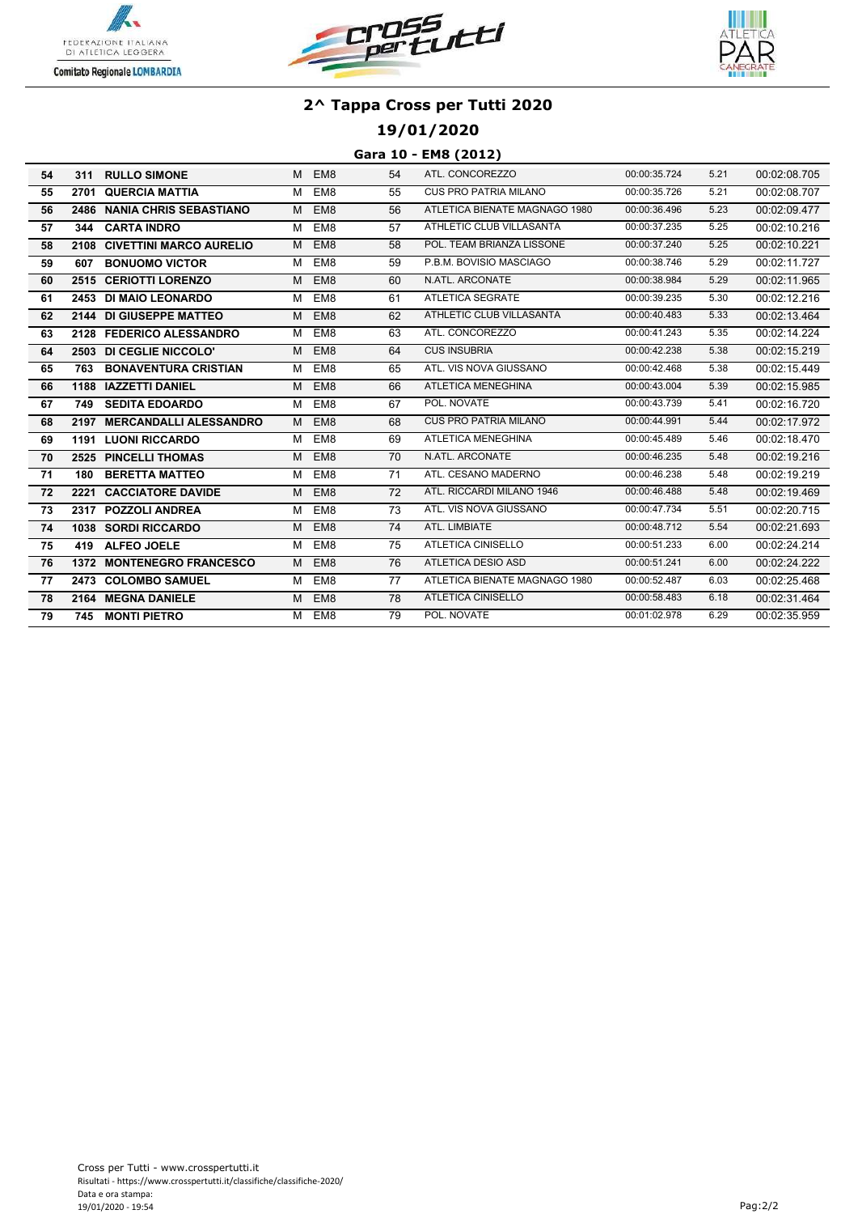





## **19/01/2020**

#### **Gara 10 - EM8 (2012)**

| 54 | 311  | <b>RULLO SIMONE</b>           |   | M EM8           | 54 | ATL. CONCOREZZO               | 00:00:35.724 | 5.21 | 00:02:08.705 |
|----|------|-------------------------------|---|-----------------|----|-------------------------------|--------------|------|--------------|
| 55 | 2701 | <b>QUERCIA MATTIA</b>         | M | EM8             | 55 | <b>CUS PRO PATRIA MILANO</b>  | 00:00:35.726 | 5.21 | 00:02:08.707 |
| 56 | 2486 | <b>NANIA CHRIS SEBASTIANO</b> | M | EM8             | 56 | ATLETICA BIENATE MAGNAGO 1980 | 00:00:36.496 | 5.23 | 00:02:09.477 |
| 57 | 344  | <b>CARTA INDRO</b>            | м | EM8             | 57 | ATHLETIC CLUB VILLASANTA      | 00:00:37.235 | 5.25 | 00:02:10.216 |
| 58 |      | 2108 CIVETTINI MARCO AURELIO  | M | EM8             | 58 | POL. TEAM BRIANZA LISSONE     | 00:00:37.240 | 5.25 | 00:02:10.221 |
| 59 | 607  | <b>BONUOMO VICTOR</b>         | м | EM8             | 59 | P.B.M. BOVISIO MASCIAGO       | 00:00:38.746 | 5.29 | 00:02:11.727 |
| 60 |      | 2515 CERIOTTI LORENZO         | M | EM8             | 60 | N.ATL. ARCONATE               | 00:00:38.984 | 5.29 | 00:02:11.965 |
| 61 |      | 2453 DI MAIO LEONARDO         | M | EM8             | 61 | <b>ATLETICA SEGRATE</b>       | 00:00:39.235 | 5.30 | 00:02:12.216 |
| 62 |      | 2144 DI GIUSEPPE MATTEO       | M | EM8             | 62 | ATHLETIC CLUB VILLASANTA      | 00:00:40.483 | 5.33 | 00:02:13.464 |
| 63 |      | 2128 FEDERICO ALESSANDRO      | м | EM8             | 63 | ATL. CONCOREZZO               | 00:00:41.243 | 5.35 | 00:02:14.224 |
| 64 |      | 2503 DI CEGLIE NICCOLO'       | M | EM8             | 64 | <b>CUS INSUBRIA</b>           | 00:00:42.238 | 5.38 | 00:02:15.219 |
| 65 | 763  | <b>BONAVENTURA CRISTIAN</b>   | м | EM8             | 65 | ATL. VIS NOVA GIUSSANO        | 00:00:42.468 | 5.38 | 00:02:15.449 |
| 66 |      | 1188 IAZZETTI DANIEL          | M | EM8             | 66 | <b>ATLETICA MENEGHINA</b>     | 00:00:43.004 | 5.39 | 00:02:15.985 |
| 67 | 749  | <b>SEDITA EDOARDO</b>         | м | EM8             | 67 | POL. NOVATE                   | 00:00:43.739 | 5.41 | 00:02:16.720 |
| 68 | 2197 | <b>MERCANDALLI ALESSANDRO</b> | M | EM8             | 68 | <b>CUS PRO PATRIA MILANO</b>  | 00:00:44.991 | 5.44 | 00:02:17.972 |
| 69 |      | <b>1191 LUONI RICCARDO</b>    | м | EM8             | 69 | <b>ATLETICA MENEGHINA</b>     | 00:00:45.489 | 5.46 | 00:02:18.470 |
| 70 |      | 2525 PINCELLI THOMAS          | M | EM8             | 70 | N.ATL. ARCONATE               | 00:00:46.235 | 5.48 | 00:02:19.216 |
| 71 | 180  | <b>BERETTA MATTEO</b>         | M | EM8             | 71 | ATL. CESANO MADERNO           | 00:00:46.238 | 5.48 | 00:02:19.219 |
| 72 | 2221 | <b>CACCIATORE DAVIDE</b>      | M | EM8             | 72 | ATL. RICCARDI MILANO 1946     | 00:00:46.488 | 5.48 | 00:02:19.469 |
| 73 |      | 2317 POZZOLI ANDREA           | M | EM8             | 73 | ATL. VIS NOVA GIUSSANO        | 00:00:47.734 | 5.51 | 00:02:20.715 |
| 74 |      | 1038 SORDI RICCARDO           | M | EM8             | 74 | ATL. LIMBIATE                 | 00:00:48.712 | 5.54 | 00:02:21.693 |
| 75 |      | 419 ALFEO JOELE               | М | EM8             | 75 | ATLETICA CINISELLO            | 00:00:51.233 | 6.00 | 00:02:24.214 |
| 76 |      | 1372 MONTENEGRO FRANCESCO     | M | EM <sub>8</sub> | 76 | <b>ATLETICA DESIO ASD</b>     | 00:00:51.241 | 6.00 | 00:02:24.222 |
| 77 |      | 2473 COLOMBO SAMUEL           | M | EM8             | 77 | ATLETICA BIENATE MAGNAGO 1980 | 00:00:52.487 | 6.03 | 00:02:25.468 |
| 78 |      | 2164 MEGNA DANIELE            | M | EM <sub>8</sub> | 78 | <b>ATLETICA CINISELLO</b>     | 00:00:58.483 | 6.18 | 00:02:31.464 |
| 79 | 745  | <b>MONTI PIETRO</b>           |   | M EM8           | 79 | POL. NOVATE                   | 00:01:02.978 | 6.29 | 00:02:35.959 |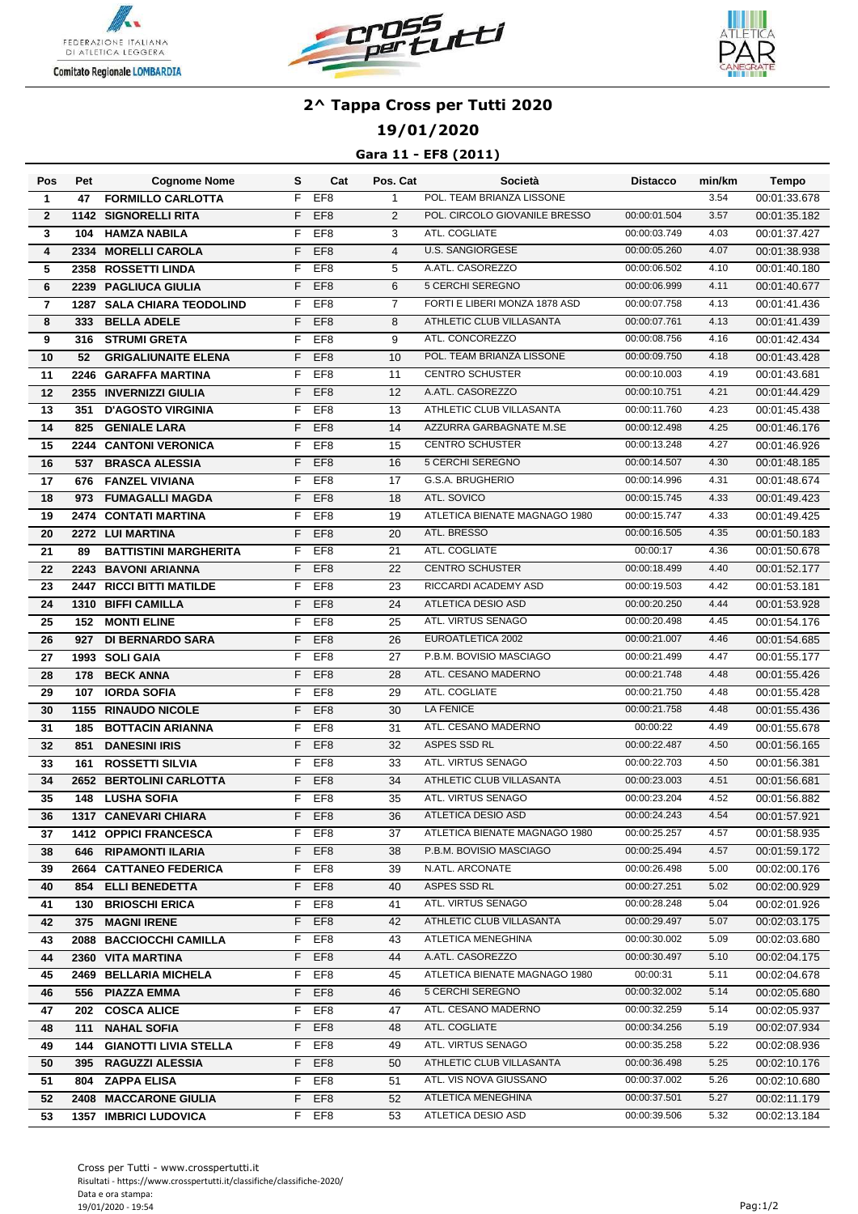





## **19/01/2020**

### **Gara 11 - EF8 (2011)**

| Pos            | Pet  | <b>Cognome Nome</b>               | s  | Cat             | Pos. Cat        | Società                       | Distacco     | min/km | Tempo        |
|----------------|------|-----------------------------------|----|-----------------|-----------------|-------------------------------|--------------|--------|--------------|
| $\mathbf{1}$   | 47   | <b>FORMILLO CARLOTTA</b>          | F  | EF <sub>8</sub> | $\mathbf{1}$    | POL. TEAM BRIANZA LISSONE     |              | 3.54   | 00:01:33.678 |
| $\overline{2}$ |      | <b>1142 SIGNORELLI RITA</b>       | F  | EF <sub>8</sub> | 2               | POL. CIRCOLO GIOVANILE BRESSO | 00:00:01.504 | 3.57   | 00:01:35.182 |
| 3              | 104  | <b>HAMZA NABILA</b>               | F  | EF <sub>8</sub> | 3               | ATL. COGLIATE                 | 00:00:03.749 | 4.03   | 00:01:37.427 |
| 4              |      | 2334 MORELLI CAROLA               | F  | EF <sub>8</sub> | $\overline{4}$  | <b>U.S. SANGIORGESE</b>       | 00:00:05.260 | 4.07   | 00:01:38.938 |
| 5              |      | 2358 ROSSETTI LINDA               | F  | EF <sub>8</sub> | 5               | A.ATL. CASOREZZO              | 00:00:06.502 | 4.10   | 00:01:40.180 |
| 6              |      | 2239 PAGLIUCA GIULIA              | F  | EF <sub>8</sub> | 6               | 5 CERCHI SEREGNO              | 00:00:06.999 | 4.11   | 00:01:40.677 |
| 7              |      | <b>1287 SALA CHIARA TEODOLIND</b> | F  | EF <sub>8</sub> | $\overline{7}$  | FORTI E LIBERI MONZA 1878 ASD | 00:00:07.758 | 4.13   | 00:01:41.436 |
| 8              | 333  | <b>BELLA ADELE</b>                | F  | EF <sub>8</sub> | 8               | ATHLETIC CLUB VILLASANTA      | 00:00:07.761 | 4.13   | 00:01:41.439 |
| 9              | 316  | <b>STRUMI GRETA</b>               | F  | EF <sub>8</sub> | 9               | ATL. CONCOREZZO               | 00:00:08.756 | 4.16   | 00:01:42.434 |
| 10             | 52   | <b>GRIGALIUNAITE ELENA</b>        | F  | EF <sub>8</sub> | 10              | POL. TEAM BRIANZA LISSONE     | 00:00:09.750 | 4.18   | 00:01:43.428 |
| 11             |      | 2246 GARAFFA MARTINA              | F  | EF <sub>8</sub> | 11              | <b>CENTRO SCHUSTER</b>        | 00:00:10.003 | 4.19   | 00:01:43.681 |
| 12             |      | 2355 INVERNIZZI GIULIA            | F  | EF <sub>8</sub> | 12              | A.ATL. CASOREZZO              | 00:00:10.751 | 4.21   | 00:01:44.429 |
| 13             | 351  | <b>D'AGOSTO VIRGINIA</b>          | F  | EF <sub>8</sub> | 13              | ATHLETIC CLUB VILLASANTA      | 00:00:11.760 | 4.23   | 00:01:45.438 |
| 14             | 825  | <b>GENIALE LARA</b>               | F  | EF <sub>8</sub> | 14              | AZZURRA GARBAGNATE M.SE       | 00:00:12.498 | 4.25   | 00:01:46.176 |
| 15             |      | <b>2244 CANTONI VERONICA</b>      | F  | EF <sub>8</sub> | 15              | <b>CENTRO SCHUSTER</b>        | 00:00:13.248 | 4.27   | 00:01:46.926 |
| 16             |      | 537 BRASCA ALESSIA                | F  | EF <sub>8</sub> | 16              | 5 CERCHI SEREGNO              | 00:00:14.507 | 4.30   | 00:01:48.185 |
| 17             | 676  | <b>FANZEL VIVIANA</b>             | F  | EF <sub>8</sub> | 17              | G.S.A. BRUGHERIO              | 00:00:14.996 | 4.31   | 00:01:48.674 |
| 18             | 973  | <b>FUMAGALLI MAGDA</b>            | F  | EF <sub>8</sub> | 18              | ATL. SOVICO                   | 00:00:15.745 | 4.33   | 00:01:49.423 |
| 19             |      | <b>2474 CONTATI MARTINA</b>       | F  | EF <sub>8</sub> | 19              | ATLETICA BIENATE MAGNAGO 1980 | 00:00:15.747 | 4.33   | 00:01:49.425 |
| 20             |      | 2272 LUI MARTINA                  | F  | EF <sub>8</sub> | 20              | ATL. BRESSO                   | 00:00:16.505 | 4.35   | 00:01:50.183 |
| 21             | 89   | <b>BATTISTINI MARGHERITA</b>      | F  | EF <sub>8</sub> | 21              | ATL. COGLIATE                 | 00:00:17     | 4.36   | 00:01:50.678 |
| 22             |      | 2243 BAVONI ARIANNA               | F  | EF <sub>8</sub> | 22              | <b>CENTRO SCHUSTER</b>        | 00:00:18.499 | 4.40   | 00:01:52.177 |
| 23             |      | 2447 RICCI BITTI MATILDE          | F  | EF <sub>8</sub> | 23              | RICCARDI ACADEMY ASD          | 00:00:19.503 | 4.42   | 00:01:53.181 |
| 24             |      | 1310 BIFFI CAMILLA                | F  | EF <sub>8</sub> | 24              | ATLETICA DESIO ASD            | 00:00:20.250 | 4.44   | 00:01:53.928 |
| 25             | 152  | <b>MONTI ELINE</b>                | F  | EF <sub>8</sub> | 25              | ATL. VIRTUS SENAGO            | 00:00:20.498 | 4.45   | 00:01:54.176 |
| 26             | 927  | <b>DI BERNARDO SARA</b>           | F  | EF <sub>8</sub> | 26              | EUROATLETICA 2002             | 00:00:21.007 | 4.46   | 00:01:54.685 |
| 27             |      | 1993 SOLI GAIA                    | F  | EF <sub>8</sub> | $\overline{27}$ | P.B.M. BOVISIO MASCIAGO       | 00:00:21.499 | 4.47   | 00:01:55.177 |
| 28             | 178  | <b>BECK ANNA</b>                  | F  | EF <sub>8</sub> | 28              | ATL. CESANO MADERNO           | 00:00:21.748 | 4.48   | 00:01:55.426 |
| 29             | 107  | <b>IORDA SOFIA</b>                | F  | EF <sub>8</sub> | 29              | ATL. COGLIATE                 | 00:00:21.750 | 4.48   | 00:01:55.428 |
| 30             | 1155 | <b>RINAUDO NICOLE</b>             | F  | EF <sub>8</sub> | 30              | <b>LA FENICE</b>              | 00:00:21.758 | 4.48   | 00:01:55.436 |
| 31             | 185  | <b>BOTTACIN ARIANNA</b>           | F  | EF <sub>8</sub> | 31              | ATL. CESANO MADERNO           | 00:00:22     | 4.49   | 00:01:55.678 |
| 32             | 851  | <b>DANESINI IRIS</b>              | F  | EF <sub>8</sub> | 32              | ASPES SSD RL                  | 00:00:22.487 | 4.50   | 00:01:56.165 |
| 33             | 161  | <b>ROSSETTI SILVIA</b>            | F  | EF <sub>8</sub> | 33              | ATL. VIRTUS SENAGO            | 00:00:22.703 | 4.50   | 00:01:56.381 |
| 34             |      | 2652 BERTOLINI CARLOTTA           | F  | EF <sub>8</sub> | 34              | ATHLETIC CLUB VILLASANTA      | 00:00:23.003 | 4.51   | 00:01:56.681 |
| 35             |      | <b>148 LUSHA SOFIA</b>            | F  | EF <sub>8</sub> | 35              | ATL. VIRTUS SENAGO            | 00:00:23.204 | 4.52   | 00:01:56.882 |
| 36             |      | 1317 CANEVARI CHIARA              |    | F EF8           | 36              | ATLETICA DESIO ASD            | 00:00:24.243 | 4.54   | 00:01:57.921 |
| 37             |      | <b>1412 OPPICI FRANCESCA</b>      |    | F EF8           | 37              | ATLETICA BIENATE MAGNAGO 1980 | 00:00:25.257 | 4.57   | 00:01:58.935 |
| 38             |      | 646 RIPAMONTI ILARIA              |    | F EF8           | 38              | P.B.M. BOVISIO MASCIAGO       | 00:00:25.494 | 4.57   | 00:01:59.172 |
| 39             |      | 2664 CATTANEO FEDERICA            | F. | EF8             | 39              | N.ATL. ARCONATE               | 00:00:26.498 | 5.00   | 00:02:00.176 |
| 40             |      | 854 ELLI BENEDETTA                | F. | EF <sub>8</sub> | 40              | ASPES SSD RL                  | 00:00:27.251 | 5.02   | 00:02:00.929 |
| 41             |      | 130 BRIOSCHI ERICA                |    | F EF8           | 41              | ATL. VIRTUS SENAGO            | 00:00:28.248 | 5.04   | 00:02:01.926 |
| 42             |      | 375 MAGNI IRENE                   | F. | EF <sub>8</sub> | 42              | ATHLETIC CLUB VILLASANTA      | 00:00:29.497 | 5.07   | 00:02:03.175 |
| 43             |      | 2088 BACCIOCCHI CAMILLA           |    | F EF8           | 43              | ATLETICA MENEGHINA            | 00:00:30.002 | 5.09   | 00:02:03.680 |
| 44             |      | 2360 VITA MARTINA                 |    | F EF8           | 44              | A.ATL. CASOREZZO              | 00:00:30.497 | 5.10   | 00:02:04.175 |
| 45             |      | 2469 BELLARIA MICHELA             |    | F EF8           | 45              | ATLETICA BIENATE MAGNAGO 1980 | 00:00:31     | 5.11   | 00:02:04.678 |
| 46             |      | 556 PIAZZA EMMA                   |    | F EF8           | 46              | 5 CERCHI SEREGNO              | 00:00:32.002 | 5.14   | 00:02:05.680 |
| 47             |      | 202 COSCA ALICE                   |    | F EF8           | 47              | ATL. CESANO MADERNO           | 00:00:32.259 | 5.14   | 00:02:05.937 |
| 48             |      | 111 NAHAL SOFIA                   |    | F EF8           | 48              | ATL. COGLIATE                 | 00:00:34.256 | 5.19   | 00:02:07.934 |
| 49             |      | <b>144 GIANOTTI LIVIA STELLA</b>  | F. | EF8             | 49              | ATL. VIRTUS SENAGO            | 00:00:35.258 | 5.22   | 00:02:08.936 |
| 50             |      | 395 RAGUZZI ALESSIA               | F. | EF <sub>8</sub> | 50              | ATHLETIC CLUB VILLASANTA      | 00:00:36.498 | 5.25   | 00:02:10.176 |
| 51             | 804  | <b>ZAPPA ELISA</b>                | F. | EF8             | 51              | ATL. VIS NOVA GIUSSANO        | 00:00:37.002 | 5.26   | 00:02:10.680 |
| 52             |      | 2408 MACCARONE GIULIA             | F. | EF <sub>8</sub> | 52              | ATLETICA MENEGHINA            | 00:00:37.501 | 5.27   | 00:02:11.179 |
| 53             |      | <b>1357 IMBRICI LUDOVICA</b>      | F. | EF8             | 53              | ATLETICA DESIO ASD            | 00:00:39.506 | 5.32   | 00:02:13.184 |
|                |      |                                   |    |                 |                 |                               |              |        |              |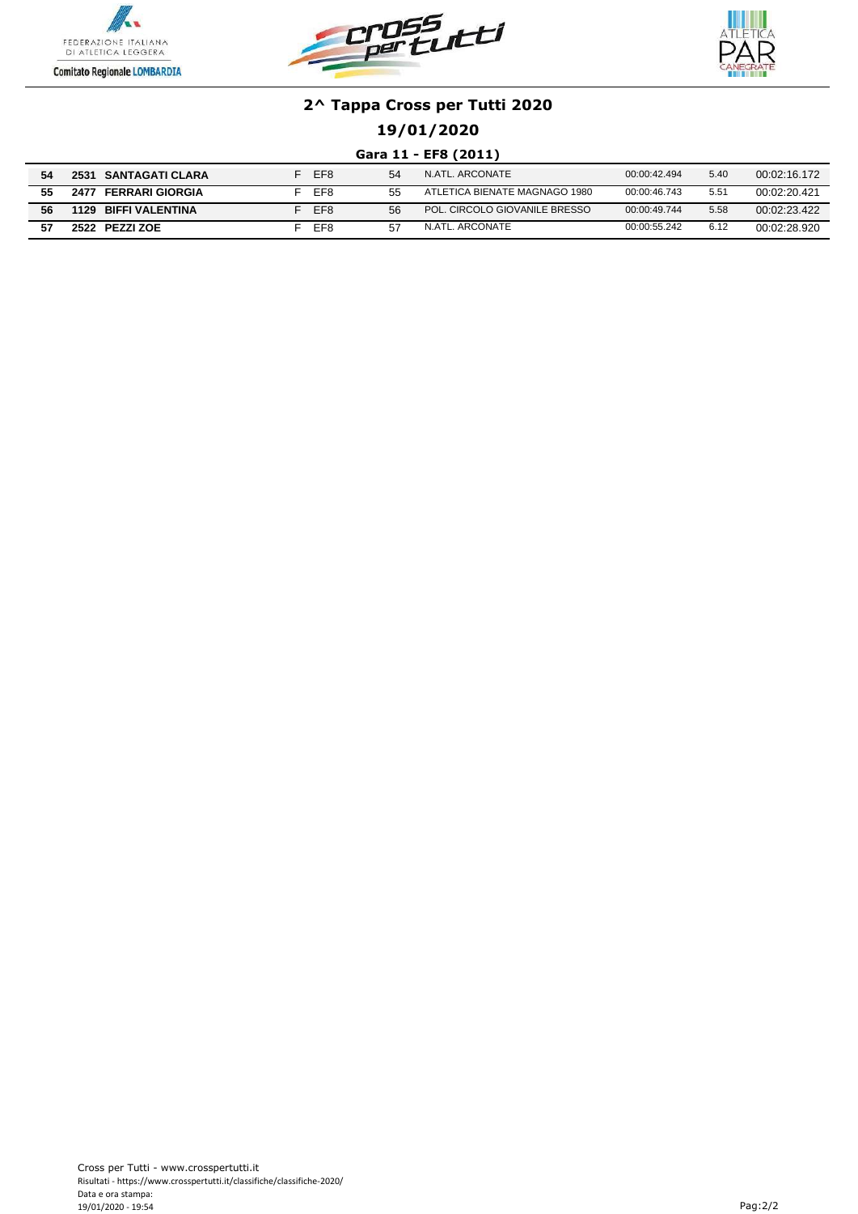





## **19/01/2020**

### **Gara 11 - EF8 (2011)**

| 54 | <b>SANTAGATI CLARA</b><br>2531 | EF <sub>8</sub> | 54 | N.ATL. ARCONATE               | 00:00:42.494 | 5.40 | 00:02:16.172 |
|----|--------------------------------|-----------------|----|-------------------------------|--------------|------|--------------|
| 55 | <b>FERRARI GIORGIA</b><br>247  | EF8             | 55 | ATLETICA BIENATE MAGNAGO 1980 | 00:00:46.743 | 5.51 | 00:02:20.421 |
| 56 | <b>BIFFI VALENTINA</b><br>1129 | EF <sub>8</sub> | 56 | POL. CIRCOLO GIOVANILE BRESSO | 00:00:49.744 | 5.58 | 00:02:23.422 |
|    | PEZZI ZOE<br>2522              | EF <sub>8</sub> | 57 | N.ATL. ARCONATE               | 00:00:55.242 | 6.12 | 00:02:28.920 |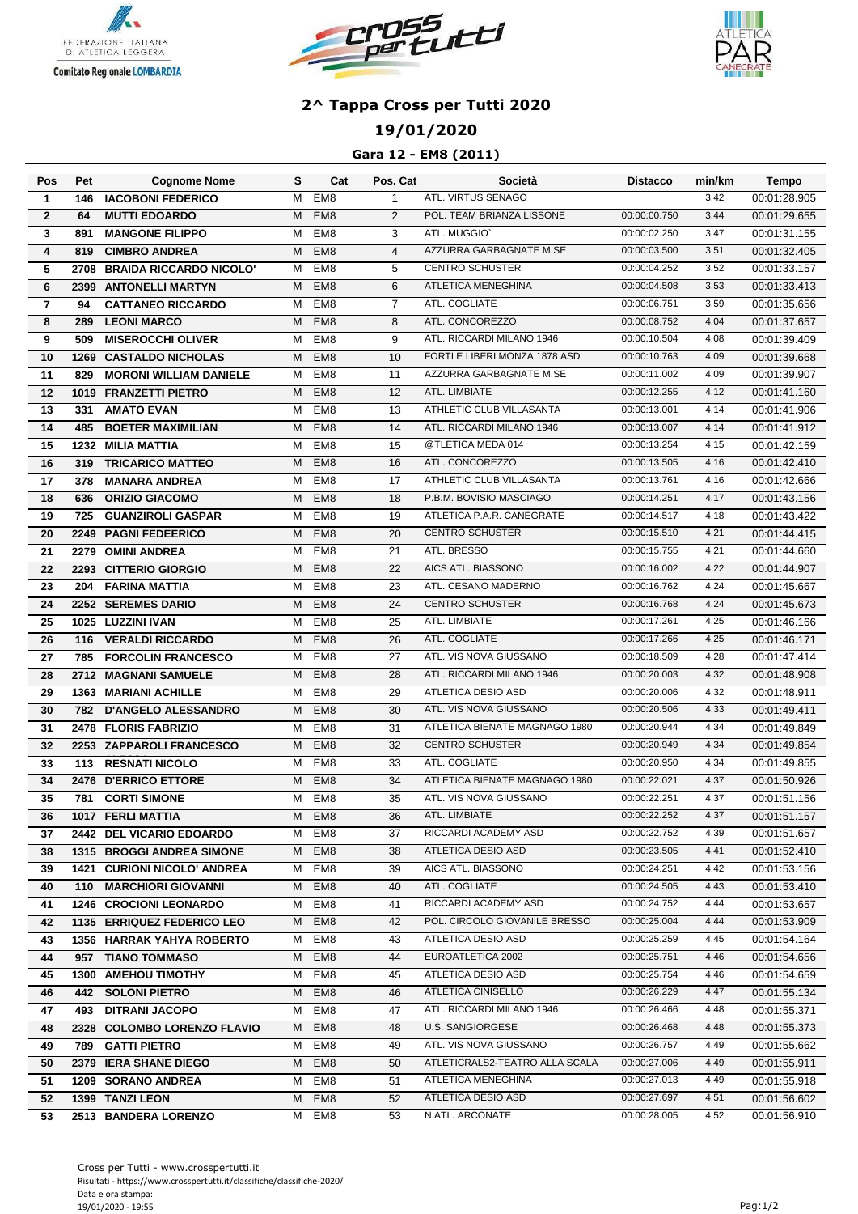





### **19/01/2020**

### **Gara 12 - EM8 (2011)**

| Pos                     | Pet  | <b>Cognome Nome</b>                | s | Cat             | Pos. Cat       | Società                        | <b>Distacco</b> | min/km | Tempo        |
|-------------------------|------|------------------------------------|---|-----------------|----------------|--------------------------------|-----------------|--------|--------------|
| $\mathbf{1}$            | 146  | <b>IACOBONI FEDERICO</b>           | M | EM <sub>8</sub> | $\mathbf{1}$   | ATL. VIRTUS SENAGO             |                 | 3.42   | 00:01:28.905 |
| $\mathbf{2}$            | 64   | <b>MUTTI EDOARDO</b>               | M | EM <sub>8</sub> | 2              | POL. TEAM BRIANZA LISSONE      | 00:00:00.750    | 3.44   | 00:01:29.655 |
| 3                       | 891  | <b>MANGONE FILIPPO</b>             | M | EM8             | 3              | ATL. MUGGIO`                   | 00:00:02.250    | 3.47   | 00:01:31.155 |
| 4                       | 819  | <b>CIMBRO ANDREA</b>               | M | EM <sub>8</sub> | $\overline{4}$ | AZZURRA GARBAGNATE M.SE        | 00:00:03.500    | 3.51   | 00:01:32.405 |
| 5                       | 2708 | <b>BRAIDA RICCARDO NICOLO'</b>     | M | EM <sub>8</sub> | 5              | <b>CENTRO SCHUSTER</b>         | 00:00:04.252    | 3.52   | 00:01:33.157 |
| 6                       | 2399 | <b>ANTONELLI MARTYN</b>            | M | EM <sub>8</sub> | 6              | ATLETICA MENEGHINA             | 00:00:04.508    | 3.53   | 00:01:33.413 |
| $\overline{\mathbf{r}}$ | 94   | <b>CATTANEO RICCARDO</b>           | м | EM8             | 7              | ATL. COGLIATE                  | 00:00:06.751    | 3.59   | 00:01:35.656 |
| 8                       | 289  | <b>LEONI MARCO</b>                 | M | EM <sub>8</sub> | 8              | ATL. CONCOREZZO                | 00:00:08.752    | 4.04   | 00:01:37.657 |
| 9                       | 509  | <b>MISEROCCHI OLIVER</b>           | M | EM <sub>8</sub> | 9              | ATL. RICCARDI MILANO 1946      | 00:00:10.504    | 4.08   | 00:01:39.409 |
| 10                      |      | <b>1269 CASTALDO NICHOLAS</b>      | M | EM <sub>8</sub> | 10             | FORTI E LIBERI MONZA 1878 ASD  | 00:00:10.763    | 4.09   | 00:01:39.668 |
| 11                      | 829  | <b>MORONI WILLIAM DANIELE</b>      | м | EM <sub>8</sub> | 11             | AZZURRA GARBAGNATE M.SE        | 00:00:11.002    | 4.09   | 00:01:39.907 |
| 12                      |      | 1019 FRANZETTI PIETRO              | M | EM <sub>8</sub> | 12             | ATL. LIMBIATE                  | 00:00:12.255    | 4.12   | 00:01:41.160 |
| 13                      | 331  | <b>AMATO EVAN</b>                  | м | EM8             | 13             | ATHLETIC CLUB VILLASANTA       | 00:00:13.001    | 4.14   | 00:01:41.906 |
| 14                      | 485  | <b>BOETER MAXIMILIAN</b>           | M | EM <sub>8</sub> | 14             | ATL. RICCARDI MILANO 1946      | 00:00:13.007    | 4.14   | 00:01:41.912 |
| 15                      |      | 1232 MILIA MATTIA                  | м | EM8             | 15             | @TLETICA MEDA 014              | 00:00:13.254    | 4.15   | 00:01:42.159 |
| 16                      | 319  | <b>TRICARICO MATTEO</b>            | M | EM <sub>8</sub> | 16             | ATL. CONCOREZZO                | 00:00:13.505    | 4.16   | 00:01:42.410 |
| 17                      | 378  | <b>MANARA ANDREA</b>               | м | EM <sub>8</sub> | 17             | ATHLETIC CLUB VILLASANTA       | 00:00:13.761    | 4.16   | 00:01:42.666 |
| 18                      | 636  | <b>ORIZIO GIACOMO</b>              | M | EM <sub>8</sub> | 18             | P.B.M. BOVISIO MASCIAGO        | 00:00:14.251    | 4.17   | 00:01:43.156 |
| 19                      | 725  | <b>GUANZIROLI GASPAR</b>           | м | EM <sub>8</sub> | 19             | ATLETICA P.A.R. CANEGRATE      | 00:00:14.517    | 4.18   | 00:01:43.422 |
| 20                      |      | 2249 PAGNI FEDEERICO               | M | EM <sub>8</sub> | 20             | <b>CENTRO SCHUSTER</b>         | 00:00:15.510    | 4.21   | 00:01:44.415 |
| 21                      |      | 2279 OMINI ANDREA                  | M | EM8             | 21             | ATL. BRESSO                    | 00:00:15.755    | 4.21   | 00:01:44.660 |
| $\overline{22}$         |      | 2293 CITTERIO GIORGIO              | M | EM <sub>8</sub> | 22             | AICS ATL. BIASSONO             | 00:00:16.002    | 4.22   | 00:01:44.907 |
| 23                      | 204  | <b>FARINA MATTIA</b>               | M | EM <sub>8</sub> | 23             | ATL. CESANO MADERNO            | 00:00:16.762    | 4.24   | 00:01:45.667 |
| 24                      |      | 2252 SEREMES DARIO                 | M | EM <sub>8</sub> | 24             | <b>CENTRO SCHUSTER</b>         | 00:00:16.768    | 4.24   | 00:01:45.673 |
| $\overline{25}$         |      | 1025 LUZZINI IVAN                  | м | EM8             | 25             | ATL. LIMBIATE                  | 00:00:17.261    | 4.25   | 00:01:46.166 |
| 26                      | 116  | <b>VERALDI RICCARDO</b>            | M | EM <sub>8</sub> | 26             | ATL. COGLIATE                  | 00:00:17.266    | 4.25   | 00:01:46.171 |
| 27                      | 785  | <b>FORCOLIN FRANCESCO</b>          | M | EM <sub>8</sub> | 27             | ATL. VIS NOVA GIUSSANO         | 00:00:18.509    | 4.28   | 00:01:47.414 |
| 28                      |      | 2712 MAGNANI SAMUELE               | M | EM <sub>8</sub> | 28             | ATL. RICCARDI MILANO 1946      | 00:00:20.003    | 4.32   | 00:01:48.908 |
| 29                      |      | <b>1363 MARIANI ACHILLE</b>        | M | EM <sub>8</sub> | 29             | ATLETICA DESIO ASD             | 00:00:20.006    | 4.32   | 00:01:48.911 |
| 30                      | 782  | <b>D'ANGELO ALESSANDRO</b>         | M | EM <sub>8</sub> | 30             | ATL. VIS NOVA GIUSSANO         | 00:00:20.506    | 4.33   | 00:01:49.411 |
| 31                      |      | 2478 FLORIS FABRIZIO               | м | EM8             | 31             | ATLETICA BIENATE MAGNAGO 1980  | 00:00:20.944    | 4.34   | 00:01:49.849 |
| 32                      |      | 2253 ZAPPAROLI FRANCESCO           | M | EM <sub>8</sub> | 32             | <b>CENTRO SCHUSTER</b>         | 00:00:20.949    | 4.34   | 00:01:49.854 |
| 33                      | 113  | <b>RESNATI NICOLO</b>              | M | EM <sub>8</sub> | 33             | ATL. COGLIATE                  | 00:00:20.950    | 4.34   | 00:01:49.855 |
| 34                      |      | 2476 D'ERRICO ETTORE               | M | EM <sub>8</sub> | 34             | ATLETICA BIENATE MAGNAGO 1980  | 00:00:22.021    | 4.37   | 00:01:50.926 |
| 35                      | 781  | <b>CORTI SIMONE</b>                | м | EM <sub>8</sub> | 35             | ATL. VIS NOVA GIUSSANO         | 00:00:22.251    | 4.37   | 00:01:51.156 |
| 36                      |      | 1017 FERLI MATTIA                  |   | M EM8           | 36             | ATL. LIMBIATE                  | 00:00:22.252    | 4.37   | 00:01:51.157 |
| 37                      |      | 2442 DEL VICARIO EDOARDO           | M | EM8             | 37             | RICCARDI ACADEMY ASD           | 00:00:22.752    | 4.39   | 00:01:51.657 |
| 38                      |      | 1315 BROGGI ANDREA SIMONE          | M | EM8             | 38             | ATLETICA DESIO ASD             | 00:00:23.505    | 4.41   | 00:01:52.410 |
| 39                      |      | <b>1421 CURIONI NICOLO' ANDREA</b> | M | EM8             | 39             | AICS ATL. BIASSONO             | 00:00:24.251    | 4.42   | 00:01:53.156 |
| 40                      |      | 110 MARCHIORI GIOVANNI             | M | EM8             | 40             | ATL. COGLIATE                  | 00:00:24.505    | 4.43   | 00:01:53.410 |
| 41                      |      | <b>1246 CROCIONI LEONARDO</b>      | M | EM8             | 41             | RICCARDI ACADEMY ASD           | 00:00:24.752    | 4.44   | 00:01:53.657 |
| 42                      |      | 1135 ERRIQUEZ FEDERICO LEO         | M | EM <sub>8</sub> | 42             | POL. CIRCOLO GIOVANILE BRESSO  | 00:00:25.004    | 4.44   | 00:01:53.909 |
| 43                      |      | 1356 HARRAK YAHYA ROBERTO          | M | EM8             | 43             | ATLETICA DESIO ASD             | 00:00:25.259    | 4.45   | 00:01:54.164 |
| 44                      |      | 957 TIANO TOMMASO                  | M | EM8             | 44             | EUROATLETICA 2002              | 00:00:25.751    | 4.46   | 00:01:54.656 |
| 45                      |      | <b>1300 AMEHOU TIMOTHY</b>         | М | EM8             | 45             | ATLETICA DESIO ASD             | 00:00:25.754    | 4.46   | 00:01:54.659 |
| 46                      | 442  | <b>SOLONI PIETRO</b>               | М | EM <sub>8</sub> | 46             | ATLETICA CINISELLO             | 00:00:26.229    | 4.47   | 00:01:55.134 |
| 47                      | 493  | <b>DITRANI JACOPO</b>              | м | EM8             | 47             | ATL. RICCARDI MILANO 1946      | 00:00:26.466    | 4.48   | 00:01:55.371 |
| 48                      |      | 2328 COLOMBO LORENZO FLAVIO        | м | EM <sub>8</sub> | 48             | U.S. SANGIORGESE               | 00:00:26.468    | 4.48   | 00:01:55.373 |
| 49                      |      | <b>789 GATTI PIETRO</b>            | M | EM8             | 49             | ATL. VIS NOVA GIUSSANO         | 00:00:26.757    | 4.49   | 00:01:55.662 |
| 50                      |      | 2379 IERA SHANE DIEGO              | M | EM8             | 50             | ATLETICRALS2-TEATRO ALLA SCALA | 00:00:27.006    | 4.49   | 00:01:55.911 |
| 51                      |      | 1209 SORANO ANDREA                 | м | EM8             | 51             | ATLETICA MENEGHINA             | 00:00:27.013    | 4.49   | 00:01:55.918 |
| 52                      |      | 1399 TANZI LEON                    | М | EM8             | 52             | ATLETICA DESIO ASD             | 00:00:27.697    | 4.51   | 00:01:56.602 |
| 53                      |      | 2513 BANDERA LORENZO               | м | EM8             | 53             | N.ATL. ARCONATE                | 00:00:28.005    | 4.52   | 00:01:56.910 |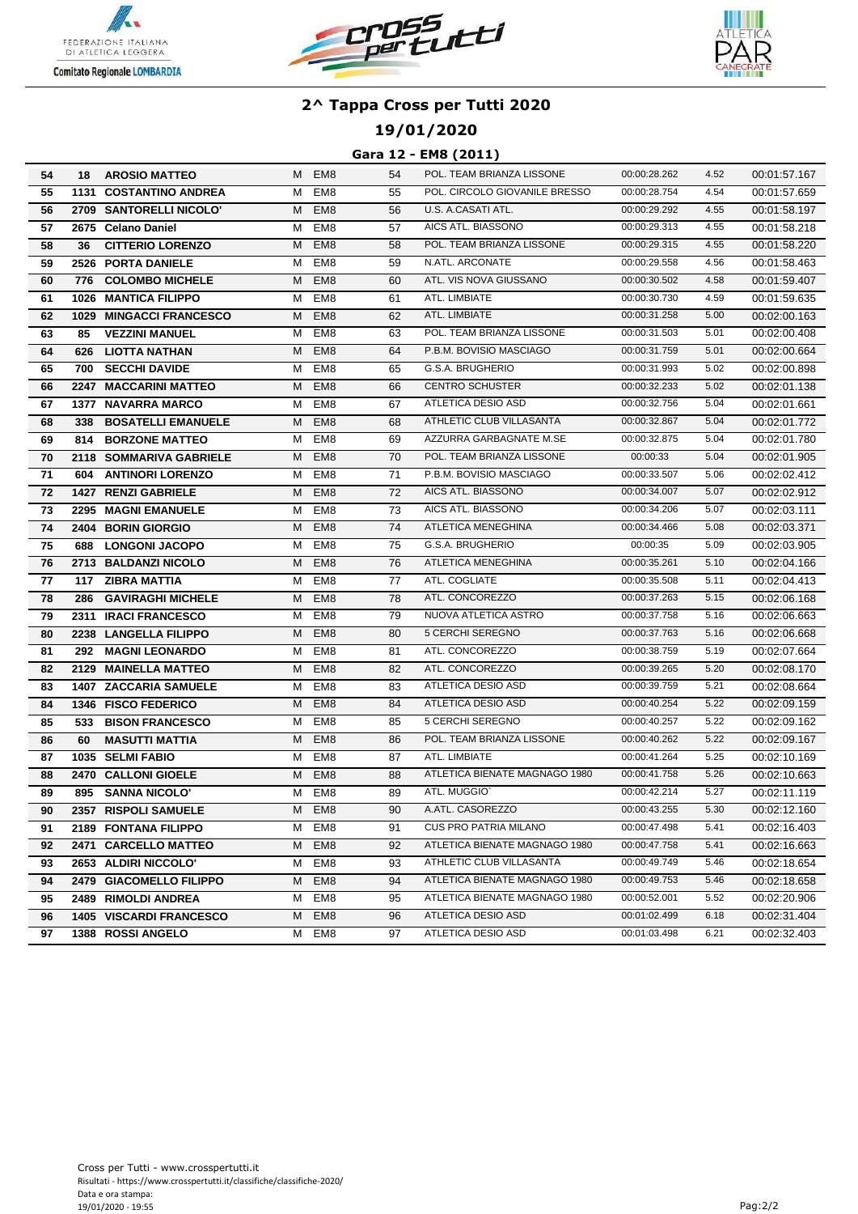





## **19/01/2020**

#### **Gara 12 - EM8 (2011)**

| 54              | 18   | <b>AROSIO MATTEO</b>           |   | M EM8           | 54 | POL. TEAM BRIANZA LISSONE     | 00:00:28.262 | 4.52 | 00:01:57.167 |
|-----------------|------|--------------------------------|---|-----------------|----|-------------------------------|--------------|------|--------------|
| 55              |      | <b>1131 COSTANTINO ANDREA</b>  | м | EM <sub>8</sub> | 55 | POL. CIRCOLO GIOVANILE BRESSO | 00:00:28.754 | 4.54 | 00:01:57.659 |
| 56              |      | 2709 SANTORELLI NICOLO'        | м | EM <sub>8</sub> | 56 | U.S. A.CASATI ATL.            | 00:00:29.292 | 4.55 | 00:01:58.197 |
| 57              |      | 2675 Celano Daniel             | м | EM <sub>8</sub> | 57 | AICS ATL. BIASSONO            | 00:00:29.313 | 4.55 | 00:01:58.218 |
| 58              | 36   | <b>CITTERIO LORENZO</b>        | M | EM <sub>8</sub> | 58 | POL. TEAM BRIANZA LISSONE     | 00:00:29.315 | 4.55 | 00:01:58.220 |
| 59              |      | 2526 PORTA DANIELE             | м | EM <sub>8</sub> | 59 | N.ATL. ARCONATE               | 00:00:29.558 | 4.56 | 00:01:58.463 |
| 60              | 776  | <b>COLOMBO MICHELE</b>         | М | EM <sub>8</sub> | 60 | ATL. VIS NOVA GIUSSANO        | 00:00:30.502 | 4.58 | 00:01:59.407 |
| 61              |      | 1026 MANTICA FILIPPO           | М | EM <sub>8</sub> | 61 | ATL. LIMBIATE                 | 00:00:30.730 | 4.59 | 00:01:59.635 |
| 62              |      | 1029 MINGACCI FRANCESCO        | M | EM <sub>8</sub> | 62 | ATL. LIMBIATE                 | 00:00:31.258 | 5.00 | 00:02:00.163 |
| 63              | 85   | <b>VEZZINI MANUEL</b>          | м | EM <sub>8</sub> | 63 | POL. TEAM BRIANZA LISSONE     | 00:00:31.503 | 5.01 | 00:02:00.408 |
| 64              | 626  | LIOTTA NATHAN                  | м | EM <sub>8</sub> | 64 | P.B.M. BOVISIO MASCIAGO       | 00:00:31.759 | 5.01 | 00:02:00.664 |
| 65              |      | <b>700 SECCHI DAVIDE</b>       | М | EM8             | 65 | G.S.A. BRUGHERIO              | 00:00:31.993 | 5.02 | 00:02:00.898 |
| 66              |      | 2247 MACCARINI MATTEO          | М | EM <sub>8</sub> | 66 | <b>CENTRO SCHUSTER</b>        | 00:00:32.233 | 5.02 | 00:02:01.138 |
| 67              |      | <b>1377 NAVARRA MARCO</b>      | м | EM8             | 67 | ATLETICA DESIO ASD            | 00:00:32.756 | 5.04 | 00:02:01.661 |
| 68              | 338  | <b>BOSATELLI EMANUELE</b>      | M | EM <sub>8</sub> | 68 | ATHLETIC CLUB VILLASANTA      | 00:00:32.867 | 5.04 | 00:02:01.772 |
| 69              | 814  | <b>BORZONE MATTEO</b>          | м | EM <sub>8</sub> | 69 | AZZURRA GARBAGNATE M.SE       | 00:00:32.875 | 5.04 | 00:02:01.780 |
| 70              |      | 2118 SOMMARIVA GABRIELE        | М | EM <sub>8</sub> | 70 | POL. TEAM BRIANZA LISSONE     | 00:00:33     | 5.04 | 00:02:01.905 |
| 71              | 604  | <b>ANTINORI LORENZO</b>        | м | EM8             | 71 | P.B.M. BOVISIO MASCIAGO       | 00:00:33.507 | 5.06 | 00:02:02.412 |
| 72              |      | 1427 RENZI GABRIELE            | M | EM <sub>8</sub> | 72 | AICS ATL. BIASSONO            | 00:00:34.007 | 5.07 | 00:02:02.912 |
| 73              |      | 2295 MAGNI EMANUELE            | М | EM <sub>8</sub> | 73 | AICS ATL. BIASSONO            | 00:00:34.206 | 5.07 | 00:02:03.111 |
| 74              |      | 2404 BORIN GIORGIO             | M | EM <sub>8</sub> | 74 | ATLETICA MENEGHINA            | 00:00:34.466 | 5.08 | 00:02:03.371 |
| 75              | 688  | <b>LONGONI JACOPO</b>          | м | EM <sub>8</sub> | 75 | G.S.A. BRUGHERIO              | 00:00:35     | 5.09 | 00:02:03.905 |
| 76              |      | 2713 BALDANZI NICOLO           | М | EM <sub>8</sub> | 76 | ATLETICA MENEGHINA            | 00:00:35.261 | 5.10 | 00:02:04.166 |
| 77              | 117  | <b>ZIBRA MATTIA</b>            | М | EM8             | 77 | ATL. COGLIATE                 | 00:00:35.508 | 5.11 | 00:02:04.413 |
| 78              | 286  | <b>GAVIRAGHI MICHELE</b>       | М | EM <sub>8</sub> | 78 | ATL. CONCOREZZO               | 00:00:37.263 | 5.15 | 00:02:06.168 |
| $\overline{79}$ |      | 2311 IRACI FRANCESCO           | M | EM <sub>8</sub> | 79 | NUOVA ATLETICA ASTRO          | 00:00:37.758 | 5.16 | 00:02:06.663 |
| 80              |      | 2238 LANGELLA FILIPPO          | M | EM <sub>8</sub> | 80 | 5 CERCHI SEREGNO              | 00:00:37.763 | 5.16 | 00:02:06.668 |
| 81              | 292  | <b>MAGNI LEONARDO</b>          | М | EM <sub>8</sub> | 81 | ATL. CONCOREZZO               | 00:00:38.759 | 5.19 | 00:02:07.664 |
| 82              | 2129 | <b>MAINELLA MATTEO</b>         | M | EM <sub>8</sub> | 82 | ATL. CONCOREZZO               | 00:00:39.265 | 5.20 | 00:02:08.170 |
| 83              |      | <b>1407 ZACCARIA SAMUELE</b>   | М | EM <sub>8</sub> | 83 | ATLETICA DESIO ASD            | 00:00:39.759 | 5.21 | 00:02:08.664 |
| 84              |      | 1346 FISCO FEDERICO            | M | EM <sub>8</sub> | 84 | ATLETICA DESIO ASD            | 00:00:40.254 | 5.22 | 00:02:09.159 |
| 85              | 533  | <b>BISON FRANCESCO</b>         | M | EM <sub>8</sub> | 85 | 5 CERCHI SEREGNO              | 00:00:40.257 | 5.22 | 00:02:09.162 |
| 86              | 60   | <b>MASUTTI MATTIA</b>          | M | EM <sub>8</sub> | 86 | POL. TEAM BRIANZA LISSONE     | 00:00:40.262 | 5.22 | 00:02:09.167 |
| 87              |      | 1035 SELMI FABIO               | М | EM <sub>8</sub> | 87 | ATL. LIMBIATE                 | 00:00:41.264 | 5.25 | 00:02:10.169 |
| 88              |      | 2470 CALLONI GIOELE            | м | EM <sub>8</sub> | 88 | ATLETICA BIENATE MAGNAGO 1980 | 00:00:41.758 | 5.26 | 00:02:10.663 |
| 89              |      | 895 SANNA NICOLO'              | м | EM <sub>8</sub> | 89 | ATL. MUGGIO`                  | 00:00:42.214 | 5.27 | 00:02:11.119 |
| 90              |      | 2357 RISPOLI SAMUELE           | M | EM <sub>8</sub> | 90 | A.ATL. CASOREZZO              | 00:00:43.255 | 5.30 | 00:02:12.160 |
| 91              |      | 2189 FONTANA FILIPPO           | м | EM8             | 91 | <b>CUS PRO PATRIA MILANO</b>  | 00:00:47.498 | 5.41 | 00:02:16.403 |
| 92              |      | 2471 CARCELLO MATTEO           | М | EM <sub>8</sub> | 92 | ATLETICA BIENATE MAGNAGO 1980 | 00:00:47.758 | 5.41 | 00:02:16.663 |
| 93              |      | 2653 ALDIRI NICCOLO'           | M | EM <sub>8</sub> | 93 | ATHLETIC CLUB VILLASANTA      | 00:00:49.749 | 5.46 | 00:02:18.654 |
| 94              |      | 2479 GIACOMELLO FILIPPO        | M | EM <sub>8</sub> | 94 | ATLETICA BIENATE MAGNAGO 1980 | 00:00:49.753 | 5.46 | 00:02:18.658 |
| 95              |      | 2489 RIMOLDI ANDREA            | M | EM <sub>8</sub> | 95 | ATLETICA BIENATE MAGNAGO 1980 | 00:00:52.001 | 5.52 | 00:02:20.906 |
| 96              |      | <b>1405 VISCARDI FRANCESCO</b> | M | EM <sub>8</sub> | 96 | ATLETICA DESIO ASD            | 00:01:02.499 | 6.18 | 00:02:31.404 |
| 97              |      | 1388 ROSSI ANGELO              | М | EM8             | 97 | ATLETICA DESIO ASD            | 00:01:03.498 | 6.21 | 00:02:32.403 |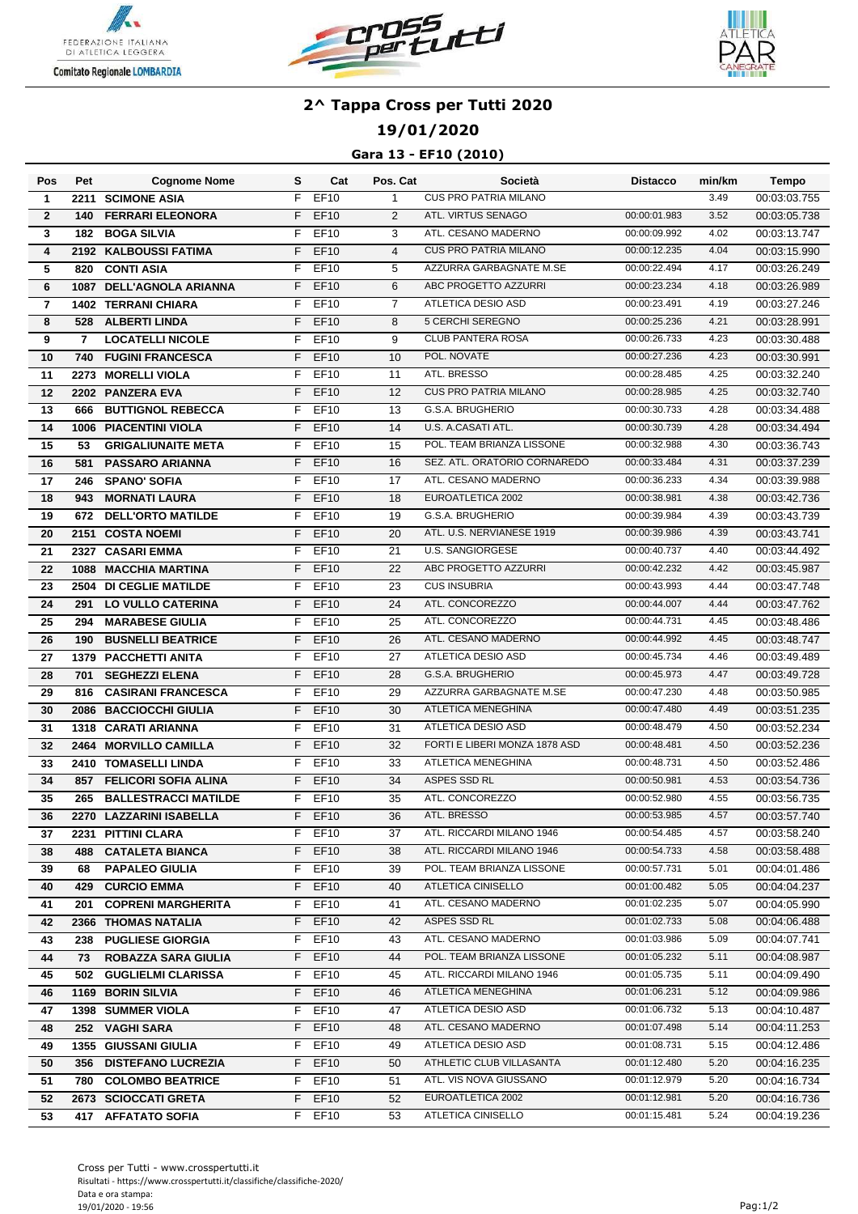





## **19/01/2020**

### **Gara 13 - EF10 (2010)**

| EF10<br><b>CUS PRO PATRIA MILANO</b><br>F<br>3.49<br>2211 SCIMONE ASIA<br>$\mathbf{1}$<br>00:03:03.755<br>$\mathbf{1}$<br>$\overline{2}$<br><b>FERRARI ELEONORA</b><br><b>EF10</b><br>ATL. VIRTUS SENAGO<br>00:00:01.983<br>3.52<br>F.<br>$\overline{2}$<br>00:03:05.738<br>140<br>ATL. CESANO MADERNO<br>3<br><b>EF10</b><br>3<br>00:00:09.992<br>4.02<br>00:03:13.747<br><b>BOGA SILVIA</b><br>F<br>182<br><b>CUS PRO PATRIA MILANO</b><br>$\overline{\mathbf{4}}$<br><b>EF10</b><br>$\overline{4}$<br>4.04<br>00:03:15.990<br>2192 KALBOUSSI FATIMA<br>F.<br>00:00:12.235<br>5<br><b>CONTI ASIA</b><br>F<br><b>EF10</b><br>5<br>AZZURRA GARBAGNATE M.SE<br>00:00:22.494<br>4.17<br>00:03:26.249<br>820<br>ABC PROGETTO AZZURRI<br><b>EF10</b><br>6<br>00:00:23.234<br>4.18<br>00:03:26.989<br>6<br>1087 DELL'AGNOLA ARIANNA<br>F<br>ATLETICA DESIO ASD<br><b>EF10</b><br>F<br>$\overline{7}$<br>00:00:23.491<br>4.19<br>00:03:27.246<br>$\overline{7}$<br><b>1402 TERRANI CHIARA</b><br><b>EF10</b><br>5 CERCHI SEREGNO<br>8<br>528<br><b>ALBERTI LINDA</b><br>F<br>8<br>00:00:25.236<br>4.21<br>00:03:28.991<br><b>CLUB PANTERA ROSA</b><br><b>EF10</b><br>9<br>00:00:26.733<br>4.23<br>9<br><b>LOCATELLI NICOLE</b><br>F<br>00:03:30.488<br>7<br><b>FUGINI FRANCESCA</b><br><b>EF10</b><br>10<br>POL. NOVATE<br>4.23<br>10<br>740<br>F<br>00:00:27.236<br>00:03:30.991<br>11<br>2273 MORELLI VIOLA<br>F<br>EF10<br>11<br>ATL. BRESSO<br>4.25<br>00:03:32.240<br>00:00:28.485<br>12<br><b>CUS PRO PATRIA MILANO</b><br>4.25<br>12<br>F<br>EF10<br>00:00:28.985<br>2202 PANZERA EVA<br>00:03:32.740<br>13<br>G.S.A. BRUGHERIO<br>4.28<br>F<br>EF10<br>13<br><b>BUTTIGNOL REBECCA</b><br>00:00:30.733<br>00:03:34.488<br>666<br>14<br>U.S. A.CASATI ATL.<br>1006 PIACENTINI VIOLA<br>F<br>EF10<br>14<br>00:00:30.739<br>4.28<br>00:03:34.494<br><b>EF10</b><br>15<br>POL. TEAM BRIANZA LISSONE<br>4.30<br>15<br>F<br>00:00:32.988<br>00:03:36.743<br>53<br><b>GRIGALIUNAITE META</b><br>16<br><b>EF10</b><br>SEZ. ATL. ORATORIO CORNAREDO<br>4.31<br>581<br><b>PASSARO ARIANNA</b><br>F.<br>16<br>00:00:33.484<br>00:03:37.239<br>F<br>EF10<br>17<br>17<br><b>SPANO' SOFIA</b><br>ATL. CESANO MADERNO<br>4.34<br>246<br>00:00:36.233<br>00:03:39.988<br>F<br><b>EF10</b><br>18<br>EUROATLETICA 2002<br>4.38<br>18<br><b>MORNATI LAURA</b><br>00:00:38.981<br>00:03:42.736<br>943<br>19<br><b>DELL'ORTO MATILDE</b><br><b>EF10</b><br>G.S.A. BRUGHERIO<br>F<br>19<br>4.39<br>672<br>00:00:39.984<br>00:03:43.739<br><b>EF10</b><br>F<br>20<br>ATL. U.S. NERVIANESE 1919<br>00:03:43.741<br>20<br>2151 COSTA NOEMI<br>00:00:39.986<br>4.39<br><b>EF10</b><br><b>U.S. SANGIORGESE</b><br>4.40<br>21<br>2327 CASARI EMMA<br>F<br>21<br>00:00:40.737<br>00:03:44.492<br>22<br><b>MACCHIA MARTINA</b><br><b>EF10</b><br>22<br>ABC PROGETTO AZZURRI<br>4.42<br>1088<br>F<br>00:00:42.232<br>00:03:45.987<br><b>EF10</b><br>23<br><b>CUS INSUBRIA</b><br>4.44<br>23<br>2504 DI CEGLIE MATILDE<br>F<br>00:00:43.993<br>00:03:47.748<br>ATL. CONCOREZZO<br>24<br><b>EF10</b><br>24<br>4.44<br>00:03:47.762<br><b>LO VULLO CATERINA</b><br>F<br>00:00:44.007<br>291<br>$\overline{25}$<br>ATL. CONCOREZZO<br><b>MARABESE GIULIA</b><br>F<br><b>EF10</b><br>25<br>00:00:44.731<br>4.45<br>00:03:48.486<br>294<br>ATL. CESANO MADERNO<br><b>EF10</b><br>26<br><b>BUSNELLI BEATRICE</b><br>F<br>26<br>00:00:44.992<br>4.45<br>00:03:48.747<br>190<br>EF10<br>ATLETICA DESIO ASD<br>1379 PACCHETTI ANITA<br>27<br>4.46<br>00:03:49.489<br>27<br>F<br>00:00:45.734<br>G.S.A. BRUGHERIO<br>28<br><b>SEGHEZZI ELENA</b><br><b>EF10</b><br>28<br>00:00:45.973<br>4.47<br>00:03:49.728<br>701<br>F.<br>F<br><b>EF10</b><br>29<br>AZZURRA GARBAGNATE M.SE<br>00:00:47.230<br>4.48<br>00:03:50.985<br>29<br><b>CASIRANI FRANCESCA</b><br>816<br>ATLETICA MENEGHINA<br><b>EF10</b><br>30<br>00:00:47.480<br>4.49<br>00:03:51.235<br><b>BACCIOCCHI GIULIA</b><br>F<br>30<br>2086<br><b>ATLETICA DESIO ASD</b><br>1318 CARATI ARIANNA<br><b>EF10</b><br>31<br>4.50<br>00:03:52.234<br>31<br>F<br>00:00:48.479<br>FORTI E LIBERI MONZA 1878 ASD<br><b>EF10</b><br>4.50<br>F<br>32<br>00:00:48.481<br>00:03:52.236<br>32<br>2464 MORVILLO CAMILLA<br><b>ATLETICA MENEGHINA</b><br><b>EF10</b><br>33<br>00:00:48.731<br>4.50<br>33<br>2410 TOMASELLI LINDA<br>F<br>00:03:52.486<br>ASPES SSD RL<br>34<br><b>FELICORI SOFIA ALINA</b><br><b>EF10</b><br>34<br>4.53<br>857<br>F<br>00:00:50.981<br>00:03:54.736<br>35<br>ATL. CONCOREZZO<br>4.55<br>35<br><b>BALLESTRACCI MATILDE</b><br>F<br>EF10<br>00:00:52.980<br>00:03:56.735<br>265<br>$F$ EF10<br>36<br>ATL. BRESSO<br>00:00:53.985<br>4.57<br>2270 LAZZARINI ISABELLA<br>00:03:57.740<br>36<br>ATL. RICCARDI MILANO 1946<br>00:00:54.485<br>4.57<br>37<br>2231 PITTINI CLARA<br>$F$ EF10<br>37<br>00:03:58.240<br>F EF10<br>ATL. RICCARDI MILANO 1946<br>4.58<br>38<br>00:00:54.733<br>38<br>488 CATALETA BIANCA<br>00:03:58.488<br>F EF10<br>39<br>POL. TEAM BRIANZA LISSONE<br>00:00:57.731<br>5.01<br>39<br><b>PAPALEO GIULIA</b><br>00:04:01.486<br>68<br>ATLETICA CINISELLO<br>5.05<br>40<br>F EF10<br>00:01:00.482<br>429 CURCIO EMMA<br>40<br>00:04:04.237<br>5.07<br>F.<br>EF10<br>ATL. CESANO MADERNO<br>00:01:02.235<br>41<br>41<br>201<br><b>COPRENI MARGHERITA</b><br>00:04:05.990<br><b>EF10</b><br>ASPES SSD RL<br>5.08<br>F.<br>42<br>00:01:02.733<br>42<br>2366 THOMAS NATALIA<br>00:04:06.488<br>ATL. CESANO MADERNO<br>EF10<br>00:01:03.986<br>5.09<br>43<br>238 PUGLIESE GIORGIA<br>F.<br>43<br>00:04:07.741<br>POL. TEAM BRIANZA LISSONE<br>F EF10<br>00:01:05.232<br>5.11<br>44<br>ROBAZZA SARA GIULIA<br>44<br>00:04:08.987<br>73<br>ATL. RICCARDI MILANO 1946<br>45<br>EF10<br>45<br>00:01:05.735<br>5.11<br>502 GUGLIELMI CLARISSA<br>F.<br>00:04:09.490<br>F EF10<br>ATLETICA MENEGHINA<br>46<br>1169 BORIN SILVIA<br>00:01:06.231<br>5.12<br>46<br>00:04:09.986<br>ATLETICA DESIO ASD<br>EF10<br>47<br>00:01:06.732<br>5.13<br>47<br><b>1398 SUMMER VIOLA</b><br>F.<br>00:04:10.487<br>$F$ EF10<br>ATL. CESANO MADERNO<br>5.14<br>48<br>252 VAGHI SARA<br>48<br>00:01:07.498<br>00:04:11.253<br>1355 GIUSSANI GIULIA<br>ATLETICA DESIO ASD<br>5.15<br>49<br>F EF10<br>00:01:08.731<br>49<br>00:04:12.486<br>F EF10<br>ATHLETIC CLUB VILLASANTA<br>00:01:12.480<br>5.20<br>50<br>356 DISTEFANO LUCREZIA<br>50<br>00:04:16.235<br>51<br>EF10<br>ATL. VIS NOVA GIUSSANO<br>5.20<br><b>780 COLOMBO BEATRICE</b><br>51<br>00:01:12.979<br>00:04:16.734<br>F.<br>EF <sub>10</sub><br>52<br>EUROATLETICA 2002<br>5.20<br>00:04:16.736<br>52<br>2673 SCIOCCATI GRETA<br>F.<br>00:01:12.981<br>F EF10<br>ATLETICA CINISELLO<br>00:01:15.481<br>5.24<br>53<br>53<br>00:04:19.236<br>417 AFFATATO SOFIA | Pos | Pet | <b>Cognome Nome</b> | s | Cat | Pos. Cat | Società | <b>Distacco</b> | min/km | Tempo |
|----------------------------------------------------------------------------------------------------------------------------------------------------------------------------------------------------------------------------------------------------------------------------------------------------------------------------------------------------------------------------------------------------------------------------------------------------------------------------------------------------------------------------------------------------------------------------------------------------------------------------------------------------------------------------------------------------------------------------------------------------------------------------------------------------------------------------------------------------------------------------------------------------------------------------------------------------------------------------------------------------------------------------------------------------------------------------------------------------------------------------------------------------------------------------------------------------------------------------------------------------------------------------------------------------------------------------------------------------------------------------------------------------------------------------------------------------------------------------------------------------------------------------------------------------------------------------------------------------------------------------------------------------------------------------------------------------------------------------------------------------------------------------------------------------------------------------------------------------------------------------------------------------------------------------------------------------------------------------------------------------------------------------------------------------------------------------------------------------------------------------------------------------------------------------------------------------------------------------------------------------------------------------------------------------------------------------------------------------------------------------------------------------------------------------------------------------------------------------------------------------------------------------------------------------------------------------------------------------------------------------------------------------------------------------------------------------------------------------------------------------------------------------------------------------------------------------------------------------------------------------------------------------------------------------------------------------------------------------------------------------------------------------------------------------------------------------------------------------------------------------------------------------------------------------------------------------------------------------------------------------------------------------------------------------------------------------------------------------------------------------------------------------------------------------------------------------------------------------------------------------------------------------------------------------------------------------------------------------------------------------------------------------------------------------------------------------------------------------------------------------------------------------------------------------------------------------------------------------------------------------------------------------------------------------------------------------------------------------------------------------------------------------------------------------------------------------------------------------------------------------------------------------------------------------------------------------------------------------------------------------------------------------------------------------------------------------------------------------------------------------------------------------------------------------------------------------------------------------------------------------------------------------------------------------------------------------------------------------------------------------------------------------------------------------------------------------------------------------------------------------------------------------------------------------------------------------------------------------------------------------------------------------------------------------------------------------------------------------------------------------------------------------------------------------------------------------------------------------------------------------------------------------------------------------------------------------------------------------------------------------------------------------------------------------------------------------------------------------------------------------------------------------------------------------------------------------------------------------------------------------------------------------------------------------------------------------------------------------------------------------------------------------------------------------------------------------------------------------------------------------------------------------------------------------------------------------------------------------------------------------------------------------------------------------------------------------------------------------------------------------------------------------------------------------------------------------------------------------------------------------------------------------------------------------------------------------------------------------------------------------------------------------------------------------------------------------------------------------------------------------------------------------------------------------------------------------------------------------------------------------------------------------------------------------------------------------------------------------------------------------------------------------------------------------------------------------------------------------------------------------|-----|-----|---------------------|---|-----|----------|---------|-----------------|--------|-------|
|                                                                                                                                                                                                                                                                                                                                                                                                                                                                                                                                                                                                                                                                                                                                                                                                                                                                                                                                                                                                                                                                                                                                                                                                                                                                                                                                                                                                                                                                                                                                                                                                                                                                                                                                                                                                                                                                                                                                                                                                                                                                                                                                                                                                                                                                                                                                                                                                                                                                                                                                                                                                                                                                                                                                                                                                                                                                                                                                                                                                                                                                                                                                                                                                                                                                                                                                                                                                                                                                                                                                                                                                                                                                                                                                                                                                                                                                                                                                                                                                                                                                                                                                                                                                                                                                                                                                                                                                                                                                                                                                                                                                                                                                                                                                                                                                                                                                                                                                                                                                                                                                                                                                                                                                                                                                                                                                                                                                                                                                                                                                                                                                                                                                                                                                                                                                                                                                                                                                                                                                                                                                                                                                                                                                                                                                                                                                                                                                                                                                                                                                                                                                                                                                                                                                                    |     |     |                     |   |     |          |         |                 |        |       |
|                                                                                                                                                                                                                                                                                                                                                                                                                                                                                                                                                                                                                                                                                                                                                                                                                                                                                                                                                                                                                                                                                                                                                                                                                                                                                                                                                                                                                                                                                                                                                                                                                                                                                                                                                                                                                                                                                                                                                                                                                                                                                                                                                                                                                                                                                                                                                                                                                                                                                                                                                                                                                                                                                                                                                                                                                                                                                                                                                                                                                                                                                                                                                                                                                                                                                                                                                                                                                                                                                                                                                                                                                                                                                                                                                                                                                                                                                                                                                                                                                                                                                                                                                                                                                                                                                                                                                                                                                                                                                                                                                                                                                                                                                                                                                                                                                                                                                                                                                                                                                                                                                                                                                                                                                                                                                                                                                                                                                                                                                                                                                                                                                                                                                                                                                                                                                                                                                                                                                                                                                                                                                                                                                                                                                                                                                                                                                                                                                                                                                                                                                                                                                                                                                                                                                    |     |     |                     |   |     |          |         |                 |        |       |
|                                                                                                                                                                                                                                                                                                                                                                                                                                                                                                                                                                                                                                                                                                                                                                                                                                                                                                                                                                                                                                                                                                                                                                                                                                                                                                                                                                                                                                                                                                                                                                                                                                                                                                                                                                                                                                                                                                                                                                                                                                                                                                                                                                                                                                                                                                                                                                                                                                                                                                                                                                                                                                                                                                                                                                                                                                                                                                                                                                                                                                                                                                                                                                                                                                                                                                                                                                                                                                                                                                                                                                                                                                                                                                                                                                                                                                                                                                                                                                                                                                                                                                                                                                                                                                                                                                                                                                                                                                                                                                                                                                                                                                                                                                                                                                                                                                                                                                                                                                                                                                                                                                                                                                                                                                                                                                                                                                                                                                                                                                                                                                                                                                                                                                                                                                                                                                                                                                                                                                                                                                                                                                                                                                                                                                                                                                                                                                                                                                                                                                                                                                                                                                                                                                                                                    |     |     |                     |   |     |          |         |                 |        |       |
|                                                                                                                                                                                                                                                                                                                                                                                                                                                                                                                                                                                                                                                                                                                                                                                                                                                                                                                                                                                                                                                                                                                                                                                                                                                                                                                                                                                                                                                                                                                                                                                                                                                                                                                                                                                                                                                                                                                                                                                                                                                                                                                                                                                                                                                                                                                                                                                                                                                                                                                                                                                                                                                                                                                                                                                                                                                                                                                                                                                                                                                                                                                                                                                                                                                                                                                                                                                                                                                                                                                                                                                                                                                                                                                                                                                                                                                                                                                                                                                                                                                                                                                                                                                                                                                                                                                                                                                                                                                                                                                                                                                                                                                                                                                                                                                                                                                                                                                                                                                                                                                                                                                                                                                                                                                                                                                                                                                                                                                                                                                                                                                                                                                                                                                                                                                                                                                                                                                                                                                                                                                                                                                                                                                                                                                                                                                                                                                                                                                                                                                                                                                                                                                                                                                                                    |     |     |                     |   |     |          |         |                 |        |       |
|                                                                                                                                                                                                                                                                                                                                                                                                                                                                                                                                                                                                                                                                                                                                                                                                                                                                                                                                                                                                                                                                                                                                                                                                                                                                                                                                                                                                                                                                                                                                                                                                                                                                                                                                                                                                                                                                                                                                                                                                                                                                                                                                                                                                                                                                                                                                                                                                                                                                                                                                                                                                                                                                                                                                                                                                                                                                                                                                                                                                                                                                                                                                                                                                                                                                                                                                                                                                                                                                                                                                                                                                                                                                                                                                                                                                                                                                                                                                                                                                                                                                                                                                                                                                                                                                                                                                                                                                                                                                                                                                                                                                                                                                                                                                                                                                                                                                                                                                                                                                                                                                                                                                                                                                                                                                                                                                                                                                                                                                                                                                                                                                                                                                                                                                                                                                                                                                                                                                                                                                                                                                                                                                                                                                                                                                                                                                                                                                                                                                                                                                                                                                                                                                                                                                                    |     |     |                     |   |     |          |         |                 |        |       |
|                                                                                                                                                                                                                                                                                                                                                                                                                                                                                                                                                                                                                                                                                                                                                                                                                                                                                                                                                                                                                                                                                                                                                                                                                                                                                                                                                                                                                                                                                                                                                                                                                                                                                                                                                                                                                                                                                                                                                                                                                                                                                                                                                                                                                                                                                                                                                                                                                                                                                                                                                                                                                                                                                                                                                                                                                                                                                                                                                                                                                                                                                                                                                                                                                                                                                                                                                                                                                                                                                                                                                                                                                                                                                                                                                                                                                                                                                                                                                                                                                                                                                                                                                                                                                                                                                                                                                                                                                                                                                                                                                                                                                                                                                                                                                                                                                                                                                                                                                                                                                                                                                                                                                                                                                                                                                                                                                                                                                                                                                                                                                                                                                                                                                                                                                                                                                                                                                                                                                                                                                                                                                                                                                                                                                                                                                                                                                                                                                                                                                                                                                                                                                                                                                                                                                    |     |     |                     |   |     |          |         |                 |        |       |
|                                                                                                                                                                                                                                                                                                                                                                                                                                                                                                                                                                                                                                                                                                                                                                                                                                                                                                                                                                                                                                                                                                                                                                                                                                                                                                                                                                                                                                                                                                                                                                                                                                                                                                                                                                                                                                                                                                                                                                                                                                                                                                                                                                                                                                                                                                                                                                                                                                                                                                                                                                                                                                                                                                                                                                                                                                                                                                                                                                                                                                                                                                                                                                                                                                                                                                                                                                                                                                                                                                                                                                                                                                                                                                                                                                                                                                                                                                                                                                                                                                                                                                                                                                                                                                                                                                                                                                                                                                                                                                                                                                                                                                                                                                                                                                                                                                                                                                                                                                                                                                                                                                                                                                                                                                                                                                                                                                                                                                                                                                                                                                                                                                                                                                                                                                                                                                                                                                                                                                                                                                                                                                                                                                                                                                                                                                                                                                                                                                                                                                                                                                                                                                                                                                                                                    |     |     |                     |   |     |          |         |                 |        |       |
|                                                                                                                                                                                                                                                                                                                                                                                                                                                                                                                                                                                                                                                                                                                                                                                                                                                                                                                                                                                                                                                                                                                                                                                                                                                                                                                                                                                                                                                                                                                                                                                                                                                                                                                                                                                                                                                                                                                                                                                                                                                                                                                                                                                                                                                                                                                                                                                                                                                                                                                                                                                                                                                                                                                                                                                                                                                                                                                                                                                                                                                                                                                                                                                                                                                                                                                                                                                                                                                                                                                                                                                                                                                                                                                                                                                                                                                                                                                                                                                                                                                                                                                                                                                                                                                                                                                                                                                                                                                                                                                                                                                                                                                                                                                                                                                                                                                                                                                                                                                                                                                                                                                                                                                                                                                                                                                                                                                                                                                                                                                                                                                                                                                                                                                                                                                                                                                                                                                                                                                                                                                                                                                                                                                                                                                                                                                                                                                                                                                                                                                                                                                                                                                                                                                                                    |     |     |                     |   |     |          |         |                 |        |       |
|                                                                                                                                                                                                                                                                                                                                                                                                                                                                                                                                                                                                                                                                                                                                                                                                                                                                                                                                                                                                                                                                                                                                                                                                                                                                                                                                                                                                                                                                                                                                                                                                                                                                                                                                                                                                                                                                                                                                                                                                                                                                                                                                                                                                                                                                                                                                                                                                                                                                                                                                                                                                                                                                                                                                                                                                                                                                                                                                                                                                                                                                                                                                                                                                                                                                                                                                                                                                                                                                                                                                                                                                                                                                                                                                                                                                                                                                                                                                                                                                                                                                                                                                                                                                                                                                                                                                                                                                                                                                                                                                                                                                                                                                                                                                                                                                                                                                                                                                                                                                                                                                                                                                                                                                                                                                                                                                                                                                                                                                                                                                                                                                                                                                                                                                                                                                                                                                                                                                                                                                                                                                                                                                                                                                                                                                                                                                                                                                                                                                                                                                                                                                                                                                                                                                                    |     |     |                     |   |     |          |         |                 |        |       |
|                                                                                                                                                                                                                                                                                                                                                                                                                                                                                                                                                                                                                                                                                                                                                                                                                                                                                                                                                                                                                                                                                                                                                                                                                                                                                                                                                                                                                                                                                                                                                                                                                                                                                                                                                                                                                                                                                                                                                                                                                                                                                                                                                                                                                                                                                                                                                                                                                                                                                                                                                                                                                                                                                                                                                                                                                                                                                                                                                                                                                                                                                                                                                                                                                                                                                                                                                                                                                                                                                                                                                                                                                                                                                                                                                                                                                                                                                                                                                                                                                                                                                                                                                                                                                                                                                                                                                                                                                                                                                                                                                                                                                                                                                                                                                                                                                                                                                                                                                                                                                                                                                                                                                                                                                                                                                                                                                                                                                                                                                                                                                                                                                                                                                                                                                                                                                                                                                                                                                                                                                                                                                                                                                                                                                                                                                                                                                                                                                                                                                                                                                                                                                                                                                                                                                    |     |     |                     |   |     |          |         |                 |        |       |
|                                                                                                                                                                                                                                                                                                                                                                                                                                                                                                                                                                                                                                                                                                                                                                                                                                                                                                                                                                                                                                                                                                                                                                                                                                                                                                                                                                                                                                                                                                                                                                                                                                                                                                                                                                                                                                                                                                                                                                                                                                                                                                                                                                                                                                                                                                                                                                                                                                                                                                                                                                                                                                                                                                                                                                                                                                                                                                                                                                                                                                                                                                                                                                                                                                                                                                                                                                                                                                                                                                                                                                                                                                                                                                                                                                                                                                                                                                                                                                                                                                                                                                                                                                                                                                                                                                                                                                                                                                                                                                                                                                                                                                                                                                                                                                                                                                                                                                                                                                                                                                                                                                                                                                                                                                                                                                                                                                                                                                                                                                                                                                                                                                                                                                                                                                                                                                                                                                                                                                                                                                                                                                                                                                                                                                                                                                                                                                                                                                                                                                                                                                                                                                                                                                                                                    |     |     |                     |   |     |          |         |                 |        |       |
|                                                                                                                                                                                                                                                                                                                                                                                                                                                                                                                                                                                                                                                                                                                                                                                                                                                                                                                                                                                                                                                                                                                                                                                                                                                                                                                                                                                                                                                                                                                                                                                                                                                                                                                                                                                                                                                                                                                                                                                                                                                                                                                                                                                                                                                                                                                                                                                                                                                                                                                                                                                                                                                                                                                                                                                                                                                                                                                                                                                                                                                                                                                                                                                                                                                                                                                                                                                                                                                                                                                                                                                                                                                                                                                                                                                                                                                                                                                                                                                                                                                                                                                                                                                                                                                                                                                                                                                                                                                                                                                                                                                                                                                                                                                                                                                                                                                                                                                                                                                                                                                                                                                                                                                                                                                                                                                                                                                                                                                                                                                                                                                                                                                                                                                                                                                                                                                                                                                                                                                                                                                                                                                                                                                                                                                                                                                                                                                                                                                                                                                                                                                                                                                                                                                                                    |     |     |                     |   |     |          |         |                 |        |       |
|                                                                                                                                                                                                                                                                                                                                                                                                                                                                                                                                                                                                                                                                                                                                                                                                                                                                                                                                                                                                                                                                                                                                                                                                                                                                                                                                                                                                                                                                                                                                                                                                                                                                                                                                                                                                                                                                                                                                                                                                                                                                                                                                                                                                                                                                                                                                                                                                                                                                                                                                                                                                                                                                                                                                                                                                                                                                                                                                                                                                                                                                                                                                                                                                                                                                                                                                                                                                                                                                                                                                                                                                                                                                                                                                                                                                                                                                                                                                                                                                                                                                                                                                                                                                                                                                                                                                                                                                                                                                                                                                                                                                                                                                                                                                                                                                                                                                                                                                                                                                                                                                                                                                                                                                                                                                                                                                                                                                                                                                                                                                                                                                                                                                                                                                                                                                                                                                                                                                                                                                                                                                                                                                                                                                                                                                                                                                                                                                                                                                                                                                                                                                                                                                                                                                                    |     |     |                     |   |     |          |         |                 |        |       |
|                                                                                                                                                                                                                                                                                                                                                                                                                                                                                                                                                                                                                                                                                                                                                                                                                                                                                                                                                                                                                                                                                                                                                                                                                                                                                                                                                                                                                                                                                                                                                                                                                                                                                                                                                                                                                                                                                                                                                                                                                                                                                                                                                                                                                                                                                                                                                                                                                                                                                                                                                                                                                                                                                                                                                                                                                                                                                                                                                                                                                                                                                                                                                                                                                                                                                                                                                                                                                                                                                                                                                                                                                                                                                                                                                                                                                                                                                                                                                                                                                                                                                                                                                                                                                                                                                                                                                                                                                                                                                                                                                                                                                                                                                                                                                                                                                                                                                                                                                                                                                                                                                                                                                                                                                                                                                                                                                                                                                                                                                                                                                                                                                                                                                                                                                                                                                                                                                                                                                                                                                                                                                                                                                                                                                                                                                                                                                                                                                                                                                                                                                                                                                                                                                                                                                    |     |     |                     |   |     |          |         |                 |        |       |
|                                                                                                                                                                                                                                                                                                                                                                                                                                                                                                                                                                                                                                                                                                                                                                                                                                                                                                                                                                                                                                                                                                                                                                                                                                                                                                                                                                                                                                                                                                                                                                                                                                                                                                                                                                                                                                                                                                                                                                                                                                                                                                                                                                                                                                                                                                                                                                                                                                                                                                                                                                                                                                                                                                                                                                                                                                                                                                                                                                                                                                                                                                                                                                                                                                                                                                                                                                                                                                                                                                                                                                                                                                                                                                                                                                                                                                                                                                                                                                                                                                                                                                                                                                                                                                                                                                                                                                                                                                                                                                                                                                                                                                                                                                                                                                                                                                                                                                                                                                                                                                                                                                                                                                                                                                                                                                                                                                                                                                                                                                                                                                                                                                                                                                                                                                                                                                                                                                                                                                                                                                                                                                                                                                                                                                                                                                                                                                                                                                                                                                                                                                                                                                                                                                                                                    |     |     |                     |   |     |          |         |                 |        |       |
|                                                                                                                                                                                                                                                                                                                                                                                                                                                                                                                                                                                                                                                                                                                                                                                                                                                                                                                                                                                                                                                                                                                                                                                                                                                                                                                                                                                                                                                                                                                                                                                                                                                                                                                                                                                                                                                                                                                                                                                                                                                                                                                                                                                                                                                                                                                                                                                                                                                                                                                                                                                                                                                                                                                                                                                                                                                                                                                                                                                                                                                                                                                                                                                                                                                                                                                                                                                                                                                                                                                                                                                                                                                                                                                                                                                                                                                                                                                                                                                                                                                                                                                                                                                                                                                                                                                                                                                                                                                                                                                                                                                                                                                                                                                                                                                                                                                                                                                                                                                                                                                                                                                                                                                                                                                                                                                                                                                                                                                                                                                                                                                                                                                                                                                                                                                                                                                                                                                                                                                                                                                                                                                                                                                                                                                                                                                                                                                                                                                                                                                                                                                                                                                                                                                                                    |     |     |                     |   |     |          |         |                 |        |       |
|                                                                                                                                                                                                                                                                                                                                                                                                                                                                                                                                                                                                                                                                                                                                                                                                                                                                                                                                                                                                                                                                                                                                                                                                                                                                                                                                                                                                                                                                                                                                                                                                                                                                                                                                                                                                                                                                                                                                                                                                                                                                                                                                                                                                                                                                                                                                                                                                                                                                                                                                                                                                                                                                                                                                                                                                                                                                                                                                                                                                                                                                                                                                                                                                                                                                                                                                                                                                                                                                                                                                                                                                                                                                                                                                                                                                                                                                                                                                                                                                                                                                                                                                                                                                                                                                                                                                                                                                                                                                                                                                                                                                                                                                                                                                                                                                                                                                                                                                                                                                                                                                                                                                                                                                                                                                                                                                                                                                                                                                                                                                                                                                                                                                                                                                                                                                                                                                                                                                                                                                                                                                                                                                                                                                                                                                                                                                                                                                                                                                                                                                                                                                                                                                                                                                                    |     |     |                     |   |     |          |         |                 |        |       |
|                                                                                                                                                                                                                                                                                                                                                                                                                                                                                                                                                                                                                                                                                                                                                                                                                                                                                                                                                                                                                                                                                                                                                                                                                                                                                                                                                                                                                                                                                                                                                                                                                                                                                                                                                                                                                                                                                                                                                                                                                                                                                                                                                                                                                                                                                                                                                                                                                                                                                                                                                                                                                                                                                                                                                                                                                                                                                                                                                                                                                                                                                                                                                                                                                                                                                                                                                                                                                                                                                                                                                                                                                                                                                                                                                                                                                                                                                                                                                                                                                                                                                                                                                                                                                                                                                                                                                                                                                                                                                                                                                                                                                                                                                                                                                                                                                                                                                                                                                                                                                                                                                                                                                                                                                                                                                                                                                                                                                                                                                                                                                                                                                                                                                                                                                                                                                                                                                                                                                                                                                                                                                                                                                                                                                                                                                                                                                                                                                                                                                                                                                                                                                                                                                                                                                    |     |     |                     |   |     |          |         |                 |        |       |
|                                                                                                                                                                                                                                                                                                                                                                                                                                                                                                                                                                                                                                                                                                                                                                                                                                                                                                                                                                                                                                                                                                                                                                                                                                                                                                                                                                                                                                                                                                                                                                                                                                                                                                                                                                                                                                                                                                                                                                                                                                                                                                                                                                                                                                                                                                                                                                                                                                                                                                                                                                                                                                                                                                                                                                                                                                                                                                                                                                                                                                                                                                                                                                                                                                                                                                                                                                                                                                                                                                                                                                                                                                                                                                                                                                                                                                                                                                                                                                                                                                                                                                                                                                                                                                                                                                                                                                                                                                                                                                                                                                                                                                                                                                                                                                                                                                                                                                                                                                                                                                                                                                                                                                                                                                                                                                                                                                                                                                                                                                                                                                                                                                                                                                                                                                                                                                                                                                                                                                                                                                                                                                                                                                                                                                                                                                                                                                                                                                                                                                                                                                                                                                                                                                                                                    |     |     |                     |   |     |          |         |                 |        |       |
|                                                                                                                                                                                                                                                                                                                                                                                                                                                                                                                                                                                                                                                                                                                                                                                                                                                                                                                                                                                                                                                                                                                                                                                                                                                                                                                                                                                                                                                                                                                                                                                                                                                                                                                                                                                                                                                                                                                                                                                                                                                                                                                                                                                                                                                                                                                                                                                                                                                                                                                                                                                                                                                                                                                                                                                                                                                                                                                                                                                                                                                                                                                                                                                                                                                                                                                                                                                                                                                                                                                                                                                                                                                                                                                                                                                                                                                                                                                                                                                                                                                                                                                                                                                                                                                                                                                                                                                                                                                                                                                                                                                                                                                                                                                                                                                                                                                                                                                                                                                                                                                                                                                                                                                                                                                                                                                                                                                                                                                                                                                                                                                                                                                                                                                                                                                                                                                                                                                                                                                                                                                                                                                                                                                                                                                                                                                                                                                                                                                                                                                                                                                                                                                                                                                                                    |     |     |                     |   |     |          |         |                 |        |       |
|                                                                                                                                                                                                                                                                                                                                                                                                                                                                                                                                                                                                                                                                                                                                                                                                                                                                                                                                                                                                                                                                                                                                                                                                                                                                                                                                                                                                                                                                                                                                                                                                                                                                                                                                                                                                                                                                                                                                                                                                                                                                                                                                                                                                                                                                                                                                                                                                                                                                                                                                                                                                                                                                                                                                                                                                                                                                                                                                                                                                                                                                                                                                                                                                                                                                                                                                                                                                                                                                                                                                                                                                                                                                                                                                                                                                                                                                                                                                                                                                                                                                                                                                                                                                                                                                                                                                                                                                                                                                                                                                                                                                                                                                                                                                                                                                                                                                                                                                                                                                                                                                                                                                                                                                                                                                                                                                                                                                                                                                                                                                                                                                                                                                                                                                                                                                                                                                                                                                                                                                                                                                                                                                                                                                                                                                                                                                                                                                                                                                                                                                                                                                                                                                                                                                                    |     |     |                     |   |     |          |         |                 |        |       |
|                                                                                                                                                                                                                                                                                                                                                                                                                                                                                                                                                                                                                                                                                                                                                                                                                                                                                                                                                                                                                                                                                                                                                                                                                                                                                                                                                                                                                                                                                                                                                                                                                                                                                                                                                                                                                                                                                                                                                                                                                                                                                                                                                                                                                                                                                                                                                                                                                                                                                                                                                                                                                                                                                                                                                                                                                                                                                                                                                                                                                                                                                                                                                                                                                                                                                                                                                                                                                                                                                                                                                                                                                                                                                                                                                                                                                                                                                                                                                                                                                                                                                                                                                                                                                                                                                                                                                                                                                                                                                                                                                                                                                                                                                                                                                                                                                                                                                                                                                                                                                                                                                                                                                                                                                                                                                                                                                                                                                                                                                                                                                                                                                                                                                                                                                                                                                                                                                                                                                                                                                                                                                                                                                                                                                                                                                                                                                                                                                                                                                                                                                                                                                                                                                                                                                    |     |     |                     |   |     |          |         |                 |        |       |
|                                                                                                                                                                                                                                                                                                                                                                                                                                                                                                                                                                                                                                                                                                                                                                                                                                                                                                                                                                                                                                                                                                                                                                                                                                                                                                                                                                                                                                                                                                                                                                                                                                                                                                                                                                                                                                                                                                                                                                                                                                                                                                                                                                                                                                                                                                                                                                                                                                                                                                                                                                                                                                                                                                                                                                                                                                                                                                                                                                                                                                                                                                                                                                                                                                                                                                                                                                                                                                                                                                                                                                                                                                                                                                                                                                                                                                                                                                                                                                                                                                                                                                                                                                                                                                                                                                                                                                                                                                                                                                                                                                                                                                                                                                                                                                                                                                                                                                                                                                                                                                                                                                                                                                                                                                                                                                                                                                                                                                                                                                                                                                                                                                                                                                                                                                                                                                                                                                                                                                                                                                                                                                                                                                                                                                                                                                                                                                                                                                                                                                                                                                                                                                                                                                                                                    |     |     |                     |   |     |          |         |                 |        |       |
|                                                                                                                                                                                                                                                                                                                                                                                                                                                                                                                                                                                                                                                                                                                                                                                                                                                                                                                                                                                                                                                                                                                                                                                                                                                                                                                                                                                                                                                                                                                                                                                                                                                                                                                                                                                                                                                                                                                                                                                                                                                                                                                                                                                                                                                                                                                                                                                                                                                                                                                                                                                                                                                                                                                                                                                                                                                                                                                                                                                                                                                                                                                                                                                                                                                                                                                                                                                                                                                                                                                                                                                                                                                                                                                                                                                                                                                                                                                                                                                                                                                                                                                                                                                                                                                                                                                                                                                                                                                                                                                                                                                                                                                                                                                                                                                                                                                                                                                                                                                                                                                                                                                                                                                                                                                                                                                                                                                                                                                                                                                                                                                                                                                                                                                                                                                                                                                                                                                                                                                                                                                                                                                                                                                                                                                                                                                                                                                                                                                                                                                                                                                                                                                                                                                                                    |     |     |                     |   |     |          |         |                 |        |       |
|                                                                                                                                                                                                                                                                                                                                                                                                                                                                                                                                                                                                                                                                                                                                                                                                                                                                                                                                                                                                                                                                                                                                                                                                                                                                                                                                                                                                                                                                                                                                                                                                                                                                                                                                                                                                                                                                                                                                                                                                                                                                                                                                                                                                                                                                                                                                                                                                                                                                                                                                                                                                                                                                                                                                                                                                                                                                                                                                                                                                                                                                                                                                                                                                                                                                                                                                                                                                                                                                                                                                                                                                                                                                                                                                                                                                                                                                                                                                                                                                                                                                                                                                                                                                                                                                                                                                                                                                                                                                                                                                                                                                                                                                                                                                                                                                                                                                                                                                                                                                                                                                                                                                                                                                                                                                                                                                                                                                                                                                                                                                                                                                                                                                                                                                                                                                                                                                                                                                                                                                                                                                                                                                                                                                                                                                                                                                                                                                                                                                                                                                                                                                                                                                                                                                                    |     |     |                     |   |     |          |         |                 |        |       |
|                                                                                                                                                                                                                                                                                                                                                                                                                                                                                                                                                                                                                                                                                                                                                                                                                                                                                                                                                                                                                                                                                                                                                                                                                                                                                                                                                                                                                                                                                                                                                                                                                                                                                                                                                                                                                                                                                                                                                                                                                                                                                                                                                                                                                                                                                                                                                                                                                                                                                                                                                                                                                                                                                                                                                                                                                                                                                                                                                                                                                                                                                                                                                                                                                                                                                                                                                                                                                                                                                                                                                                                                                                                                                                                                                                                                                                                                                                                                                                                                                                                                                                                                                                                                                                                                                                                                                                                                                                                                                                                                                                                                                                                                                                                                                                                                                                                                                                                                                                                                                                                                                                                                                                                                                                                                                                                                                                                                                                                                                                                                                                                                                                                                                                                                                                                                                                                                                                                                                                                                                                                                                                                                                                                                                                                                                                                                                                                                                                                                                                                                                                                                                                                                                                                                                    |     |     |                     |   |     |          |         |                 |        |       |
|                                                                                                                                                                                                                                                                                                                                                                                                                                                                                                                                                                                                                                                                                                                                                                                                                                                                                                                                                                                                                                                                                                                                                                                                                                                                                                                                                                                                                                                                                                                                                                                                                                                                                                                                                                                                                                                                                                                                                                                                                                                                                                                                                                                                                                                                                                                                                                                                                                                                                                                                                                                                                                                                                                                                                                                                                                                                                                                                                                                                                                                                                                                                                                                                                                                                                                                                                                                                                                                                                                                                                                                                                                                                                                                                                                                                                                                                                                                                                                                                                                                                                                                                                                                                                                                                                                                                                                                                                                                                                                                                                                                                                                                                                                                                                                                                                                                                                                                                                                                                                                                                                                                                                                                                                                                                                                                                                                                                                                                                                                                                                                                                                                                                                                                                                                                                                                                                                                                                                                                                                                                                                                                                                                                                                                                                                                                                                                                                                                                                                                                                                                                                                                                                                                                                                    |     |     |                     |   |     |          |         |                 |        |       |
|                                                                                                                                                                                                                                                                                                                                                                                                                                                                                                                                                                                                                                                                                                                                                                                                                                                                                                                                                                                                                                                                                                                                                                                                                                                                                                                                                                                                                                                                                                                                                                                                                                                                                                                                                                                                                                                                                                                                                                                                                                                                                                                                                                                                                                                                                                                                                                                                                                                                                                                                                                                                                                                                                                                                                                                                                                                                                                                                                                                                                                                                                                                                                                                                                                                                                                                                                                                                                                                                                                                                                                                                                                                                                                                                                                                                                                                                                                                                                                                                                                                                                                                                                                                                                                                                                                                                                                                                                                                                                                                                                                                                                                                                                                                                                                                                                                                                                                                                                                                                                                                                                                                                                                                                                                                                                                                                                                                                                                                                                                                                                                                                                                                                                                                                                                                                                                                                                                                                                                                                                                                                                                                                                                                                                                                                                                                                                                                                                                                                                                                                                                                                                                                                                                                                                    |     |     |                     |   |     |          |         |                 |        |       |
|                                                                                                                                                                                                                                                                                                                                                                                                                                                                                                                                                                                                                                                                                                                                                                                                                                                                                                                                                                                                                                                                                                                                                                                                                                                                                                                                                                                                                                                                                                                                                                                                                                                                                                                                                                                                                                                                                                                                                                                                                                                                                                                                                                                                                                                                                                                                                                                                                                                                                                                                                                                                                                                                                                                                                                                                                                                                                                                                                                                                                                                                                                                                                                                                                                                                                                                                                                                                                                                                                                                                                                                                                                                                                                                                                                                                                                                                                                                                                                                                                                                                                                                                                                                                                                                                                                                                                                                                                                                                                                                                                                                                                                                                                                                                                                                                                                                                                                                                                                                                                                                                                                                                                                                                                                                                                                                                                                                                                                                                                                                                                                                                                                                                                                                                                                                                                                                                                                                                                                                                                                                                                                                                                                                                                                                                                                                                                                                                                                                                                                                                                                                                                                                                                                                                                    |     |     |                     |   |     |          |         |                 |        |       |
|                                                                                                                                                                                                                                                                                                                                                                                                                                                                                                                                                                                                                                                                                                                                                                                                                                                                                                                                                                                                                                                                                                                                                                                                                                                                                                                                                                                                                                                                                                                                                                                                                                                                                                                                                                                                                                                                                                                                                                                                                                                                                                                                                                                                                                                                                                                                                                                                                                                                                                                                                                                                                                                                                                                                                                                                                                                                                                                                                                                                                                                                                                                                                                                                                                                                                                                                                                                                                                                                                                                                                                                                                                                                                                                                                                                                                                                                                                                                                                                                                                                                                                                                                                                                                                                                                                                                                                                                                                                                                                                                                                                                                                                                                                                                                                                                                                                                                                                                                                                                                                                                                                                                                                                                                                                                                                                                                                                                                                                                                                                                                                                                                                                                                                                                                                                                                                                                                                                                                                                                                                                                                                                                                                                                                                                                                                                                                                                                                                                                                                                                                                                                                                                                                                                                                    |     |     |                     |   |     |          |         |                 |        |       |
|                                                                                                                                                                                                                                                                                                                                                                                                                                                                                                                                                                                                                                                                                                                                                                                                                                                                                                                                                                                                                                                                                                                                                                                                                                                                                                                                                                                                                                                                                                                                                                                                                                                                                                                                                                                                                                                                                                                                                                                                                                                                                                                                                                                                                                                                                                                                                                                                                                                                                                                                                                                                                                                                                                                                                                                                                                                                                                                                                                                                                                                                                                                                                                                                                                                                                                                                                                                                                                                                                                                                                                                                                                                                                                                                                                                                                                                                                                                                                                                                                                                                                                                                                                                                                                                                                                                                                                                                                                                                                                                                                                                                                                                                                                                                                                                                                                                                                                                                                                                                                                                                                                                                                                                                                                                                                                                                                                                                                                                                                                                                                                                                                                                                                                                                                                                                                                                                                                                                                                                                                                                                                                                                                                                                                                                                                                                                                                                                                                                                                                                                                                                                                                                                                                                                                    |     |     |                     |   |     |          |         |                 |        |       |
|                                                                                                                                                                                                                                                                                                                                                                                                                                                                                                                                                                                                                                                                                                                                                                                                                                                                                                                                                                                                                                                                                                                                                                                                                                                                                                                                                                                                                                                                                                                                                                                                                                                                                                                                                                                                                                                                                                                                                                                                                                                                                                                                                                                                                                                                                                                                                                                                                                                                                                                                                                                                                                                                                                                                                                                                                                                                                                                                                                                                                                                                                                                                                                                                                                                                                                                                                                                                                                                                                                                                                                                                                                                                                                                                                                                                                                                                                                                                                                                                                                                                                                                                                                                                                                                                                                                                                                                                                                                                                                                                                                                                                                                                                                                                                                                                                                                                                                                                                                                                                                                                                                                                                                                                                                                                                                                                                                                                                                                                                                                                                                                                                                                                                                                                                                                                                                                                                                                                                                                                                                                                                                                                                                                                                                                                                                                                                                                                                                                                                                                                                                                                                                                                                                                                                    |     |     |                     |   |     |          |         |                 |        |       |
|                                                                                                                                                                                                                                                                                                                                                                                                                                                                                                                                                                                                                                                                                                                                                                                                                                                                                                                                                                                                                                                                                                                                                                                                                                                                                                                                                                                                                                                                                                                                                                                                                                                                                                                                                                                                                                                                                                                                                                                                                                                                                                                                                                                                                                                                                                                                                                                                                                                                                                                                                                                                                                                                                                                                                                                                                                                                                                                                                                                                                                                                                                                                                                                                                                                                                                                                                                                                                                                                                                                                                                                                                                                                                                                                                                                                                                                                                                                                                                                                                                                                                                                                                                                                                                                                                                                                                                                                                                                                                                                                                                                                                                                                                                                                                                                                                                                                                                                                                                                                                                                                                                                                                                                                                                                                                                                                                                                                                                                                                                                                                                                                                                                                                                                                                                                                                                                                                                                                                                                                                                                                                                                                                                                                                                                                                                                                                                                                                                                                                                                                                                                                                                                                                                                                                    |     |     |                     |   |     |          |         |                 |        |       |
|                                                                                                                                                                                                                                                                                                                                                                                                                                                                                                                                                                                                                                                                                                                                                                                                                                                                                                                                                                                                                                                                                                                                                                                                                                                                                                                                                                                                                                                                                                                                                                                                                                                                                                                                                                                                                                                                                                                                                                                                                                                                                                                                                                                                                                                                                                                                                                                                                                                                                                                                                                                                                                                                                                                                                                                                                                                                                                                                                                                                                                                                                                                                                                                                                                                                                                                                                                                                                                                                                                                                                                                                                                                                                                                                                                                                                                                                                                                                                                                                                                                                                                                                                                                                                                                                                                                                                                                                                                                                                                                                                                                                                                                                                                                                                                                                                                                                                                                                                                                                                                                                                                                                                                                                                                                                                                                                                                                                                                                                                                                                                                                                                                                                                                                                                                                                                                                                                                                                                                                                                                                                                                                                                                                                                                                                                                                                                                                                                                                                                                                                                                                                                                                                                                                                                    |     |     |                     |   |     |          |         |                 |        |       |
|                                                                                                                                                                                                                                                                                                                                                                                                                                                                                                                                                                                                                                                                                                                                                                                                                                                                                                                                                                                                                                                                                                                                                                                                                                                                                                                                                                                                                                                                                                                                                                                                                                                                                                                                                                                                                                                                                                                                                                                                                                                                                                                                                                                                                                                                                                                                                                                                                                                                                                                                                                                                                                                                                                                                                                                                                                                                                                                                                                                                                                                                                                                                                                                                                                                                                                                                                                                                                                                                                                                                                                                                                                                                                                                                                                                                                                                                                                                                                                                                                                                                                                                                                                                                                                                                                                                                                                                                                                                                                                                                                                                                                                                                                                                                                                                                                                                                                                                                                                                                                                                                                                                                                                                                                                                                                                                                                                                                                                                                                                                                                                                                                                                                                                                                                                                                                                                                                                                                                                                                                                                                                                                                                                                                                                                                                                                                                                                                                                                                                                                                                                                                                                                                                                                                                    |     |     |                     |   |     |          |         |                 |        |       |
|                                                                                                                                                                                                                                                                                                                                                                                                                                                                                                                                                                                                                                                                                                                                                                                                                                                                                                                                                                                                                                                                                                                                                                                                                                                                                                                                                                                                                                                                                                                                                                                                                                                                                                                                                                                                                                                                                                                                                                                                                                                                                                                                                                                                                                                                                                                                                                                                                                                                                                                                                                                                                                                                                                                                                                                                                                                                                                                                                                                                                                                                                                                                                                                                                                                                                                                                                                                                                                                                                                                                                                                                                                                                                                                                                                                                                                                                                                                                                                                                                                                                                                                                                                                                                                                                                                                                                                                                                                                                                                                                                                                                                                                                                                                                                                                                                                                                                                                                                                                                                                                                                                                                                                                                                                                                                                                                                                                                                                                                                                                                                                                                                                                                                                                                                                                                                                                                                                                                                                                                                                                                                                                                                                                                                                                                                                                                                                                                                                                                                                                                                                                                                                                                                                                                                    |     |     |                     |   |     |          |         |                 |        |       |
|                                                                                                                                                                                                                                                                                                                                                                                                                                                                                                                                                                                                                                                                                                                                                                                                                                                                                                                                                                                                                                                                                                                                                                                                                                                                                                                                                                                                                                                                                                                                                                                                                                                                                                                                                                                                                                                                                                                                                                                                                                                                                                                                                                                                                                                                                                                                                                                                                                                                                                                                                                                                                                                                                                                                                                                                                                                                                                                                                                                                                                                                                                                                                                                                                                                                                                                                                                                                                                                                                                                                                                                                                                                                                                                                                                                                                                                                                                                                                                                                                                                                                                                                                                                                                                                                                                                                                                                                                                                                                                                                                                                                                                                                                                                                                                                                                                                                                                                                                                                                                                                                                                                                                                                                                                                                                                                                                                                                                                                                                                                                                                                                                                                                                                                                                                                                                                                                                                                                                                                                                                                                                                                                                                                                                                                                                                                                                                                                                                                                                                                                                                                                                                                                                                                                                    |     |     |                     |   |     |          |         |                 |        |       |
|                                                                                                                                                                                                                                                                                                                                                                                                                                                                                                                                                                                                                                                                                                                                                                                                                                                                                                                                                                                                                                                                                                                                                                                                                                                                                                                                                                                                                                                                                                                                                                                                                                                                                                                                                                                                                                                                                                                                                                                                                                                                                                                                                                                                                                                                                                                                                                                                                                                                                                                                                                                                                                                                                                                                                                                                                                                                                                                                                                                                                                                                                                                                                                                                                                                                                                                                                                                                                                                                                                                                                                                                                                                                                                                                                                                                                                                                                                                                                                                                                                                                                                                                                                                                                                                                                                                                                                                                                                                                                                                                                                                                                                                                                                                                                                                                                                                                                                                                                                                                                                                                                                                                                                                                                                                                                                                                                                                                                                                                                                                                                                                                                                                                                                                                                                                                                                                                                                                                                                                                                                                                                                                                                                                                                                                                                                                                                                                                                                                                                                                                                                                                                                                                                                                                                    |     |     |                     |   |     |          |         |                 |        |       |
|                                                                                                                                                                                                                                                                                                                                                                                                                                                                                                                                                                                                                                                                                                                                                                                                                                                                                                                                                                                                                                                                                                                                                                                                                                                                                                                                                                                                                                                                                                                                                                                                                                                                                                                                                                                                                                                                                                                                                                                                                                                                                                                                                                                                                                                                                                                                                                                                                                                                                                                                                                                                                                                                                                                                                                                                                                                                                                                                                                                                                                                                                                                                                                                                                                                                                                                                                                                                                                                                                                                                                                                                                                                                                                                                                                                                                                                                                                                                                                                                                                                                                                                                                                                                                                                                                                                                                                                                                                                                                                                                                                                                                                                                                                                                                                                                                                                                                                                                                                                                                                                                                                                                                                                                                                                                                                                                                                                                                                                                                                                                                                                                                                                                                                                                                                                                                                                                                                                                                                                                                                                                                                                                                                                                                                                                                                                                                                                                                                                                                                                                                                                                                                                                                                                                                    |     |     |                     |   |     |          |         |                 |        |       |
|                                                                                                                                                                                                                                                                                                                                                                                                                                                                                                                                                                                                                                                                                                                                                                                                                                                                                                                                                                                                                                                                                                                                                                                                                                                                                                                                                                                                                                                                                                                                                                                                                                                                                                                                                                                                                                                                                                                                                                                                                                                                                                                                                                                                                                                                                                                                                                                                                                                                                                                                                                                                                                                                                                                                                                                                                                                                                                                                                                                                                                                                                                                                                                                                                                                                                                                                                                                                                                                                                                                                                                                                                                                                                                                                                                                                                                                                                                                                                                                                                                                                                                                                                                                                                                                                                                                                                                                                                                                                                                                                                                                                                                                                                                                                                                                                                                                                                                                                                                                                                                                                                                                                                                                                                                                                                                                                                                                                                                                                                                                                                                                                                                                                                                                                                                                                                                                                                                                                                                                                                                                                                                                                                                                                                                                                                                                                                                                                                                                                                                                                                                                                                                                                                                                                                    |     |     |                     |   |     |          |         |                 |        |       |
|                                                                                                                                                                                                                                                                                                                                                                                                                                                                                                                                                                                                                                                                                                                                                                                                                                                                                                                                                                                                                                                                                                                                                                                                                                                                                                                                                                                                                                                                                                                                                                                                                                                                                                                                                                                                                                                                                                                                                                                                                                                                                                                                                                                                                                                                                                                                                                                                                                                                                                                                                                                                                                                                                                                                                                                                                                                                                                                                                                                                                                                                                                                                                                                                                                                                                                                                                                                                                                                                                                                                                                                                                                                                                                                                                                                                                                                                                                                                                                                                                                                                                                                                                                                                                                                                                                                                                                                                                                                                                                                                                                                                                                                                                                                                                                                                                                                                                                                                                                                                                                                                                                                                                                                                                                                                                                                                                                                                                                                                                                                                                                                                                                                                                                                                                                                                                                                                                                                                                                                                                                                                                                                                                                                                                                                                                                                                                                                                                                                                                                                                                                                                                                                                                                                                                    |     |     |                     |   |     |          |         |                 |        |       |
|                                                                                                                                                                                                                                                                                                                                                                                                                                                                                                                                                                                                                                                                                                                                                                                                                                                                                                                                                                                                                                                                                                                                                                                                                                                                                                                                                                                                                                                                                                                                                                                                                                                                                                                                                                                                                                                                                                                                                                                                                                                                                                                                                                                                                                                                                                                                                                                                                                                                                                                                                                                                                                                                                                                                                                                                                                                                                                                                                                                                                                                                                                                                                                                                                                                                                                                                                                                                                                                                                                                                                                                                                                                                                                                                                                                                                                                                                                                                                                                                                                                                                                                                                                                                                                                                                                                                                                                                                                                                                                                                                                                                                                                                                                                                                                                                                                                                                                                                                                                                                                                                                                                                                                                                                                                                                                                                                                                                                                                                                                                                                                                                                                                                                                                                                                                                                                                                                                                                                                                                                                                                                                                                                                                                                                                                                                                                                                                                                                                                                                                                                                                                                                                                                                                                                    |     |     |                     |   |     |          |         |                 |        |       |
|                                                                                                                                                                                                                                                                                                                                                                                                                                                                                                                                                                                                                                                                                                                                                                                                                                                                                                                                                                                                                                                                                                                                                                                                                                                                                                                                                                                                                                                                                                                                                                                                                                                                                                                                                                                                                                                                                                                                                                                                                                                                                                                                                                                                                                                                                                                                                                                                                                                                                                                                                                                                                                                                                                                                                                                                                                                                                                                                                                                                                                                                                                                                                                                                                                                                                                                                                                                                                                                                                                                                                                                                                                                                                                                                                                                                                                                                                                                                                                                                                                                                                                                                                                                                                                                                                                                                                                                                                                                                                                                                                                                                                                                                                                                                                                                                                                                                                                                                                                                                                                                                                                                                                                                                                                                                                                                                                                                                                                                                                                                                                                                                                                                                                                                                                                                                                                                                                                                                                                                                                                                                                                                                                                                                                                                                                                                                                                                                                                                                                                                                                                                                                                                                                                                                                    |     |     |                     |   |     |          |         |                 |        |       |
|                                                                                                                                                                                                                                                                                                                                                                                                                                                                                                                                                                                                                                                                                                                                                                                                                                                                                                                                                                                                                                                                                                                                                                                                                                                                                                                                                                                                                                                                                                                                                                                                                                                                                                                                                                                                                                                                                                                                                                                                                                                                                                                                                                                                                                                                                                                                                                                                                                                                                                                                                                                                                                                                                                                                                                                                                                                                                                                                                                                                                                                                                                                                                                                                                                                                                                                                                                                                                                                                                                                                                                                                                                                                                                                                                                                                                                                                                                                                                                                                                                                                                                                                                                                                                                                                                                                                                                                                                                                                                                                                                                                                                                                                                                                                                                                                                                                                                                                                                                                                                                                                                                                                                                                                                                                                                                                                                                                                                                                                                                                                                                                                                                                                                                                                                                                                                                                                                                                                                                                                                                                                                                                                                                                                                                                                                                                                                                                                                                                                                                                                                                                                                                                                                                                                                    |     |     |                     |   |     |          |         |                 |        |       |
|                                                                                                                                                                                                                                                                                                                                                                                                                                                                                                                                                                                                                                                                                                                                                                                                                                                                                                                                                                                                                                                                                                                                                                                                                                                                                                                                                                                                                                                                                                                                                                                                                                                                                                                                                                                                                                                                                                                                                                                                                                                                                                                                                                                                                                                                                                                                                                                                                                                                                                                                                                                                                                                                                                                                                                                                                                                                                                                                                                                                                                                                                                                                                                                                                                                                                                                                                                                                                                                                                                                                                                                                                                                                                                                                                                                                                                                                                                                                                                                                                                                                                                                                                                                                                                                                                                                                                                                                                                                                                                                                                                                                                                                                                                                                                                                                                                                                                                                                                                                                                                                                                                                                                                                                                                                                                                                                                                                                                                                                                                                                                                                                                                                                                                                                                                                                                                                                                                                                                                                                                                                                                                                                                                                                                                                                                                                                                                                                                                                                                                                                                                                                                                                                                                                                                    |     |     |                     |   |     |          |         |                 |        |       |
|                                                                                                                                                                                                                                                                                                                                                                                                                                                                                                                                                                                                                                                                                                                                                                                                                                                                                                                                                                                                                                                                                                                                                                                                                                                                                                                                                                                                                                                                                                                                                                                                                                                                                                                                                                                                                                                                                                                                                                                                                                                                                                                                                                                                                                                                                                                                                                                                                                                                                                                                                                                                                                                                                                                                                                                                                                                                                                                                                                                                                                                                                                                                                                                                                                                                                                                                                                                                                                                                                                                                                                                                                                                                                                                                                                                                                                                                                                                                                                                                                                                                                                                                                                                                                                                                                                                                                                                                                                                                                                                                                                                                                                                                                                                                                                                                                                                                                                                                                                                                                                                                                                                                                                                                                                                                                                                                                                                                                                                                                                                                                                                                                                                                                                                                                                                                                                                                                                                                                                                                                                                                                                                                                                                                                                                                                                                                                                                                                                                                                                                                                                                                                                                                                                                                                    |     |     |                     |   |     |          |         |                 |        |       |
|                                                                                                                                                                                                                                                                                                                                                                                                                                                                                                                                                                                                                                                                                                                                                                                                                                                                                                                                                                                                                                                                                                                                                                                                                                                                                                                                                                                                                                                                                                                                                                                                                                                                                                                                                                                                                                                                                                                                                                                                                                                                                                                                                                                                                                                                                                                                                                                                                                                                                                                                                                                                                                                                                                                                                                                                                                                                                                                                                                                                                                                                                                                                                                                                                                                                                                                                                                                                                                                                                                                                                                                                                                                                                                                                                                                                                                                                                                                                                                                                                                                                                                                                                                                                                                                                                                                                                                                                                                                                                                                                                                                                                                                                                                                                                                                                                                                                                                                                                                                                                                                                                                                                                                                                                                                                                                                                                                                                                                                                                                                                                                                                                                                                                                                                                                                                                                                                                                                                                                                                                                                                                                                                                                                                                                                                                                                                                                                                                                                                                                                                                                                                                                                                                                                                                    |     |     |                     |   |     |          |         |                 |        |       |
|                                                                                                                                                                                                                                                                                                                                                                                                                                                                                                                                                                                                                                                                                                                                                                                                                                                                                                                                                                                                                                                                                                                                                                                                                                                                                                                                                                                                                                                                                                                                                                                                                                                                                                                                                                                                                                                                                                                                                                                                                                                                                                                                                                                                                                                                                                                                                                                                                                                                                                                                                                                                                                                                                                                                                                                                                                                                                                                                                                                                                                                                                                                                                                                                                                                                                                                                                                                                                                                                                                                                                                                                                                                                                                                                                                                                                                                                                                                                                                                                                                                                                                                                                                                                                                                                                                                                                                                                                                                                                                                                                                                                                                                                                                                                                                                                                                                                                                                                                                                                                                                                                                                                                                                                                                                                                                                                                                                                                                                                                                                                                                                                                                                                                                                                                                                                                                                                                                                                                                                                                                                                                                                                                                                                                                                                                                                                                                                                                                                                                                                                                                                                                                                                                                                                                    |     |     |                     |   |     |          |         |                 |        |       |
|                                                                                                                                                                                                                                                                                                                                                                                                                                                                                                                                                                                                                                                                                                                                                                                                                                                                                                                                                                                                                                                                                                                                                                                                                                                                                                                                                                                                                                                                                                                                                                                                                                                                                                                                                                                                                                                                                                                                                                                                                                                                                                                                                                                                                                                                                                                                                                                                                                                                                                                                                                                                                                                                                                                                                                                                                                                                                                                                                                                                                                                                                                                                                                                                                                                                                                                                                                                                                                                                                                                                                                                                                                                                                                                                                                                                                                                                                                                                                                                                                                                                                                                                                                                                                                                                                                                                                                                                                                                                                                                                                                                                                                                                                                                                                                                                                                                                                                                                                                                                                                                                                                                                                                                                                                                                                                                                                                                                                                                                                                                                                                                                                                                                                                                                                                                                                                                                                                                                                                                                                                                                                                                                                                                                                                                                                                                                                                                                                                                                                                                                                                                                                                                                                                                                                    |     |     |                     |   |     |          |         |                 |        |       |
|                                                                                                                                                                                                                                                                                                                                                                                                                                                                                                                                                                                                                                                                                                                                                                                                                                                                                                                                                                                                                                                                                                                                                                                                                                                                                                                                                                                                                                                                                                                                                                                                                                                                                                                                                                                                                                                                                                                                                                                                                                                                                                                                                                                                                                                                                                                                                                                                                                                                                                                                                                                                                                                                                                                                                                                                                                                                                                                                                                                                                                                                                                                                                                                                                                                                                                                                                                                                                                                                                                                                                                                                                                                                                                                                                                                                                                                                                                                                                                                                                                                                                                                                                                                                                                                                                                                                                                                                                                                                                                                                                                                                                                                                                                                                                                                                                                                                                                                                                                                                                                                                                                                                                                                                                                                                                                                                                                                                                                                                                                                                                                                                                                                                                                                                                                                                                                                                                                                                                                                                                                                                                                                                                                                                                                                                                                                                                                                                                                                                                                                                                                                                                                                                                                                                                    |     |     |                     |   |     |          |         |                 |        |       |
|                                                                                                                                                                                                                                                                                                                                                                                                                                                                                                                                                                                                                                                                                                                                                                                                                                                                                                                                                                                                                                                                                                                                                                                                                                                                                                                                                                                                                                                                                                                                                                                                                                                                                                                                                                                                                                                                                                                                                                                                                                                                                                                                                                                                                                                                                                                                                                                                                                                                                                                                                                                                                                                                                                                                                                                                                                                                                                                                                                                                                                                                                                                                                                                                                                                                                                                                                                                                                                                                                                                                                                                                                                                                                                                                                                                                                                                                                                                                                                                                                                                                                                                                                                                                                                                                                                                                                                                                                                                                                                                                                                                                                                                                                                                                                                                                                                                                                                                                                                                                                                                                                                                                                                                                                                                                                                                                                                                                                                                                                                                                                                                                                                                                                                                                                                                                                                                                                                                                                                                                                                                                                                                                                                                                                                                                                                                                                                                                                                                                                                                                                                                                                                                                                                                                                    |     |     |                     |   |     |          |         |                 |        |       |
|                                                                                                                                                                                                                                                                                                                                                                                                                                                                                                                                                                                                                                                                                                                                                                                                                                                                                                                                                                                                                                                                                                                                                                                                                                                                                                                                                                                                                                                                                                                                                                                                                                                                                                                                                                                                                                                                                                                                                                                                                                                                                                                                                                                                                                                                                                                                                                                                                                                                                                                                                                                                                                                                                                                                                                                                                                                                                                                                                                                                                                                                                                                                                                                                                                                                                                                                                                                                                                                                                                                                                                                                                                                                                                                                                                                                                                                                                                                                                                                                                                                                                                                                                                                                                                                                                                                                                                                                                                                                                                                                                                                                                                                                                                                                                                                                                                                                                                                                                                                                                                                                                                                                                                                                                                                                                                                                                                                                                                                                                                                                                                                                                                                                                                                                                                                                                                                                                                                                                                                                                                                                                                                                                                                                                                                                                                                                                                                                                                                                                                                                                                                                                                                                                                                                                    |     |     |                     |   |     |          |         |                 |        |       |
|                                                                                                                                                                                                                                                                                                                                                                                                                                                                                                                                                                                                                                                                                                                                                                                                                                                                                                                                                                                                                                                                                                                                                                                                                                                                                                                                                                                                                                                                                                                                                                                                                                                                                                                                                                                                                                                                                                                                                                                                                                                                                                                                                                                                                                                                                                                                                                                                                                                                                                                                                                                                                                                                                                                                                                                                                                                                                                                                                                                                                                                                                                                                                                                                                                                                                                                                                                                                                                                                                                                                                                                                                                                                                                                                                                                                                                                                                                                                                                                                                                                                                                                                                                                                                                                                                                                                                                                                                                                                                                                                                                                                                                                                                                                                                                                                                                                                                                                                                                                                                                                                                                                                                                                                                                                                                                                                                                                                                                                                                                                                                                                                                                                                                                                                                                                                                                                                                                                                                                                                                                                                                                                                                                                                                                                                                                                                                                                                                                                                                                                                                                                                                                                                                                                                                    |     |     |                     |   |     |          |         |                 |        |       |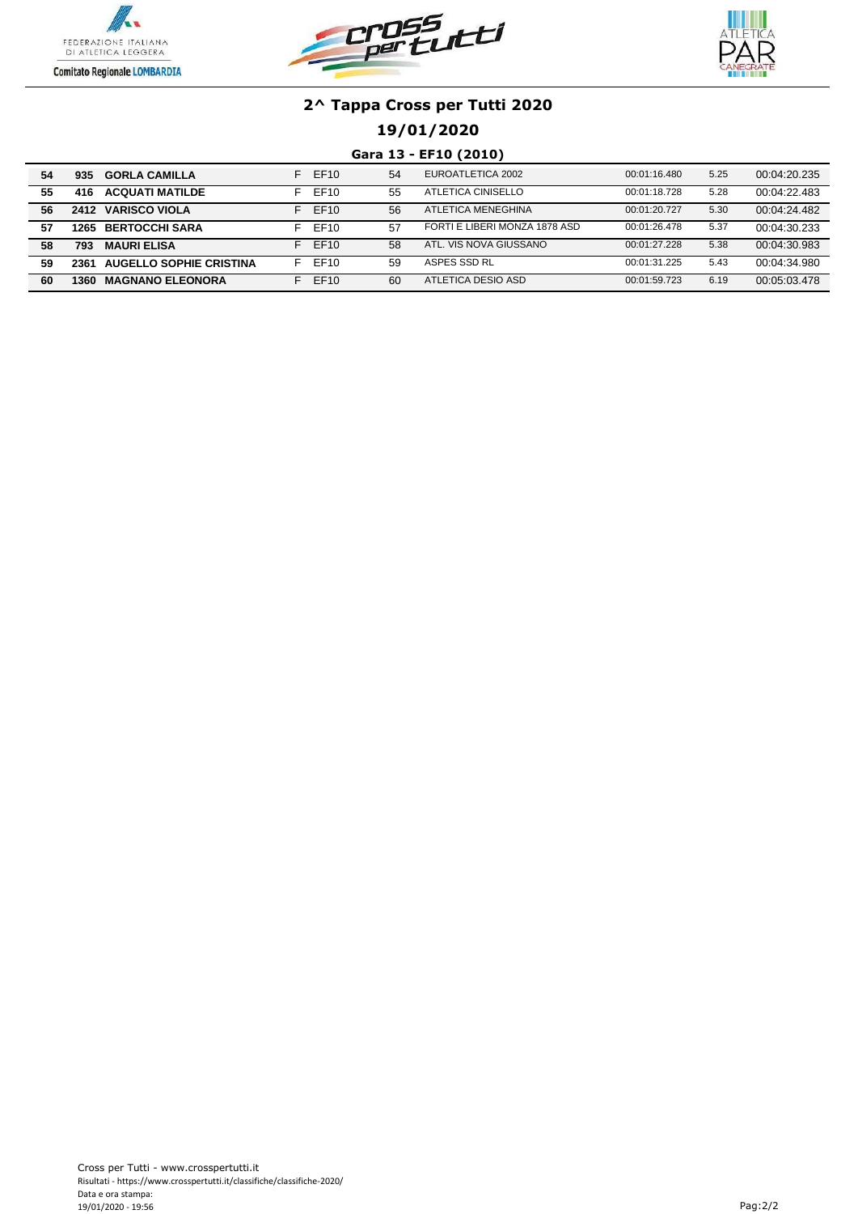





## **19/01/2020**

#### **Gara 13 - EF10 (2010)**

| 54 | 935  | <b>GORLA CAMILLA</b>         | F. | EF10             | 54 | EUROATLETICA 2002             | 00:01:16.480 | 5.25 | 00:04:20.235 |
|----|------|------------------------------|----|------------------|----|-------------------------------|--------------|------|--------------|
| 55 | 416  | <b>ACQUATI MATILDE</b>       | F. | EF10             | 55 | ATLETICA CINISELLO            | 00:01:18.728 | 5.28 | 00:04:22.483 |
| 56 |      | 2412 VARISCO VIOLA           | F. | EF <sub>10</sub> | 56 | ATLETICA MENEGHINA            | 00:01:20.727 | 5.30 | 00:04:24.482 |
| 57 |      | <b>1265 BERTOCCHI SARA</b>   | L. | EF10             | 57 | FORTI E LIBERI MONZA 1878 ASD | 00:01:26.478 | 5.37 | 00:04:30.233 |
| 58 | 793  | <b>MAURI ELISA</b>           |    | <b>FF10</b>      | 58 | ATL. VIS NOVA GIUSSANO        | 00:01:27.228 | 5.38 | 00:04:30.983 |
| 59 |      | 2361 AUGELLO SOPHIE CRISTINA | E  | EF10             | 59 | ASPES SSD RL                  | 00:01:31.225 | 5.43 | 00:04:34.980 |
| 60 | 1360 | <b>MAGNANO ELEONORA</b>      |    | EF10             | 60 | ATLETICA DESIO ASD            | 00:01:59.723 | 6.19 | 00:05:03.478 |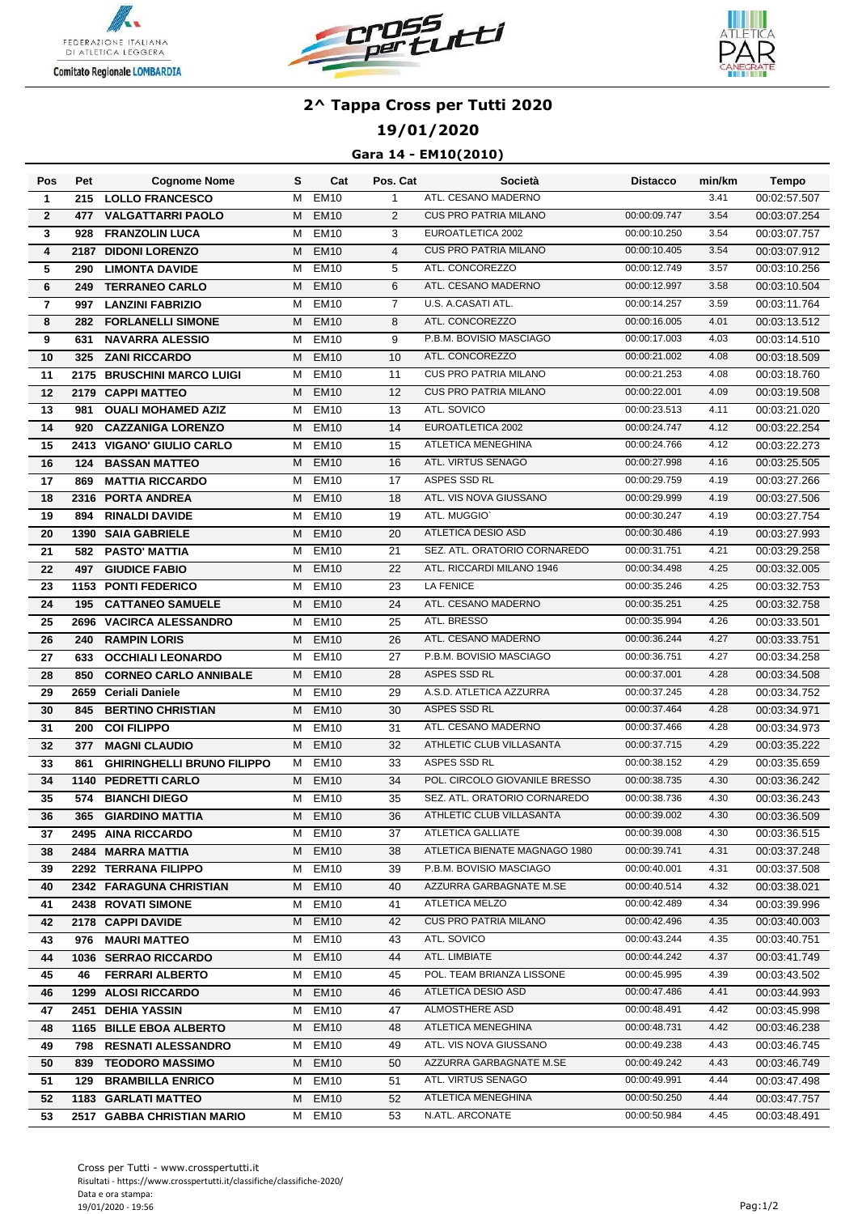





## **19/01/2020**

### **Gara 14 - EM10(2010)**

| Pos                     | Pet  | <b>Cognome Nome</b>               | s | Cat              | Pos. Cat       | Società                       | <b>Distacco</b> | min/km | <b>Tempo</b> |
|-------------------------|------|-----------------------------------|---|------------------|----------------|-------------------------------|-----------------|--------|--------------|
| $\mathbf{1}$            | 215  | <b>LOLLO FRANCESCO</b>            | м | <b>EM10</b>      | $\mathbf{1}$   | ATL. CESANO MADERNO           |                 | 3.41   | 00:02:57.507 |
| $\mathbf{2}$            | 477  | <b>VALGATTARRI PAOLO</b>          | м | <b>EM10</b>      | $\overline{2}$ | <b>CUS PRO PATRIA MILANO</b>  | 00:00:09.747    | 3.54   | 00:03:07.254 |
| 3                       | 928  | <b>FRANZOLIN LUCA</b>             | м | <b>EM10</b>      | 3              | EUROATLETICA 2002             | 00:00:10.250    | 3.54   | 00:03:07.757 |
| 4                       | 2187 | <b>DIDONI LORENZO</b>             | м | <b>EM10</b>      | $\overline{4}$ | <b>CUS PRO PATRIA MILANO</b>  | 00:00:10.405    | 3.54   | 00:03:07.912 |
| 5                       | 290  | <b>LIMONTA DAVIDE</b>             | м | <b>EM10</b>      | 5              | ATL. CONCOREZZO               | 00:00:12.749    | 3.57   | 00:03:10.256 |
| 6                       | 249  | <b>TERRANEO CARLO</b>             | м | <b>EM10</b>      | 6              | ATL. CESANO MADERNO           | 00:00:12.997    | 3.58   | 00:03:10.504 |
| $\overline{\mathbf{r}}$ | 997  | <b>LANZINI FABRIZIO</b>           | м | <b>EM10</b>      | $\overline{7}$ | U.S. A.CASATI ATL.            | 00:00:14.257    | 3.59   | 00:03:11.764 |
| 8                       | 282  | <b>FORLANELLI SIMONE</b>          | м | <b>EM10</b>      | 8              | ATL. CONCOREZZO               | 00:00:16.005    | 4.01   | 00:03:13.512 |
| 9                       | 631  | <b>NAVARRA ALESSIO</b>            | м | <b>EM10</b>      | 9              | P.B.M. BOVISIO MASCIAGO       | 00:00:17.003    | 4.03   | 00:03:14.510 |
| 10                      | 325  | <b>ZANI RICCARDO</b>              | м | <b>EM10</b>      | 10             | ATL. CONCOREZZO               | 00:00:21.002    | 4.08   | 00:03:18.509 |
| 11                      | 2175 | <b>BRUSCHINI MARCO LUIGI</b>      | М | <b>EM10</b>      | 11             | <b>CUS PRO PATRIA MILANO</b>  | 00:00:21.253    | 4.08   | 00:03:18.760 |
| 12                      |      | 2179 CAPPI MATTEO                 | м | <b>EM10</b>      | 12             | <b>CUS PRO PATRIA MILANO</b>  | 00:00:22.001    | 4.09   | 00:03:19.508 |
| 13                      | 981  | <b>OUALI MOHAMED AZIZ</b>         | м | <b>EM10</b>      | 13             | ATL. SOVICO                   | 00:00:23.513    | 4.11   | 00:03:21.020 |
| 14                      | 920  | <b>CAZZANIGA LORENZO</b>          | м | EM <sub>10</sub> | 14             | EUROATLETICA 2002             | 00:00:24.747    | 4.12   | 00:03:22.254 |
| 15                      |      | <b>2413 VIGANO' GIULIO CARLO</b>  | м | EM <sub>10</sub> | 15             | ATLETICA MENEGHINA            | 00:00:24.766    | 4.12   | 00:03:22.273 |
| 16                      |      | <b>124 BASSAN MATTEO</b>          | м | <b>EM10</b>      | 16             | ATL. VIRTUS SENAGO            | 00:00:27.998    | 4.16   | 00:03:25.505 |
| 17                      | 869  | <b>MATTIA RICCARDO</b>            | м | <b>EM10</b>      | 17             | ASPES SSD RL                  | 00:00:29.759    | 4.19   | 00:03:27.266 |
| 18                      |      | 2316 PORTA ANDREA                 | м | <b>EM10</b>      | 18             | ATL. VIS NOVA GIUSSANO        | 00:00:29.999    | 4.19   | 00:03:27.506 |
| 19                      | 894  | <b>RINALDI DAVIDE</b>             | м | <b>EM10</b>      | 19             | ATL. MUGGIO`                  | 00:00:30.247    | 4.19   | 00:03:27.754 |
| 20                      |      | 1390 SAIA GABRIELE                | М | <b>EM10</b>      | 20             | ATLETICA DESIO ASD            | 00:00:30.486    | 4.19   | 00:03:27.993 |
| 21                      | 582  | <b>PASTO' MATTIA</b>              | м | <b>EM10</b>      | 21             | SEZ. ATL. ORATORIO CORNAREDO  | 00:00:31.751    | 4.21   | 00:03:29.258 |
| 22                      | 497  | <b>GIUDICE FABIO</b>              | М | <b>EM10</b>      | 22             | ATL. RICCARDI MILANO 1946     | 00:00:34.498    | 4.25   | 00:03:32.005 |
| 23                      |      | 1153 PONTI FEDERICO               | М | <b>EM10</b>      | 23             | <b>LA FENICE</b>              | 00:00:35.246    | 4.25   | 00:03:32.753 |
| 24                      | 195  | <b>CATTANEO SAMUELE</b>           | м | <b>EM10</b>      | 24             | ATL. CESANO MADERNO           | 00:00:35.251    | 4.25   | 00:03:32.758 |
| 25                      | 2696 | <b>VACIRCA ALESSANDRO</b>         | м | <b>EM10</b>      | 25             | ATL. BRESSO                   | 00:00:35.994    | 4.26   | 00:03:33.501 |
| 26                      | 240  | <b>RAMPIN LORIS</b>               | м | <b>EM10</b>      | 26             | ATL. CESANO MADERNO           | 00:00:36.244    | 4.27   | 00:03:33.751 |
| 27                      | 633  | <b>OCCHIALI LEONARDO</b>          | м | <b>EM10</b>      | 27             | P.B.M. BOVISIO MASCIAGO       | 00:00:36.751    | 4.27   | 00:03:34.258 |
| $\overline{28}$         | 850  | <b>CORNEO CARLO ANNIBALE</b>      | м | <b>EM10</b>      | 28             | ASPES SSD RL                  | 00:00:37.001    | 4.28   | 00:03:34.508 |
| 29                      |      | 2659 Ceriali Daniele              | М | <b>EM10</b>      | 29             | A.S.D. ATLETICA AZZURRA       | 00:00:37.245    | 4.28   | 00:03:34.752 |
| 30                      | 845  | <b>BERTINO CHRISTIAN</b>          | M | <b>EM10</b>      | 30             | ASPES SSD RL                  | 00:00:37.464    | 4.28   | 00:03:34.971 |
| 31                      | 200  | <b>COI FILIPPO</b>                | м | <b>EM10</b>      | 31             | ATL. CESANO MADERNO           | 00:00:37.466    | 4.28   | 00:03:34.973 |
| 32                      | 377  | <b>MAGNI CLAUDIO</b>              | м | <b>EM10</b>      | 32             | ATHLETIC CLUB VILLASANTA      | 00:00:37.715    | 4.29   | 00:03:35.222 |
| 33                      | 861  | <b>GHIRINGHELLI BRUNO FILIPPO</b> | м | <b>EM10</b>      | 33             | ASPES SSD RL                  | 00:00:38.152    | 4.29   | 00:03:35.659 |
| 34                      |      | 1140 PEDRETTI CARLO               | м | <b>EM10</b>      | 34             | POL. CIRCOLO GIOVANILE BRESSO | 00:00:38.735    | 4.30   | 00:03:36.242 |
| 35                      | 574  | <b>BIANCHI DIEGO</b>              | М | <b>EM10</b>      | 35             | SEZ. ATL. ORATORIO CORNAREDO  | 00:00:38.736    | 4.30   | 00:03:36.243 |
| 36                      |      | 365 GIARDINO MATTIA               |   | M EM10           | 36             | ATHLETIC CLUB VILLASANTA      | 00:00:39.002    | 4.30   | 00:03:36.509 |
| 37                      |      | 2495 AINA RICCARDO                |   | M EM10           | 37             | ATLETICA GALLIATE             | 00:00:39.008    | 4.30   | 00:03:36.515 |
| 38                      |      | 2484 MARRA MATTIA                 |   | M EM10           | 38             | ATLETICA BIENATE MAGNAGO 1980 | 00:00:39.741    | 4.31   | 00:03:37.248 |
| 39                      |      | 2292 TERRANA FILIPPO              |   | M EM10           | 39             | P.B.M. BOVISIO MASCIAGO       | 00:00:40.001    | 4.31   | 00:03:37.508 |
| 40                      |      | 2342 FARAGUNA CHRISTIAN           |   | M EM10           | 40             | AZZURRA GARBAGNATE M.SE       | 00:00:40.514    | 4.32   | 00:03:38.021 |
| 41                      |      | 2438 ROVATI SIMONE                |   | M EM10           | 41             | ATLETICA MELZO                | 00:00:42.489    | 4.34   | 00:03:39.996 |
| 42                      |      | 2178 CAPPI DAVIDE                 |   | M EM10           | 42             | <b>CUS PRO PATRIA MILANO</b>  | 00:00:42.496    | 4.35   | 00:03:40.003 |
| 43                      |      | 976 MAURI MATTEO                  | M | EM <sub>10</sub> | 43             | ATL. SOVICO                   | 00:00:43.244    | 4.35   | 00:03:40.751 |
| 44                      |      | 1036 SERRAO RICCARDO              | M | <b>EM10</b>      | 44             | ATL. LIMBIATE                 | 00:00:44.242    | 4.37   | 00:03:41.749 |
| 45                      | 46   | <b>FERRARI ALBERTO</b>            |   | M EM10           | 45             | POL. TEAM BRIANZA LISSONE     | 00:00:45.995    | 4.39   | 00:03:43.502 |
| 46                      |      | 1299 ALOSI RICCARDO               | M | EM <sub>10</sub> | 46             | ATLETICA DESIO ASD            | 00:00:47.486    | 4.41   | 00:03:44.993 |
| 47                      |      | 2451 DEHIA YASSIN                 |   | M EM10           | 47             | ALMOSTHERE ASD                | 00:00:48.491    | 4.42   | 00:03:45.998 |
| 48                      |      | 1165 BILLE EBOA ALBERTO           | M | EM <sub>10</sub> | 48             | ATLETICA MENEGHINA            | 00:00:48.731    | 4.42   | 00:03:46.238 |
| 49                      |      | 798 RESNATI ALESSANDRO            | M | EM <sub>10</sub> | 49             | ATL. VIS NOVA GIUSSANO        | 00:00:49.238    | 4.43   | 00:03:46.745 |
| 50                      | 839  | <b>TEODORO MASSIMO</b>            | M | EM <sub>10</sub> | 50             | AZZURRA GARBAGNATE M.SE       | 00:00:49.242    | 4.43   | 00:03:46.749 |
| 51                      |      | <b>129 BRAMBILLA ENRICO</b>       | м | EM <sub>10</sub> | 51             | ATL. VIRTUS SENAGO            | 00:00:49.991    | 4.44   | 00:03:47.498 |
| 52                      |      | 1183 GARLATI MATTEO               | M | EM <sub>10</sub> | 52             | ATLETICA MENEGHINA            | 00:00:50.250    | 4.44   | 00:03:47.757 |
| 53                      |      | 2517 GABBA CHRISTIAN MARIO        | м | EM10             | 53             | N.ATL. ARCONATE               | 00:00:50.984    | 4.45   | 00:03:48.491 |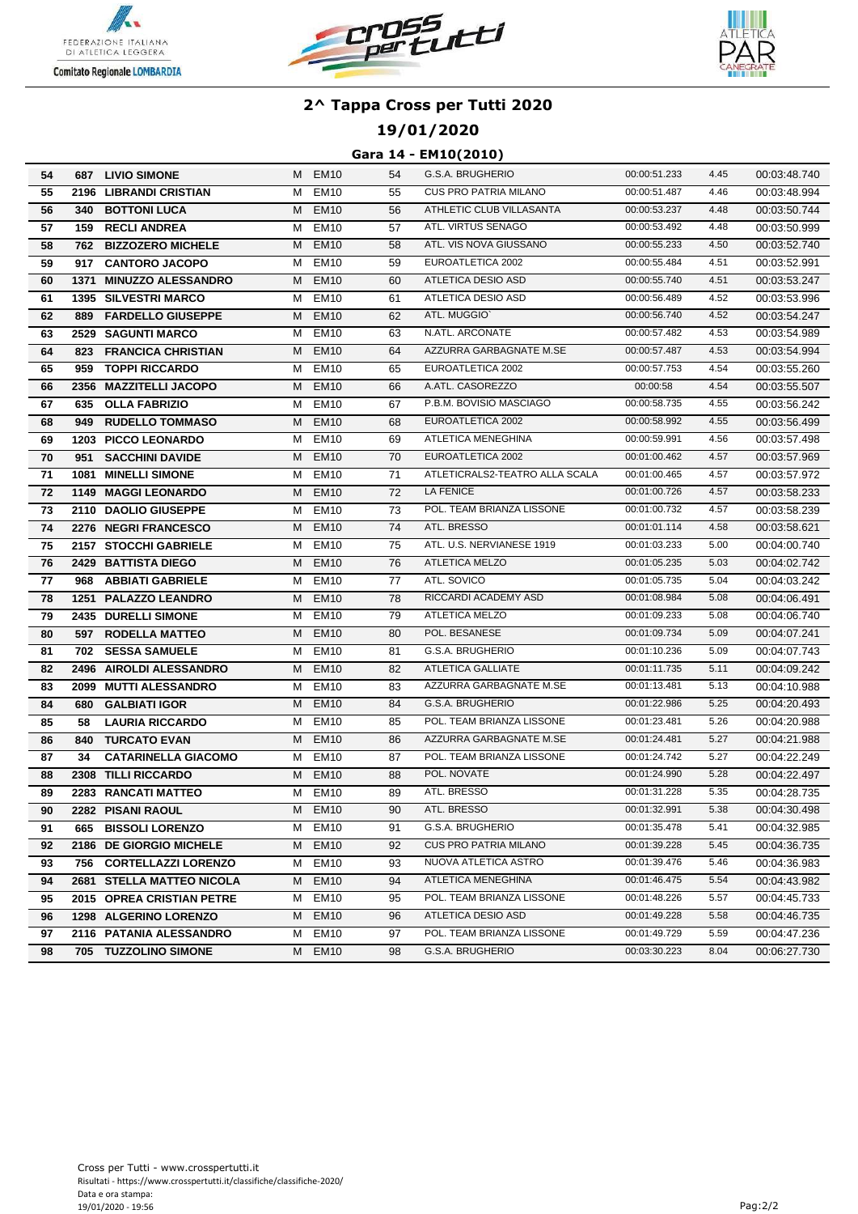





## **19/01/2020**

#### **Gara 14 - EM10(2010)**

| 54 |      | 687 LIVIO SIMONE            |   | M EM10           | 54 | G.S.A. BRUGHERIO               | 00:00:51.233 | 4.45 | 00:03:48.740 |
|----|------|-----------------------------|---|------------------|----|--------------------------------|--------------|------|--------------|
| 55 |      | 2196 LIBRANDI CRISTIAN      | M | <b>EM10</b>      | 55 | <b>CUS PRO PATRIA MILANO</b>   | 00:00:51.487 | 4.46 | 00:03:48.994 |
| 56 | 340  | <b>BOTTONI LUCA</b>         | м | <b>EM10</b>      | 56 | ATHLETIC CLUB VILLASANTA       | 00:00:53.237 | 4.48 | 00:03:50.744 |
| 57 |      | <b>159 RECLI ANDREA</b>     | м | <b>EM10</b>      | 57 | ATL. VIRTUS SENAGO             | 00:00:53.492 | 4.48 | 00:03:50.999 |
| 58 | 762  | <b>BIZZOZERO MICHELE</b>    | м | <b>EM10</b>      | 58 | ATL. VIS NOVA GIUSSANO         | 00:00:55.233 | 4.50 | 00:03:52.740 |
| 59 |      | 917 CANTORO JACOPO          | м | <b>EM10</b>      | 59 | EUROATLETICA 2002              | 00:00:55.484 | 4.51 | 00:03:52.991 |
| 60 | 1371 | <b>MINUZZO ALESSANDRO</b>   | м | <b>EM10</b>      | 60 | ATLETICA DESIO ASD             | 00:00:55.740 | 4.51 | 00:03:53.247 |
| 61 |      | <b>1395 SILVESTRI MARCO</b> | M | <b>EM10</b>      | 61 | ATLETICA DESIO ASD             | 00:00:56.489 | 4.52 | 00:03:53.996 |
| 62 | 889  | <b>FARDELLO GIUSEPPE</b>    | M | <b>EM10</b>      | 62 | ATL. MUGGIO'                   | 00:00:56.740 | 4.52 | 00:03:54.247 |
| 63 |      | 2529 SAGUNTI MARCO          | м | <b>EM10</b>      | 63 | N.ATL. ARCONATE                | 00:00:57.482 | 4.53 | 00:03:54.989 |
| 64 | 823  | <b>FRANCICA CHRISTIAN</b>   | м | <b>EM10</b>      | 64 | AZZURRA GARBAGNATE M.SE        | 00:00:57.487 | 4.53 | 00:03:54.994 |
| 65 | 959  | <b>TOPPI RICCARDO</b>       | м | <b>EM10</b>      | 65 | EUROATLETICA 2002              | 00:00:57.753 | 4.54 | 00:03:55.260 |
| 66 |      | 2356 MAZZITELLI JACOPO      | м | <b>EM10</b>      | 66 | A.ATL. CASOREZZO               | 00:00:58     | 4.54 | 00:03:55.507 |
| 67 | 635  | <b>OLLA FABRIZIO</b>        | м | <b>EM10</b>      | 67 | P.B.M. BOVISIO MASCIAGO        | 00:00:58.735 | 4.55 | 00:03:56.242 |
| 68 | 949  | <b>RUDELLO TOMMASO</b>      | М | EM <sub>10</sub> | 68 | EUROATLETICA 2002              | 00:00:58.992 | 4.55 | 00:03:56.499 |
| 69 |      | 1203 PICCO LEONARDO         | м | EM <sub>10</sub> | 69 | ATLETICA MENEGHINA             | 00:00:59.991 | 4.56 | 00:03:57.498 |
| 70 | 951  | <b>SACCHINI DAVIDE</b>      | м | <b>EM10</b>      | 70 | EUROATLETICA 2002              | 00:01:00.462 | 4.57 | 00:03:57.969 |
| 71 |      | <b>1081 MINELLI SIMONE</b>  | M | EM <sub>10</sub> | 71 | ATLETICRALS2-TEATRO ALLA SCALA | 00:01:00.465 | 4.57 | 00:03:57.972 |
| 72 |      | 1149 MAGGI LEONARDO         |   | M EM10           | 72 | LA FENICE                      | 00:01:00.726 | 4.57 | 00:03:58.233 |
| 73 |      | 2110 DAOLIO GIUSEPPE        | M | EM10             | 73 | POL. TEAM BRIANZA LISSONE      | 00:01:00.732 | 4.57 | 00:03:58.239 |
| 74 |      | 2276 NEGRI FRANCESCO        |   | M EM10           | 74 | ATL. BRESSO                    | 00:01:01.114 | 4.58 | 00:03:58.621 |
| 75 |      | 2157 STOCCHI GABRIELE       | М | EM10             | 75 | ATL. U.S. NERVIANESE 1919      | 00:01:03.233 | 5.00 | 00:04:00.740 |
| 76 |      | 2429 BATTISTA DIEGO         | M | <b>EM10</b>      | 76 | <b>ATLETICA MELZO</b>          | 00:01:05.235 | 5.03 | 00:04:02.742 |
| 77 |      | 968 ABBIATI GABRIELE        | м | <b>EM10</b>      | 77 | ATL. SOVICO                    | 00:01:05.735 | 5.04 | 00:04:03.242 |
| 78 |      | 1251 PALAZZO LEANDRO        | М | <b>EM10</b>      | 78 | RICCARDI ACADEMY ASD           | 00:01:08.984 | 5.08 | 00:04:06.491 |
| 79 |      | 2435 DURELLI SIMONE         | м | EM <sub>10</sub> | 79 | <b>ATLETICA MELZO</b>          | 00:01:09.233 | 5.08 | 00:04:06.740 |
| 80 |      | 597 RODELLA MATTEO          | М | <b>EM10</b>      | 80 | POL. BESANESE                  | 00:01:09.734 | 5.09 | 00:04:07.241 |
| 81 | 702  | <b>SESSA SAMUELE</b>        | м | <b>EM10</b>      | 81 | G.S.A. BRUGHERIO               | 00:01:10.236 | 5.09 | 00:04:07.743 |
| 82 |      | 2496 AIROLDI ALESSANDRO     | м | <b>EM10</b>      | 82 | ATLETICA GALLIATE              | 00:01:11.735 | 5.11 | 00:04:09.242 |
| 83 |      | 2099 MUTTI ALESSANDRO       | м | EM <sub>10</sub> | 83 | AZZURRA GARBAGNATE M.SE        | 00:01:13.481 | 5.13 | 00:04:10.988 |
| 84 | 680  | <b>GALBIATI IGOR</b>        | м | <b>EM10</b>      | 84 | G.S.A. BRUGHERIO               | 00:01:22.986 | 5.25 | 00:04:20.493 |
| 85 | 58   | <b>LAURIA RICCARDO</b>      | м | <b>EM10</b>      | 85 | POL. TEAM BRIANZA LISSONE      | 00:01:23.481 | 5.26 | 00:04:20.988 |
| 86 | 840  | <b>TURCATO EVAN</b>         | М | EM <sub>10</sub> | 86 | AZZURRA GARBAGNATE M.SE        | 00:01:24.481 | 5.27 | 00:04:21.988 |
| 87 | 34   | <b>CATARINELLA GIACOMO</b>  | М | <b>EM10</b>      | 87 | POL. TEAM BRIANZA LISSONE      | 00:01:24.742 | 5.27 | 00:04:22.249 |
| 88 |      | 2308 TILLI RICCARDO         | м | <b>EM10</b>      | 88 | POL. NOVATE                    | 00:01:24.990 | 5.28 | 00:04:22.497 |
| 89 |      | 2283 RANCATI MATTEO         | м | EM <sub>10</sub> | 89 | ATL. BRESSO                    | 00:01:31.228 | 5.35 | 00:04:28.735 |
| 90 |      | 2282 PISANI RAOUL           |   | M EM10           | 90 | ATL. BRESSO                    | 00:01:32.991 | 5.38 | 00:04:30.498 |
| 91 |      | 665 BISSOLI LORENZO         |   | M EM10           | 91 | G.S.A. BRUGHERIO               | 00:01:35.478 | 5.41 | 00:04:32.985 |
| 92 |      | 2186 DE GIORGIO MICHELE     | M | EM <sub>10</sub> | 92 | <b>CUS PRO PATRIA MILANO</b>   | 00:01:39.228 | 5.45 | 00:04:36.735 |
| 93 |      | 756 CORTELLAZZI LORENZO     |   | M EM10           | 93 | NUOVA ATLETICA ASTRO           | 00:01:39.476 | 5.46 | 00:04:36.983 |
| 94 |      | 2681 STELLA MATTEO NICOLA   |   | M EM10           | 94 | ATLETICA MENEGHINA             | 00:01:46.475 | 5.54 | 00:04:43.982 |
| 95 |      | 2015 OPREA CRISTIAN PETRE   |   | M EM10           | 95 | POL. TEAM BRIANZA LISSONE      | 00:01:48.226 | 5.57 | 00:04:45.733 |
| 96 |      | 1298 ALGERINO LORENZO       |   | M EM10           | 96 | ATLETICA DESIO ASD             | 00:01:49.228 | 5.58 | 00:04:46.735 |
| 97 |      | 2116 PATANIA ALESSANDRO     |   | M EM10           | 97 | POL. TEAM BRIANZA LISSONE      | 00:01:49.729 | 5.59 | 00:04:47.236 |
| 98 |      | 705 TUZZOLINO SIMONE        |   | M EM10           | 98 | G.S.A. BRUGHERIO               | 00:03:30.223 | 8.04 | 00:06:27.730 |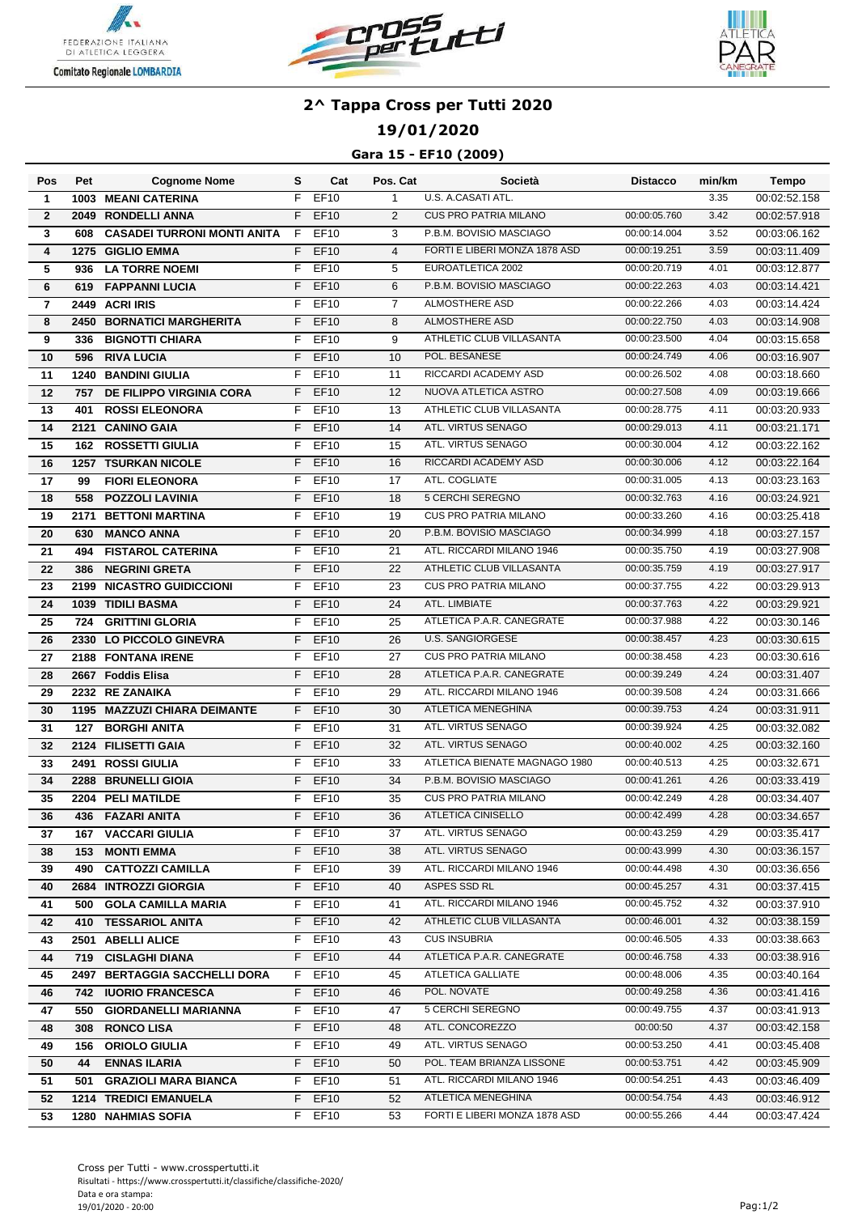





## **19/01/2020**

### **Gara 15 - EF10 (2009)**

| Pos             | Pet  | <b>Cognome Nome</b>                | s  | Cat         | Pos. Cat       | Società                       | Distacco     | min/km | Tempo        |
|-----------------|------|------------------------------------|----|-------------|----------------|-------------------------------|--------------|--------|--------------|
| $\mathbf{1}$    |      | <b>1003 MEANI CATERINA</b>         | F  | <b>EF10</b> | $\mathbf{1}$   | U.S. A.CASATI ATL.            |              | 3.35   | 00:02:52.158 |
| $\mathbf{2}$    |      | 2049 RONDELLI ANNA                 | F  | <b>EF10</b> | $\overline{2}$ | <b>CUS PRO PATRIA MILANO</b>  | 00:00:05.760 | 3.42   | 00:02:57.918 |
| 3               | 608  | <b>CASADEI TURRONI MONTI ANITA</b> | F  | EF10        | 3              | P.B.M. BOVISIO MASCIAGO       | 00:00:14.004 | 3.52   | 00:03:06.162 |
| 4               | 1275 | <b>GIGLIO EMMA</b>                 | F  | <b>EF10</b> | $\overline{4}$ | FORTI E LIBERI MONZA 1878 ASD | 00:00:19.251 | 3.59   | 00:03:11.409 |
| 5               | 936  | <b>LA TORRE NOEMI</b>              | F  | <b>EF10</b> | 5              | EUROATLETICA 2002             | 00:00:20.719 | 4.01   | 00:03:12.877 |
| 6               | 619  | <b>FAPPANNI LUCIA</b>              | F  | <b>EF10</b> | 6              | P.B.M. BOVISIO MASCIAGO       | 00:00:22.263 | 4.03   | 00:03:14.421 |
| 7               |      | 2449 ACRI IRIS                     | F  | EF10        | $\overline{7}$ | <b>ALMOSTHERE ASD</b>         | 00:00:22.266 | 4.03   | 00:03:14.424 |
| 8               |      | 2450 BORNATICI MARGHERITA          | F  | <b>EF10</b> | 8              | <b>ALMOSTHERE ASD</b>         | 00:00:22.750 | 4.03   | 00:03:14.908 |
| 9               | 336  | <b>BIGNOTTI CHIARA</b>             | F  | EF10        | 9              | ATHLETIC CLUB VILLASANTA      | 00:00:23.500 | 4.04   | 00:03:15.658 |
| 10              | 596  | <b>RIVA LUCIA</b>                  | F  | EF10        | 10             | POL. BESANESE                 | 00:00:24.749 | 4.06   | 00:03:16.907 |
| 11              |      | <b>1240 BANDINI GIULIA</b>         | F  | EF10        | 11             | RICCARDI ACADEMY ASD          | 00:00:26.502 | 4.08   | 00:03:18.660 |
| 12              | 757  | DE FILIPPO VIRGINIA CORA           | F  | EF10        | 12             | NUOVA ATLETICA ASTRO          | 00:00:27.508 | 4.09   | 00:03:19.666 |
| 13              | 401  | <b>ROSSI ELEONORA</b>              | F  | <b>EF10</b> | 13             | ATHLETIC CLUB VILLASANTA      | 00:00:28.775 | 4.11   | 00:03:20.933 |
| 14              |      | 2121 CANINO GAIA                   | F  | <b>EF10</b> | 14             | ATL. VIRTUS SENAGO            | 00:00:29.013 | 4.11   | 00:03:21.171 |
| 15              | 162  | <b>ROSSETTI GIULIA</b>             | F  | <b>EF10</b> | 15             | ATL. VIRTUS SENAGO            | 00:00:30.004 | 4.12   | 00:03:22.162 |
| 16              |      | <b>1257 TSURKAN NICOLE</b>         | F  | <b>EF10</b> | 16             | RICCARDI ACADEMY ASD          | 00:00:30.006 | 4.12   | 00:03:22.164 |
| 17              | 99   | <b>FIORI ELEONORA</b>              | F  | <b>EF10</b> | 17             | ATL. COGLIATE                 | 00:00:31.005 | 4.13   | 00:03:23.163 |
| 18              | 558  | <b>POZZOLI LAVINIA</b>             | F  | EF10        | 18             | 5 CERCHI SEREGNO              | 00:00:32.763 | 4.16   | 00:03:24.921 |
| 19              | 2171 | <b>BETTONI MARTINA</b>             | F  | <b>EF10</b> | 19             | <b>CUS PRO PATRIA MILANO</b>  | 00:00:33.260 | 4.16   | 00:03:25.418 |
| 20              | 630  | <b>MANCO ANNA</b>                  | F  | <b>EF10</b> | 20             | P.B.M. BOVISIO MASCIAGO       | 00:00:34.999 | 4.18   | 00:03:27.157 |
| 21              | 494  | <b>FISTAROL CATERINA</b>           | F  | EF10        | 21             | ATL. RICCARDI MILANO 1946     | 00:00:35.750 | 4.19   | 00:03:27.908 |
| $\overline{22}$ | 386  | <b>NEGRINI GRETA</b>               | F  | <b>EF10</b> | 22             | ATHLETIC CLUB VILLASANTA      | 00:00:35.759 | 4.19   | 00:03:27.917 |
| 23              |      | 2199 NICASTRO GUIDICCIONI          | F  | EF10        | 23             | <b>CUS PRO PATRIA MILANO</b>  | 00:00:37.755 | 4.22   | 00:03:29.913 |
| 24              | 1039 | <b>TIDILI BASMA</b>                | F  | EF10        | 24             | ATL. LIMBIATE                 | 00:00:37.763 | 4.22   | 00:03:29.921 |
| $\overline{25}$ | 724  | <b>GRITTINI GLORIA</b>             | F  | <b>EF10</b> | 25             | ATLETICA P.A.R. CANEGRATE     | 00:00:37.988 | 4.22   | 00:03:30.146 |
| 26              |      | 2330 LO PICCOLO GINEVRA            | F  | <b>EF10</b> | 26             | U.S. SANGIORGESE              | 00:00:38.457 | 4.23   | 00:03:30.615 |
| 27              |      | 2188 FONTANA IRENE                 | F  | EF10        | 27             | <b>CUS PRO PATRIA MILANO</b>  | 00:00:38.458 | 4.23   | 00:03:30.616 |
| 28              |      | 2667 Foddis Elisa                  | F  | <b>EF10</b> | 28             | ATLETICA P.A.R. CANEGRATE     | 00:00:39.249 | 4.24   | 00:03:31.407 |
| 29              |      | 2232 RE ZANAIKA                    | F  | <b>EF10</b> | 29             | ATL. RICCARDI MILANO 1946     | 00:00:39.508 | 4.24   | 00:03:31.666 |
| 30              |      | 1195 MAZZUZI CHIARA DEIMANTE       | F  | EF10        | 30             | ATLETICA MENEGHINA            | 00:00:39.753 | 4.24   | 00:03:31.911 |
| 31              | 127  | <b>BORGHI ANITA</b>                | F  | <b>EF10</b> | 31             | ATL. VIRTUS SENAGO            | 00:00:39.924 | 4.25   | 00:03:32.082 |
| 32              |      | 2124 FILISETTI GAIA                | F  | <b>EF10</b> | 32             | ATL. VIRTUS SENAGO            | 00:00:40.002 | 4.25   | 00:03:32.160 |
| 33              |      | 2491 ROSSI GIULIA                  | F  | EF10        | 33             | ATLETICA BIENATE MAGNAGO 1980 | 00:00:40.513 | 4.25   | 00:03:32.671 |
| 34              |      | 2288 BRUNELLI GIOIA                | F  | EF10        | 34             | P.B.M. BOVISIO MASCIAGO       | 00:00:41.261 | 4.26   | 00:03:33.419 |
| 35              |      | 2204 PELI MATILDE                  | F  | EF10        | 35             | <b>CUS PRO PATRIA MILANO</b>  | 00:00:42.249 | 4.28   | 00:03:34.407 |
| 36              |      | 436 FAZARI ANITA                   |    | F EF10      | 36             | ATLETICA CINISELLO            | 00:00:42.499 | 4.28   | 00:03:34.657 |
| 37              |      | <b>167 VACCARI GIULIA</b>          |    | F EF10      | 37             | ATL. VIRTUS SENAGO            | 00:00:43.259 | 4.29   | 00:03:35.417 |
| 38              | 153  | <b>MONTI EMMA</b>                  | F. | EF10        | 38             | ATL. VIRTUS SENAGO            | 00:00:43.999 | 4.30   | 00:03:36.157 |
| 39              |      | 490 CATTOZZI CAMILLA               |    | F EF10      | 39             | ATL. RICCARDI MILANO 1946     | 00:00:44.498 | 4.30   | 00:03:36.656 |
| 40              |      | 2684 INTROZZI GIORGIA              |    | F EF10      | 40             | ASPES SSD RL                  | 00:00:45.257 | 4.31   | 00:03:37.415 |
| 41              | 500  | <b>GOLA CAMILLA MARIA</b>          | F. | EF10        | 41             | ATL. RICCARDI MILANO 1946     | 00:00:45.752 | 4.32   | 00:03:37.910 |
| 42              | 410  | <b>TESSARIOL ANITA</b>             | F. | EF10        | 42             | ATHLETIC CLUB VILLASANTA      | 00:00:46.001 | 4.32   | 00:03:38.159 |
| 43              |      | 2501 ABELLI ALICE                  | F. | EF10        | 43             | <b>CUS INSUBRIA</b>           | 00:00:46.505 | 4.33   | 00:03:38.663 |
| 44              |      | 719 CISLAGHI DIANA                 |    | F EF10      | 44             | ATLETICA P.A.R. CANEGRATE     | 00:00:46.758 | 4.33   | 00:03:38.916 |
| 45              |      | 2497 BERTAGGIA SACCHELLI DORA      | F. | EF10        | 45             | ATLETICA GALLIATE             | 00:00:48.006 | 4.35   | 00:03:40.164 |
| 46              |      | 742 IUORIO FRANCESCA               |    | F EF10      | 46             | POL. NOVATE                   | 00:00:49.258 | 4.36   | 00:03:41.416 |
| 47              | 550  | <b>GIORDANELLI MARIANNA</b>        | F. | EF10        | 47             | 5 CERCHI SEREGNO              | 00:00:49.755 | 4.37   | 00:03:41.913 |
| 48              | 308  | <b>RONCO LISA</b>                  |    | F EF10      | 48             | ATL. CONCOREZZO               | 00:00:50     | 4.37   | 00:03:42.158 |
| 49              | 156  | <b>ORIOLO GIULIA</b>               | F. | <b>EF10</b> | 49             | ATL. VIRTUS SENAGO            | 00:00:53.250 | 4.41   | 00:03:45.408 |
| 50              | 44   | <b>ENNAS ILARIA</b>                | F. | EF10        | 50             | POL. TEAM BRIANZA LISSONE     | 00:00:53.751 | 4.42   | 00:03:45.909 |
| 51              | 501  | <b>GRAZIOLI MARA BIANCA</b>        | F. | <b>EF10</b> | 51             | ATL. RICCARDI MILANO 1946     | 00:00:54.251 | 4.43   | 00:03:46.409 |
| 52              |      | <b>1214 TREDICI EMANUELA</b>       | F. | <b>EF10</b> | 52             | ATLETICA MENEGHINA            | 00:00:54.754 | 4.43   | 00:03:46.912 |
| 53              |      | <b>1280 NAHMIAS SOFIA</b>          |    | F EF10      | 53             | FORTI E LIBERI MONZA 1878 ASD | 00:00:55.266 | 4.44   | 00:03:47.424 |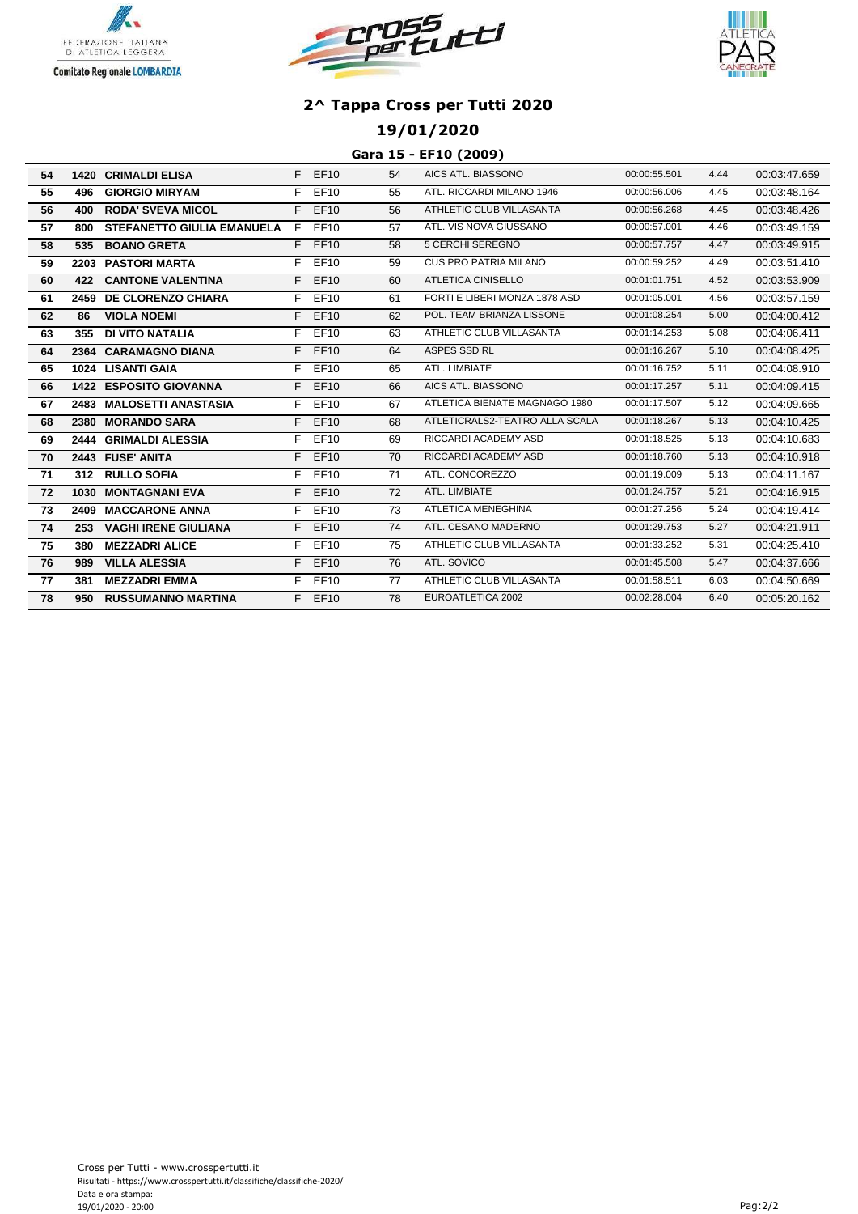





## **19/01/2020**

#### **Gara 15 - EF10 (2009)**

| 54 |      | <b>1420 CRIMALDI ELISA</b>        |    | $F$ EF10    | 54 | AICS ATL. BIASSONO             | 00:00:55.501 | 4.44 | 00:03:47.659 |
|----|------|-----------------------------------|----|-------------|----|--------------------------------|--------------|------|--------------|
| 55 | 496  | <b>GIORGIO MIRYAM</b>             | F  | EF10        | 55 | ATL. RICCARDI MILANO 1946      | 00:00:56.006 | 4.45 | 00:03:48.164 |
| 56 | 400  | <b>RODA' SVEVA MICOL</b>          | F. | EF10        | 56 | ATHLETIC CLUB VILLASANTA       | 00:00:56.268 | 4.45 | 00:03:48.426 |
| 57 | 800  | <b>STEFANETTO GIULIA EMANUELA</b> | F  | <b>EF10</b> | 57 | ATL. VIS NOVA GIUSSANO         | 00:00:57.001 | 4.46 | 00:03:49.159 |
| 58 | 535  | <b>BOANO GRETA</b>                |    | F EF10      | 58 | <b>5 CERCHI SEREGNO</b>        | 00:00:57.757 | 4.47 | 00:03:49.915 |
| 59 |      | 2203 PASTORI MARTA                | F. | EF10        | 59 | <b>CUS PRO PATRIA MILANO</b>   | 00:00:59.252 | 4.49 | 00:03:51.410 |
| 60 | 422  | <b>CANTONE VALENTINA</b>          | F. | <b>EF10</b> | 60 | <b>ATLETICA CINISELLO</b>      | 00:01:01.751 | 4.52 | 00:03:53.909 |
| 61 |      | 2459 DE CLORENZO CHIARA           | F. | EF10        | 61 | FORTI E LIBERI MONZA 1878 ASD  | 00:01:05.001 | 4.56 | 00:03:57.159 |
| 62 | 86   | <b>VIOLA NOEMI</b>                |    | F EF10      | 62 | POL. TEAM BRIANZA LISSONE      | 00:01:08.254 | 5.00 | 00:04:00.412 |
| 63 | 355  | <b>DI VITO NATALIA</b>            | F. | EF10        | 63 | ATHLETIC CLUB VILLASANTA       | 00:01:14.253 | 5.08 | 00:04:06.411 |
| 64 |      | 2364 CARAMAGNO DIANA              |    | $F$ EF10    | 64 | ASPES SSD RL                   | 00:01:16.267 | 5.10 | 00:04:08.425 |
| 65 |      | 1024 LISANTI GAIA                 | F. | EF10        | 65 | ATL. LIMBIATE                  | 00:01:16.752 | 5.11 | 00:04:08.910 |
| 66 |      | <b>1422 ESPOSITO GIOVANNA</b>     |    | F EF10      | 66 | AICS ATL. BIASSONO             | 00:01:17.257 | 5.11 | 00:04:09.415 |
| 67 |      | 2483 MALOSETTI ANASTASIA          | F. | EF10        | 67 | ATLETICA BIENATE MAGNAGO 1980  | 00:01:17.507 | 5.12 | 00:04:09.665 |
| 68 | 2380 | <b>MORANDO SARA</b>               | F. | <b>EF10</b> | 68 | ATLETICRALS2-TEATRO ALLA SCALA | 00:01:18.267 | 5.13 | 00:04:10.425 |
| 69 |      | 2444 GRIMALDI ALESSIA             | F  | EF10        | 69 | RICCARDI ACADEMY ASD           | 00:01:18.525 | 5.13 | 00:04:10.683 |
| 70 |      | 2443 FUSE' ANITA                  |    | F EF10      | 70 | RICCARDI ACADEMY ASD           | 00:01:18.760 | 5.13 | 00:04:10.918 |
| 71 |      | 312 RULLO SOFIA                   | F. | EF10        | 71 | ATL. CONCOREZZO                | 00:01:19.009 | 5.13 | 00:04:11.167 |
| 72 |      | 1030 MONTAGNANI EVA               | F. | <b>EF10</b> | 72 | ATL. LIMBIATE                  | 00:01:24.757 | 5.21 | 00:04:16.915 |
| 73 |      | 2409 MACCARONE ANNA               | F. | EF10        | 73 | <b>ATLETICA MENEGHINA</b>      | 00:01:27.256 | 5.24 | 00:04:19.414 |
| 74 | 253  | <b>VAGHI IRENE GIULIANA</b>       | F. | EF10        | 74 | ATL. CESANO MADERNO            | 00:01:29.753 | 5.27 | 00:04:21.911 |
| 75 | 380  | <b>MEZZADRI ALICE</b>             |    | F EF10      | 75 | ATHLETIC CLUB VILLASANTA       | 00:01:33.252 | 5.31 | 00:04:25.410 |
| 76 | 989  | <b>VILLA ALESSIA</b>              |    | F EF10      | 76 | ATL. SOVICO                    | 00:01:45.508 | 5.47 | 00:04:37.666 |
| 77 | 381  | <b>MEZZADRI EMMA</b>              | F. | EF10        | 77 | ATHLETIC CLUB VILLASANTA       | 00:01:58.511 | 6.03 | 00:04:50.669 |
| 78 | 950  | <b>RUSSUMANNO MARTINA</b>         |    | $F$ EF10    | 78 | EUROATLETICA 2002              | 00:02:28.004 | 6.40 | 00:05:20.162 |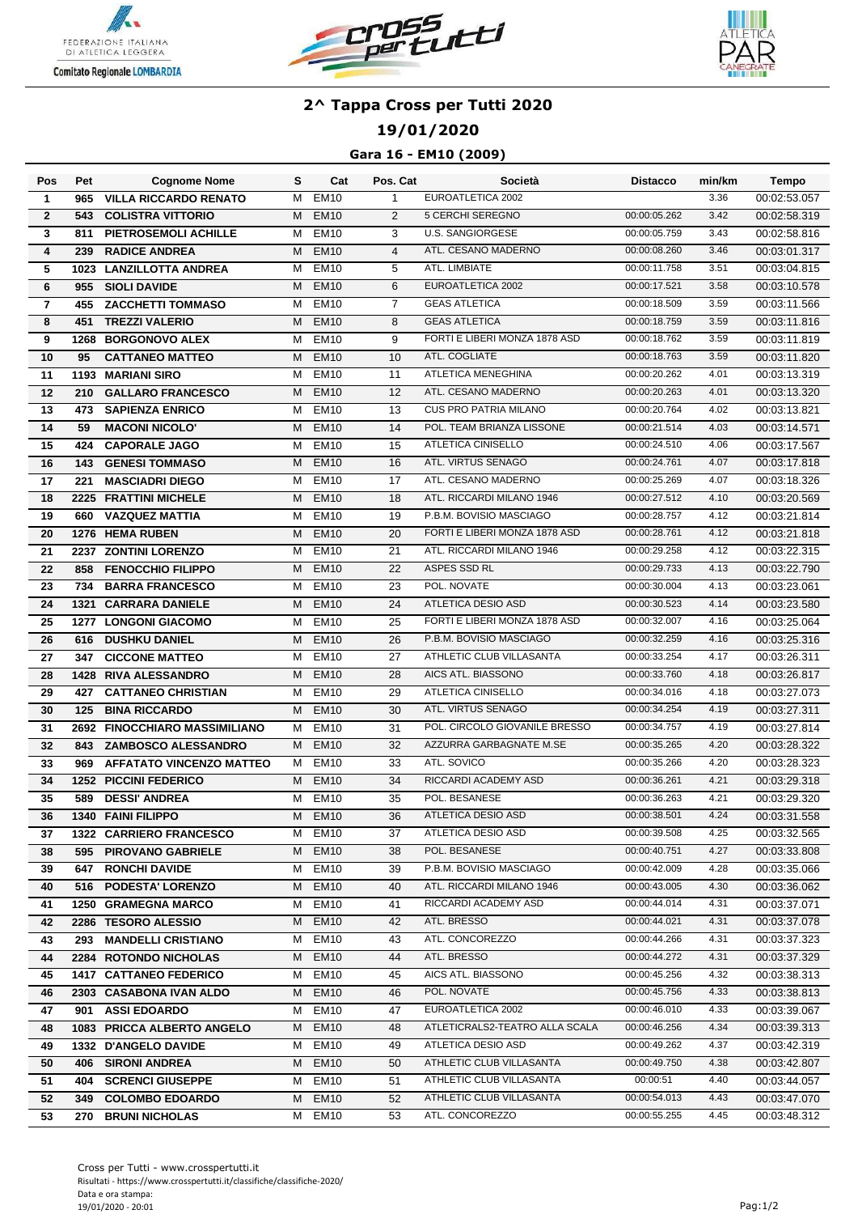





## **19/01/2020**

### **Gara 16 - EM10 (2009)**

| Pos          | Pet  | <b>Cognome Nome</b>             | s | Cat              | Pos. Cat       | Società                        | <b>Distacco</b> | min/km | <b>Tempo</b> |
|--------------|------|---------------------------------|---|------------------|----------------|--------------------------------|-----------------|--------|--------------|
| $\mathbf{1}$ | 965  | <b>VILLA RICCARDO RENATO</b>    | м | EM10             | $\mathbf{1}$   | EUROATLETICA 2002              |                 | 3.36   | 00:02:53.057 |
| $\mathbf{2}$ | 543  | <b>COLISTRA VITTORIO</b>        | м | <b>EM10</b>      | $\overline{2}$ | 5 CERCHI SEREGNO               | 00:00:05.262    | 3.42   | 00:02:58.319 |
| 3            | 811  | PIETROSEMOLI ACHILLE            | м | <b>EM10</b>      | 3              | <b>U.S. SANGIORGESE</b>        | 00:00:05.759    | 3.43   | 00:02:58.816 |
| 4            | 239  | <b>RADICE ANDREA</b>            | м | <b>EM10</b>      | $\overline{4}$ | ATL. CESANO MADERNO            | 00:00:08.260    | 3.46   | 00:03:01.317 |
| 5            |      | 1023 LANZILLOTTA ANDREA         | м | <b>EM10</b>      | 5              | ATL. LIMBIATE                  | 00:00:11.758    | 3.51   | 00:03:04.815 |
| 6            | 955  | <b>SIOLI DAVIDE</b>             | м | <b>EM10</b>      | 6              | EUROATLETICA 2002              | 00:00:17.521    | 3.58   | 00:03:10.578 |
| 7            | 455  | <b>ZACCHETTI TOMMASO</b>        | м | <b>EM10</b>      | $\overline{7}$ | <b>GEAS ATLETICA</b>           | 00:00:18.509    | 3.59   | 00:03:11.566 |
| 8            | 451  | <b>TREZZI VALERIO</b>           | м | <b>EM10</b>      | 8              | <b>GEAS ATLETICA</b>           | 00:00:18.759    | 3.59   | 00:03:11.816 |
| 9            | 1268 | <b>BORGONOVO ALEX</b>           | м | <b>EM10</b>      | 9              | FORTI E LIBERI MONZA 1878 ASD  | 00:00:18.762    | 3.59   | 00:03:11.819 |
| 10           | 95   | <b>CATTANEO MATTEO</b>          | м | <b>EM10</b>      | 10             | ATL. COGLIATE                  | 00:00:18.763    | 3.59   | 00:03:11.820 |
| 11           | 1193 | <b>MARIANI SIRO</b>             | м | <b>EM10</b>      | 11             | ATLETICA MENEGHINA             | 00:00:20.262    | 4.01   | 00:03:13.319 |
| 12           | 210  | <b>GALLARO FRANCESCO</b>        | м | <b>EM10</b>      | 12             | ATL. CESANO MADERNO            | 00:00:20.263    | 4.01   | 00:03:13.320 |
| 13           | 473  | <b>SAPIENZA ENRICO</b>          | м | <b>EM10</b>      | 13             | <b>CUS PRO PATRIA MILANO</b>   | 00:00:20.764    | 4.02   | 00:03:13.821 |
| 14           | 59   | <b>MACONI NICOLO'</b>           | м | <b>EM10</b>      | 14             | POL. TEAM BRIANZA LISSONE      | 00:00:21.514    | 4.03   | 00:03:14.571 |
| 15           |      | 424 CAPORALE JAGO               |   | M EM10           | 15             | <b>ATLETICA CINISELLO</b>      | 00:00:24.510    | 4.06   | 00:03:17.567 |
| 16           | 143  | <b>GENESI TOMMASO</b>           | м | EM <sub>10</sub> | 16             | ATL. VIRTUS SENAGO             | 00:00:24.761    | 4.07   | 00:03:17.818 |
| 17           | 221  | <b>MASCIADRI DIEGO</b>          | м | EM <sub>10</sub> | 17             | ATL. CESANO MADERNO            | 00:00:25.269    | 4.07   | 00:03:18.326 |
| 18           |      | 2225 FRATTINI MICHELE           | м | <b>EM10</b>      | 18             | ATL. RICCARDI MILANO 1946      | 00:00:27.512    | 4.10   | 00:03:20.569 |
| 19           | 660  | <b>VAZQUEZ MATTIA</b>           | м | <b>EM10</b>      | 19             | P.B.M. BOVISIO MASCIAGO        | 00:00:28.757    | 4.12   | 00:03:21.814 |
| 20           |      | 1276 HEMA RUBEN                 | м | <b>EM10</b>      | 20             | FORTI E LIBERI MONZA 1878 ASD  | 00:00:28.761    | 4.12   | 00:03:21.818 |
| 21           |      | 2237 ZONTINI LORENZO            | м | <b>EM10</b>      | 21             | ATL. RICCARDI MILANO 1946      | 00:00:29.258    | 4.12   | 00:03:22.315 |
| 22           | 858  | <b>FENOCCHIO FILIPPO</b>        | м | <b>EM10</b>      | 22             | ASPES SSD RL                   | 00:00:29.733    | 4.13   | 00:03:22.790 |
| 23           | 734  | <b>BARRA FRANCESCO</b>          | м | <b>EM10</b>      | 23             | POL. NOVATE                    | 00:00:30.004    | 4.13   | 00:03:23.061 |
| 24           | 1321 | <b>CARRARA DANIELE</b>          | м | <b>EM10</b>      | 24             | ATLETICA DESIO ASD             | 00:00:30.523    | 4.14   | 00:03:23.580 |
| 25           |      | <b>1277 LONGONI GIACOMO</b>     | м | <b>EM10</b>      | 25             | FORTI E LIBERI MONZA 1878 ASD  | 00:00:32.007    | 4.16   | 00:03:25.064 |
| 26           | 616  | <b>DUSHKU DANIEL</b>            | м | <b>EM10</b>      | 26             | P.B.M. BOVISIO MASCIAGO        | 00:00:32.259    | 4.16   | 00:03:25.316 |
| 27           | 347  | <b>CICCONE MATTEO</b>           | м | <b>EM10</b>      | 27             | ATHLETIC CLUB VILLASANTA       | 00:00:33.254    | 4.17   | 00:03:26.311 |
| 28           |      | <b>1428 RIVA ALESSANDRO</b>     | м | <b>EM10</b>      | 28             | AICS ATL. BIASSONO             | 00:00:33.760    | 4.18   | 00:03:26.817 |
| 29           | 427  | <b>CATTANEO CHRISTIAN</b>       | м | <b>EM10</b>      | 29             | ATLETICA CINISELLO             | 00:00:34.016    | 4.18   | 00:03:27.073 |
| 30           | 125  | <b>BINA RICCARDO</b>            | м | <b>EM10</b>      | 30             | ATL. VIRTUS SENAGO             | 00:00:34.254    | 4.19   | 00:03:27.311 |
| 31           |      | 2692 FINOCCHIARO MASSIMILIANO   | м | <b>EM10</b>      | 31             | POL. CIRCOLO GIOVANILE BRESSO  | 00:00:34.757    | 4.19   | 00:03:27.814 |
| 32           | 843  | <b>ZAMBOSCO ALESSANDRO</b>      | м | <b>EM10</b>      | 32             | AZZURRA GARBAGNATE M.SE        | 00:00:35.265    | 4.20   | 00:03:28.322 |
| 33           | 969  | <b>AFFATATO VINCENZO MATTEO</b> | м | <b>EM10</b>      | 33             | ATL. SOVICO                    | 00:00:35.266    | 4.20   | 00:03:28.323 |
| 34           |      | <b>1252 PICCINI FEDERICO</b>    | м | <b>EM10</b>      | 34             | RICCARDI ACADEMY ASD           | 00:00:36.261    | 4.21   | 00:03:29.318 |
| 35           | 589  | <b>DESSI' ANDREA</b>            | м | <b>EM10</b>      | 35             | POL. BESANESE                  | 00:00:36.263    | 4.21   | 00:03:29.320 |
| 36           |      | 1340 FAINI FILIPPO              |   | M EM10           | 36             | ATLETICA DESIO ASD             | 00:00:38.501    | 4.24   | 00:03:31.558 |
| 37           |      | 1322 CARRIERO FRANCESCO         |   | M EM10           | 37             | ATLETICA DESIO ASD             | 00:00:39.508    | 4.25   | 00:03:32.565 |
| 38           |      | 595 PIROVANO GABRIELE           |   | M EM10           | 38             | POL. BESANESE                  | 00:00:40.751    | 4.27   | 00:03:33.808 |
| 39           |      | <b>647 RONCHI DAVIDE</b>        |   | M EM10           | 39             | P.B.M. BOVISIO MASCIAGO        | 00:00:42.009    | 4.28   | 00:03:35.066 |
| 40           |      | 516 PODESTA' LORENZO            |   | M EM10           | 40             | ATL. RICCARDI MILANO 1946      | 00:00:43.005    | 4.30   | 00:03:36.062 |
| 41           |      | <b>1250 GRAMEGNA MARCO</b>      |   | M EM10           | 41             | RICCARDI ACADEMY ASD           | 00:00:44.014    | 4.31   | 00:03:37.071 |
| 42           |      | 2286 TESORO ALESSIO             | M | EM10             | 42             | ATL. BRESSO                    | 00:00:44.021    | 4.31   | 00:03:37.078 |
| 43           |      | 293 MANDELLI CRISTIANO          | м | <b>EM10</b>      | 43             | ATL. CONCOREZZO                | 00:00:44.266    | 4.31   | 00:03:37.323 |
| 44           |      | 2284 ROTONDO NICHOLAS           | M | <b>EM10</b>      | 44             | ATL. BRESSO                    | 00:00:44.272    | 4.31   | 00:03:37.329 |
| 45           |      | <b>1417 CATTANEO FEDERICO</b>   | M | <b>EM10</b>      | 45             | AICS ATL. BIASSONO             | 00:00:45.256    | 4.32   | 00:03:38.313 |
| 46           |      | 2303 CASABONA IVAN ALDO         | M | EM <sub>10</sub> | 46             | POL. NOVATE                    | 00:00:45.756    | 4.33   | 00:03:38.813 |
| 47           |      | 901 ASSI EDOARDO                | м | <b>EM10</b>      | 47             | EUROATLETICA 2002              | 00:00:46.010    | 4.33   | 00:03:39.067 |
| 48           |      | 1083 PRICCA ALBERTO ANGELO      | M | EM10             | 48             | ATLETICRALS2-TEATRO ALLA SCALA | 00:00:46.256    | 4.34   | 00:03:39.313 |
| 49           |      | 1332 D'ANGELO DAVIDE            | M | EM10             | 49             | ATLETICA DESIO ASD             | 00:00:49.262    | 4.37   | 00:03:42.319 |
| 50           | 406  | <b>SIRONI ANDREA</b>            | M | EM <sub>10</sub> | 50             | ATHLETIC CLUB VILLASANTA       | 00:00:49.750    | 4.38   | 00:03:42.807 |
| 51           |      | <b>404 SCRENCI GIUSEPPE</b>     | M | EM10             | 51             | ATHLETIC CLUB VILLASANTA       | 00:00:51        | 4.40   | 00:03:44.057 |
| 52           |      | 349 COLOMBO EDOARDO             | M | EM <sub>10</sub> | 52             | ATHLETIC CLUB VILLASANTA       | 00:00:54.013    | 4.43   | 00:03:47.070 |
| 53           |      | 270 BRUNI NICHOLAS              |   | M EM10           | 53             | ATL. CONCOREZZO                | 00:00:55.255    | 4.45   | 00:03:48.312 |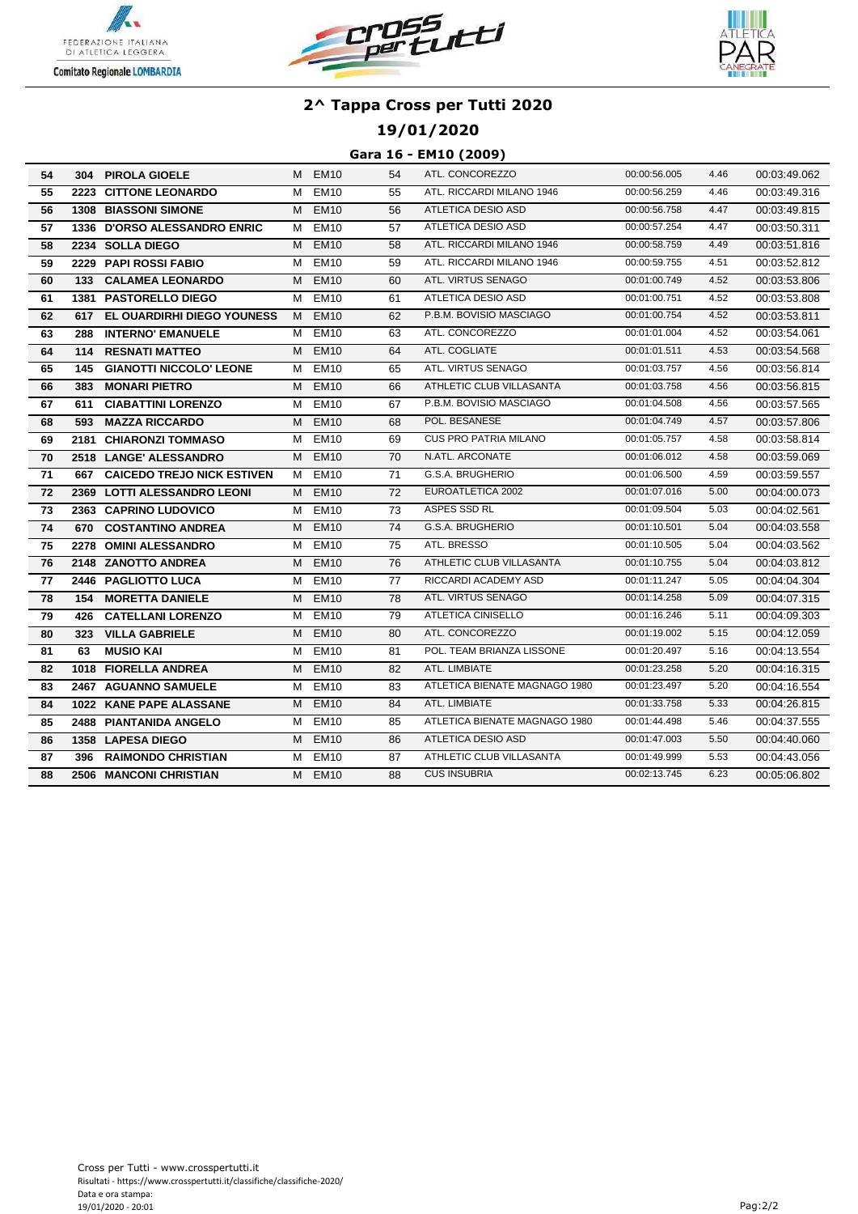





## **19/01/2020**

#### **Gara 16 - EM10 (2009)**

| 54         |     | 304 PIROLA GIOELE              |   | M EM10           | 54 | ATL. CONCOREZZO               | 00:00:56.005 | 4.46 | 00:03:49.062 |
|------------|-----|--------------------------------|---|------------------|----|-------------------------------|--------------|------|--------------|
| 55         |     | 2223 CITTONE LEONARDO          | м | <b>EM10</b>      | 55 | ATL. RICCARDI MILANO 1946     | 00:00:56.259 | 4.46 | 00:03:49.316 |
| 56         |     | <b>1308 BIASSONI SIMONE</b>    | М | <b>EM10</b>      | 56 | ATLETICA DESIO ASD            | 00:00:56.758 | 4.47 | 00:03:49.815 |
| 57         |     | 1336 D'ORSO ALESSANDRO ENRIC   | м | <b>EM10</b>      | 57 | ATLETICA DESIO ASD            | 00:00:57.254 | 4.47 | 00:03:50.311 |
| 58         |     | 2234 SOLLA DIEGO               | м | <b>EM10</b>      | 58 | ATL. RICCARDI MILANO 1946     | 00:00:58.759 | 4.49 | 00:03:51.816 |
| 59         |     | 2229 PAPI ROSSI FABIO          | м | <b>EM10</b>      | 59 | ATL. RICCARDI MILANO 1946     | 00:00:59.755 | 4.51 | 00:03:52.812 |
| 60         |     | 133 CALAMEA LEONARDO           |   | M EM10           | 60 | ATL. VIRTUS SENAGO            | 00:01:00.749 | 4.52 | 00:03:53.806 |
| 61         |     | <b>1381 PASTORELLO DIEGO</b>   | м | <b>EM10</b>      | 61 | ATLETICA DESIO ASD            | 00:01:00.751 | 4.52 | 00:03:53.808 |
| 62         |     | 617 EL OUARDIRHI DIEGO YOUNESS | M | <b>EM10</b>      | 62 | P.B.M. BOVISIO MASCIAGO       | 00:01:00.754 | 4.52 | 00:03:53.811 |
| 63         | 288 | <b>INTERNO' EMANUELE</b>       | м | EM <sub>10</sub> | 63 | ATL. CONCOREZZO               | 00:01:01.004 | 4.52 | 00:03:54.061 |
| 64         | 114 | <b>RESNATI MATTEO</b>          | м | <b>EM10</b>      | 64 | ATL. COGLIATE                 | 00:01:01.511 | 4.53 | 00:03:54.568 |
| 65         | 145 | <b>GIANOTTI NICCOLO' LEONE</b> | М | <b>EM10</b>      | 65 | ATL. VIRTUS SENAGO            | 00:01:03.757 | 4.56 | 00:03:56.814 |
| 66         | 383 | <b>MONARI PIETRO</b>           | м | <b>EM10</b>      | 66 | ATHLETIC CLUB VILLASANTA      | 00:01:03.758 | 4.56 | 00:03:56.815 |
| 67         | 611 | <b>CIABATTINI LORENZO</b>      | м | <b>EM10</b>      | 67 | P.B.M. BOVISIO MASCIAGO       | 00:01:04.508 | 4.56 | 00:03:57.565 |
| 68         | 593 | <b>MAZZA RICCARDO</b>          | M | <b>EM10</b>      | 68 | POL. BESANESE                 | 00:01:04.749 | 4.57 | 00:03:57.806 |
| 69         |     | 2181 CHIARONZI TOMMASO         | м | <b>EM10</b>      | 69 | <b>CUS PRO PATRIA MILANO</b>  | 00:01:05.757 | 4.58 | 00:03:58.814 |
| 70         |     | 2518 LANGE' ALESSANDRO         | М | <b>EM10</b>      | 70 | N.ATL. ARCONATE               | 00:01:06.012 | 4.58 | 00:03:59.069 |
| 71         |     | 667 CAICEDO TREJO NICK ESTIVEN | M | <b>EM10</b>      | 71 | G.S.A. BRUGHERIO              | 00:01:06.500 | 4.59 | 00:03:59.557 |
| 72         |     | 2369 LOTTI ALESSANDRO LEONI    | M | <b>EM10</b>      | 72 | EUROATLETICA 2002             | 00:01:07.016 | 5.00 | 00:04:00.073 |
| 73         |     | 2363 CAPRINO LUDOVICO          | м | EM10             | 73 | ASPES SSD RL                  | 00:01:09.504 | 5.03 | 00:04:02.561 |
| 74         | 670 | <b>COSTANTINO ANDREA</b>       | М | EM <sub>10</sub> | 74 | G.S.A. BRUGHERIO              | 00:01:10.501 | 5.04 | 00:04:03.558 |
| 75         |     | 2278 OMINI ALESSANDRO          |   | M EM10           | 75 | ATL. BRESSO                   | 00:01:10.505 | 5.04 | 00:04:03.562 |
| 76         |     | 2148 ZANOTTO ANDREA            | м | EM <sub>10</sub> | 76 | ATHLETIC CLUB VILLASANTA      | 00:01:10.755 | 5.04 | 00:04:03.812 |
| ${\bf 77}$ |     | 2446 PAGLIOTTO LUCA            | м | <b>EM10</b>      | 77 | RICCARDI ACADEMY ASD          | 00:01:11.247 | 5.05 | 00:04:04.304 |
| 78         | 154 | <b>MORETTA DANIELE</b>         | м | <b>EM10</b>      | 78 | ATL. VIRTUS SENAGO            | 00:01:14.258 | 5.09 | 00:04:07.315 |
| 79         | 426 | <b>CATELLANI LORENZO</b>       | м | <b>EM10</b>      | 79 | ATLETICA CINISELLO            | 00:01:16.246 | 5.11 | 00:04:09.303 |
| 80         | 323 | <b>VILLA GABRIELE</b>          | м | <b>EM10</b>      | 80 | ATL. CONCOREZZO               | 00:01:19.002 | 5.15 | 00:04:12.059 |
| 81         | 63  | <b>MUSIO KAI</b>               | м | <b>EM10</b>      | 81 | POL. TEAM BRIANZA LISSONE     | 00:01:20.497 | 5.16 | 00:04:13.554 |
| 82         |     | 1018 FIORELLA ANDREA           | м | <b>EM10</b>      | 82 | ATL. LIMBIATE                 | 00:01:23.258 | 5.20 | 00:04:16.315 |
| 83         |     | 2467 AGUANNO SAMUELE           | м | <b>EM10</b>      | 83 | ATLETICA BIENATE MAGNAGO 1980 | 00:01:23.497 | 5.20 | 00:04:16.554 |
| 84         |     | 1022 KANE PAPE ALASSANE        | м | <b>EM10</b>      | 84 | ATL. LIMBIATE                 | 00:01:33.758 | 5.33 | 00:04:26.815 |
| 85         |     | 2488 PIANTANIDA ANGELO         | м | <b>EM10</b>      | 85 | ATLETICA BIENATE MAGNAGO 1980 | 00:01:44.498 | 5.46 | 00:04:37.555 |
| 86         |     | 1358 LAPESA DIEGO              | М | <b>EM10</b>      | 86 | ATLETICA DESIO ASD            | 00:01:47.003 | 5.50 | 00:04:40.060 |
| 87         | 396 | <b>RAIMONDO CHRISTIAN</b>      | м | EM10             | 87 | ATHLETIC CLUB VILLASANTA      | 00:01:49.999 | 5.53 | 00:04:43.056 |
| 88         |     | 2506 MANCONI CHRISTIAN         | M | <b>EM10</b>      | 88 | <b>CUS INSUBRIA</b>           | 00:02:13.745 | 6.23 | 00:05:06.802 |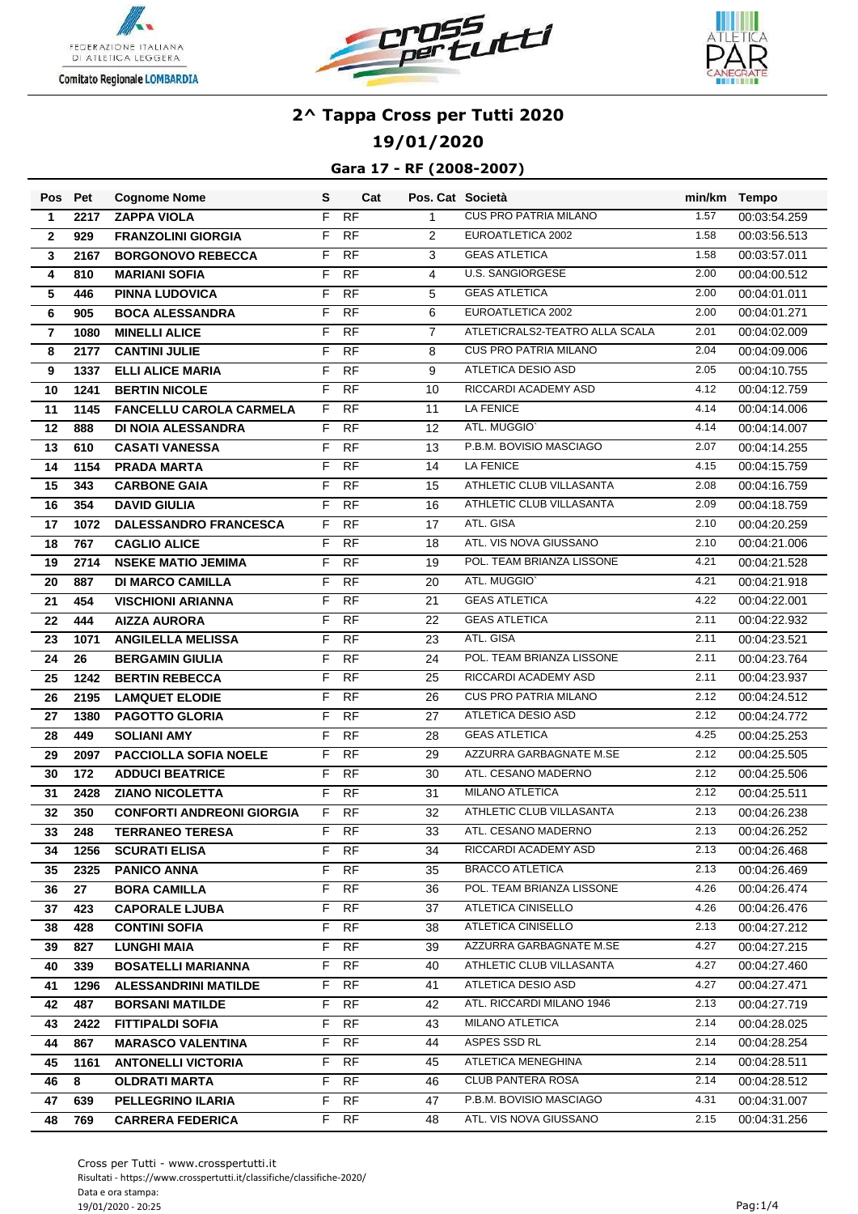





**19/01/2020**

|                          | Pos Pet | <b>Cognome Nome</b>              | S  | Cat       | Pos. Cat Società |                                | min/km Tempo |              |
|--------------------------|---------|----------------------------------|----|-----------|------------------|--------------------------------|--------------|--------------|
| $\mathbf 1$              | 2217    | <b>ZAPPA VIOLA</b>               | F  | RF        | $\mathbf{1}$     | <b>CUS PRO PATRIA MILANO</b>   | 1.57         | 00:03:54.259 |
| $\mathbf{2}$             | 929     | <b>FRANZOLINI GIORGIA</b>        | F  | <b>RF</b> | $\overline{2}$   | EUROATLETICA 2002              | 1.58         | 00:03:56.513 |
| $\mathbf{3}$             | 2167    | <b>BORGONOVO REBECCA</b>         | F  | <b>RF</b> | 3                | <b>GEAS ATLETICA</b>           | 1.58         | 00:03:57.011 |
| 4                        | 810     | <b>MARIANI SOFIA</b>             | F  | <b>RF</b> | 4                | <b>U.S. SANGIORGESE</b>        | 2.00         | 00:04:00.512 |
| ${\bf 5}$                | 446     | <b>PINNA LUDOVICA</b>            | F  | <b>RF</b> | 5                | <b>GEAS ATLETICA</b>           | 2.00         | 00:04:01.011 |
| 6                        | 905     | <b>BOCA ALESSANDRA</b>           | F  | <b>RF</b> | 6                | EUROATLETICA 2002              | 2.00         | 00:04:01.271 |
| $\overline{\phantom{a}}$ | 1080    | <b>MINELLI ALICE</b>             | F  | <b>RF</b> | $\overline{7}$   | ATLETICRALS2-TEATRO ALLA SCALA | 2.01         | 00:04:02.009 |
| 8                        | 2177    | <b>CANTINI JULIE</b>             | F  | <b>RF</b> | 8                | <b>CUS PRO PATRIA MILANO</b>   | 2.04         | 00:04:09.006 |
| 9                        | 1337    | <b>ELLI ALICE MARIA</b>          | F  | <b>RF</b> | 9                | <b>ATLETICA DESIO ASD</b>      | 2.05         | 00:04:10.755 |
| 10                       | 1241    | <b>BERTIN NICOLE</b>             | F  | <b>RF</b> | 10               | RICCARDI ACADEMY ASD           | 4.12         | 00:04:12.759 |
| 11                       | 1145    | <b>FANCELLU CAROLA CARMELA</b>   |    | F RF      | 11               | <b>LA FENICE</b>               | 4.14         | 00:04:14.006 |
| 12                       | 888     | <b>DI NOIA ALESSANDRA</b>        | F. | <b>RF</b> | 12               | ATL. MUGGIO'                   | 4.14         | 00:04:14.007 |
| 13                       | 610     | <b>CASATI VANESSA</b>            | F  | <b>RF</b> | 13               | P.B.M. BOVISIO MASCIAGO        | 2.07         | 00:04:14.255 |
| 14                       | 1154    | <b>PRADA MARTA</b>               | F  | <b>RF</b> | 14               | LA FENICE                      | 4.15         | 00:04:15.759 |
| 15                       | 343     | <b>CARBONE GAIA</b>              | F  | <b>RF</b> | 15               | ATHLETIC CLUB VILLASANTA       | 2.08         | 00:04:16.759 |
| 16                       | 354     | <b>DAVID GIULIA</b>              | F  | <b>RF</b> | 16               | ATHLETIC CLUB VILLASANTA       | 2.09         | 00:04:18.759 |
| 17                       | 1072    | DALESSANDRO FRANCESCA            | F  | <b>RF</b> | 17               | ATL. GISA                      | 2.10         | 00:04:20.259 |
| 18                       | 767     | <b>CAGLIO ALICE</b>              | F  | <b>RF</b> | 18               | ATL. VIS NOVA GIUSSANO         | 2.10         | 00:04:21.006 |
| 19                       | 2714    | <b>NSEKE MATIO JEMIMA</b>        | F  | <b>RF</b> | 19               | POL. TEAM BRIANZA LISSONE      | 4.21         | 00:04:21.528 |
| 20                       | 887     | <b>DI MARCO CAMILLA</b>          | F  | <b>RF</b> | 20               | ATL. MUGGIO'                   | 4.21         | 00:04:21.918 |
| 21                       | 454     | <b>VISCHIONI ARIANNA</b>         | F  | <b>RF</b> | 21               | <b>GEAS ATLETICA</b>           | 4.22         | 00:04:22.001 |
| 22                       | 444     | <b>AIZZA AURORA</b>              | F  | <b>RF</b> | 22               | <b>GEAS ATLETICA</b>           | 2.11         | 00:04:22.932 |
| 23                       | 1071    | <b>ANGILELLA MELISSA</b>         | F  | <b>RF</b> | 23               | ATL. GISA                      | 2.11         | 00:04:23.521 |
| 24                       | 26      | <b>BERGAMIN GIULIA</b>           | F  | <b>RF</b> | 24               | POL. TEAM BRIANZA LISSONE      | 2.11         | 00:04:23.764 |
| 25                       | 1242    | <b>BERTIN REBECCA</b>            | F  | <b>RF</b> | 25               | RICCARDI ACADEMY ASD           | 2.11         | 00:04:23.937 |
| 26                       | 2195    | <b>LAMQUET ELODIE</b>            | F  | <b>RF</b> | 26               | <b>CUS PRO PATRIA MILANO</b>   | 2.12         | 00:04:24.512 |
| 27                       | 1380    | <b>PAGOTTO GLORIA</b>            | F  | <b>RF</b> | 27               | ATLETICA DESIO ASD             | 2.12         | 00:04:24.772 |
| 28                       | 449     | <b>SOLIANI AMY</b>               | F  | <b>RF</b> | 28               | <b>GEAS ATLETICA</b>           | 4.25         | 00:04:25.253 |
| 29                       | 2097    | <b>PACCIOLLA SOFIA NOELE</b>     | F  | <b>RF</b> | 29               | AZZURRA GARBAGNATE M.SE        | 2.12         | 00:04:25.505 |
| 30                       | 172     | <b>ADDUCI BEATRICE</b>           | F  | RF        | 30               | ATL. CESANO MADERNO            | 2.12         | 00:04:25.506 |
| 31                       | 2428    | <b>ZIANO NICOLETTA</b>           | F  | <b>RF</b> | 31               | MILANO ATLETICA                | 2.12         | 00:04:25.511 |
| 32                       | 350     | <b>CONFORTI ANDREONI GIORGIA</b> | F  | <b>RF</b> | 32               | ATHLETIC CLUB VILLASANTA       | 2.13         | 00:04:26.238 |
| 33                       | 248     | <b>TERRANEO TERESA</b>           | F  | <b>RF</b> | 33               | ATL. CESANO MADERNO            | 2.13         | 00:04:26.252 |
| 34                       | 1256    | <b>SCURATI ELISA</b>             |    | F RF      | 34               | RICCARDI ACADEMY ASD           | 2.13         | 00:04:26.468 |
| 35                       | 2325    | <b>PANICO ANNA</b>               |    | F RF      | 35               | <b>BRACCO ATLETICA</b>         | 2.13         | 00:04:26.469 |
| 36                       | 27      | <b>BORA CAMILLA</b>              | F. | <b>RF</b> | 36               | POL. TEAM BRIANZA LISSONE      | 4.26         | 00:04:26.474 |
| 37                       | 423     | <b>CAPORALE LJUBA</b>            | F. | RF        | 37               | ATLETICA CINISELLO             | 4.26         | 00:04:26.476 |
| 38                       | 428     | <b>CONTINI SOFIA</b>             | F. | - RF      | 38               | ATLETICA CINISELLO             | 2.13         | 00:04:27.212 |
| 39                       | 827     | <b>LUNGHI MAIA</b>               |    | F RF      | 39               | AZZURRA GARBAGNATE M.SE        | 4.27         | 00:04:27.215 |
| 40                       | 339     | <b>BOSATELLI MARIANNA</b>        | F. | <b>RF</b> | 40               | ATHLETIC CLUB VILLASANTA       | 4.27         | 00:04:27.460 |
| 41                       | 1296    | <b>ALESSANDRINI MATILDE</b>      | F  | RF        | 41               | ATLETICA DESIO ASD             | 4.27         | 00:04:27.471 |
| 42                       | 487     | <b>BORSANI MATILDE</b>           | F  | <b>RF</b> | 42               | ATL. RICCARDI MILANO 1946      | 2.13         | 00:04:27.719 |
| 43                       | 2422    | <b>FITTIPALDI SOFIA</b>          |    | F RF      | 43               | <b>MILANO ATLETICA</b>         | 2.14         | 00:04:28.025 |
| 44                       | 867     | <b>MARASCO VALENTINA</b>         |    | F RF      | 44               | ASPES SSD RL                   | 2.14         | 00:04:28.254 |
| 45                       | 1161    | <b>ANTONELLI VICTORIA</b>        | F. | <b>RF</b> | 45               | ATLETICA MENEGHINA             | 2.14         | 00:04:28.511 |
| 46                       | 8       | <b>OLDRATI MARTA</b>             | F  | RF.       | 46               | CLUB PANTERA ROSA              | 2.14         | 00:04:28.512 |
| 47                       | 639     | PELLEGRINO ILARIA                | F  | RF.       | 47               | P.B.M. BOVISIO MASCIAGO        | 4.31         | 00:04:31.007 |
| 48                       | 769     | <b>CARRERA FEDERICA</b>          |    | F RF      | 48               | ATL. VIS NOVA GIUSSANO         | 2.15         | 00:04:31.256 |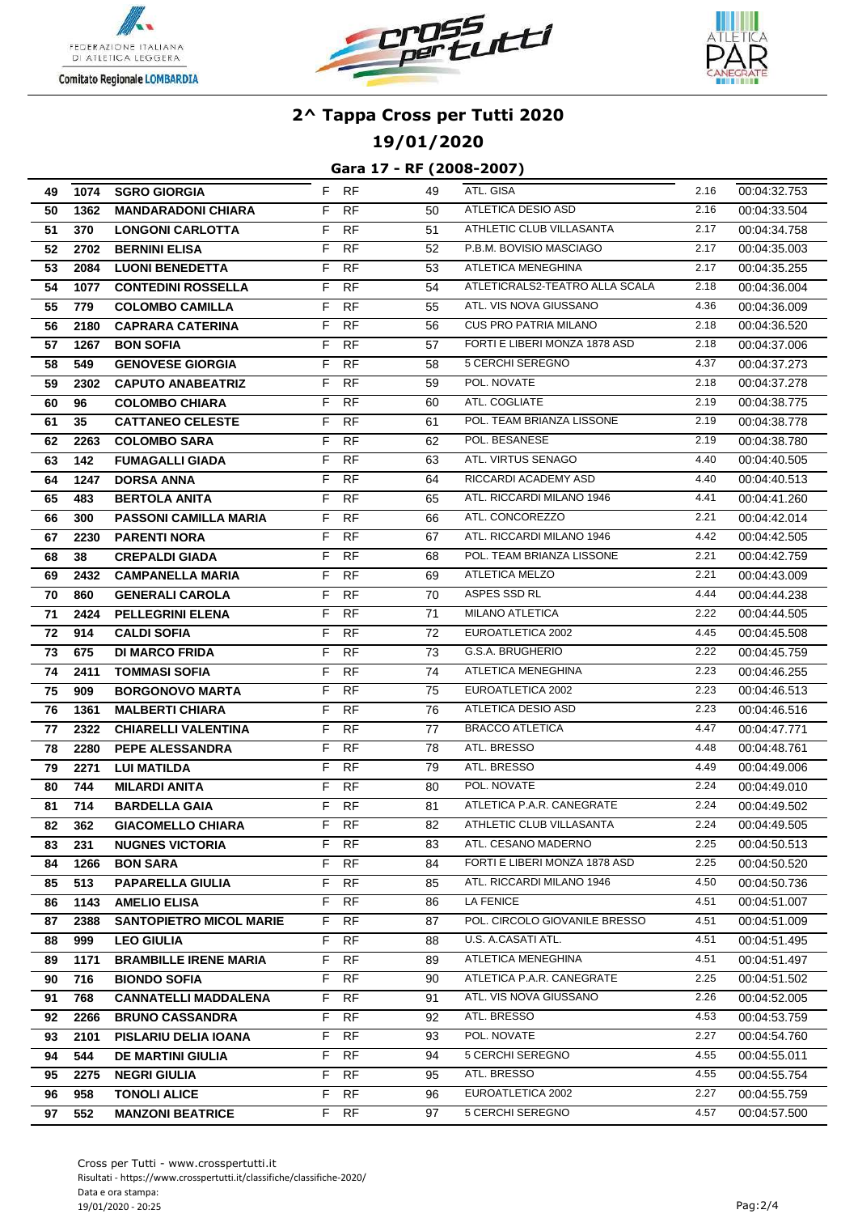





**19/01/2020**

| 49 |      | 1074 SGRO GIORGIA              |       | F RF            | 49 | ATL. GISA                                | 2.16         | 00:04:32.753                 |
|----|------|--------------------------------|-------|-----------------|----|------------------------------------------|--------------|------------------------------|
| 50 | 1362 | <b>MANDARADONI CHIARA</b>      | F     | <b>RF</b>       | 50 | ATLETICA DESIO ASD                       | 2.16         | 00:04:33.504                 |
| 51 | 370  | <b>LONGONI CARLOTTA</b>        | F     | <b>RF</b>       | 51 | ATHLETIC CLUB VILLASANTA                 | 2.17         | 00:04:34.758                 |
| 52 | 2702 | <b>BERNINI ELISA</b>           | F     | <b>RF</b>       | 52 | P.B.M. BOVISIO MASCIAGO                  | 2.17         | 00:04:35.003                 |
| 53 | 2084 | <b>LUONI BENEDETTA</b>         | F     | <b>RF</b>       | 53 | ATLETICA MENEGHINA                       | 2.17         | 00:04:35.255                 |
| 54 | 1077 | <b>CONTEDINI ROSSELLA</b>      | F     | <b>RF</b>       | 54 | ATLETICRALS2-TEATRO ALLA SCALA           | 2.18         | 00:04:36.004                 |
| 55 | 779  | <b>COLOMBO CAMILLA</b>         | F     | <b>RF</b>       | 55 | ATL. VIS NOVA GIUSSANO                   | 4.36         | 00:04:36.009                 |
| 56 | 2180 | <b>CAPRARA CATERINA</b>        | F     | <b>RF</b>       | 56 | <b>CUS PRO PATRIA MILANO</b>             | 2.18         | 00:04:36.520                 |
| 57 | 1267 | <b>BON SOFIA</b>               | F     | <b>RF</b>       | 57 | FORTI E LIBERI MONZA 1878 ASD            | 2.18         | 00:04:37.006                 |
| 58 | 549  | <b>GENOVESE GIORGIA</b>        | F.    | <b>RF</b>       | 58 | 5 CERCHI SEREGNO                         | 4.37         | 00:04:37.273                 |
| 59 | 2302 | <b>CAPUTO ANABEATRIZ</b>       | F     | <b>RF</b>       | 59 | POL. NOVATE                              | 2.18         | 00:04:37.278                 |
| 60 | 96   | <b>COLOMBO CHIARA</b>          | F     | <b>RF</b>       | 60 | ATL. COGLIATE                            | 2.19         | 00:04:38.775                 |
| 61 | 35   | <b>CATTANEO CELESTE</b>        | F     | <b>RF</b>       | 61 | POL. TEAM BRIANZA LISSONE                | 2.19         | 00:04:38.778                 |
| 62 | 2263 | <b>COLOMBO SARA</b>            | F     | <b>RF</b>       | 62 | POL. BESANESE                            | 2.19         | 00:04:38.780                 |
| 63 | 142  | <b>FUMAGALLI GIADA</b>         | F     | <b>RF</b>       | 63 | ATL. VIRTUS SENAGO                       | 4.40         | 00:04:40.505                 |
| 64 | 1247 | <b>DORSA ANNA</b>              | F     | <b>RF</b>       | 64 | RICCARDI ACADEMY ASD                     | 4.40         | 00:04:40.513                 |
| 65 | 483  | <b>BERTOLA ANITA</b>           | F     | <b>RF</b>       | 65 | ATL. RICCARDI MILANO 1946                | 4.41         | 00:04:41.260                 |
| 66 | 300  | <b>PASSONI CAMILLA MARIA</b>   | F     | <b>RF</b>       | 66 | ATL. CONCOREZZO                          | 2.21         | 00:04:42.014                 |
| 67 | 2230 | <b>PARENTI NORA</b>            | F     | <b>RF</b>       | 67 | ATL. RICCARDI MILANO 1946                | 4.42         | 00:04:42.505                 |
| 68 | 38   | <b>CREPALDI GIADA</b>          | F.    | <b>RF</b>       | 68 | POL. TEAM BRIANZA LISSONE                | 2.21         | 00:04:42.759                 |
| 69 | 2432 | <b>CAMPANELLA MARIA</b>        | F.    | <b>RF</b>       | 69 | ATLETICA MELZO                           | 2.21         | 00:04:43.009                 |
| 70 | 860  | <b>GENERALI CAROLA</b>         | F     | <b>RF</b>       | 70 | ASPES SSD RL                             | 4.44         | 00:04:44.238                 |
| 71 | 2424 | <b>PELLEGRINI ELENA</b>        | F     | <b>RF</b>       | 71 | <b>MILANO ATLETICA</b>                   | 2.22         | 00:04:44.505                 |
| 72 | 914  | <b>CALDI SOFIA</b>             | F     | RF              | 72 | EUROATLETICA 2002                        | 4.45         | 00:04:45.508                 |
| 73 | 675  | <b>DI MARCO FRIDA</b>          | F     | <b>RF</b>       | 73 | G.S.A. BRUGHERIO                         | 2.22         | 00:04:45.759                 |
| 74 | 2411 | <b>TOMMASI SOFIA</b>           | F     | <b>RF</b>       | 74 | ATLETICA MENEGHINA                       | 2.23         | 00:04:46.255                 |
| 75 | 909  | <b>BORGONOVO MARTA</b>         | F     | <b>RF</b>       | 75 | EUROATLETICA 2002                        | 2.23         | 00:04:46.513                 |
| 76 | 1361 | <b>MALBERTI CHIARA</b>         | F     | <b>RF</b>       | 76 | ATLETICA DESIO ASD                       | 2.23         | 00:04:46.516                 |
| 77 | 2322 | <b>CHIARELLI VALENTINA</b>     | F.    | <b>RF</b>       | 77 | <b>BRACCO ATLETICA</b>                   | 4.47         | 00:04:47.771                 |
| 78 | 2280 | PEPE ALESSANDRA                | F     | <b>RF</b>       | 78 | ATL. BRESSO                              | 4.48         | 00:04:48.761                 |
| 79 | 2271 | <b>LUI MATILDA</b>             | F     | <b>RF</b>       | 79 | ATL. BRESSO                              | 4.49         | 00:04:49.006                 |
| 80 | 744  | <b>MILARDI ANITA</b>           | F     | <b>RF</b>       | 80 | POL. NOVATE                              | 2.24         | 00:04:49.010                 |
| 81 | 714  | <b>BARDELLA GAIA</b>           | F     | <b>RF</b>       | 81 | ATLETICA P.A.R. CANEGRATE                | 2.24         | 00:04:49.502                 |
| 82 | 362  | <b>GIACOMELLO CHIARA</b>       | $F^-$ | RF              | 82 | ATHLETIC CLUB VILLASANTA                 | 2.24         | 00:04:49.505                 |
| 83 | 231  | <b>NUGNES VICTORIA</b>         | F.    | RF              | 83 | ATL. CESANO MADERNO                      | 2.25         | 00:04:50.513                 |
| 84 | 1266 | <b>BON SARA</b>                | F.    | <b>RF</b>       | 84 | FORTI E LIBERI MONZA 1878 ASD            | 2.25         | 00:04:50.520                 |
| 85 | 513  | <b>PAPARELLA GIULIA</b>        | F.    | RF              | 85 | ATL. RICCARDI MILANO 1946                | 4.50         | 00:04:50.736                 |
| 86 | 1143 | <b>AMELIO ELISA</b>            | F.    | RF              | 86 | LA FENICE                                | 4.51         | 00:04:51.007                 |
| 87 | 2388 | <b>SANTOPIETRO MICOL MARIE</b> | F.    | <b>RF</b>       | 87 | POL. CIRCOLO GIOVANILE BRESSO            | 4.51         | 00:04:51.009                 |
| 88 | 999  | <b>LEO GIULIA</b>              | F.    | RF<br><b>RF</b> | 88 | U.S. A.CASATI ATL.<br>ATLETICA MENEGHINA | 4.51<br>4.51 | 00:04:51.495                 |
| 89 | 1171 | <b>BRAMBILLE IRENE MARIA</b>   | F.    |                 | 89 | ATLETICA P.A.R. CANEGRATE                | 2.25         | 00:04:51.497                 |
| 90 | 716  | <b>BIONDO SOFIA</b>            | F.    | RF<br><b>RF</b> | 90 | ATL. VIS NOVA GIUSSANO                   | 2.26         | 00:04:51.502<br>00:04:52.005 |
| 91 | 768  | <b>CANNATELLI MADDALENA</b>    | F.    |                 | 91 |                                          |              |                              |
| 92 | 2266 | <b>BRUNO CASSANDRA</b>         | F     | <b>RF</b>       | 92 | ATL. BRESSO                              | 4.53         | 00:04:53.759                 |
| 93 | 2101 | PISLARIU DELIA IOANA           | F.    | RF              | 93 | POL. NOVATE                              | 2.27         | 00:04:54.760                 |
| 94 | 544  | <b>DE MARTINI GIULIA</b>       | F     | RF              | 94 | 5 CERCHI SEREGNO<br>ATL. BRESSO          | 4.55<br>4.55 | 00:04:55.011                 |
| 95 | 2275 | <b>NEGRI GIULIA</b>            | F     | RF              | 95 |                                          |              | 00:04:55.754                 |
| 96 | 958  | <b>TONOLI ALICE</b>            | F.    | <b>RF</b>       | 96 | EUROATLETICA 2002                        | 2.27         | 00:04:55.759                 |
| 97 | 552  | <b>MANZONI BEATRICE</b>        | F.    | RF              | 97 | 5 CERCHI SEREGNO                         | 4.57         | 00:04:57.500                 |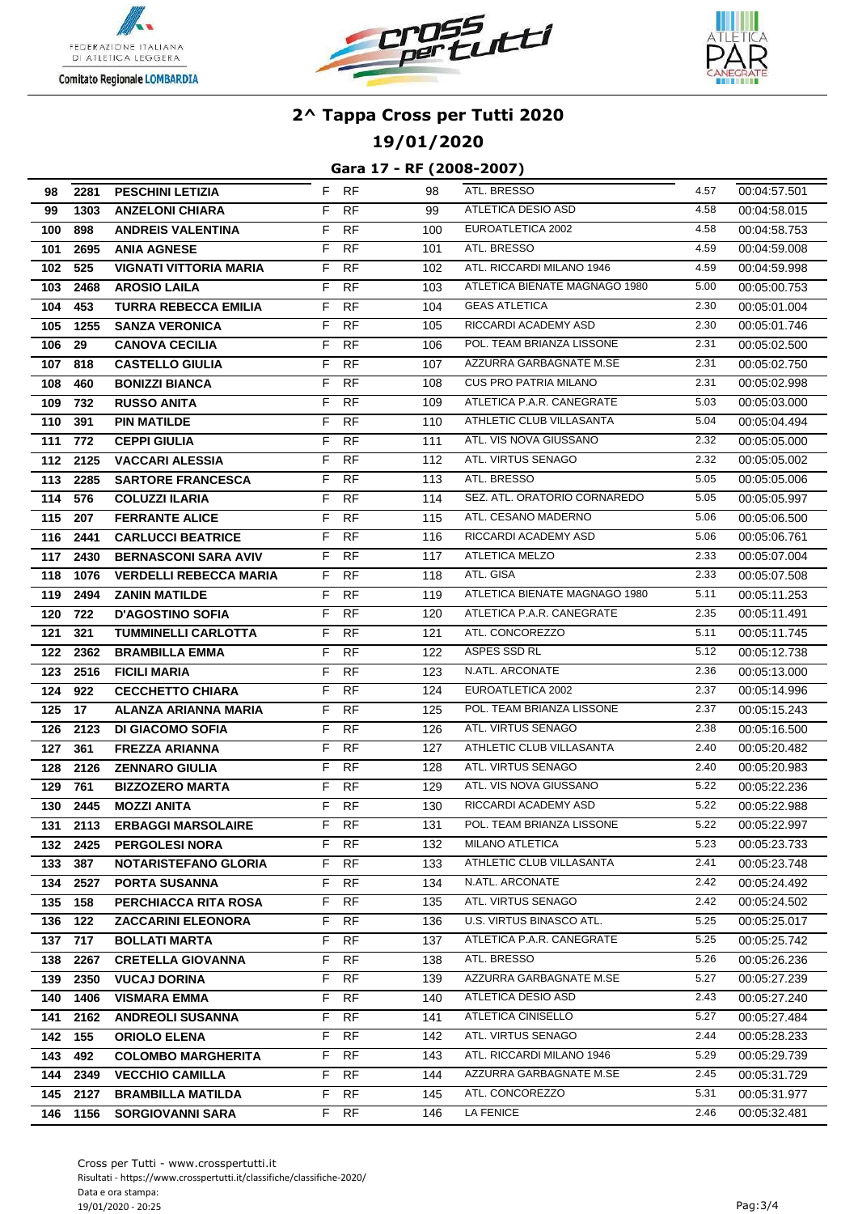





**19/01/2020**

| 98         | 2281         | <b>PESCHINI LETIZIA</b>                             |          | F RF             | 98         | ATL. BRESSO                                 | 4.57         | 00:04:57.501                 |
|------------|--------------|-----------------------------------------------------|----------|------------------|------------|---------------------------------------------|--------------|------------------------------|
| 99         | 1303         | <b>ANZELONI CHIARA</b>                              | F.       | <b>RF</b>        | 99         | ATLETICA DESIO ASD                          | 4.58         | 00:04:58.015                 |
| 100        | 898          | <b>ANDREIS VALENTINA</b>                            | F        | <b>RF</b>        | 100        | EUROATLETICA 2002                           | 4.58         | 00:04:58.753                 |
| 101        | 2695         | <b>ANIA AGNESE</b>                                  | F        | <b>RF</b>        | 101        | ATL. BRESSO                                 | 4.59         | 00:04:59.008                 |
| 102        | 525          | <b>VIGNATI VITTORIA MARIA</b>                       | F        | <b>RF</b>        | 102        | ATL. RICCARDI MILANO 1946                   | 4.59         | 00:04:59.998                 |
| 103        | 2468         | <b>AROSIO LAILA</b>                                 | F        | <b>RF</b>        | 103        | ATLETICA BIENATE MAGNAGO 1980               | 5.00         | 00:05:00.753                 |
| 104        | 453          | <b>TURRA REBECCA EMILIA</b>                         | F        | <b>RF</b>        | 104        | <b>GEAS ATLETICA</b>                        | 2.30         | 00:05:01.004                 |
| 105        | 1255         | <b>SANZA VERONICA</b>                               | F        | <b>RF</b>        | 105        | RICCARDI ACADEMY ASD                        | 2.30         | 00:05:01.746                 |
| 106        | 29           | <b>CANOVA CECILIA</b>                               | F        | <b>RF</b>        | 106        | POL. TEAM BRIANZA LISSONE                   | 2.31         | 00:05:02.500                 |
| 107        | 818          | <b>CASTELLO GIULIA</b>                              | F.       | <b>RF</b>        | 107        | AZZURRA GARBAGNATE M.SE                     | 2.31         | 00:05:02.750                 |
| 108        | 460          | <b>BONIZZI BIANCA</b>                               | F        | <b>RF</b>        | 108        | <b>CUS PRO PATRIA MILANO</b>                | 2.31         | 00:05:02.998                 |
| 109        | 732          | <b>RUSSO ANITA</b>                                  | F        | <b>RF</b>        | 109        | ATLETICA P.A.R. CANEGRATE                   | 5.03         | 00:05:03.000                 |
| 110        | 391          | <b>PIN MATILDE</b>                                  | F        | <b>RF</b>        | 110        | ATHLETIC CLUB VILLASANTA                    | 5.04         | 00:05:04.494                 |
| 111        | 772          | <b>CEPPI GIULIA</b>                                 | F        | RF               | 111        | ATL. VIS NOVA GIUSSANO                      | 2.32         | 00:05:05.000                 |
| 112        | 2125         | <b>VACCARI ALESSIA</b>                              | F        | <b>RF</b>        | 112        | ATL. VIRTUS SENAGO                          | 2.32         | 00:05:05.002                 |
| 113        | 2285         | <b>SARTORE FRANCESCA</b>                            | F        | <b>RF</b>        | 113        | ATL. BRESSO                                 | 5.05         | 00:05:05.006                 |
| 114        | 576          | <b>COLUZZI ILARIA</b>                               | F        | <b>RF</b>        | 114        | SEZ. ATL. ORATORIO CORNAREDO                | 5.05         | 00:05:05.997                 |
| 115        | 207          | <b>FERRANTE ALICE</b>                               | F        | <b>RF</b>        | 115        | ATL. CESANO MADERNO                         | 5.06         | 00:05:06.500                 |
| 116        | 2441         | <b>CARLUCCI BEATRICE</b>                            | F.       | <b>RF</b>        | 116        | RICCARDI ACADEMY ASD                        | 5.06         | 00:05:06.761                 |
| 117        | 2430         | <b>BERNASCONI SARA AVIV</b>                         | F.       | <b>RF</b>        | 117        | <b>ATLETICA MELZO</b>                       | 2.33         | 00:05:07.004                 |
| 118        | 1076         | <b>VERDELLI REBECCA MARIA</b>                       | F        | <b>RF</b>        | 118        | ATL. GISA                                   | 2.33         | 00:05:07.508                 |
| 119        | 2494         | <b>ZANIN MATILDE</b>                                | F        | <b>RF</b>        | 119        | ATLETICA BIENATE MAGNAGO 1980               | 5.11         | 00:05:11.253                 |
| 120        | 722          | <b>D'AGOSTINO SOFIA</b>                             | F        | RF               | 120        | ATLETICA P.A.R. CANEGRATE                   | 2.35         | 00:05:11.491                 |
| 121        | 321          | <b>TUMMINELLI CARLOTTA</b>                          | F        | <b>RF</b>        | 121        | ATL. CONCOREZZO                             | 5.11         | 00:05:11.745                 |
| 122        | 2362         | <b>BRAMBILLA EMMA</b>                               | F        | <b>RF</b>        | 122        | ASPES SSD RL                                | 5.12         | 00:05:12.738                 |
| 123        | 2516         | <b>FICILI MARIA</b>                                 | F        | <b>RF</b>        | 123        | N.ATL. ARCONATE                             | 2.36         | 00:05:13.000                 |
| 124        | 922          | <b>CECCHETTO CHIARA</b>                             | F        | <b>RF</b>        | 124        | EUROATLETICA 2002                           | 2.37         | 00:05:14.996                 |
| 125        | 17           | ALANZA ARIANNA MARIA                                | F.       | <b>RF</b>        | 125        | POL. TEAM BRIANZA LISSONE                   | 2.37         | 00:05:15.243                 |
| 126        | 2123         | <b>DI GIACOMO SOFIA</b>                             | F        | <b>RF</b>        | 126        | ATL. VIRTUS SENAGO                          | 2.38         | 00:05:16.500                 |
| 127        | 361          | <b>FREZZA ARIANNA</b>                               | F        | <b>RF</b>        | 127        | ATHLETIC CLUB VILLASANTA                    | 2.40         | 00:05:20.482                 |
| 128        | 2126         | <b>ZENNARO GIULIA</b>                               | F        | <b>RF</b>        | 128        | ATL. VIRTUS SENAGO                          | 2.40         | 00:05:20.983                 |
| 129        | 761          | <b>BIZZOZERO MARTA</b>                              | F        | <b>RF</b>        | 129        | ATL. VIS NOVA GIUSSANO                      | 5.22         | 00:05:22.236                 |
| 130        | 2445         | <b>MOZZI ANITA</b>                                  | F        | <b>RF</b>        | 130        | RICCARDI ACADEMY ASD                        | 5.22<br>5.22 | 00:05:22.988                 |
| 131        | 2113         | <b>ERBAGGI MARSOLAIRE</b>                           | F        | RF               | 131        | POL. TEAM BRIANZA LISSONE                   |              | 00:05:22.997                 |
|            | 132 2425     | <b>PERGOLESI NORA</b>                               |          | F RF             | 132        | MILANO ATLETICA<br>ATHLETIC CLUB VILLASANTA | 5.23<br>2.41 | 00:05:23.733                 |
| 133        | 387          | <b>NOTARISTEFANO GLORIA</b>                         | F.       | RF.              | 133        | N.ATL. ARCONATE                             | 2.42         | 00:05:23.748                 |
| 134<br>135 | 2527<br>158  | <b>PORTA SUSANNA</b><br>PERCHIACCA RITA ROSA        | F.<br>F. | RF.<br><b>RF</b> | 134<br>135 | ATL. VIRTUS SENAGO                          | 2.42         | 00:05:24.492                 |
|            | 122          | <b>ZACCARINI ELEONORA</b>                           | F.       | <b>RF</b>        | 136        | U.S. VIRTUS BINASCO ATL.                    | 5.25         | 00:05:24.502<br>00:05:25.017 |
| 136<br>137 | 717          | <b>BOLLATI MARTA</b>                                | F.       | RF               | 137        | ATLETICA P.A.R. CANEGRATE                   | 5.25         |                              |
| 138        | 2267         | <b>CRETELLA GIOVANNA</b>                            | F.       | <b>RF</b>        | 138        | ATL. BRESSO                                 | 5.26         | 00:05:25.742<br>00:05:26.236 |
|            |              | <b>VUCAJ DORINA</b>                                 | F.       | RF               |            | AZZURRA GARBAGNATE M.SE                     | 5.27         | 00:05:27.239                 |
| 139<br>140 | 2350<br>1406 | <b>VISMARA EMMA</b>                                 | F.       | <b>RF</b>        | 139<br>140 | ATLETICA DESIO ASD                          | 2.43         | 00:05:27.240                 |
|            |              |                                                     | F.       | <b>RF</b>        | 141        | ATLETICA CINISELLO                          | 5.27         |                              |
| 141<br>142 | 2162<br>155  | <b>ANDREOLI SUSANNA</b>                             |          | RF.              |            | ATL. VIRTUS SENAGO                          | 2.44         | 00:05:27.484                 |
| 143        | 492          | <b>ORIOLO ELENA</b>                                 | F.<br>F. | <b>RF</b>        | 142<br>143 | ATL. RICCARDI MILANO 1946                   | 5.29         | 00:05:28.233<br>00:05:29.739 |
| 144        | 2349         | <b>COLOMBO MARGHERITA</b><br><b>VECCHIO CAMILLA</b> |          | <b>RF</b>        |            | AZZURRA GARBAGNATE M.SE                     | 2.45         |                              |
|            |              |                                                     | F.<br>F. | <b>RF</b>        | 144<br>145 | ATL. CONCOREZZO                             | 5.31         | 00:05:31.729<br>00:05:31.977 |
| 145        | 2127         | <b>BRAMBILLA MATILDA</b>                            |          |                  |            | LA FENICE                                   | 2.46         |                              |
|            | 146 1156     | <b>SORGIOVANNI SARA</b>                             |          | F RF             | 146        |                                             |              | 00:05:32.481                 |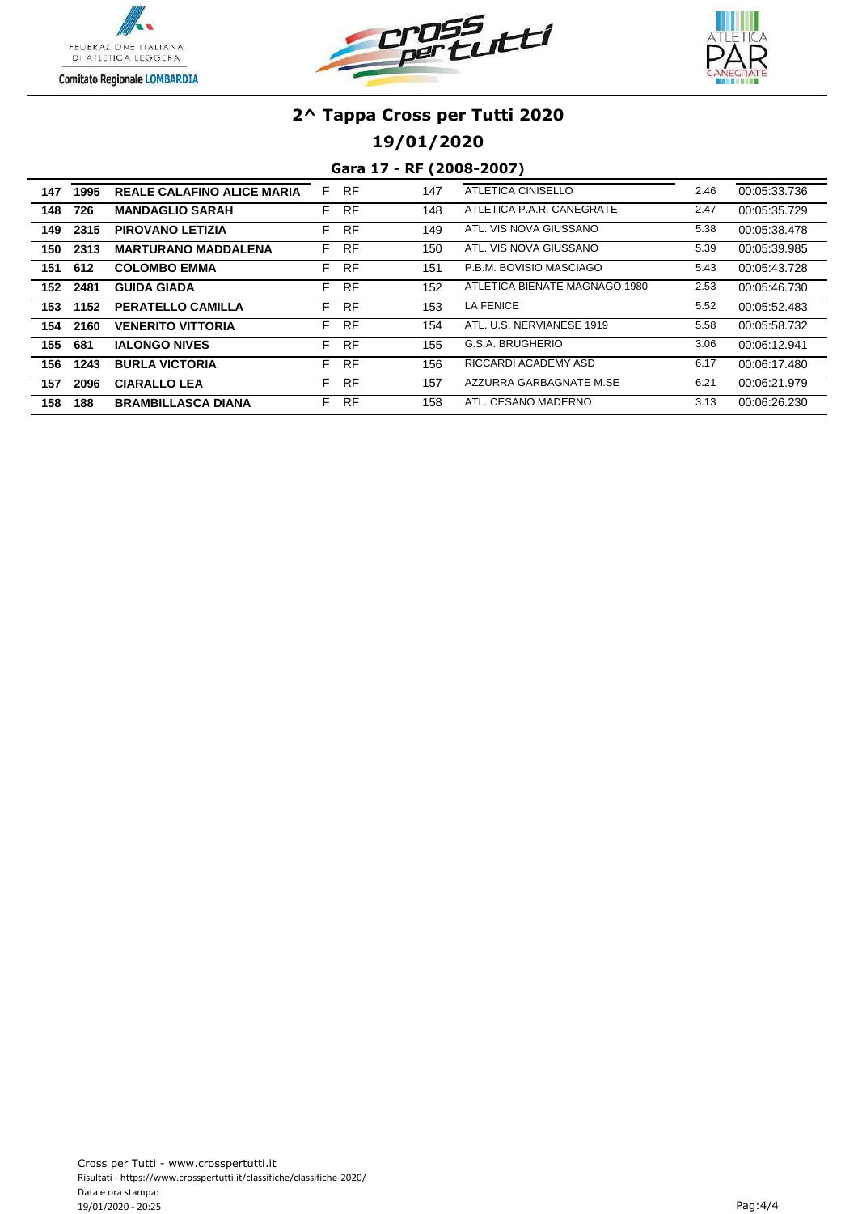





**19/01/2020**

| 147 | 1995 | <b>REALE CALAFINO ALICE MARIA</b> | F  | <b>RF</b> | 147 | ATLETICA CINISELLO            | 2.46 | 00:05:33.736 |
|-----|------|-----------------------------------|----|-----------|-----|-------------------------------|------|--------------|
| 148 | 726  | <b>MANDAGLIO SARAH</b>            | F. | <b>RF</b> | 148 | ATLETICA P.A.R. CANEGRATE     | 2.47 | 00:05:35.729 |
| 149 | 2315 | <b>PIROVANO LETIZIA</b>           | F. | <b>RF</b> | 149 | ATL. VIS NOVA GIUSSANO        | 5.38 | 00:05:38.478 |
| 150 | 2313 | <b>MARTURANO MADDALENA</b>        | F. | <b>RF</b> | 150 | ATL. VIS NOVA GIUSSANO        | 5.39 | 00:05:39.985 |
| 151 | 612  | <b>COLOMBO EMMA</b>               | F. | <b>RF</b> | 151 | P.B.M. BOVISIO MASCIAGO       | 5.43 | 00:05:43.728 |
| 152 | 2481 | <b>GUIDA GIADA</b>                | F. | <b>RF</b> | 152 | ATLETICA BIENATE MAGNAGO 1980 | 2.53 | 00:05:46.730 |
| 153 | 1152 | <b>PERATELLO CAMILLA</b>          | F. | <b>RF</b> | 153 | <b>LA FENICE</b>              | 5.52 | 00:05:52.483 |
| 154 | 2160 | <b>VENERITO VITTORIA</b>          | F. | <b>RF</b> | 154 | ATL, U.S. NERVIANESE 1919     | 5.58 | 00:05:58.732 |
| 155 | 681  | <b>IALONGO NIVES</b>              | F. | RF        | 155 | G.S.A. BRUGHERIO              | 3.06 | 00:06:12.941 |
| 156 | 1243 | <b>BURLA VICTORIA</b>             | F. | RF        | 156 | RICCARDI ACADEMY ASD          | 6.17 | 00:06:17.480 |
| 157 | 2096 | <b>CIARALLO LEA</b>               | F. | <b>RF</b> | 157 | AZZURRA GARBAGNATE M.SE       | 6.21 | 00:06:21.979 |
| 158 | 188  | <b>BRAMBILLASCA DIANA</b>         | F. | <b>RF</b> | 158 | ATL. CESANO MADERNO           | 3.13 | 00:06:26.230 |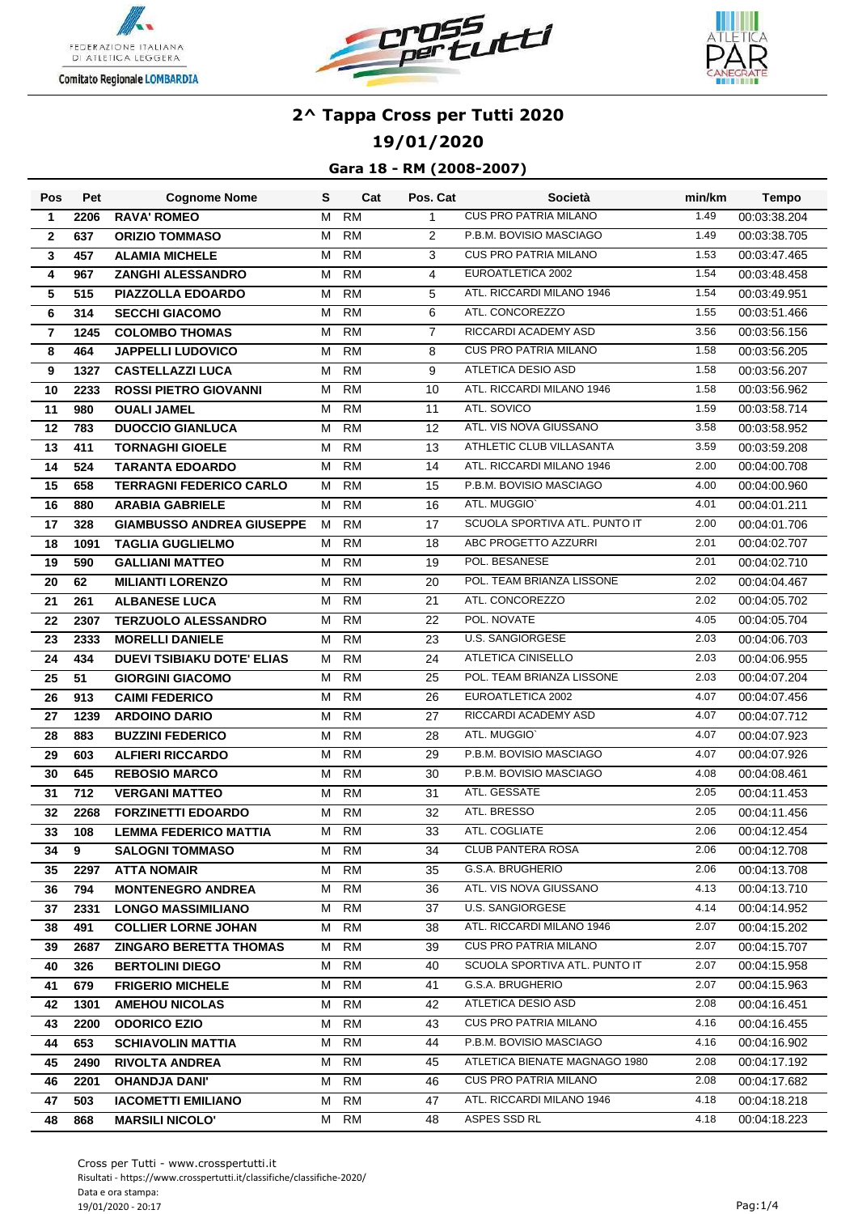





**19/01/2020**

| <b>Pos</b>     | Pet         | <b>Cognome Nome</b>                                         | S      | Cat             | Pos. Cat       | Società                                      | min/km       | <b>Tempo</b>                 |
|----------------|-------------|-------------------------------------------------------------|--------|-----------------|----------------|----------------------------------------------|--------------|------------------------------|
| $\mathbf{1}$   | 2206        | <b>RAVA' ROMEO</b>                                          | м      | <b>RM</b>       | 1              | <b>CUS PRO PATRIA MILANO</b>                 | 1.49         | 00:03:38.204                 |
| $\mathbf{2}$   | 637         | <b>ORIZIO TOMMASO</b>                                       | M      | <b>RM</b>       | 2              | P.B.M. BOVISIO MASCIAGO                      | 1.49         | 00:03:38.705                 |
| 3              | 457         | <b>ALAMIA MICHELE</b>                                       | м      | <b>RM</b>       | 3              | <b>CUS PRO PATRIA MILANO</b>                 | 1.53         | 00:03:47.465                 |
| 4              | 967         | ZANGHI ALESSANDRO                                           | М      | <b>RM</b>       | $\overline{4}$ | EUROATLETICA 2002                            | 1.54         | 00:03:48.458                 |
| 5              | 515         | PIAZZOLLA EDOARDO                                           | м      | <b>RM</b>       | 5              | ATL. RICCARDI MILANO 1946                    | 1.54         | 00:03:49.951                 |
| 6              | 314         | <b>SECCHI GIACOMO</b>                                       | м      | <b>RM</b>       | 6              | ATL. CONCOREZZO                              | 1.55         | 00:03:51.466                 |
| $\overline{7}$ | 1245        | <b>COLOMBO THOMAS</b>                                       | М      | <b>RM</b>       | $\overline{7}$ | RICCARDI ACADEMY ASD                         | 3.56         | 00:03:56.156                 |
| 8              | 464         | <b>JAPPELLI LUDOVICO</b>                                    | м      | <b>RM</b>       | 8              | <b>CUS PRO PATRIA MILANO</b>                 | 1.58         | 00:03:56.205                 |
| 9              | 1327        | <b>CASTELLAZZI LUCA</b>                                     | М      | <b>RM</b>       | 9              | ATLETICA DESIO ASD                           | 1.58         | 00:03:56.207                 |
| 10             | 2233        | <b>ROSSI PIETRO GIOVANNI</b>                                | м      | <b>RM</b>       | 10             | ATL. RICCARDI MILANO 1946                    | 1.58         | 00:03:56.962                 |
| 11             | 980         | <b>OUALI JAMEL</b>                                          | м      | <b>RM</b>       | 11             | ATL. SOVICO                                  | 1.59         | 00:03:58.714                 |
| 12             | 783         | <b>DUOCCIO GIANLUCA</b>                                     | M      | <b>RM</b>       | 12             | ATL. VIS NOVA GIUSSANO                       | 3.58         | 00:03:58.952                 |
| 13             | 411         | <b>TORNAGHI GIOELE</b>                                      | М      | <b>RM</b>       | 13             | ATHLETIC CLUB VILLASANTA                     | 3.59         | 00:03:59.208                 |
| 14             | 524         | <b>TARANTA EDOARDO</b>                                      | м      | <b>RM</b>       | 14             | ATL. RICCARDI MILANO 1946                    | 2.00         | 00:04:00.708                 |
| 15             | 658         | <b>TERRAGNI FEDERICO CARLO</b>                              | м      | <b>RM</b>       | 15             | P.B.M. BOVISIO MASCIAGO                      | 4.00         | 00:04:00.960                 |
| 16             | 880         | <b>ARABIA GABRIELE</b>                                      | м      | <b>RM</b>       | 16             | ATL. MUGGIO'                                 | 4.01         | 00:04:01.211                 |
| 17             | 328         | <b>GIAMBUSSO ANDREA GIUSEPPE</b>                            | м      | <b>RM</b>       | 17             | SCUOLA SPORTIVA ATL. PUNTO IT                | 2.00         | 00:04:01.706                 |
| 18             | 1091        | <b>TAGLIA GUGLIELMO</b>                                     | м      | <b>RM</b>       | 18             | ABC PROGETTO AZZURRI                         | 2.01         | 00:04:02.707                 |
| 19             | 590         | <b>GALLIANI MATTEO</b>                                      | м      | <b>RM</b>       | 19             | POL. BESANESE                                | 2.01         | 00:04:02.710                 |
| 20             | 62          | <b>MILIANTI LORENZO</b>                                     | м      | <b>RM</b>       | 20             | POL. TEAM BRIANZA LISSONE                    | 2.02         | 00:04:04.467                 |
| 21             | 261         | <b>ALBANESE LUCA</b>                                        | M      | <b>RM</b>       | 21             | ATL. CONCOREZZO                              | 2.02         | 00:04:05.702                 |
| 22             | 2307        | <b>TERZUOLO ALESSANDRO</b>                                  | M      | <b>RM</b>       | 22             | POL. NOVATE                                  | 4.05         | 00:04:05.704                 |
| 23             | 2333        | <b>MORELLI DANIELE</b>                                      | м      | <b>RM</b>       | 23             | <b>U.S. SANGIORGESE</b>                      | 2.03         | 00:04:06.703                 |
| 24             | 434         | <b>DUEVI TSIBIAKU DOTE' ELIAS</b>                           | м      | <b>RM</b>       | 24             | ATLETICA CINISELLO                           | 2.03         | 00:04:06.955                 |
| 25             | 51          | <b>GIORGINI GIACOMO</b>                                     | м      | <b>RM</b>       | 25             | POL. TEAM BRIANZA LISSONE                    | 2.03         | 00:04:07.204                 |
| 26             | 913         | <b>CAIMI FEDERICO</b>                                       | м      | <b>RM</b>       | 26             | EUROATLETICA 2002                            | 4.07         | 00:04:07.456                 |
| 27             | 1239        | <b>ARDOINO DARIO</b>                                        | Μ      | <b>RM</b>       | 27             | RICCARDI ACADEMY ASD                         | 4.07         | 00:04:07.712                 |
| 28             | 883         | <b>BUZZINI FEDERICO</b>                                     | м      | <b>RM</b>       | 28             | ATL. MUGGIO'                                 | 4.07         | 00:04:07.923                 |
| 29             | 603         | <b>ALFIERI RICCARDO</b>                                     | м      | <b>RM</b>       | 29             | P.B.M. BOVISIO MASCIAGO                      | 4.07         | 00:04:07.926                 |
| 30             | 645         | <b>REBOSIO MARCO</b>                                        | м      | <b>RM</b>       | 30             | P.B.M. BOVISIO MASCIAGO                      | 4.08         | 00:04:08.461                 |
| 31             | 712         | <b>VERGANI MATTEO</b>                                       | М      | <b>RM</b>       | 31             | ATL. GESSATE                                 | 2.05         | 00:04:11.453                 |
| 32             | 2268        | <b>FORZINETTI EDOARDO</b>                                   | м      | <b>RM</b>       | 32             | ATL. BRESSO                                  | 2.05         | 00:04:11.456                 |
| 33             | 108         | <b>LEMMA FEDERICO MATTIA</b>                                | м      | <b>RM</b>       | 33             | ATL. COGLIATE                                | 2.06         | 00:04:12.454                 |
| 34             | 9           | <b>SALOGNI TOMMASO</b>                                      | M      | RM              | 34             | <b>CLUB PANTERA ROSA</b><br>G.S.A. BRUGHERIO | 2.06         | 00:04:12.708                 |
| 35             | 2297        | <b>ATTA NOMAIR</b>                                          | М      | RM              | 35             |                                              | 2.06         | 00:04:13.708                 |
| 36             | 794         | <b>MONTENEGRO ANDREA</b>                                    | M      | RM              | 36             | ATL. VIS NOVA GIUSSANO<br>U.S. SANGIORGESE   | 4.13<br>4.14 | 00:04:13.710                 |
| 37             | 2331        | <b>LONGO MASSIMILIANO</b>                                   | м      | RM              | 37             | ATL. RICCARDI MILANO 1946                    | 2.07         | 00:04:14.952                 |
| 38<br>39       | 491<br>2687 | <b>COLLIER LORNE JOHAN</b><br><b>ZINGARO BERETTA THOMAS</b> | М<br>М | RM<br><b>RM</b> | 38<br>39       | <b>CUS PRO PATRIA MILANO</b>                 | 2.07         | 00:04:15.202<br>00:04:15.707 |
|                |             |                                                             | М      | RM              | 40             | SCUOLA SPORTIVA ATL. PUNTO IT                | 2.07         | 00:04:15.958                 |
| 40<br>41       | 326<br>679  | <b>BERTOLINI DIEGO</b><br><b>FRIGERIO MICHELE</b>           | М      | RM              | 41             | G.S.A. BRUGHERIO                             | 2.07         | 00:04:15.963                 |
| 42             | 1301        | <b>AMEHOU NICOLAS</b>                                       | M      | RM              | 42             | ATLETICA DESIO ASD                           | 2.08         | 00:04:16.451                 |
| 43             | 2200        | <b>ODORICO EZIO</b>                                         | М      | RM              | 43             | <b>CUS PRO PATRIA MILANO</b>                 | 4.16         | 00:04:16.455                 |
| 44             | 653         | <b>SCHIAVOLIN MATTIA</b>                                    | М      | RM              | 44             | P.B.M. BOVISIO MASCIAGO                      | 4.16         | 00:04:16.902                 |
| 45             | 2490        | <b>RIVOLTA ANDREA</b>                                       | м      | RM              | 45             | ATLETICA BIENATE MAGNAGO 1980                | 2.08         | 00:04:17.192                 |
| 46             | 2201        | <b>OHANDJA DANI'</b>                                        | м      | RM              | 46             | <b>CUS PRO PATRIA MILANO</b>                 | 2.08         | 00:04:17.682                 |
| 47             | 503         | <b>IACOMETTI EMILIANO</b>                                   | М      | RM              | 47             | ATL. RICCARDI MILANO 1946                    | 4.18         | 00:04:18.218                 |
| 48             | 868         | <b>MARSILI NICOLO'</b>                                      | M      | RM              | 48             | ASPES SSD RL                                 | 4.18         | 00:04:18.223                 |
|                |             |                                                             |        |                 |                |                                              |              |                              |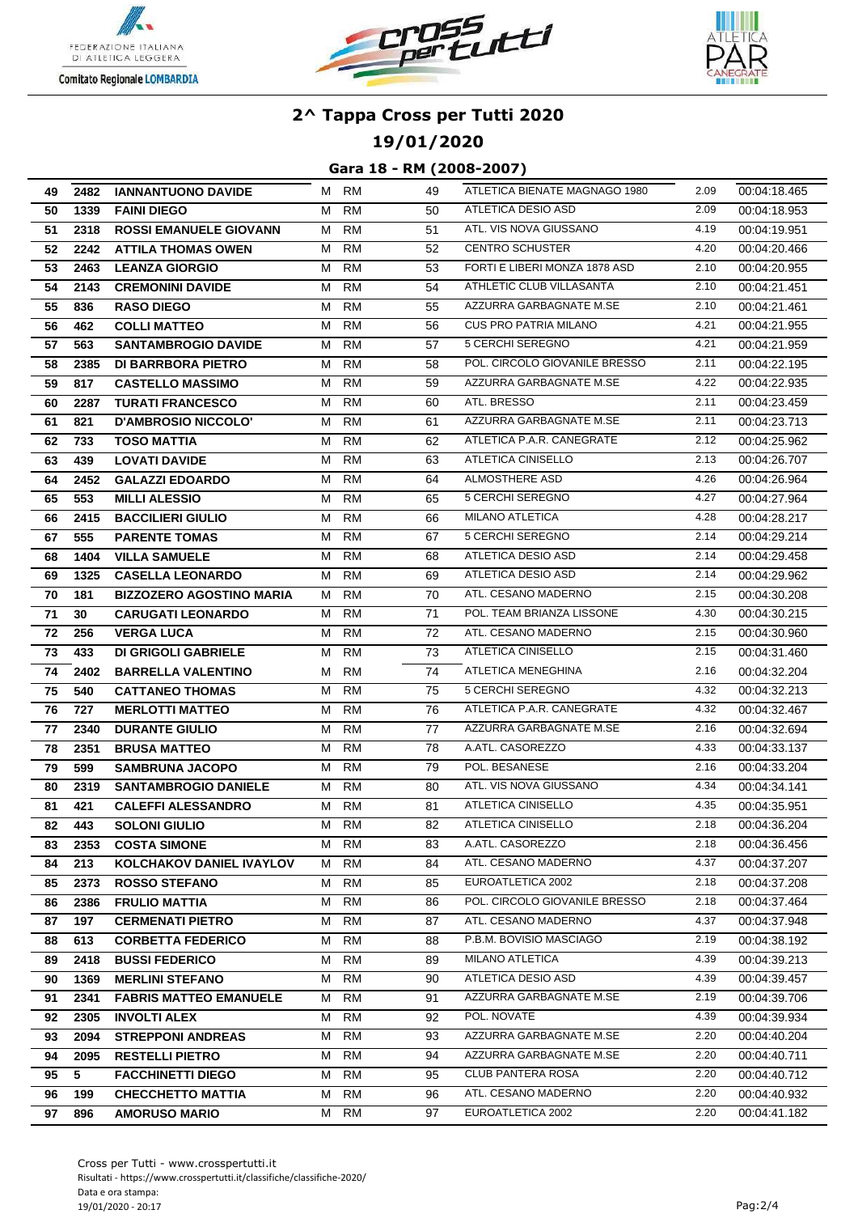





## **19/01/2020**

| 49 |      | 2482 IANNANTUONO DAVIDE         |   | M RM      | 49 | ATLETICA BIENATE MAGNAGO 1980 | 2.09 | 00:04:18.465 |
|----|------|---------------------------------|---|-----------|----|-------------------------------|------|--------------|
| 50 | 1339 | <b>FAINI DIEGO</b>              | M | <b>RM</b> | 50 | ATLETICA DESIO ASD            | 2.09 | 00:04:18.953 |
| 51 | 2318 | <b>ROSSI EMANUELE GIOVANN</b>   | M | <b>RM</b> | 51 | ATL. VIS NOVA GIUSSANO        | 4.19 | 00:04:19.951 |
| 52 | 2242 | <b>ATTILA THOMAS OWEN</b>       | м | RM        | 52 | <b>CENTRO SCHUSTER</b>        | 4.20 | 00:04:20.466 |
| 53 | 2463 | <b>LEANZA GIORGIO</b>           | M | <b>RM</b> | 53 | FORTI E LIBERI MONZA 1878 ASD | 2.10 | 00:04:20.955 |
| 54 | 2143 | <b>CREMONINI DAVIDE</b>         | М | <b>RM</b> | 54 | ATHLETIC CLUB VILLASANTA      | 2.10 | 00:04:21.451 |
| 55 | 836  | <b>RASO DIEGO</b>               | м | <b>RM</b> | 55 | AZZURRA GARBAGNATE M.SE       | 2.10 | 00:04:21.461 |
| 56 | 462  | <b>COLLI MATTEO</b>             | М | <b>RM</b> | 56 | <b>CUS PRO PATRIA MILANO</b>  | 4.21 | 00:04:21.955 |
| 57 | 563  | <b>SANTAMBROGIO DAVIDE</b>      | M | <b>RM</b> | 57 | 5 CERCHI SEREGNO              | 4.21 | 00:04:21.959 |
| 58 | 2385 | <b>DI BARRBORA PIETRO</b>       | м | RM        | 58 | POL. CIRCOLO GIOVANILE BRESSO | 2.11 | 00:04:22.195 |
| 59 | 817  | <b>CASTELLO MASSIMO</b>         | м | <b>RM</b> | 59 | AZZURRA GARBAGNATE M.SE       | 4.22 | 00:04:22.935 |
| 60 | 2287 | <b>TURATI FRANCESCO</b>         | M | RM        | 60 | ATL. BRESSO                   | 2.11 | 00:04:23.459 |
| 61 | 821  | D'AMBROSIO NICCOLO'             | M | <b>RM</b> | 61 | AZZURRA GARBAGNATE M.SE       | 2.11 | 00:04:23.713 |
| 62 | 733  | <b>TOSO MATTIA</b>              | M | <b>RM</b> | 62 | ATLETICA P.A.R. CANEGRATE     | 2.12 | 00:04:25.962 |
| 63 | 439  | <b>LOVATI DAVIDE</b>            | м | <b>RM</b> | 63 | ATLETICA CINISELLO            | 2.13 | 00:04:26.707 |
| 64 | 2452 | <b>GALAZZI EDOARDO</b>          | м | <b>RM</b> | 64 | <b>ALMOSTHERE ASD</b>         | 4.26 | 00:04:26.964 |
| 65 | 553  | <b>MILLI ALESSIO</b>            | М | RM        | 65 | 5 CERCHI SEREGNO              | 4.27 | 00:04:27.964 |
| 66 | 2415 | <b>BACCILIERI GIULIO</b>        | M | RM        | 66 | <b>MILANO ATLETICA</b>        | 4.28 | 00:04:28.217 |
| 67 | 555  | <b>PARENTE TOMAS</b>            | M | RM        | 67 | 5 CERCHI SEREGNO              | 2.14 | 00:04:29.214 |
| 68 | 1404 | <b>VILLA SAMUELE</b>            | M | <b>RM</b> | 68 | ATLETICA DESIO ASD            | 2.14 | 00:04:29.458 |
| 69 | 1325 | <b>CASELLA LEONARDO</b>         | M | <b>RM</b> | 69 | ATLETICA DESIO ASD            | 2.14 | 00:04:29.962 |
| 70 | 181  | <b>BIZZOZERO AGOSTINO MARIA</b> | M | RM        | 70 | ATL. CESANO MADERNO           | 2.15 | 00:04:30.208 |
| 71 | 30   | <b>CARUGATI LEONARDO</b>        | M | <b>RM</b> | 71 | POL. TEAM BRIANZA LISSONE     | 4.30 | 00:04:30.215 |
| 72 | 256  | <b>VERGA LUCA</b>               | М | <b>RM</b> | 72 | ATL. CESANO MADERNO           | 2.15 | 00:04:30.960 |
| 73 | 433  | <b>DI GRIGOLI GABRIELE</b>      | м | <b>RM</b> | 73 | ATLETICA CINISELLO            | 2.15 | 00:04:31.460 |
| 74 | 2402 | <b>BARRELLA VALENTINO</b>       | M | RM        | 74 | ATLETICA MENEGHINA            | 2.16 | 00:04:32.204 |
| 75 | 540  | <b>CATTANEO THOMAS</b>          | M | RM        | 75 | 5 CERCHI SEREGNO              | 4.32 | 00:04:32.213 |
| 76 | 727  | <b>MERLOTTI MATTEO</b>          |   | M RM      | 76 | ATLETICA P.A.R. CANEGRATE     | 4.32 | 00:04:32.467 |
| 77 | 2340 | <b>DURANTE GIULIO</b>           | M | <b>RM</b> | 77 | AZZURRA GARBAGNATE M.SE       | 2.16 | 00:04:32.694 |
| 78 | 2351 | <b>BRUSA MATTEO</b>             | М | <b>RM</b> | 78 | A.ATL. CASOREZZO              | 4.33 | 00:04:33.137 |
| 79 | 599  | <b>SAMBRUNA JACOPO</b>          | M | RM        | 79 | POL. BESANESE                 | 2.16 | 00:04:33.204 |
| 80 | 2319 | <b>SANTAMBROGIO DANIELE</b>     | M | RM        | 80 | ATL. VIS NOVA GIUSSANO        | 4.34 | 00:04:34.141 |
| 81 | 421  | <b>CALEFFI ALESSANDRO</b>       | м | <b>RM</b> | 81 | ATLETICA CINISELLO            | 4.35 | 00:04:35.951 |
| 82 | 443  | <b>SOLONI GIULIO</b>            |   | M RM      | 82 | ATLETICA CINISELLO            | 2.18 | 00:04:36.204 |
| 83 | 2353 | <b>COSTA SIMONE</b>             |   | M RM      | 83 | A.ATL. CASOREZZO              | 2.18 | 00:04:36.456 |
| 84 | 213  | <b>KOLCHAKOV DANIEL IVAYLOV</b> | M | RM        | 84 | ATL. CESANO MADERNO           | 4.37 | 00:04:37.207 |
| 85 | 2373 | <b>ROSSO STEFANO</b>            |   | M RM      | 85 | EUROATLETICA 2002             | 2.18 | 00:04:37.208 |
| 86 | 2386 | <b>FRULIO MATTIA</b>            | М | RM        | 86 | POL. CIRCOLO GIOVANILE BRESSO | 2.18 | 00:04:37.464 |
| 87 | 197  | <b>CERMENATI PIETRO</b>         | M | <b>RM</b> | 87 | ATL. CESANO MADERNO           | 4.37 | 00:04:37.948 |
| 88 | 613  | <b>CORBETTA FEDERICO</b>        | M | RM        | 88 | P.B.M. BOVISIO MASCIAGO       | 2.19 | 00:04:38.192 |
| 89 | 2418 | <b>BUSSI FEDERICO</b>           | M | RM        | 89 | <b>MILANO ATLETICA</b>        | 4.39 | 00:04:39.213 |
| 90 | 1369 | <b>MERLINI STEFANO</b>          | M | RM        | 90 | ATLETICA DESIO ASD            | 4.39 | 00:04:39.457 |
| 91 | 2341 | <b>FABRIS MATTEO EMANUELE</b>   | M | RM        | 91 | AZZURRA GARBAGNATE M.SE       | 2.19 | 00:04:39.706 |
| 92 | 2305 | <b>INVOLTI ALEX</b>             |   | M RM      | 92 | POL. NOVATE                   | 4.39 | 00:04:39.934 |
| 93 | 2094 | <b>STREPPONI ANDREAS</b>        | M | RM        | 93 | AZZURRA GARBAGNATE M.SE       | 2.20 | 00:04:40.204 |
| 94 | 2095 | <b>RESTELLI PIETRO</b>          | M | RM        | 94 | AZZURRA GARBAGNATE M.SE       | 2.20 | 00:04:40.711 |
| 95 | 5    | <b>FACCHINETTI DIEGO</b>        | M | RM        | 95 | CLUB PANTERA ROSA             | 2.20 | 00:04:40.712 |
| 96 | 199  | <b>CHECCHETTO MATTIA</b>        | M | RM        | 96 | ATL. CESANO MADERNO           | 2.20 | 00:04:40.932 |
| 97 | 896  | <b>AMORUSO MARIO</b>            |   | M RM      | 97 | EUROATLETICA 2002             | 2.20 | 00:04:41.182 |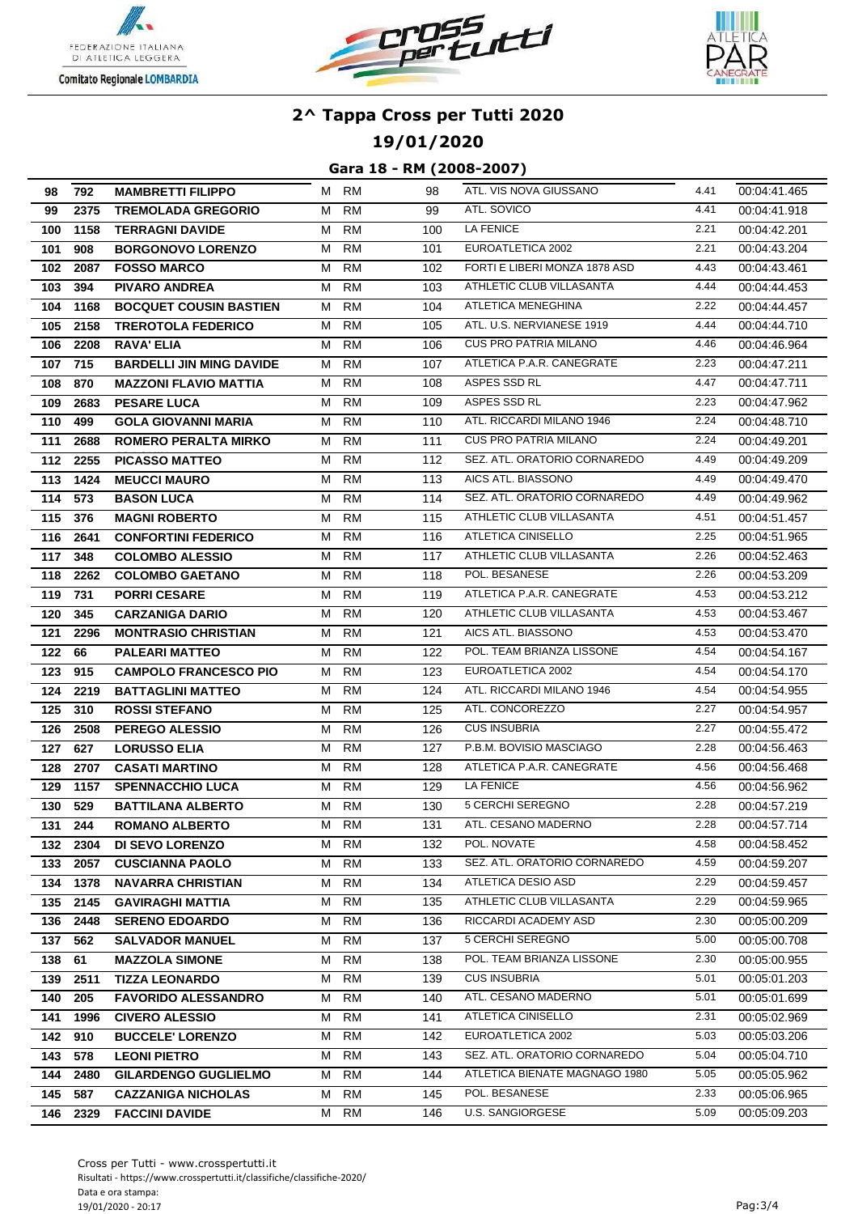





### **19/01/2020**

| 98         | 792              | <b>MAMBRETTI FILIPPO</b>                           |        | M RM      | 98         | ATL. VIS NOVA GIUSSANO                        | 4.41         | 00:04:41.465                 |
|------------|------------------|----------------------------------------------------|--------|-----------|------------|-----------------------------------------------|--------------|------------------------------|
| 99         | 2375             | <b>TREMOLADA GREGORIO</b>                          | M      | <b>RM</b> | 99         | ATL. SOVICO                                   | 4.41         | 00:04:41.918                 |
| 100        | 1158             | <b>TERRAGNI DAVIDE</b>                             | M      | <b>RM</b> | 100        | LA FENICE                                     | 2.21         | 00:04:42.201                 |
| 101        | 908              | <b>BORGONOVO LORENZO</b>                           | M      | RM        | 101        | EUROATLETICA 2002                             | 2.21         | 00:04:43.204                 |
| 102        | 2087             | <b>FOSSO MARCO</b>                                 | М      | <b>RM</b> | 102        | FORTI E LIBERI MONZA 1878 ASD                 | 4.43         | 00:04:43.461                 |
| 103        | 394              | <b>PIVARO ANDREA</b>                               | M      | RM        | 103        | ATHLETIC CLUB VILLASANTA                      | 4.44         | 00:04:44.453                 |
| 104        | 1168             | <b>BOCQUET COUSIN BASTIEN</b>                      | M      | <b>RM</b> | 104        | ATLETICA MENEGHINA                            | 2.22         | 00:04:44.457                 |
| 105        | 2158             | <b>TREROTOLA FEDERICO</b>                          | M      | RM        | 105        | ATL. U.S. NERVIANESE 1919                     | 4.44         | 00:04:44.710                 |
| 106        | 2208             | <b>RAVA' ELIA</b>                                  | M      | RM        | 106        | <b>CUS PRO PATRIA MILANO</b>                  | 4.46         | 00:04:46.964                 |
| 107        | 715              | <b>BARDELLI JIN MING DAVIDE</b>                    |        | M RM      | 107        | ATLETICA P.A.R. CANEGRATE                     | 2.23         | 00:04:47.211                 |
| 108        | 870              | <b>MAZZONI FLAVIO MATTIA</b>                       | M      | <b>RM</b> | 108        | ASPES SSD RL                                  | 4.47         | 00:04:47.711                 |
| 109        | 2683             | <b>PESARE LUCA</b>                                 | M      | <b>RM</b> | 109        | ASPES SSD RL                                  | 2.23         | 00:04:47.962                 |
| 110        | 499              | <b>GOLA GIOVANNI MARIA</b>                         | M      | RM        | 110        | ATL. RICCARDI MILANO 1946                     | 2.24         | 00:04:48.710                 |
| 111        | 2688             | <b>ROMERO PERALTA MIRKO</b>                        | M      | <b>RM</b> | 111        | <b>CUS PRO PATRIA MILANO</b>                  | 2.24         | 00:04:49.201                 |
| 112        | 2255             | <b>PICASSO MATTEO</b>                              | м      | <b>RM</b> | 112        | SEZ. ATL. ORATORIO CORNAREDO                  | 4.49         | 00:04:49.209                 |
| 113        | 1424             | <b>MEUCCI MAURO</b>                                | м      | <b>RM</b> | 113        | AICS ATL. BIASSONO                            | 4.49         | 00:04:49.470                 |
| 114        | 573              | <b>BASON LUCA</b>                                  | M      | RM        | 114        | SEZ. ATL. ORATORIO CORNAREDO                  | 4.49         | 00:04:49.962                 |
| 115        | 376              | <b>MAGNI ROBERTO</b>                               | M      | RM        | 115        | ATHLETIC CLUB VILLASANTA                      | 4.51         | 00:04:51.457                 |
| 116        | 2641             | <b>CONFORTINI FEDERICO</b>                         | M      | RM        | 116        | ATLETICA CINISELLO                            | 2.25         | 00:04:51.965                 |
| 117        | 348              | <b>COLOMBO ALESSIO</b>                             | M      | <b>RM</b> | 117        | ATHLETIC CLUB VILLASANTA                      | 2.26         | 00:04:52.463                 |
| 118        | 2262             | <b>COLOMBO GAETANO</b>                             | M      | <b>RM</b> | 118        | POL. BESANESE                                 | 2.26         | 00:04:53.209                 |
| 119        | 731              | <b>PORRI CESARE</b>                                | м      | RM        | 119        | ATLETICA P.A.R. CANEGRATE                     | 4.53         | 00:04:53.212                 |
| 120        | 345              | <b>CARZANIGA DARIO</b>                             | м      | RM        | 120        | ATHLETIC CLUB VILLASANTA                      | 4.53         | 00:04:53.467                 |
| 121        | 2296             | <b>MONTRASIO CHRISTIAN</b>                         | м      | <b>RM</b> | 121        | AICS ATL. BIASSONO                            | 4.53         | 00:04:53.470                 |
| 122        | 66               | <b>PALEARI MATTEO</b>                              | М      | <b>RM</b> | 122        | POL. TEAM BRIANZA LISSONE                     | 4.54         | 00:04:54.167                 |
| 123        | 915              | <b>CAMPOLO FRANCESCO PIO</b>                       | M      | RM        | 123        | EUROATLETICA 2002                             | 4.54         | 00:04:54.170                 |
| 124        | 2219             | <b>BATTAGLINI MATTEO</b>                           | M      | RM        | 124        | ATL. RICCARDI MILANO 1946                     | 4.54         | 00:04:54.955                 |
| 125        | 310              | <b>ROSSI STEFANO</b>                               | M      | RM        | 125        | ATL. CONCOREZZO                               | 2.27         | 00:04:54.957                 |
| 126        | 2508             | <b>PEREGO ALESSIO</b>                              | M      | <b>RM</b> | 126        | <b>CUS INSUBRIA</b>                           | 2.27         | 00:04:55.472                 |
| 127        | 627              | <b>LORUSSO ELIA</b>                                | М      | <b>RM</b> | 127        | P.B.M. BOVISIO MASCIAGO                       | 2.28         | 00:04:56.463                 |
| 128        | 2707             | <b>CASATI MARTINO</b>                              | М      | RM        | 128        | ATLETICA P.A.R. CANEGRATE<br><b>LA FENICE</b> | 4.56<br>4.56 | 00:04:56.468                 |
| 129        | 1157             | <b>SPENNACCHIO LUCA</b>                            | M      | RM        | 129        | 5 CERCHI SEREGNO                              | 2.28         | 00:04:56.962                 |
| 130        | 529              | <b>BATTILANA ALBERTO</b>                           | М      | RM        | 130        | ATL. CESANO MADERNO                           | 2.28         | 00:04:57.219                 |
| 131        | 244              | <b>ROMANO ALBERTO</b>                              | M      | RM        | 131        | POL. NOVATE                                   | 4.58         | 00:04:57.714<br>00:04:58.452 |
|            | 132 2304<br>2057 | <b>DI SEVO LORENZO</b>                             |        | M RM      | 132        | SEZ. ATL. ORATORIO CORNAREDO                  | 4.59         |                              |
| 133<br>134 |                  | <b>CUSCIANNA PAOLO</b><br><b>NAVARRA CHRISTIAN</b> | M<br>M | RM<br>RM  | 133<br>134 | ATLETICA DESIO ASD                            | 2.29         | 00:04:59.207                 |
| 135        | 1378<br>2145     | <b>GAVIRAGHI MATTIA</b>                            | M      | <b>RM</b> | 135        | ATHLETIC CLUB VILLASANTA                      | 2.29         | 00:04:59.457<br>00:04:59.965 |
| 136        | 2448             | <b>SERENO EDOARDO</b>                              | м      | <b>RM</b> | 136        | RICCARDI ACADEMY ASD                          | 2.30         | 00:05:00.209                 |
| 137        | 562              | <b>SALVADOR MANUEL</b>                             | М      | RM        | 137        | 5 CERCHI SEREGNO                              | 5.00         | 00:05:00.708                 |
| 138        | 61               | <b>MAZZOLA SIMONE</b>                              | M      | RM        | 138        | POL. TEAM BRIANZA LISSONE                     | 2.30         | 00:05:00.955                 |
| 139        | 2511             | <b>TIZZA LEONARDO</b>                              | M      | RM        | 139        | <b>CUS INSUBRIA</b>                           | 5.01         | 00:05:01.203                 |
| 140        | 205              | <b>FAVORIDO ALESSANDRO</b>                         | M      | RM        | 140        | ATL. CESANO MADERNO                           | 5.01         | 00:05:01.699                 |
| 141        | 1996             | <b>CIVERO ALESSIO</b>                              | M      | RM        | 141        | ATLETICA CINISELLO                            | 2.31         | 00:05:02.969                 |
| 142        | 910              | <b>BUCCELE' LORENZO</b>                            | M      | RM        | 142        | EUROATLETICA 2002                             | 5.03         | 00:05:03.206                 |
| 143        | 578              | <b>LEONI PIETRO</b>                                | M      | <b>RM</b> | 143        | SEZ. ATL. ORATORIO CORNAREDO                  | 5.04         | 00:05:04.710                 |
| 144        | 2480             | <b>GILARDENGO GUGLIELMO</b>                        | м      | <b>RM</b> | 144        | ATLETICA BIENATE MAGNAGO 1980                 | 5.05         | 00:05:05.962                 |
| 145        | 587              | <b>CAZZANIGA NICHOLAS</b>                          | м      | <b>RM</b> | 145        | POL. BESANESE                                 | 2.33         | 00:05:06.965                 |
|            | 146 2329         | <b>FACCINI DAVIDE</b>                              |        | M RM      | 146        | U.S. SANGIORGESE                              | 5.09         | 00:05:09.203                 |
|            |                  |                                                    |        |           |            |                                               |              |                              |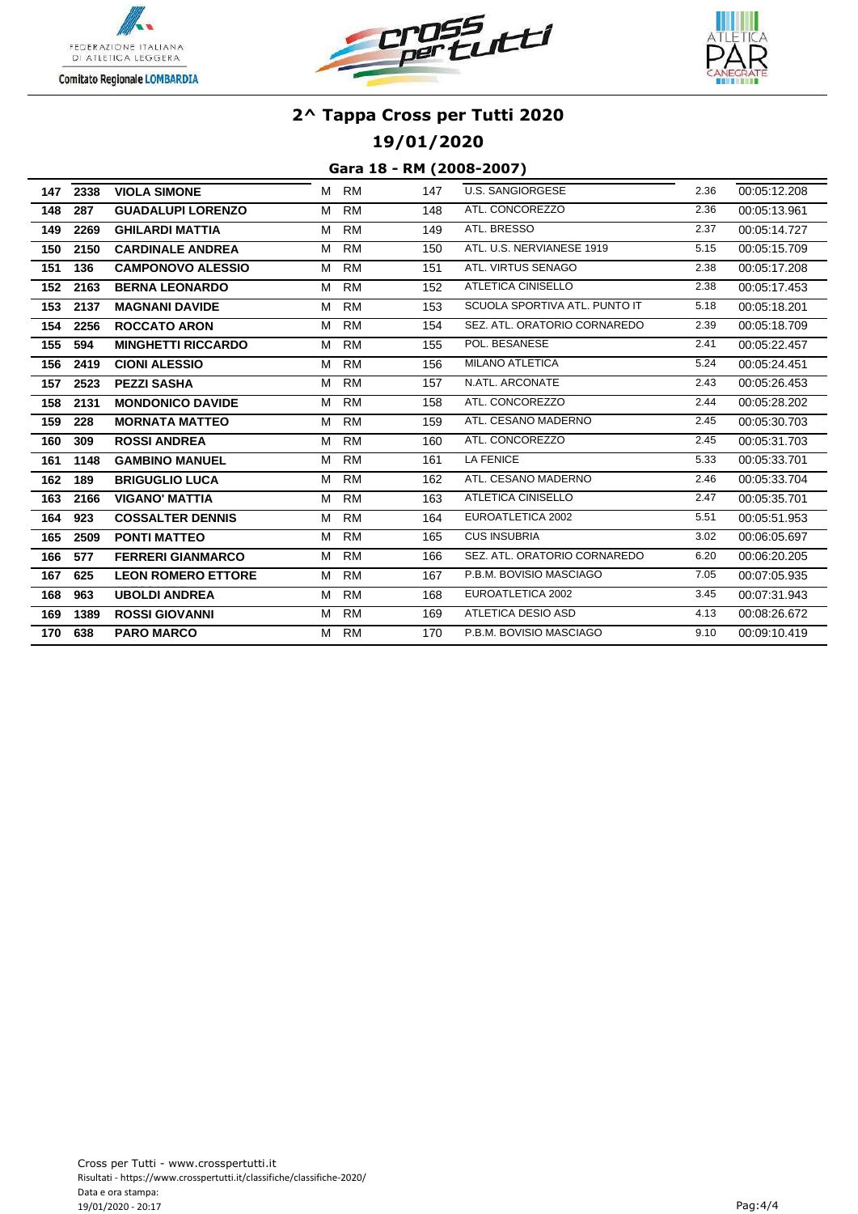





**19/01/2020**

| 147 | 2338 | <b>VIOLA SIMONE</b>       | M | RM        | 147 | <b>U.S. SANGIORGESE</b>       | 2.36 | 00:05:12.208 |
|-----|------|---------------------------|---|-----------|-----|-------------------------------|------|--------------|
| 148 | 287  | <b>GUADALUPI LORENZO</b>  | м | <b>RM</b> | 148 | ATL. CONCOREZZO               | 2.36 | 00:05:13.961 |
| 149 | 2269 | <b>GHILARDI MATTIA</b>    | М | <b>RM</b> | 149 | ATL. BRESSO                   | 2.37 | 00:05:14.727 |
| 150 | 2150 | <b>CARDINALE ANDREA</b>   | М | RM        | 150 | ATL. U.S. NERVIANESE 1919     | 5.15 | 00:05:15.709 |
| 151 | 136  | <b>CAMPONOVO ALESSIO</b>  | M | <b>RM</b> | 151 | ATL. VIRTUS SENAGO            | 2.38 | 00:05:17.208 |
| 152 | 2163 | <b>BERNA LEONARDO</b>     | М | <b>RM</b> | 152 | ATLETICA CINISELLO            | 2.38 | 00:05:17.453 |
| 153 | 2137 | <b>MAGNANI DAVIDE</b>     | М | <b>RM</b> | 153 | SCUOLA SPORTIVA ATL. PUNTO IT | 5.18 | 00:05:18.201 |
| 154 | 2256 | <b>ROCCATO ARON</b>       | М | <b>RM</b> | 154 | SEZ. ATL. ORATORIO CORNAREDO  | 2.39 | 00:05:18.709 |
| 155 | 594  | <b>MINGHETTI RICCARDO</b> | М | <b>RM</b> | 155 | POL. BESANESE                 | 2.41 | 00:05:22.457 |
| 156 | 2419 | <b>CIONI ALESSIO</b>      | М | <b>RM</b> | 156 | <b>MILANO ATLETICA</b>        | 5.24 | 00:05:24.451 |
| 157 | 2523 | <b>PEZZI SASHA</b>        | М | <b>RM</b> | 157 | N.ATL. ARCONATE               | 2.43 | 00:05:26.453 |
| 158 | 2131 | <b>MONDONICO DAVIDE</b>   | М | <b>RM</b> | 158 | ATL. CONCOREZZO               | 2.44 | 00:05:28.202 |
| 159 | 228  | <b>MORNATA MATTEO</b>     | M | RM        | 159 | ATL. CESANO MADERNO           | 2.45 | 00:05:30.703 |
| 160 | 309  | <b>ROSSI ANDREA</b>       | M | <b>RM</b> | 160 | ATL. CONCOREZZO               | 2.45 | 00:05:31.703 |
| 161 | 1148 | <b>GAMBINO MANUEL</b>     | M | <b>RM</b> | 161 | LA FENICE                     | 5.33 | 00:05:33.701 |
| 162 | 189  | <b>BRIGUGLIO LUCA</b>     | М | <b>RM</b> | 162 | ATL. CESANO MADERNO           | 2.46 | 00:05:33.704 |
| 163 | 2166 | <b>VIGANO' MATTIA</b>     | М | <b>RM</b> | 163 | ATLETICA CINISELLO            | 2.47 | 00:05:35.701 |
| 164 | 923  | <b>COSSALTER DENNIS</b>   | М | <b>RM</b> | 164 | EUROATLETICA 2002             | 5.51 | 00:05:51.953 |
| 165 | 2509 | <b>PONTI MATTEO</b>       | M | <b>RM</b> | 165 | <b>CUS INSUBRIA</b>           | 3.02 | 00:06:05.697 |
| 166 | 577  | <b>FERRERI GIANMARCO</b>  | М | <b>RM</b> | 166 | SEZ. ATL. ORATORIO CORNAREDO  | 6.20 | 00:06:20.205 |
| 167 | 625  | <b>LEON ROMERO ETTORE</b> | М | <b>RM</b> | 167 | P.B.M. BOVISIO MASCIAGO       | 7.05 | 00:07:05.935 |
| 168 | 963  | <b>UBOLDI ANDREA</b>      | М | <b>RM</b> | 168 | EUROATLETICA 2002             | 3.45 | 00:07:31.943 |
| 169 | 1389 | <b>ROSSI GIOVANNI</b>     | M | <b>RM</b> | 169 | <b>ATLETICA DESIO ASD</b>     | 4.13 | 00:08:26.672 |
| 170 | 638  | <b>PARO MARCO</b>         | M | RM        | 170 | P.B.M. BOVISIO MASCIAGO       | 9.10 | 00:09:10.419 |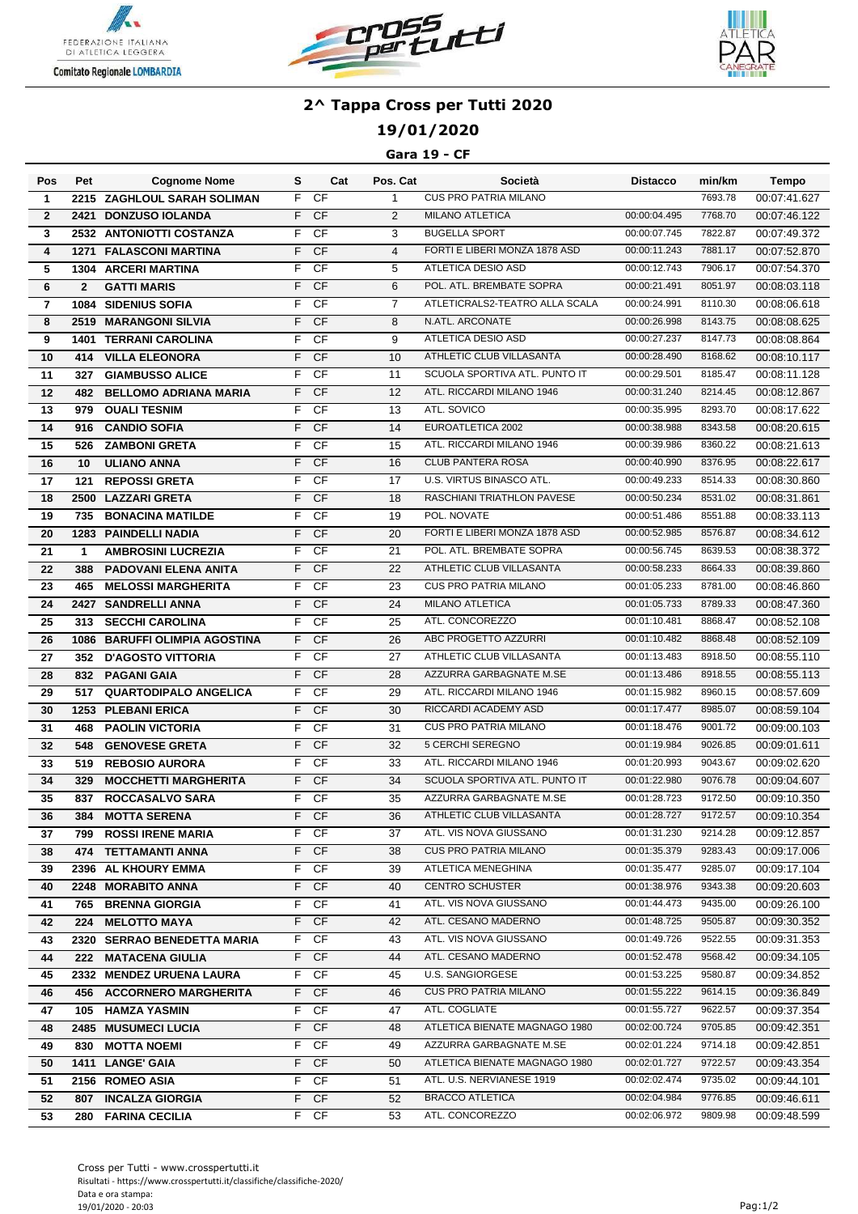





## **19/01/2020**

#### **Gara 19 - CF**

| Pos             | Pet          | <b>Cognome Nome</b>           | s  | Cat       | Pos. Cat       | Società                        | <b>Distacco</b> | min/km  | Tempo        |
|-----------------|--------------|-------------------------------|----|-----------|----------------|--------------------------------|-----------------|---------|--------------|
| 1               |              | 2215 ZAGHLOUL SARAH SOLIMAN   | F  | <b>CF</b> | $\mathbf{1}$   | <b>CUS PRO PATRIA MILANO</b>   |                 | 7693.78 | 00:07:41.627 |
| $\overline{2}$  | 2421         | <b>DONZUSO IOLANDA</b>        | F  | <b>CF</b> | 2              | <b>MILANO ATLETICA</b>         | 00:00:04.495    | 7768.70 | 00:07:46.122 |
| 3               |              | 2532 ANTONIOTTI COSTANZA      | F  | <b>CF</b> | 3              | <b>BUGELLA SPORT</b>           | 00:00:07.745    | 7822.87 | 00:07:49.372 |
| $\overline{4}$  |              | <b>1271 FALASCONI MARTINA</b> | F  | <b>CF</b> | $\overline{4}$ | FORTI E LIBERI MONZA 1878 ASD  | 00:00:11.243    | 7881.17 | 00:07:52.870 |
| 5               |              | <b>1304 ARCERI MARTINA</b>    | F  | <b>CF</b> | 5              | ATLETICA DESIO ASD             | 00:00:12.743    | 7906.17 | 00:07:54.370 |
| $6\phantom{1}6$ | $\mathbf{2}$ | <b>GATTI MARIS</b>            | F  | <b>CF</b> | 6              | POL. ATL. BREMBATE SOPRA       | 00:00:21.491    | 8051.97 | 00:08:03.118 |
| $\overline{7}$  |              | <b>1084 SIDENIUS SOFIA</b>    | F  | <b>CF</b> | $\overline{7}$ | ATLETICRALS2-TEATRO ALLA SCALA | 00:00:24.991    | 8110.30 | 00:08:06.618 |
| 8               |              | <b>2519 MARANGONI SILVIA</b>  | F  | <b>CF</b> | 8              | N.ATL. ARCONATE                | 00:00:26.998    | 8143.75 | 00:08:08.625 |
| 9               | 1401         | <b>TERRANI CAROLINA</b>       | F  | <b>CF</b> | 9              | ATLETICA DESIO ASD             | 00:00:27.237    | 8147.73 | 00:08:08.864 |
| 10              | 414          | <b>VILLA ELEONORA</b>         | F  | CF        | 10             | ATHLETIC CLUB VILLASANTA       | 00:00:28.490    | 8168.62 | 00:08:10.117 |
| 11              | 327          | <b>GIAMBUSSO ALICE</b>        | F  | CF        | 11             | SCUOLA SPORTIVA ATL. PUNTO IT  | 00:00:29.501    | 8185.47 | 00:08:11.128 |
| 12              | 482          | <b>BELLOMO ADRIANA MARIA</b>  | F  | <b>CF</b> | 12             | ATL. RICCARDI MILANO 1946      | 00:00:31.240    | 8214.45 | 00:08:12.867 |
| 13              | 979          | <b>OUALI TESNIM</b>           | F  | <b>CF</b> | 13             | ATL. SOVICO                    | 00:00:35.995    | 8293.70 | 00:08:17.622 |
| 14              | 916          | <b>CANDIO SOFIA</b>           | F  | <b>CF</b> | 14             | EUROATLETICA 2002              | 00:00:38.988    | 8343.58 | 00:08:20.615 |
| 15              | 526          | <b>ZAMBONI GRETA</b>          | F  | CF        | 15             | ATL. RICCARDI MILANO 1946      | 00:00:39.986    | 8360.22 | 00:08:21.613 |
| 16              | 10           | <b>ULIANO ANNA</b>            | F  | <b>CF</b> | 16             | <b>CLUB PANTERA ROSA</b>       | 00:00:40.990    | 8376.95 | 00:08:22.617 |
| 17              | 121          | <b>REPOSSI GRETA</b>          | F  | CF        | 17             | U.S. VIRTUS BINASCO ATL.       | 00:00:49.233    | 8514.33 | 00:08:30.860 |
| 18              | 2500         | <b>LAZZARI GRETA</b>          | F  | <b>CF</b> | 18             | RASCHIANI TRIATHLON PAVESE     | 00:00:50.234    | 8531.02 | 00:08:31.861 |
| 19              | 735          | <b>BONACINA MATILDE</b>       | F  | <b>CF</b> | 19             | POL. NOVATE                    | 00:00:51.486    | 8551.88 | 00:08:33.113 |
| 20              |              | <b>1283 PAINDELLI NADIA</b>   | F  | <b>CF</b> | 20             | FORTI E LIBERI MONZA 1878 ASD  | 00:00:52.985    | 8576.87 | 00:08:34.612 |
| 21              | $\mathbf{1}$ | <b>AMBROSINI LUCREZIA</b>     | F  | CF        | 21             | POL. ATL. BREMBATE SOPRA       | 00:00:56.745    | 8639.53 | 00:08:38.372 |
| 22              | 388          | <b>PADOVANI ELENA ANITA</b>   | F  | <b>CF</b> | 22             | ATHLETIC CLUB VILLASANTA       | 00:00:58.233    | 8664.33 | 00:08:39.860 |
| 23              | 465          | <b>MELOSSI MARGHERITA</b>     | F  | <b>CF</b> | 23             | <b>CUS PRO PATRIA MILANO</b>   | 00:01:05.233    | 8781.00 | 00:08:46.860 |
| 24              | 2427         | <b>SANDRELLI ANNA</b>         | F  | <b>CF</b> | 24             | <b>MILANO ATLETICA</b>         | 00:01:05.733    | 8789.33 | 00:08:47.360 |
| 25              | 313          | <b>SECCHI CAROLINA</b>        | F  | <b>CF</b> | 25             | ATL. CONCOREZZO                | 00:01:10.481    | 8868.47 | 00:08:52.108 |
| 26              |              | 1086 BARUFFI OLIMPIA AGOSTINA | F  | <b>CF</b> | 26             | ABC PROGETTO AZZURRI           | 00:01:10.482    | 8868.48 | 00:08:52.109 |
| 27              | 352          | <b>D'AGOSTO VITTORIA</b>      | F  | <b>CF</b> | 27             | ATHLETIC CLUB VILLASANTA       | 00:01:13.483    | 8918.50 | 00:08:55.110 |
| 28              |              | 832 PAGANI GAIA               | F  | CF        | 28             | AZZURRA GARBAGNATE M.SE        | 00:01:13.486    | 8918.55 | 00:08:55.113 |
| 29              | 517          | <b>QUARTODIPALO ANGELICA</b>  | F  | CF        | 29             | ATL. RICCARDI MILANO 1946      | 00:01:15.982    | 8960.15 | 00:08:57.609 |
| 30              |              | <b>1253 PLEBANI ERICA</b>     | F  | CF        | 30             | RICCARDI ACADEMY ASD           | 00:01:17.477    | 8985.07 | 00:08:59.104 |
| 31              | 468          | <b>PAOLIN VICTORIA</b>        | F  | CF        | 31             | <b>CUS PRO PATRIA MILANO</b>   | 00:01:18.476    | 9001.72 | 00:09:00.103 |
| 32              | 548          | <b>GENOVESE GRETA</b>         | F  | <b>CF</b> | 32             | 5 CERCHI SEREGNO               | 00:01:19.984    | 9026.85 | 00:09:01.611 |
| 33              | 519          | <b>REBOSIO AURORA</b>         | F  | CF        | 33             | ATL. RICCARDI MILANO 1946      | 00:01:20.993    | 9043.67 | 00:09:02.620 |
| 34              | 329          | <b>MOCCHETTI MARGHERITA</b>   | F  | <b>CF</b> | 34             | SCUOLA SPORTIVA ATL. PUNTO IT  | 00:01:22.980    | 9076.78 | 00:09:04.607 |
| 35              |              | 837 ROCCASALVO SARA           | F  | CF        | 35             | AZZURRA GARBAGNATE M.SE        | 00:01:28.723    | 9172.50 | 00:09:10.350 |
| 36              | 384          | <b>MOTTA SERENA</b>           | F  | CF        | 36             | ATHLETIC CLUB VILLASANTA       | 00:01:28.727    | 9172.57 | 00:09:10.354 |
| 37              |              | 799 ROSSI IRENE MARIA         |    | F CF      | 37             | ATL. VIS NOVA GIUSSANO         | 00:01:31.230    | 9214.28 | 00:09:12.857 |
| 38              |              | 474 TETTAMANTI ANNA           | F. | <b>CF</b> | 38             | <b>CUS PRO PATRIA MILANO</b>   | 00:01:35.379    | 9283.43 | 00:09:17.006 |
| 39              |              | 2396 AL KHOURY EMMA           | F. | CF        | 39             | ATLETICA MENEGHINA             | 00:01:35.477    | 9285.07 | 00:09:17.104 |
| 40              |              | 2248 MORABITO ANNA            | F. | <b>CF</b> | 40             | <b>CENTRO SCHUSTER</b>         | 00:01:38.976    | 9343.38 | 00:09:20.603 |
| 41              | 765          | <b>BRENNA GIORGIA</b>         | F. | CF        | 41             | ATL. VIS NOVA GIUSSANO         | 00:01:44.473    | 9435.00 | 00:09:26.100 |
| 42              | 224          | <b>MELOTTO MAYA</b>           | F. | <b>CF</b> | 42             | ATL. CESANO MADERNO            | 00:01:48.725    | 9505.87 | 00:09:30.352 |
| 43              |              | 2320 SERRAO BENEDETTA MARIA   | F. | CF        | 43             | ATL. VIS NOVA GIUSSANO         | 00:01:49.726    | 9522.55 | 00:09:31.353 |
| 44              | 222          | <b>MATACENA GIULIA</b>        | F. | <b>CF</b> | 44             | ATL. CESANO MADERNO            | 00:01:52.478    | 9568.42 | 00:09:34.105 |
| 45              |              | 2332 MENDEZ URUENA LAURA      | F. | CF        | 45             | <b>U.S. SANGIORGESE</b>        | 00:01:53.225    | 9580.87 | 00:09:34.852 |
| 46              |              | 456 ACCORNERO MARGHERITA      | F. | <b>CF</b> | 46             | <b>CUS PRO PATRIA MILANO</b>   | 00:01:55.222    | 9614.15 | 00:09:36.849 |
| 47              |              | 105 HAMZA YASMIN              | F. | CF        | 47             | ATL. COGLIATE                  | 00:01:55.727    | 9622.57 | 00:09:37.354 |
| 48              |              | 2485 MUSUMECI LUCIA           | F. | <b>CF</b> | 48             | ATLETICA BIENATE MAGNAGO 1980  | 00:02:00.724    | 9705.85 | 00:09:42.351 |
| 49              |              | 830 MOTTA NOEMI               | F  | <b>CF</b> | 49             | AZZURRA GARBAGNATE M.SE        | 00:02:01.224    | 9714.18 | 00:09:42.851 |
| 50              |              | 1411 LANGE' GAIA              | F. | <b>CF</b> | 50             | ATLETICA BIENATE MAGNAGO 1980  | 00:02:01.727    | 9722.57 | 00:09:43.354 |
| 51              |              | 2156 ROMEO ASIA               | F  | CF        | 51             | ATL. U.S. NERVIANESE 1919      | 00:02:02.474    | 9735.02 | 00:09:44.101 |
| 52              |              | 807 INCALZA GIORGIA           | F. | <b>CF</b> | 52             | <b>BRACCO ATLETICA</b>         | 00:02:04.984    | 9776.85 | 00:09:46.611 |
| 53              |              | 280 FARINA CECILIA            |    | F CF      | 53             | ATL. CONCOREZZO                | 00:02:06.972    | 9809.98 | 00:09:48.599 |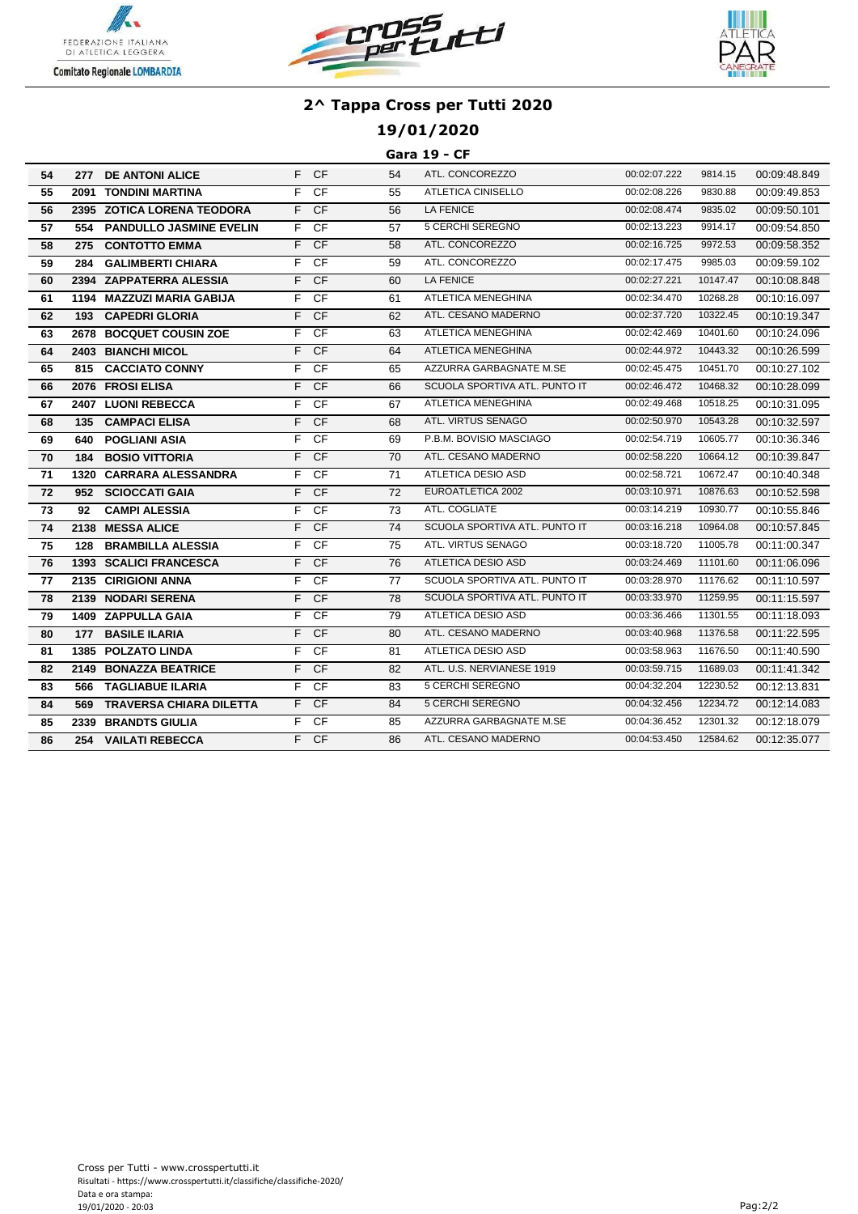





## **19/01/2020**

#### **Gara 19 - CF**

| 54 |     | 277 DE ANTONI ALICE            |                | F CF            | 54 | ATL. CONCOREZZO               | 00:02:07.222 | 9814.15  | 00:09:48.849 |
|----|-----|--------------------------------|----------------|-----------------|----|-------------------------------|--------------|----------|--------------|
| 55 |     | 2091 TONDINI MARTINA           | F.             | $\overline{CF}$ | 55 | ATLETICA CINISELLO            | 00:02:08.226 | 9830.88  | 00:09:49.853 |
| 56 |     | 2395 ZOTICA LORENA TEODORA     |                | F CF            | 56 | LA FENICE                     | 00:02:08.474 | 9835.02  | 00:09:50.101 |
| 57 | 554 | <b>PANDULLO JASMINE EVELIN</b> |                | F CF            | 57 | 5 CERCHI SEREGNO              | 00:02:13.223 | 9914.17  | 00:09:54.850 |
| 58 | 275 | <b>CONTOTTO EMMA</b>           |                | F CF            | 58 | ATL. CONCOREZZO               | 00:02:16.725 | 9972.53  | 00:09:58.352 |
| 59 | 284 | <b>GALIMBERTI CHIARA</b>       | F              | <b>CF</b>       | 59 | ATL. CONCOREZZO               | 00:02:17.475 | 9985.03  | 00:09:59.102 |
| 60 |     | 2394 ZAPPATERRA ALESSIA        | F              | <b>CF</b>       | 60 | LA FENICE                     | 00:02:27.221 | 10147.47 | 00:10:08.848 |
| 61 |     | 1194 MAZZUZI MARIA GABIJA      | F.             | CF              | 61 | <b>ATLETICA MENEGHINA</b>     | 00:02:34.470 | 10268.28 | 00:10:16.097 |
| 62 | 193 | <b>CAPEDRI GLORIA</b>          | F.             | <b>CF</b>       | 62 | ATL. CESANO MADERNO           | 00:02:37.720 | 10322.45 | 00:10:19.347 |
| 63 |     | 2678 BOCQUET COUSIN ZOE        | F.             | CF              | 63 | ATLETICA MENEGHINA            | 00:02:42.469 | 10401.60 | 00:10:24.096 |
| 64 |     | 2403 BIANCHI MICOL             |                | F CF            | 64 | ATLETICA MENEGHINA            | 00:02:44.972 | 10443.32 | 00:10:26.599 |
| 65 |     | 815 CACCIATO CONNY             | F.             | <b>CF</b>       | 65 | AZZURRA GARBAGNATE M.SE       | 00:02:45.475 | 10451.70 | 00:10:27.102 |
| 66 |     | 2076 FROSI ELISA               |                | $F$ CF          | 66 | SCUOLA SPORTIVA ATL. PUNTO IT | 00:02:46.472 | 10468.32 | 00:10:28.099 |
| 67 |     | 2407 LUONI REBECCA             | F              | CF              | 67 | ATLETICA MENEGHINA            | 00:02:49.468 | 10518.25 | 00:10:31.095 |
| 68 |     | 135 CAMPACI ELISA              | F.             | <b>CF</b>       | 68 | ATL. VIRTUS SENAGO            | 00:02:50.970 | 10543.28 | 00:10:32.597 |
| 69 | 640 | <b>POGLIANI ASIA</b>           | F              | $\overline{CF}$ | 69 | P.B.M. BOVISIO MASCIAGO       | 00:02:54.719 | 10605.77 | 00:10:36.346 |
| 70 | 184 | <b>BOSIO VITTORIA</b>          | F.             | $\overline{CF}$ | 70 | ATL. CESANO MADERNO           | 00:02:58.220 | 10664.12 | 00:10:39.847 |
| 71 |     | 1320 CARRARA ALESSANDRA        | F.             | <b>CF</b>       | 71 | ATLETICA DESIO ASD            | 00:02:58.721 | 10672.47 | 00:10:40.348 |
| 72 |     | 952 SCIOCCATI GAIA             | F.             | <b>CF</b>       | 72 | EUROATLETICA 2002             | 00:03:10.971 | 10876.63 | 00:10:52.598 |
| 73 | 92  | <b>CAMPI ALESSIA</b>           | F.             | - CF            | 73 | ATL. COGLIATE                 | 00:03:14.219 | 10930.77 | 00:10:55.846 |
| 74 |     | 2138 MESSA ALICE               | F.             | <b>CF</b>       | 74 | SCUOLA SPORTIVA ATL. PUNTO IT | 00:03:16.218 | 10964.08 | 00:10:57.845 |
| 75 | 128 | <b>BRAMBILLA ALESSIA</b>       | F              | CF              | 75 | ATL. VIRTUS SENAGO            | 00:03:18.720 | 11005.78 | 00:11:00.347 |
| 76 |     | <b>1393 SCALICI FRANCESCA</b>  | F.             | CF              | 76 | ATLETICA DESIO ASD            | 00:03:24.469 | 11101.60 | 00:11:06.096 |
| 77 |     | 2135 CIRIGIONI ANNA            | F              | CF              | 77 | SCUOLA SPORTIVA ATL. PUNTO IT | 00:03:28.970 | 11176.62 | 00:11:10.597 |
| 78 |     | 2139 NODARI SERENA             | F.             | CF              | 78 | SCUOLA SPORTIVA ATL. PUNTO IT | 00:03:33.970 | 11259.95 | 00:11:15.597 |
| 79 |     | <b>1409 ZAPPULLA GAIA</b>      | F.             | CF              | 79 | ATLETICA DESIO ASD            | 00:03:36.466 | 11301.55 | 00:11:18.093 |
| 80 |     | 177 BASILE ILARIA              | F              | <b>CF</b>       | 80 | ATL. CESANO MADERNO           | 00:03:40.968 | 11376.58 | 00:11:22.595 |
| 81 |     | 1385 POLZATO LINDA             | $\overline{F}$ | CF              | 81 | ATLETICA DESIO ASD            | 00:03:58.963 | 11676.50 | 00:11:40.590 |
| 82 |     | 2149 BONAZZA BEATRICE          | F              | <b>CF</b>       | 82 | ATL. U.S. NERVIANESE 1919     | 00:03:59.715 | 11689.03 | 00:11:41.342 |
| 83 |     | <b>566 TAGLIABUE ILARIA</b>    |                | F CF            | 83 | 5 CERCHI SEREGNO              | 00:04:32.204 | 12230.52 | 00:12:13.831 |
| 84 | 569 | <b>TRAVERSA CHIARA DILETTA</b> | F.             | CF              | 84 | 5 CERCHI SEREGNO              | 00:04:32.456 | 12234.72 | 00:12:14.083 |
| 85 |     | 2339 BRANDTS GIULIA            | F.             | $\overline{CF}$ | 85 | AZZURRA GARBAGNATE M.SE       | 00:04:36.452 | 12301.32 | 00:12:18.079 |
| 86 | 254 | <b>VAILATI REBECCA</b>         |                | $F$ CF          | 86 | ATL. CESANO MADERNO           | 00:04:53.450 | 12584.62 | 00:12:35.077 |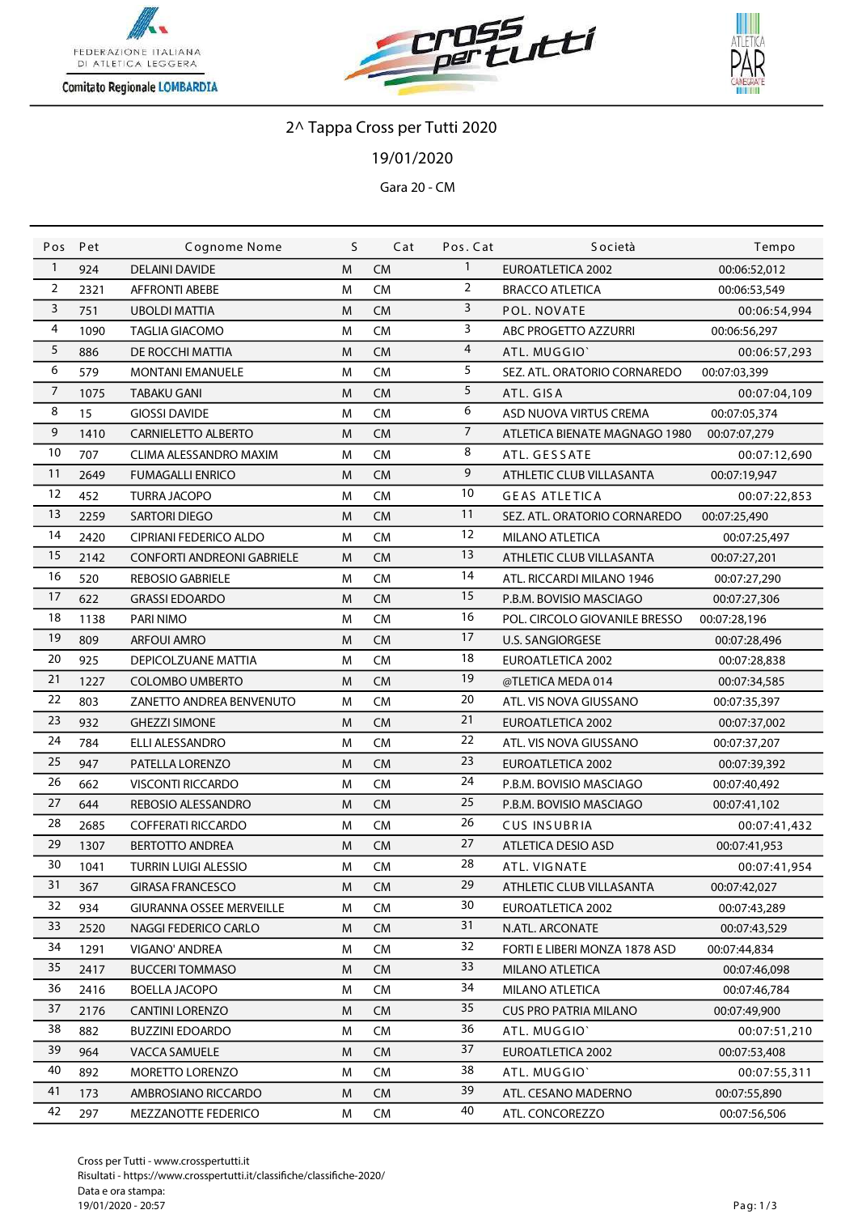





/01/2020

Gara 20 - CM

| Pos            | Pet  | Cognome Nome                      | S | Cat       | Pos. Cat       | <b>Società</b>                | Tempo        |
|----------------|------|-----------------------------------|---|-----------|----------------|-------------------------------|--------------|
| $\mathbf{1}$   | 924  | <b>DELAINI DAVIDE</b>             | M | <b>CM</b> | $\mathbf{1}$   | <b>EUROATLETICA 2002</b>      | 00:06:52,012 |
| 2              | 2321 | <b>AFFRONTI ABEBE</b>             | M | <b>CM</b> | 2              | <b>BRACCO ATLETICA</b>        | 00:06:53,549 |
| 3              | 751  | <b>UBOLDI MATTIA</b>              | M | <b>CM</b> | 3              | <b>POL. NOVATE</b>            | 00:06:54,994 |
| 4              | 1090 | <b>TAGLIA GIACOMO</b>             | M | CM        | 3              | <b>ABC PROGETTO AZZURRI</b>   | 00:06:56,297 |
| 5              | 886  | DE ROCCHI MATTIA                  | M | <b>CM</b> | $\overline{4}$ | ATL. MUGGIO'                  | 00:06:57,293 |
| 6              | 579  | <b>MONTANI EMANUELE</b>           | M | <b>CM</b> | 5              | SEZ. ATL. ORATORIO CORNAREDO  | 00:07:03,399 |
| $\overline{7}$ | 1075 | TABAKU GANI                       | M | <b>CM</b> | 5              | ATL. GISA                     | 00:07:04,109 |
| $\,8\,$        | 15   | <b>GIOSSI DAVIDE</b>              | M | CM        | 6              | ASD NUOVA VIRTUS CREMA        | 00:07:05,374 |
| 9              | 1410 | <b>CARNIELETTO ALBERTO</b>        | M | <b>CM</b> | $\overline{7}$ | ATLETICA BIENATE MAGNAGO 1980 | 00:07:07,279 |
| 10             | 707  | CLIMA ALESSANDRO MAXIM            | M | <b>CM</b> | 8              | ATL. GESSATE                  | 00:07:12,690 |
| 11             | 2649 | <b>FUMAGALLI ENRICO</b>           | M | <b>CM</b> | 9              | ATHLETIC CLUB VILLASANTA      | 00:07:19,947 |
| 12             | 452  | <b>TURRA JACOPO</b>               | Μ | CM        | 10             | <b>GEAS ATLETICA</b>          | 00:07:22,853 |
| 13             | 2259 | <b>SARTORI DIEGO</b>              | M | <b>CM</b> | 11             | SEZ. ATL. ORATORIO CORNAREDO  | 00:07:25,490 |
| 14             | 2420 | <b>CIPRIANI FEDERICO ALDO</b>     | M | <b>CM</b> | 12             | <b>MILANO ATLETICA</b>        | 00:07:25,497 |
| 15             | 2142 | <b>CONFORTI ANDREONI GABRIELE</b> | M | <b>CM</b> | 13             | ATHLETIC CLUB VILLASANTA      | 00:07:27,201 |
| 16             | 520  | <b>REBOSIO GABRIELE</b>           | M | <b>CM</b> | 14             | ATL. RICCARDI MILANO 1946     | 00:07:27,290 |
| 17             | 622  | <b>GRASSI EDOARDO</b>             | M | <b>CM</b> | 15             | P.B.M. BOVISIO MASCIAGO       | 00:07:27,306 |
| 18             | 1138 | PARI NIMO                         | M | <b>CM</b> | 16             | POL. CIRCOLO GIOVANILE BRESSO | 00:07:28,196 |
| 19             | 809  | <b>ARFOUI AMRO</b>                | M | <b>CM</b> | 17             | <b>U.S. SANGIORGESE</b>       | 00:07:28,496 |
| 20             | 925  | DEPICOLZUANE MATTIA               | Μ | CM        | 18             | EUROATLETICA 2002             | 00:07:28,838 |
| 21             | 1227 | <b>COLOMBO UMBERTO</b>            | M | <b>CM</b> | 19             | @TLETICA MEDA 014             | 00:07:34,585 |
| 22             | 803  | ZANETTO ANDREA BENVENUTO          | M | <b>CM</b> | 20             | ATL. VIS NOVA GIUSSANO        | 00:07:35,397 |
| 23             | 932  | <b>GHEZZI SIMONE</b>              | M | <b>CM</b> | 21             | <b>EUROATLETICA 2002</b>      | 00:07:37,002 |
| 24             | 784  | ELLI ALESSANDRO                   | Μ | <b>CM</b> | 22             | ATL. VIS NOVA GIUSSANO        | 00:07:37,207 |
| 25             | 947  | PATELLA LORENZO                   | M | CM        | 23             | EUROATLETICA 2002             | 00:07:39,392 |
| 26             | 662  | <b>VISCONTI RICCARDO</b>          | M | <b>CM</b> | 24             | P.B.M. BOVISIO MASCIAGO       | 00:07:40,492 |
| 27             | 644  | REBOSIO ALESSANDRO                | M | <b>CM</b> | 25             | P.B.M. BOVISIO MASCIAGO       | 00:07:41,102 |
| 28             | 2685 | <b>COFFERATI RICCARDO</b>         | Μ | CM        | 26             | <b>CUS INSUBRIA</b>           | 00:07:41,432 |
| 29             | 1307 | <b>BERTOTTO ANDREA</b>            | M | CM        | 27             | <b>ATLETICA DESIO ASD</b>     | 00:07:41,953 |
| 30             | 1041 | <b>TURRIN LUIGI ALESSIO</b>       | M | CM        | 28             | ATL. VIGNATE                  | 00:07:41,954 |
| 31             | 367  | <b>GIRASA FRANCESCO</b>           | M | <b>CM</b> | 29             | ATHLETIC CLUB VILLASANTA      | 00:07:42,027 |
| 32             | 934  | <b>GIURANNA OSSEE MERVEILLE</b>   | Μ | CM        | 30             | EUROATLETICA 2002             | 00:07:43,289 |
| 33             | 2520 | NAGGI FEDERICO CARLO              | M | <b>CM</b> | 31             | N.ATL. ARCONATE               | 00:07:43,529 |
| 34             | 1291 | VIGANO' ANDREA                    | Μ | CM        | 32             | FORTI E LIBERI MONZA 1878 ASD | 00:07:44,834 |
| 35             | 2417 | <b>BUCCERI TOMMASO</b>            | M | <b>CM</b> | 33             | <b>MILANO ATLETICA</b>        | 00:07:46,098 |
| 36             | 2416 | <b>BOELLA JACOPO</b>              | M | CM        | 34             | MILANO ATLETICA               | 00:07:46.784 |
| 37             | 2176 | <b>CANTINI LORENZO</b>            | M | CM.       | 35             | <b>CUS PRO PATRIA MILANO</b>  | 00:07:49,900 |
| 38             | 882  | <b>BUZZINI EDOARDO</b>            | M | CM        | 36             | ATL. MUGGIO'                  | 00:07:51,210 |
| 39             | 964  | <b>VACCA SAMUELE</b>              | M | <b>CM</b> | 37             | <b>EUROATLETICA 2002</b>      | 00:07:53,408 |
| 40             | 892  | MORETTO LORENZO                   | Μ | CM        | 38             | ATL. MUGGIO'                  | 00:07:55,311 |
| 41             | 173  | AMBROSIANO RICCARDO               | M | CM        | 39             | ATL. CESANO MADERNO           | 00:07:55,890 |
| 42             | 297  | MEZZANOTTE FEDERICO               | M | CM        | 40             | ATL. CONCOREZZO               | 00:07:56,506 |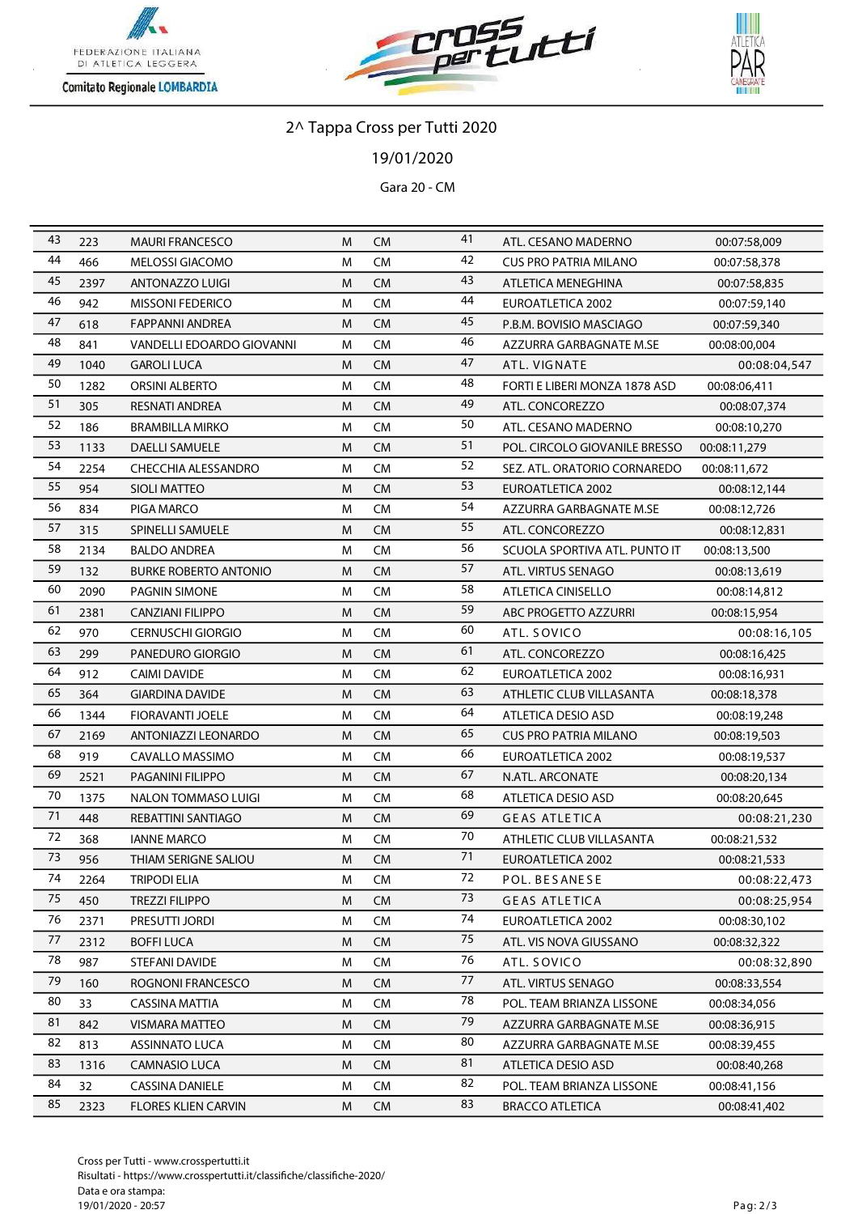





/01/2020

Gara 20 - CM

| 43      | 223  | <b>MAURI FRANCESCO</b>       | M | <b>CM</b> | 41              | ATL. CESANO MADERNO           | 00:07:58,009 |
|---------|------|------------------------------|---|-----------|-----------------|-------------------------------|--------------|
| 44      | 466  | <b>MELOSSI GIACOMO</b>       | M | <b>CM</b> | 42              | <b>CUS PRO PATRIA MILANO</b>  | 00:07:58,378 |
| 45      | 2397 | <b>ANTONAZZO LUIGI</b>       | M | <b>CM</b> | 43              | ATLETICA MENEGHINA            | 00:07:58,835 |
| 46      | 942  | <b>MISSONI FEDERICO</b>      | M | <b>CM</b> | 44              | <b>EUROATLETICA 2002</b>      | 00:07:59,140 |
| 47      | 618  | <b>FAPPANNI ANDREA</b>       | M | <b>CM</b> | 45              | P.B.M. BOVISIO MASCIAGO       | 00:07:59,340 |
| 48      | 841  | VANDELLI EDOARDO GIOVANNI    | M | <b>CM</b> | 46              | AZZURRA GARBAGNATE M.SE       | 00:08:00,004 |
| 49      | 1040 | <b>GAROLI LUCA</b>           | M | <b>CM</b> | 47              | ATL. VIGNATE                  | 00:08:04,547 |
| 50      | 1282 | <b>ORSINI ALBERTO</b>        | M | <b>CM</b> | 48              | FORTI E LIBERI MONZA 1878 ASD | 00:08:06,411 |
| 51      | 305  | <b>RESNATI ANDREA</b>        | M | <b>CM</b> | 49              | ATL. CONCOREZZO               | 00:08:07,374 |
| 52      | 186  | <b>BRAMBILLA MIRKO</b>       | M | <b>CM</b> | 50              | ATL. CESANO MADERNO           | 00:08:10,270 |
| 53      | 1133 | <b>DAELLI SAMUELE</b>        | M | <b>CM</b> | 51              | POL. CIRCOLO GIOVANILE BRESSO | 00:08:11,279 |
| 54      | 2254 | <b>CHECCHIA ALESSANDRO</b>   | M | <b>CM</b> | 52              | SEZ. ATL. ORATORIO CORNAREDO  | 00:08:11,672 |
| 55      | 954  | SIOLI MATTEO                 | M | <b>CM</b> | 53              | EUROATLETICA 2002             | 00:08:12,144 |
| 56      | 834  | PIGA MARCO                   | M | <b>CM</b> | 54              | AZZURRA GARBAGNATE M.SE       | 00:08:12,726 |
| 57      | 315  | SPINELLI SAMUELE             | M | <b>CM</b> | 55              | ATL. CONCOREZZO               | 00:08:12,831 |
| 58      | 2134 | <b>BALDO ANDREA</b>          | M | <b>CM</b> | 56              | SCUOLA SPORTIVA ATL. PUNTO IT | 00:08:13,500 |
| 59      | 132  | <b>BURKE ROBERTO ANTONIO</b> | M | <b>CM</b> | 57              | ATL. VIRTUS SENAGO            | 00:08:13,619 |
| 60      | 2090 | <b>PAGNIN SIMONE</b>         | M | <b>CM</b> | 58              | <b>ATLETICA CINISELLO</b>     | 00:08:14,812 |
| 61      | 2381 | <b>CANZIANI FILIPPO</b>      | M | <b>CM</b> | 59              | ABC PROGETTO AZZURRI          | 00:08:15,954 |
| 62      | 970  | <b>CERNUSCHI GIORGIO</b>     | м | <b>CM</b> | 60              | ATL. SOVICO                   | 00:08:16,105 |
| 63      | 299  | PANEDURO GIORGIO             | M | <b>CM</b> | 61              | ATL. CONCOREZZO               | 00:08:16,425 |
| 64      | 912  | <b>CAIMI DAVIDE</b>          | M | <b>CM</b> | 62              | <b>EUROATLETICA 2002</b>      | 00:08:16,931 |
| 65      | 364  | <b>GIARDINA DAVIDE</b>       | M | <b>CM</b> | 63              | ATHLETIC CLUB VILLASANTA      | 00:08:18,378 |
| 66      | 1344 | FIORAVANTI JOELE             | M | <b>CM</b> | 64              | <b>ATLETICA DESIO ASD</b>     | 00:08:19,248 |
| 67      | 2169 | ANTONIAZZI LEONARDO          | M | <b>CM</b> | 65              | <b>CUS PRO PATRIA MILANO</b>  | 00:08:19,503 |
| 68      | 919  | CAVALLO MASSIMO              | M | <b>CM</b> | 66              | <b>EUROATLETICA 2002</b>      | 00:08:19,537 |
| 69      | 2521 | PAGANINI FILIPPO             | M | <b>CM</b> | 67              | N.ATL. ARCONATE               | 00:08:20,134 |
| 70      | 1375 | NALON TOMMASO LUIGI          | M | <b>CM</b> | 68              | <b>ATLETICA DESIO ASD</b>     | 00:08:20,645 |
| 71      | 448  | REBATTINI SANTIAGO           | M | <b>CM</b> | 69              | <b>GEAS ATLETICA</b>          | 00:08:21,230 |
| 72      | 368  | <b>IANNE MARCO</b>           | M | <b>CM</b> | 70              | ATHLETIC CLUB VILLASANTA      | 00:08:21,532 |
| 73      | 956  | THIAM SERIGNE SALIOU         | M | <b>CM</b> | 71              | EUROATLETICA 2002             | 00:08:21,533 |
| 74      | 2264 | <b>TRIPODI ELIA</b>          | M | <b>CM</b> | $\overline{72}$ | POL. BESANESE                 | 00:08:22,473 |
| 75      | 450  | <b>TREZZI FILIPPO</b>        | M | <b>CM</b> | 73              | <b>GEAS ATLETICA</b>          | 00:08:25,954 |
| 76      | 2371 | PRESUTTI JORDI               | M | CM        | 74              | <b>EUROATLETICA 2002</b>      | 00:08:30,102 |
| $77 \,$ | 2312 | <b>BOFFILUCA</b>             | M | <b>CM</b> | 75              | ATL. VIS NOVA GIUSSANO        | 00:08:32,322 |
| 78      | 987  | STEFANI DAVIDE               | M | <b>CM</b> | 76              | ATL. SOVICO                   | 00:08:32,890 |
| 79      | 160  | ROGNONI FRANCESCO            | M | <b>CM</b> | 77              | ATL. VIRTUS SENAGO            | 00:08:33,554 |
| 80      | 33   | <b>CASSINA MATTIA</b>        | м | <b>CM</b> | 78              | POL. TEAM BRIANZA LISSONE     | 00:08:34,056 |
| 81      | 842  | VISMARA MATTEO               | M | <b>CM</b> | 79              | AZZURRA GARBAGNATE M.SE       | 00:08:36,915 |
| 82      | 813  | <b>ASSINNATO LUCA</b>        | M | <b>CM</b> | 80              | AZZURRA GARBAGNATE M.SE       | 00:08:39,455 |
| 83      | 1316 | <b>CAMNASIO LUCA</b>         | M | <b>CM</b> | 81              | <b>ATLETICA DESIO ASD</b>     | 00:08:40,268 |
| 84      | 32   | <b>CASSINA DANIELE</b>       | M | <b>CM</b> | 82              | POL. TEAM BRIANZA LISSONE     | 00:08:41,156 |
| 85      | 2323 | <b>FLORES KLIEN CARVIN</b>   | M | <b>CM</b> | 83              | <b>BRACCO ATLETICA</b>        | 00:08:41,402 |